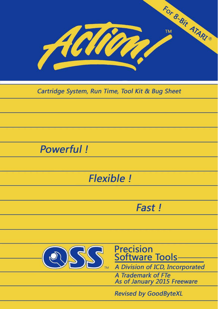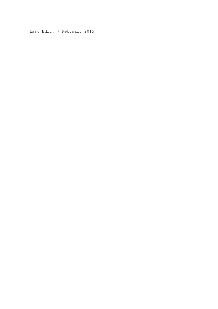Last Edit: 7 February 2015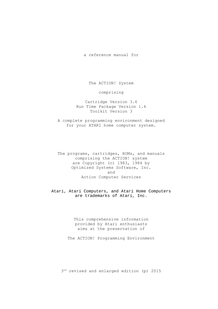a reference manual for

The ACTION! System

comprising

Cartridge Version 3.6 Run Time Package Version 1.4 Toolkit Version 3

A complete programming environment designed for your ATARI home computer system.

The programs, cartridges, ROMs, and manuals comprising the ACTION! system are Copyright (c) 1983, 1984 by Optimized Systems Software, Inc. and Action Computer Services

Atari, Atari Computers, and Atari Home Computers are trademarks of Atari, Inc.

> This comprehensive information provided by Atari enthusiasts aims at the preservation of

The ACTION! Programming Environment

3 rd revised and enlarged edition (p) 2015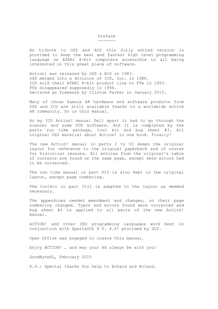# Preface

#### -------

As tribute to OSS and ACS this fully edited version is provided to keep the best and fastest high level programming language on ATARI 8-bit computers accessible to all being interested in this great piece of software.

Action! was released by OSS & ACS in 1983. OSS merged into a division of ICD, Inc. in 1988. ICD sold their ATARI 8-bit product line to FTe in 1993. FTe disappeared supposedly in 1996. Declared as freeware by Clinton Parker in January 2015.

Many of those famous A8 hardware and software products from OSS and ICD are still available thanks to a worldwide active A8 community. So is this manual.

As my ICD Action! manual fell apart it had to go through the scanner and some OCR software. And it is completed by the parts run time package, tool kit and bug sheet #3. All original OSS material about Action! in one book. Finally!

The new Action! manual in parts I to VI keeps the original layout for reference to the original paperback and of course for historical reasons. All entries from the original's table of contents are found on the same page, except were errors had to be corrected.

The run time manual in part VII is also kept in the original layout, except page numbering.

The toolkit in part VIII is adapted to the layout as deemed necessary.

The appendices needed amendment and changes, so their page numbering changed. Typos and errors found were corrected and bug sheet #3 is applied to all parts of the new Action! manual.

ACTION! and other OSS programming languages work best in conjunction with SpartaDOS X V. 4.47 provided by DLT.

Open Office was engaged to create this manual.

Enjoy ACTION! … and may your A8 always be with you!

GoodByteXL, February 2015

P.S.: Special thanks for help to Erhard and Roland.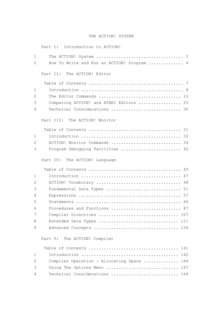# THE ACTION! SYSTEM

Part I: Introduction to ACTION!

| 1 |                                                                |  |  |  |  |
|---|----------------------------------------------------------------|--|--|--|--|
| 2 | How To Write and Run an ACTION! Program $\ldots \ldots \ldots$ |  |  |  |  |
|   |                                                                |  |  |  |  |
|   | Part II:<br>The ACTION! Editor                                 |  |  |  |  |
|   |                                                                |  |  |  |  |
| 1 |                                                                |  |  |  |  |
| 2 | The Editor Commands  12                                        |  |  |  |  |
| 3 | Comparing ACTION! and ATARI Editors  25                        |  |  |  |  |
| 4 | Technical Considerations  30                                   |  |  |  |  |
|   |                                                                |  |  |  |  |
|   | Part III: The ACTION! Monitor                                  |  |  |  |  |
|   | 31                                                             |  |  |  |  |
| 1 | 32                                                             |  |  |  |  |
| 2 | ACTION! Monitor Commands  34                                   |  |  |  |  |
| 3 | Program Debugging Facilities  42                               |  |  |  |  |
|   | Part IV: The ACTION! Language                                  |  |  |  |  |
|   |                                                                |  |  |  |  |
|   |                                                                |  |  |  |  |
|   | 45                                                             |  |  |  |  |
| 1 | 47                                                             |  |  |  |  |
| 2 | 48                                                             |  |  |  |  |
| 3 | 51<br>Fundamental Data Types                                   |  |  |  |  |
| 4 | 57                                                             |  |  |  |  |
| 5 | 66                                                             |  |  |  |  |
| 6 | Procedures and Functions  87                                   |  |  |  |  |
| 7 | Compiler Directives<br>107                                     |  |  |  |  |
| 8 | Extended Data Types  111                                       |  |  |  |  |
| 9 | Advanced Concepts  134                                         |  |  |  |  |
|   | Part V:<br>The ACTION! Compiler                                |  |  |  |  |
|   |                                                                |  |  |  |  |
| 1 |                                                                |  |  |  |  |
| 2 | Compiler Operation - Allocating Space  144                     |  |  |  |  |
| 3 | Using The Options Menu  147                                    |  |  |  |  |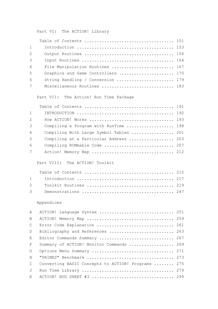Part VI: The ACTION! Library

| $\mathbf{1}$     |                                    |  |
|------------------|------------------------------------|--|
| $2^{\circ}$      |                                    |  |
| $\mathbf{3}$     |                                    |  |
| $\overline{4}$   | File Manipulation Routines  167    |  |
| 5                | Graphics and Game Controllers  170 |  |
| $6 \overline{6}$ | String Handling / Conversion  179  |  |
| 7                | Miscellaneous Routines  183        |  |

Part VII: The Action! Run Time Package

| $1 \quad$      |                                         |
|----------------|-----------------------------------------|
| $2^{\circ}$    | How ACTION! Works  193                  |
| $\mathbf{3}$   | Compiling a Program with RunTime  198   |
| $\overline{4}$ | Compiling With Large Symbol Tables  201 |
| $5 -$          | Compiling at a Particular Address  203  |
| 6              | Compiling ROMmable Code  207            |
| 7              | Action! Memory Map  212                 |

Part VIII: The ACTION! Toolkit

# Appendices

| $\mathcal{A}$  | ACTION! Language Syntax  251                       |  |
|----------------|----------------------------------------------------|--|
| B.             |                                                    |  |
| $\mathcal{C}$  | Error Code Explanation  261                        |  |
| D              | Bibliography and References  263                   |  |
| $F_{\rm c}$    | Editor Commands Summary  267                       |  |
| F              | Summary of ACTION! Monitor Commands  269           |  |
| G              | Options Menu Summary  271                          |  |
| H              | "PRIMES" Benchmark  273                            |  |
| $\top$         | Converting BASIC Concepts to ACTION! Programs  275 |  |
| $\overline{J}$ |                                                    |  |
|                |                                                    |  |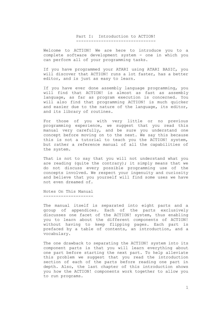Part I: Introduction to ACTION! --------------------------------

Welcome to ACTION! We are here to introduce you to a complete software development system - one in which you can perform all of your programming tasks.

If you have programmed your ATARI using ATARI BASIC, you will discover that ACTION! runs a lot faster, has a better editor, and is just as easy to learn.

If you have ever done assembly language programming, you will find that ACTION! is almost as fast as assembly language, as far as program execution is concerned. You will also find that programming ACTION! is much quicker and easier due to the nature of the language, its editor, and its library of routines.

For those of you with very little or no previous programming experience, we suggest that you read this manual very carefully, and be sure you understand one concept before moving on to the next. We say this because this is not a tutorial to teach you the ACTION! system, but rather a reference manual of all the capabilities of the system.

That is not to say that you will not understand what you are reading (quite the contrary); it simply means that we do not discuss every possible programming use of the concepts involved. We respect your ingenuity and curiosity and believe that you yourself will find some uses we have not even dreamed of.

Notes On This Manual --------------------

The manual itself is separated into eight parts and a group of appendices. Each of the parts exclusively discusses one facet of the ACTION! system, thus enabling you to learn about the different components of ACTION! without having to keep flipping pages. Each part is prefaced by a table of contents, an introduction, and a vocabulary.

The one drawback to separating the ACTION! system into its component parts is that you will learn everything about one part before starting the next part. To help alleviate this problem we suggest that you read the introduction section of each of the parts before reading one part in depth. Also, the last chapter of this introduction shows you how the ACTION! components work together to allow you to run programs.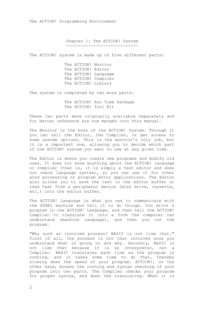Chapter 1: The ACTION! System -----------------------------

The ACTION! system is made up of five different parts:

 The ACTION! Monitor The ACTION! Editor The ACTION! Language The ACTION! Compiler The ACTION! Library

The system is completed by two more parts:

 The ACTION! Run Time Package The ACTION! Tool Kit

These two parts were originally available separately and for better reference are now merged into this manual.

The Monitor is the boss of the ACTION! System. Through it you can call the Editor, the Compiler, or get access to some system options. This is the monitor's only job, but it is a important one, allowing you to decide which part of the ACTION! system you want to use at any given time.

The Editor is where you create new programs and modify old ones. It does not know anything about the ACTION! language or compiler (that is, it is simply a text editor and does not check language syntax), so you can use it for other word processing or program entry applications. The Editor also allows you to save the text in the editor buffer or read text from a peripheral device (disk drive, cassette, etc.) into the editor buffer.

The ACTION! Language is what you use to communicate with the ATARI machine and tell it to do things. You write a program in the ACTION! Language, and then tell the ACTION! Compiler to translate it into a form the computer can understand (machine language), and then you run the program.

"Why such an involved process? BASIC is not like that." First of all, the process is not that involved once you understand what is going on and why. Secondly, BASIC is not like that because it is an Interpreter, not a Compiler. BASIC translates each line as the program is running, and it takes some time to do that, thereby slowing down the speed of your program. ACTION!, on the other hand, breaks the running and syntax checking of your program into two parts. The Compiler checks your program for proper syntax, and does the translating. When it is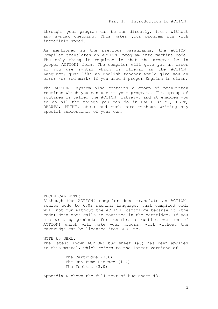through, your program can be run directly, i.e., without any syntax checking. This makes your program run with incredible speed.

As mentioned in the previous paragraphs, the ACTION! Compiler translates an ACTION! program into machine code. The only thing it requires is that the program be in proper ACTION! form. The compiler will give you an error if you use syntax which is illegal in the ACTION! Language, just like an English teacher would give you an error (or red mark) if you used improper English in class.

The ACTION! system also contains a group of prewritten routines which you can use in your programs. This group of routines is called the ACTION! Library, and it enables you to do all the things you can do in BASIC (i.e., PLOT, DRAWTO, PRINT, etc.) and much more without writing any special subroutines of your own.

# TECHNICAL NOTE:

Although the ACTION! compiler does translate an ACTION! source code to 6502 machine language, that compiled code will not run without the ACTION! cartridge because it (the code) does some calls to routines in the cartridge. If you are writing products for resale, a runtime version of ACTION! which will make your program work without the cartridge can be licensed from OSS Inc.

# NOTE by GBXL:

The latest known ACTION! bug sheet (#3) has been applied to this manual, which refers to the latest versions of

> The Cartridge  $(3.6)$ . The Run Time Package (1.4) The Toolkit (3.0)

Appendix K shows the full text of bug sheet #3.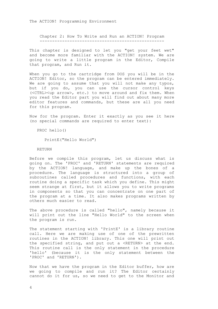Chapter 2: How To Write and Run an ACTION! Program --------------------------------------------------

This chapter is designed to let you "get your feet wet" and become more familiar with the ACTION! system. We are going to write a little program in the Editor, Compile that program, and Run it.

When you go to the cartridge from DOS you will be in the ACTION! Editor, so the program can be entered immediately. We are going to assume that you will not make any typos, but if you do, you can use the cursor control keys (<CTRL><up arrow>, etc.) to move around and fix them. When you read the Editor part you will find out about many more editor features and commands, but these are all you need for this program.

Now for the program. Enter it exactly as you see it here (no special commands are required to enter text):

PROC hello()

PrintE("Hello World")

RETURN

Before we compile this program, let us discuss what is going on. The 'PROC' and 'RETURN' statements are required by the ACTION! language, and make up the bones of a procedure. The language is structured into a group of subroutines called procedures and functions, with each routine doing a specific task which you define. This might seem strange at first, but it allows you to write programs in components so that you can concentrate on one part of the program at a time. It also makes programs written by others much easier to read.

The above procedure is called "hello", namely because it will print out the line "Hello World" to the screen when the program is run.

The statement starting with 'PrintE' is a library routine call. Here we are making use of one of the prewritten routines in the ACTION! library. This one will print out the specified string, and put out a <RETURN> at the end. This routine call is the only statement in the procedure 'hello' (because it is the only statement between the 'PROC' and 'RETURN').

Now that we have the program in the Editor buffer, how are we going to compile and run it? The Editor certainly cannot do it for us, so we need to get to the Monitor and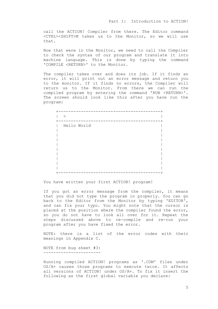call the ACTION! Compiler from there. The Editor command <CTRL><SHIFT>M takes us to the Monitor, so we will use that.

Now that were in the Monitor, we need to call the Compiler to check the syntax of our program and translate it into machine language. This is done by typing the command 'COMPILE <RETURN>' to the Monitor.

The compiler takes over and does its job. If it finds an error, it will print out an error message and return you to the monitor. If it finds no errors, the Compiler will return us to the Monitor. From there we can run the compiled program by entering the command 'RUN <RETURN>'. The screen should look like this after you have run the program:

| >           |  |  |
|-------------|--|--|
| Hello World |  |  |
|             |  |  |
|             |  |  |
|             |  |  |
|             |  |  |
|             |  |  |
|             |  |  |
|             |  |  |

You have written your first ACTION! program!

If you got an error message from the compiler, it means that you did not type the program in properly. You can go back to the Editor from the Monitor by typing 'EDITOR', and can fix your typo. You might note that the cursor is placed at the position where the compiler found the error, so you do not have to look all over for it. Repeat the steps discussed above to re-compile and re-run your program after you have fixed the error.

NOTE: there is a list of the error codes with their meanings in Appendix C.

NOTE from bug sheet #3: -----------------------

Running compiled ACTION! programs as '.COM' files under OS/A+ causes those programs to execute twice. It affects all versions of ACTION! under OS/A+. To fix it insert the following as the first global variable you declare: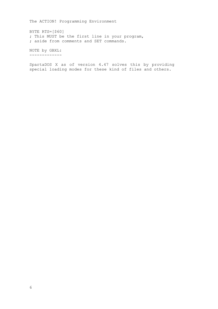BYTE RTS=[\$60] ; This MUST be the first line in your program, ; aside from comments and SET commands.

NOTE by GBXL: -------------

SpartaDOS X as of version 4.47 solves this by providing special loading modes for these kind of files and others.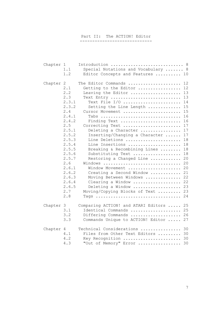# Part II: The ACTION! Editor

-----------------------------

| Chapter 1 | 1.1<br>1.2                                                                                                                                                                                           | Introduction  8<br>Special Notations and Vocabulary  8<br>Editor Concepts and Features  10                                                                                                                                                                                                                                                                                                                                                                                                                                                                                                                                                                                                        |
|-----------|------------------------------------------------------------------------------------------------------------------------------------------------------------------------------------------------------|---------------------------------------------------------------------------------------------------------------------------------------------------------------------------------------------------------------------------------------------------------------------------------------------------------------------------------------------------------------------------------------------------------------------------------------------------------------------------------------------------------------------------------------------------------------------------------------------------------------------------------------------------------------------------------------------------|
| Chapter 2 | 2.1<br>2.2<br>2.3<br>2.3.1<br>2.3.2<br>2.4<br>2.4.1<br>2.4.2<br>2.5<br>2.5.1<br>2.5.2<br>2.5.3<br>2.5.4<br>2.5.5<br>2.5.6<br>2.5.7<br>2.6<br>2.6.1<br>2.6.2<br>2.6.3<br>2.6.4<br>2.6.5<br>2.7<br>2.8 | The Editor Commands<br>12<br>12<br>Getting to the Editor<br>13<br>Leaving the Editor<br>13<br>Text Entry<br>Text File $I/O$<br>14<br>Setting the Line Length<br>15<br>15<br>Cursor Movement<br>16<br>Tabs<br>Finding Text<br>16<br>17<br>Correcting Text<br>17<br>Deleting a Character<br>Inserting/Changing a Character<br>17<br>18<br>Line Deletions<br>18<br>Line Insertions<br>18<br>Breaking & Recombining Lines<br>18<br>Substituting Text<br>Restoring a Changed Line<br>20<br>20<br>Windows<br>20<br>Window Movement<br>21<br>Creating a Second Window<br>22<br>Moving Between Windows<br>22<br>Clearing a Window<br>Deleting a Window<br>23<br>Moving/Copying Blocks of Text<br>23<br>24 |
| Chapter 3 | 3.1<br>3.2<br>3.3                                                                                                                                                                                    | Comparing ACTION! and ATARI Editors<br>25<br>Identical Commands<br>25<br>Differing Commands<br>26<br>Commands Unique to ACTION! Editor<br>27                                                                                                                                                                                                                                                                                                                                                                                                                                                                                                                                                      |
| Chapter 4 | 4.1<br>4.2<br>4.3                                                                                                                                                                                    | Technical Considerations<br>30<br>Files from Other Text Editors<br>30<br>30<br>Key Recognition<br>"Out of Memory" Error<br>30                                                                                                                                                                                                                                                                                                                                                                                                                                                                                                                                                                     |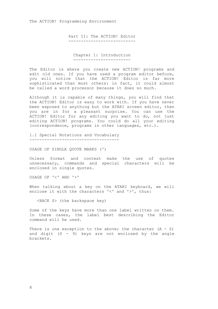Part II: The ACTION! Editor ---------------------------

Chapter 1: Introduction -----------------------

The Editor is where you create new ACTION! programs and edit old ones. If you have used a program editor before, you will notice that the ACTION! Editor is far more sophisticated than most others: in fact, it could almost be called a word processor because it does so much.

Although it is capable of many things, you will find that the ACTION! Editor is easy to work with. If you have never been exposed to anything but the ATARI screen editor, then you are in for a pleasant surprise. You can use the ACTION! Editor for any editing you want to do, not just editing ACTION! programs. You could do all your editing (correspondence, programs in other languages, etc.).

1.1 Special Notations and Vocabulary ------------------------------------

USAGE OF SINGLE QUOTE MARKS (')

Unless format and context make the use of quotes unnecessary, commands and special characters will be enclosed in single quotes.

USAGE OF '<' AND '>'

When talking about a key on the ATARI keyboard, we will enclose it with the characters '<' and '>', thus:

<BACK S> (the backspace key)

Some of the keys have more than one label written on them. In these cases, the label best describing the Editor command will he used.

There is one exception to the above; the character  $(A - Z)$ and digit  $(0 - 9)$  keys are not enclosed by the angle brackets.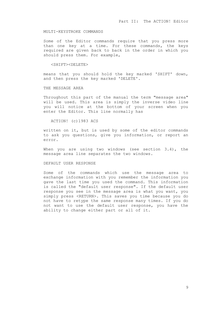#### MULTI-KEYSTROKE COMMANDS

Some of the Editor commands require that you press more than one key at a time. For these commands, the keys required are given back to back in the order in which you should press them. For example,

## <SHIFT><DELETE>

means that you should hold the key marked 'SHIFT' down, and then press the key marked 'DELETE'.

# THE MESSAGE AREA

Throughout this part of the manual the term "message area" will be used. This area is simply the inverse video line you will notice at the bottom of your screen when you enter the Editor. This line normally has

ACTION! (c)1983 ACS

written on it, but is used by some of the editor commands to ask you questions, give you information, or report an error.

When you are using two windows (see section 3.4), the message area line separates the two windows.

## DEFAULT USER RESPONSE

Some of the commands which use the message area to exchange information with you remember the information you gave the last time you used the command. This information is called the "default user response". If the default user response you see in the message area is what you want, you simply press <RETURN>. This saves you time because you do not have to retype the same response many times. If you do not want to use the default user response, you have the ability to change either part or all of it.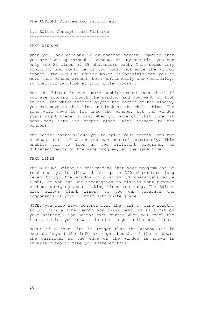1.2 Editor Concepts and Features --------------------------------

#### TEXT WINDOWS

When you look at your TV or monitor screen, imagine that you are looking through a window. At any one time you can only see 23 lines of 38 characters each. This seems very limiting, and would be if you could not move the window around. The ACTION! Editor makes it possible for you to move this window around, both horizontally and vertically, so that you can look at your whole program.

But the Editor is even more sophisticated than that! If you are looking through the window, and you want to look at one line which extends beyond the bounds of the window, you can move to that line and look at the whole thing. The line will move to fit into the window, but the window stays right where it was. When you move off that line, it pops back into its proper place (with respect to the window).

The Editor evens allows you to split your screen into two windows, each of which you can control separately. This enables you to look at two different programs, or different parts of the same program, at the same time.

TEXT LINES

The ACTION! Editor is designed so that your program can be read easily. It allows lines up to 240 characters long (even though the window only shows 38 characters at a time), so you can use indentation to clarify your program without worrying about making lines too long. The Editor also allows blank lines, so you can separate the components of your program with white space.

NOTE: you also have control over the maximum line length, so you pick a line length you think best (or will fit on your printer). The Editor even buzzes when you reach the limit, to let you know it is time to go to the next line.

NOTE: if a text line is longer than the window (if it extends beyond the left or right bounds of the window), the character at the edge of the window is shown in inverse video to make you aware of this.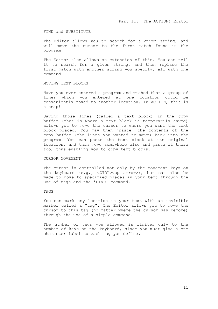FIND and SUBSTITUTE

The Editor allows you to search for a given string, and will move the cursor to the first match found in the program.

The Editor also allows an extension of this. You can tell it to search for a given string, and then replace the first match with another string you specify, all with one command.

#### MOVING TEXT BLOCKS

Have you ever entered a program and wished that a group of lines which you entered at one location could be conveniently moved to another location? In ACTION, this is a snap!

Saving those lines (called a text block) in the copy buffer (that is where a text block is temporarily saved) allows you to move the cursor to where you want the text block placed. You may then "paste" the contents of the copy buffer (the lines you wanted to move) back into the program. You can paste the text block at its original location, and then move somewhere else and paste it there too, thus enabling you to copy text blocks.

#### CURSOR MOVEMENT

The cursor is controlled not only by the movement keys on the keyboard (e.g., <CTRL><up arrow>), but can also be made to move to specified places in your text through the use of tags and the 'FIND' command.

#### TAGS

You can mark any location in your text with an invisible marker called a "tag". The Editor allows you to move the cursor to this tag (no matter where the cursor was before) through the use of a simple command.

The number of tags you allowed is limited only to the number of keys on the keyboard, since you must give a one character label to each tag you define.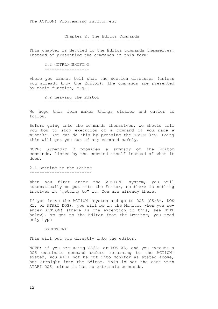Chapter 2: The Editor Commands ------------------------------

This chapter is devoted to the Editor commands themselves. Instead of presenting the commands in this form:

> 2.2 <CTRL><SHIFT>M ------------------

where you cannot tell what the section discusses (unless you already know the Editor), the commands are presented by their function, e.g.:

> 2.2 Leaving the Editor ----------------------

We hope this form makes things clearer and easier to follow.

Before going into the commands themselves, we should tell you how to stop execution of a command if you made a mistake. You can do this by pressing the <ESC> key. Doing this will get you out of any command safely.

NOTE: Appendix E provides a summary of the Editor commands, listed by the command itself instead of what it does.

2.1 Getting to the Editor -------------------------

When you first enter the ACTION! system, you will automatically be put into the Editor, so there is nothing involved in "getting to" it. You are already there.

If you leave the ACTION! system and go to DOS (OS/A+, DOS XL, or ATARI DOS), you will be in the Monitor when you reenter ACTION! (there is one exception to this; see NOTE below). To get to the Editor from the Monitor, you need only type

#### E<RETURN>

This will put you directly into the editor.

NOTE: if you are using OS/A+ or DOS XL, and you execute a DOS extrinsic command before returning to the ACTION! system, you will not be put into Monitor as stated above, but straight into the Editor. This is not the case with ATARI DOS, since it has no extrinsic commands.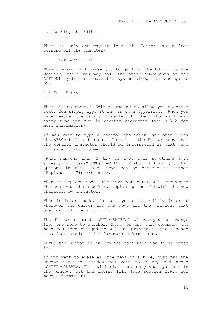2.2 Leaving the Editor ----------------------

There is only one way to leave the Editor (aside from turning off the computer):

#### <CTRL><SHIFT>M

This command will cause you to go from the Editor to the Monitor, where you may call the other components of the ACTION! system or leave the system altogether and go to DOS.

2.3 Text Entry --------------

There is no special Editor command to allow you to enter text. You simply type it in, as on a typewriter. When you have reached the maximum line length, the Editor will buzz every time you put in another character (see 2.3.2 for more information).

If you want to type a control character, you must press the <ESC> before doing so. This lets the Editor know that the control character should be interpreted as text, and not as an Editor command.

"What happens when I try to type over something I've already written?" The ACTION! Editor allows you two options in this case. Text can be entered in either "Replace" or "Insert" mode.

When in Replace mode, the text you enter will overwrite whatever was there before, replacing the old with the new character by character.

When in Insert mode, the text you enter will be inserted wherever the cursor is, and move all the previous text over without overwriting it.

The Editor command <CRTL><SHIFT>I allows you to change from one mode to another. When you use this command, the mode you have changed to will be printed in the message area (see section 2.5.2 for more information).

NOTE: the Editor is in Replace mode when you first enter it.

If you want to erase all the text in a file, just put the cursor into the window you want to clear, and press <SHIFT><CLEAR>. This will clear not only what you see in the window, but the entire file (see section 2.6.4 for more information).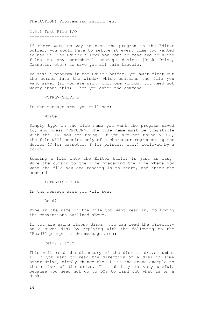2.3.1 Text File I/O -------------------

If there were no way to save the program in the Editor buffer, you would have to retype it every time you wanted to use it. The Editor allows you both to read and to write files to any peripheral storage device (Disk Drive, Cassette, etc.) to save you all this trouble.

To save a program in the Editor buffer, you must first put the cursor into the window which contains the file you want saved (if you are using only one window, you need not worry about this). Then you enter the command

<CTRL><SHIFT>W

In the message area you will see:

Write

Simply type in the file name you want the program saved to, and press <RETURN>. The file name must be compatible with the DOS you are using. If you are not using a DOS, the file will consist only of a character representing the device (C for cassette, P for printer, etc.) followed by a colon.

Reading a file into the Editor buffer is just as easy. Move the cursor to the line preceding the line where you want the file you are reading in to start, and enter the command

<CTRL><SHIFT>R

In the message area you will see:

Read?

Type in the name of the file you want read in, following the conventions outlined above.

If you are using floppy disks, you can read the directory on a given disk by replying with the following to the "Read?" prompt in the message area:

Read? ?1:\*.\*

This will read the directory of the disk in drive number 1. If you want to read the directory of a disk in some other drive, simply change the '1' in the above example to the number of the drive. This ability is very useful, because you need not go to DOS to find out what is on a disk.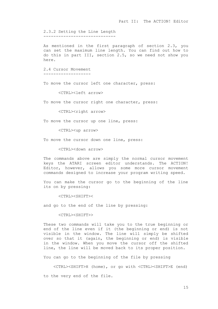2.3.2 Setting the Line Length -----------------------------

As mentioned in the first paragraph of section 2.3, you can set the maximum line length. You can find out how to do this in part III, section 2.5, so we need not show you here.

2.4 Cursor Movement -------------------

To move the cursor left one character, press:

<CTRL><left arrow>

To move the cursor right one character, press:

<CTRL><right arrow>

To move the cursor up one line, press:

<CTRL><up arrow>

To move the cursor down one line, press:

<CTRL><down arrow>

The commands above are simply the normal cursor movement keys the ATARI screen editor understands. The ACTION! Editor, however, allows you some more cursor movement commands designed to increase your program writing speed.

You can make the cursor go to the beginning of the line its on by pressing:

<CTRL><SHIFT><

and go to the end of the line by pressing:

<CTRL><SHIFT>>

These two commands will take you to the true beginning or end of the line even if it (the beginning or end) is not visible in the window. The line will simply be shifted over so that it (again, the beginning or end) is visible in the window. When you move the cursor off the shifted line, the line will be moved back to its proper position.

You can go to the beginning of the file by pressing

 <CTRL><SHIFT>H (home), or go with <CTRL><SHIFT>E (end) to the very end of the file.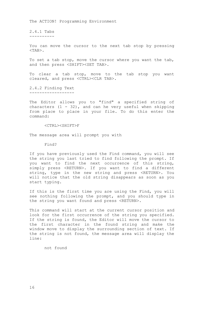2.4.1 Tabs ----------

You can move the cursor to the next tab stop by pressing <TAB>.

To set a tab stop, move the cursor where you want the tab, and then press <SHIFT><SET TAB>.

To clear a tab stop, move to the tab stop you want cleared, and press <CTRL><CLR TAB>.

2.4.2 Finding Text ------------------

The Editor allows you to "find" a specified string of characters  $(1 - 32)$ , and can he very useful when skipping from place to place in your file. To do this enter the command:

<CTRL><SHIFT>F

The message area will prompt you with

Find?

If you have previously used the Find command, you will see the string you last tried to find following the prompt. If you want to find the next occurrence of this string, simply press <RETURN>. If you want to find a different string, type in the new string and press <RETURN>. You will notice that the old string disappears as soon as you start typing.

If this is the first time you are using the Find, you will see nothing following the prompt, and you should type in the string you want found and press <RETURN>.

This command will start at the current cursor position and look for the first occurrence of the string you specified. If the string is found, the Editor will move the cursor to the first character in the found string and make the window move to display the surrounding section of text. If the string is not found, the message area will display the line:

not found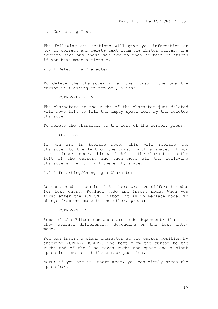2.5 Correcting Text -------------------

The following six sections will give you information on how to correct and delete text from the Editor buffer. The seventh sections shows you how to undo certain deletions if you have made a mistake.

2.5.1 Deleting a Character --------------------------

To delete the character under the cursor (the one the cursor is flashing on top of), press:

<CTRL><DELETE>

The characters to the right of the character just deleted will move left to fill the empty space left by the deleted character.

To delete the character to the left of the cursor, press:

<BACK S>

If you are in Replace mode, this will replace the character to the left of the cursor with a space. If you are in Insert mode, this will delete the character to the left of the cursor, and then move all the following characters over to fill the empty space.

2.5.2 Inserting/Changing a Character ------------------------------------

As mentioned in section 2.3, there are two different modes for text entry: Replace mode and Insert mode. When you first enter the ACTION! Editor, it is in Replace mode. To change from one mode to the other, press:

<CTRL><SHIFT>I

Some of the Editor commands are mode dependent; that is, they operate differently, depending on the text entry mode.

You can insert a blank character at the cursor position by entering <CTRL><INSERT>. The text from the cursor to the right end of the line moves right one space and a blank space is inserted at the cursor position.

NOTE: if you are in Insert mode, you can simply press the space bar.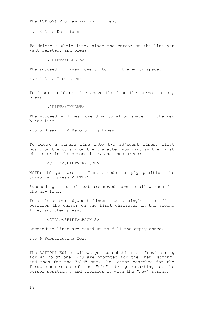2.5.3 Line Deletions --------------------

To delete a whole line, place the cursor on the line you want deleted, and press:

<SHIFT><DELETE>

The succeeding lines move up to fill the empty space.

2.5.4 Line Insertions ---------------------

To insert a blank line above the line the cursor is on, press:

<SHIFT><INSERT>

The succeeding lines move down to allow space for the new blank line.

2.5.5 Breaking & Recombining Lines ----------------------------------

To break a single line into two adjacent lines, first position the cursor on the character you want as the first character in the second line, and then press:

<CTRL><SHIFT><RETURN>

NOTE: if you are in Insert mode, simply position the cursor and press <RETURN>.

Succeeding lines of text are moved down to allow room for the new line.

To combine two adjacent lines into a single line, first position the cursor on the first character in the second line, and then press:

<CTRL><SHIFT><BACK S>

Succeeding lines are moved up to fill the empty space.

2.5.6 Substituting Text -----------------------

The ACTIONI Editor allows you to substitute a "new" string for an "old" one. You are prompted for the "new" string, and then for the "old" one. The Editor searches for the first occurrence of the "old" string (starting at the cursor position), and replaces it with the "new" string.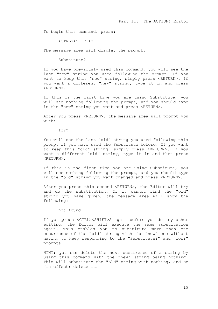To begin this command, press:

<CTRL><SHIFT>S

The message area will display the prompt:

Substitute?

If you have previously used this command, you will see the last "new" string you used following the prompt. If you want to keep this "new" string, simply press <RETURN>. If you want a different "new" string, type it in and press  $\langle$ RETURN $\rangle$ 

If this is the first time you are using Substitute, you will see nothing following the prompt, and you should type in the "new" string you want and press <RETURN>.

After you press <RETURN>, the message area will prompt you  $w + h$ .

for?

You will see the last "old" string you used following this prompt if you have used the Substitute before. If you want to keep this "old" string, simply press <RETURN>. If you want a different "old" string, type it in and then press <RETURN>.

If this is the first time you are using Substitute, you will see nothing following the prompt, and you should type in the "old" string you want changed and press <RETURN>.

After you press this second <RETURN>, the Editor will try and do the substitution. If it cannot find the "old" string you have given, the message area will show the following:

not found

If you press <CTRL><SHIFT>S again before you do any other editing, the Editor will execute the same substitution again. This enables you to substitute more than one occurrence of the "old" string with the "new" one without having to keep responding to the "Substitute?" and "for?" prompts.

HINT: you can delete the next occurrence of a string by using this command with the "new" string being nothing. This will substitute the "old" string with nothing, and so (in effect) delete it.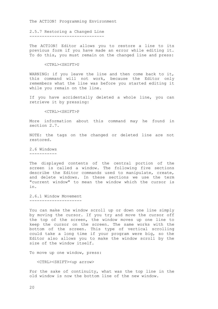2.5.7 Restoring a Changed Line ------------------------------

The ACTION! Editor allows you to restore a line to its previous form if you have made an error while editing it. To do this, you must remain on the changed line and press:

#### <CTRL><SHIFT>U

WARNING: if you leave the line and then come back to it, this command will not work, because the Editor only remembers what the line was before you started editing it while you remain on the line.

If you have accidentally deleted a whole line, you can retrieve it by pressing:

<CTRL><SHIFT>P

More information about this command may he found in section 2.7.

NOTE: the tags on the changed or deleted line are not restored.

2.6 Windows -----------

The displayed contents of the central portion of the screen is called a window. The following five sections describe the Editor commands used to manipulate, create, and delete windows. In these sections we use the term "current window" to mean the window which the cursor is in.

2.6.1 Window Movement ---------------------

You can make the window scroll up or down one line simply by moving the cursor. If you try and move the cursor off the top of the screen, the window moves up one line to keep the cursor on the screen. The same works with the bottom of the screen. This type of vertical scrolling could take a long time if your program were big, so the Editor also allows you to make the window scroll by the size of the window itself.

To move up one window, press:

<CTRL><SHIFT><up arrow>

For the sake of continuity, what was the top line in the old window is now the bottom line of the new window.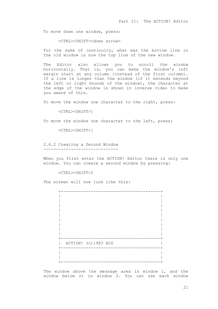To move down one window, press:

<CTRL><SHIFT><down arrow>

For the sake of continuity, what was the bottom line in the old window is now the top line of the new window.

The Editor also allows you to scroll the window horizontally. That is, you can make the window's left margin start at any column (instead of the first column). If a line is longer than the window (if it extends beyond the left or right bounds of the window), the character at the edge of the window is shown in inverse video to make you aware of this.

To move the window one character to the right, press:

<CTRL><SHIFT>]

To move the window one character to the left, press:

<CTRL><SHIFT>[

2.6.2 Creating a Second Window ------------------------------

When you first enter the ACTION! Editor there is only one window. You can create a second window by pressing:

<CTRL><SHIFT>2

The screen will now look like this:

 +----------------------------------------+ | | | | | | | | | | | | | | | | | | +----------------------------------------+ | ACTION! (c)1983 ACS | +----------------------------------------+ | | | | +----------------------------------------+

The window above the message area is window 1, and the window below it is window 2. You can use each window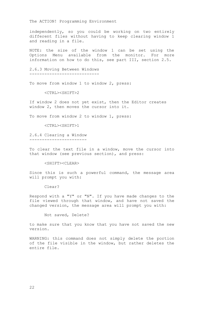independently, so you could be working on two entirely different files without having to keep clearing window 1 and reading in a file.

NOTE: the size of the window 1 can be set using the Options Menu available from the monitor. For more information on how to do this, see part III, section 2.5.

2.6.3 Moving Between Windows ----------------------------

To move from window 1 to window 2, press:

<CTRL><SHIFT>2

If window 2 does not yet exist, then the Editor creates window 2, then moves the cursor into it.

To move from window 2 to window 1, press:

<CTRL><SHIFT>1

2.6.4 Clearing a Window -----------------------

To clear the text file in a window, move the cursor into that window (see previous section), and press:

<SHIFT><CLEAR>

Since this is such a powerful command, the message area will prompt you with:

Clear?

Respond with a "Y" or "N". If you have made changes to the file viewed through that window, and have not saved the changed version, the message area will prompt you with:

Not saved, Delete?

to make sure that you know that you have not saved the new version.

WARNING: this command does not simply delete the portion of the file visible in the window, but rather deletes the entire file.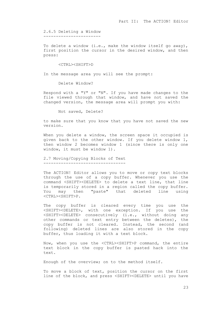2.6.5 Deleting a Window -----------------------

To delete a window  $(i.e., make the window itself go away)$ , first position the cursor in the desired window, and then press:

#### <CTRL><SHIFT>D

In the message area you will see the prompt:

Delete Window?

Respond with a "Y" or "N". If you have made changes to the file viewed through that window, and have not saved the changed version, the message area will prompt you with:

Not saved, Delete?

to make sure that you know that you have not saved the new version.

When you delete a window, the screen space it occupied is given back to the other window. If you delete window 1, then window 2 becomes window 1 (since there is only one window, it must be window 1).

2.7 Moving/Copying Blocks of Text ---------------------------------

The ACTION! Editor allows you to move or copy text blocks through the use of a copy buffer. Whenever you use the command <SHIFT><DELETE> to delete a text line, that line is temporarily stored in a region called the copy buffer. You may then "paste" that deleted line using <CTRL><SHIFT>P.

The copy buffer is cleared every time you use the <SHIFT><DELETE>, with one exception. If you use the <SHIFT><DELETE> consecutively (i.e., without doing any other commands or text entry between the deletes), the copy buffer is not cleared. Instead, the second (and following) deleted lines are also stored in the copy buffer, thus loading it with a text block.

Now, when you use the <CTRL><SHIFT>P command, the entire text block in the copy buffer is pasted hack into the text.

Enough of the overview; on to the method itself.

To move a block of text, position the cursor on the first line of the block, and press <SHIFT><DELETE> until you have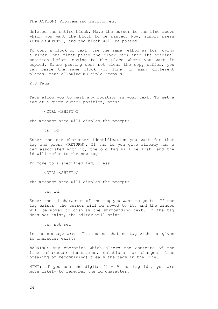deleted the entire block. Move the cursor to the line above which you want the block to be pasted. Now, simply press <CTRL><SHTFT>P, and the block will be pasted.

To copy a block of text, use the same method as for moving a block, but first paste the block back into its original position before moving to the place where you want it copied. Since pasting does not clear the copy buffer, you can paste the same block (or line) in many different places, thus allowing multiple "copy"s.

2.8 Tags --------

Tags allow you to mark any location in your text. To set a tag at a given cursor position, press:

#### <CTRL><SHIFT>T

The message area will display the prompt:

tag id:

Enter the one character identification you want for that tag and press <RETURN>. If the id you give already has a tag associated with it, the old tag will be lost, and the id will refer to the new tag.

To move to a specified tag, press:

<CTRL><SHIFT>G

The message area will display the prompt:

tag id:

Enter the id character of the tag you want to go to. If the tag exists, the cursor will be moved to it, and the window will be moved to display the surrounding text. If the tag does not exist, the Editor will print

tag not set

in the message area. This means that no tag with the given id character exists.

WARNING: Any operation which alters the contents of the line (character insertions, deletions, or changes, line breaking or recombining) clears the tags in the line.

HINT: if you use the digits  $(0 - 9)$  as tag ids, you are more likely to remember the id character.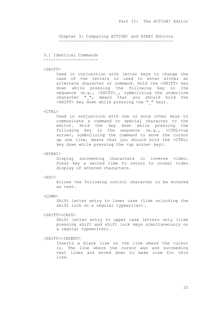Chapter 3: Comparing ACTION! and ATARI Editors ----------------------------------------------

#### 3.1 Identical Commands

----------------------

#### $<$ SHTFT $>$

Used in conjunction with letter keys to change the case of the letters or used to enter either an alternate character or command. Hold the <SHIFT> key down while pressing the following key in the sequence (e.g., <SHIFT>, symbolizing the underline character " $",$  means that you should hold the <SHIFT> key down while pressing the "\_" key).

#### $\langle CTRL \rangle$

Used in conjunction with one or more other keys to communicate a command or special character to the editor. Hold the key down while pressing the following key in the sequence (e.g., <CTRL><up arrow>, symbolizing the command to move the cursor up one line, means that you should hold the <CTRL> key down while pressing the <up arrow> key).

#### <ATARI>

Display succeeding characters in inverse video. Press key a second time to return to normal video display of entered characters.

#### $<$ ESC $>$

Allows the following control character to be entered as text.

#### $<$ LOWR $>$

Shift letter entry to lower case (like unlocking the shift lock on a regular typewriter).

#### <SHIFT><CAPS>

Shift letter entry to upper case letters only (like pressing shift and shift lock keys simultaneously on a regular typewriter).

#### <SHIFT><INSERT>

Inserts a blank line on the line where the cursor is. The line where the cursor was and succeeding text lines are moved down to make room for this line.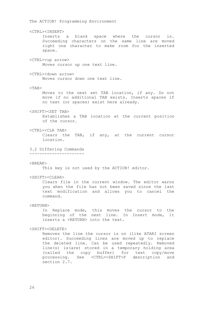The ACTION! Programming Environment <CTRL><INSERT> Inserts a blank space where the cursor is. Succeeding characters on the same line are moved right one character to make room for the inserted space. <CTRL><up arrow> Moves cursor up one text line. <CTRL><down arrow> Moves cursor down one text line.  $<$ TAB $>$ Moves to the next set TAB location, if any. Do not move if no additional TAB exists. Inserts spaces if no text (or spaces) exist here already. <SHIFT><SET TAB> Establishes a TAB location at the current position of the cursor. <CTRL><CLR TAB> Clears the TAB, if any, at the current cursor location. 3.2 Differing Commands ---------------------- <BREAK> This key is not used by the ACTION! editor. <SHIFT><CLEAR> Clears file in the current window. The editor warns you when the file has not been saved since the last text modification and allows you to cancel the command. <RETURN> In Replace mode, this moves the cursor to the beginning of the next line. In Insert mode, it inserts a <RETURN> into the text. <SHIFT><DELETE> Removes the line the cursor is on (like ATARI screen

editor). Succeeding lines are moved up to replace the deleted line. Can be used repeatedly. Removed line(s) is(are) stored in a temporary holding area (called the copy buffer) for text copy/move processing. See <CTRL><SHIFT>P description and section 2.7.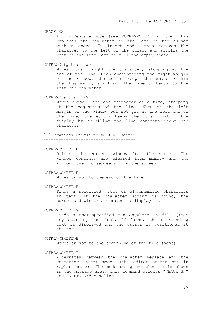$<$ BACK S $>$ 

If in Replace mode (see <CTRL><SHIFT>I), then this replaces the character to the left of the cursor with a space. In Insert mode, this removes the character to the left of the cursor and scrolls the rest of the line left to fill the empty space.

<CTRL><right arrow>

Moves cursor right one character, stopping at the end of the line. Upon encountering the right margin of the window, the editor keeps the cursor within the display by scrolling the line contents to the left one character.

<CTRL><left arrow>

Moves cursor left one character at a time, stopping at the beginning of the line. When at the left margin of the window but not yet at the left end of the line, the editor keeps the cursor within the display by scrolling the line contents right one character.

3.3 Commands Unique to ACTION! Editor

-------------------------------------

#### <CTRL><SHIFT>D

Deletes the current window from the screen. The window contents are cleared from memory and the window itself disappears from the screen.

#### <CTRL><SHIFT>E

Moves cursor to the end of the file.

#### <CTRL><SHIFT>F

Finds a specified group of alphanumeric characters in text. If the character string is found, the cursor and window are moved to display it.

#### <CTRL><SHIFT>G

Finds a user-specified tag anywhere in file (from any starting location). If found, the surrounding text is displayed and the cursor is positioned at the tag.

#### <CTRL><SHIFT>H

Moves cursor to the beginning of the file (home).

#### <CTRL><SHIFT>I

Alternates between the character Replace and the character Insert modes (the editor starts out in replace mode). The mode being switched to is shown in the message area. This command affects "<BACK S>" and "<RETURN>" handling.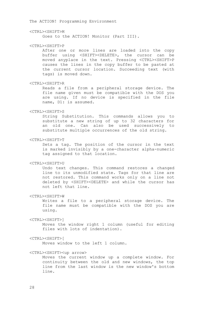#### <CTRL><SHIFT>M

Goes to the ACTION! Monitor (Part III).

### <CTRL><SHIFT>P

After one or more lines are loaded into the copy buffer using <SHIFT><DELETE>, the cursor can be moved anyplace in the text. Pressing <CTRL><SHIFT>P causes the lines in the copy buffer to be pasted at the current cursor location. Succeeding text (with tags) is moved down.

#### <CTRL><SHIFT>R

Reads a file from a peripheral storage device. The file name given must be compatible with the DOS you are using. If no device is specified in the file name, D1: is assumed.

# <CTRL><SHIFT>S

String Substitution. This commands allows you to substitute a new string of up to 32 characters for an old one. Can also be used successively to substitute multiple occurrences of the old string.

#### <CTRL><SHIFT>T

Sets a tag. The position of the cursor in the text is marked invisibly by a one-character alpha-numeric tag assigned to that location.

# <CTRL><SHIFT>U

Undo text changes. This command restores a changed line to its unmodified state. Tags for that line are not restored. This command works only on a line not deleted by <SHIFT><DELETE> and while the cursor has not left that line.

#### <CTRL><SHIFT>W

Writes a file to a peripheral storage device. The file name must be compatible with the DOS you are using.

#### <CTRL><SHIFT>]

Moves the window right 1 column (useful for editing files with lots of indentation).

#### <CTRL><SHIFT>[

Moves window to the left 1 column.

#### <CTRL><SHIFT><up arrow>

Moves the current window up a complete window. For continuity between the old and new windows, the top line from the last window is the new window's bottom line.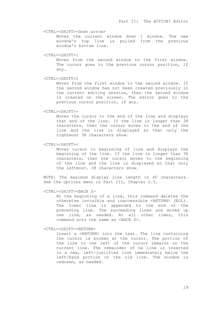#### <CTRL><SHIFT><down arrow>

Moves the current window down 1 window. The new window's top line is pulled from the previous window's bottom line.

## <CTRL><SHIFT>1

Moves from the second window to the first window. The cursor goes to the previous cursor position, if any.

#### <CTRL><SHIFT>2

Moves from the first window to the second window. If the second window has not been created previously in the current editing session, then the second window is created on the screen. The editor goes to the previous cursor position, if any.

### <CTRL><SHIFT>>

Moves the cursor to the end of the line and displays that end of the line. If the line is longer than 38 characters, then the cursor moves to the end of the line and the line is displayed so that only the rightmost 38 characters show.

# <CTRL><SHIFT><

Moves cursor to beginning of line and displays the beginning of the line. If the line is longer than 38 characters, then the cursor moves to the beginning of the line and the line is displayed so that only the leftmost. 38 characters show.

NOTE: The maximum display line length is 40 characters. See the options menu in Part III, Chapter 2.5.

# <CTRL><SHIFT><BACK S>

At the beginning of a line, this command deletes the otherwise invisible and inaccessible <RETURN> (EOL). The lower line is appended to the end of the preceding line. The succeeding lines are moved up one line, as needed. At all other times, this command acts the same as <BACK S>.

#### <CTRL><SHIFT><RETURN>

Insert a <RETURN> into the text. The line containing the cursor is broken at the cursor. The portion of the line to the left of the cursor remains on the current line. The remainder of he line is inserted in a new, left-justified line immediately below the left-hand portion or the old line. The window is redrawn, as needed.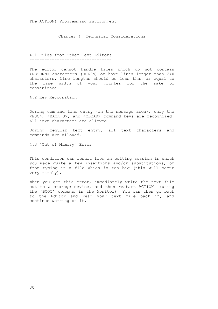Chapter 4: Technical Considerations -----------------------------------

4.1 Files from Other Text Editors ---------------------------------

The editor cannot handle files which do not contain <RETURN> characters (EOL's) or have lines longer than 240 characters. Line lengths should be less than or equal to the line width of your printer for the sake of convenience.

4.2 Key Recognition -------------------

During command line entry (in the message area), only the <ESC>, <BACK S>, and <CLEAR> command keys are recognized. All text characters are allowed.

During regular text entry, all text characters and commands are allowed.

4.3 "Out of Memory" Error -------------------------

This condition can result from an editing session in which you made quite a few insertions and/or substitutions, or from typing in a file which is too big (this will occur very rarely).

When you get this error, immediately write the text file out to a storage device, and then restart ACTION! (using the 'BOOT' command in the Monitor). You can then go back to the Editor and read your text file back in, and continue working on it.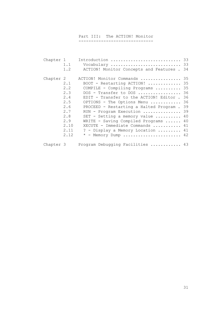Part III: The ACTION! Monitor ------------------------------

| Chapter 1 | 1.1<br>1.2                                                                          | Introduction  33<br>Vocabulary  33<br>ACTION! Monitor Concepts and Features . 34                                                                                                                                                                                                                                                                                                                                                                                 |          |
|-----------|-------------------------------------------------------------------------------------|------------------------------------------------------------------------------------------------------------------------------------------------------------------------------------------------------------------------------------------------------------------------------------------------------------------------------------------------------------------------------------------------------------------------------------------------------------------|----------|
| Chapter 2 | 2.1<br>2.2<br>2.3<br>2.4<br>2.5<br>2.6<br>2.7<br>2.8<br>2.9<br>2.10<br>2.11<br>2.12 | ACTION! Monitor Commands  35<br>BOOT - Restarting ACTION!  35<br>COMPILE - Compiling Programs  35<br>DOS - Transfer to DOS<br>EDIT - Transfer to the ACTION! Editor.<br>OPTIONS - The Options Menu  36<br>PROCEED - Restarting a Halted Program . 39<br>RUN - Program Execution  39<br>SET - Setting a memory value  40<br>WRITE - Saving Compiled Programs  40<br>XECUTE - Immediate Commands  41<br>? - Display a Memory Location  41<br>$*$ - Memory Dump  42 | 36<br>36 |
| Chapter 3 |                                                                                     | Program Debugging Facilities  43                                                                                                                                                                                                                                                                                                                                                                                                                                 |          |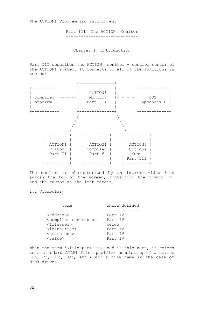Part III: The ACTION! Monitor -----------------------------

Chapter 1: Introduction -----------------------

Part III describes the ACTION! monitor - control center of the ACTION! system. It connects to all of the functions in ACTION!.

| ACTION!<br>Monitor<br>compiled<br><b>DOS</b><br>-------<br>Appendix D<br>Part III<br>program |
|----------------------------------------------------------------------------------------------|
|                                                                                              |
|                                                                                              |
|                                                                                              |
|                                                                                              |
|                                                                                              |
|                                                                                              |
|                                                                                              |
|                                                                                              |
|                                                                                              |
|                                                                                              |
|                                                                                              |
|                                                                                              |
| ACTION!<br>ACTION!<br>ACTION!                                                                |
| Editor<br>Options<br>Compiler                                                                |
| Part V<br>Part II<br>Menu                                                                    |
| Part III                                                                                     |
|                                                                                              |

The monitor is characterized by an inverse video line across the top of the screen, containing the prompt '>' and the cursor at the left margin.

1.1 Vocabulary --------------

| where defined |
|---------------|
|               |
| Part IV       |
| Part IV       |
| below         |
| Part TV       |
| Part TV       |
| Part TV       |
|               |

When the term '<filespec>' is used in this part, it refers to a standard ATARI file specifier consisting of a device (P:, C:, D1:, D2:, etc.) and a file name in the case of disk drives.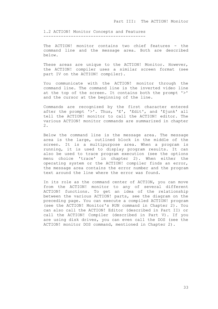1.2 ACTION! Monitor Concepts and Features -----------------------------------------

The ACTION! monitor contains two chief features - the command line and the message area. Both are described below.

These areas are unique to the ACTION! Monitor. However, the ACTION! compiler uses a similar screen format (see part IV on the ACTION! compiler).

You communicate with the ACTION! monitor through the command line. The command line is the inverted video line at the top of the screen. It contains both the prompt '>' and the cursor at the beginning of the line.

Commands are recognized by the first character entered after the prompt '>'. Thus, 'E', 'Edit', and 'Ejunk' all tell the ACTION! monitor to call the ACTION! editor. The various ACTION! monitor commands are summarized in chapter 2.

Below the command line is the message area. The message area is the large, outlined block in the middle of the screen. It is a multipurpose area. When a program is running, it is used to display program results. It can also be used to trace program execution (see the options menu choice 'trace' in chapter 2). When either the operating system or the ACTION! compiler finds an error, the message area contains the error number and the program text around the line where the error was found.

In its role as the command center of ACTION, you can move from the ACTION! monitor to any of several different ACTION! functions. To get an idea of the relationship between the various ACTION! parts, see the diagram on the preceding page. You can execute a compiled ACTION! program (see the ACTION! Monitor's RUN command in Chapter 2). You can also call the ACTION! Editor (described in Part II) or call the ACTION! Compiler (described in Part V). If you are using disk drives, you can even call the DOS (see the ACTION! monitor DOS command, mentioned in Chapter 2).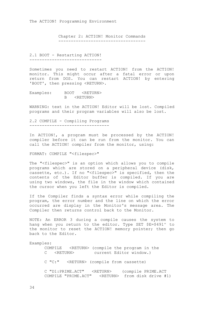Chapter 2: ACTION! Monitor Commands -----------------------------------

2.1 BOOT - Restarting ACTION! -----------------------------

Sometimes you need to restart ACTION! from the ACTION! monitor. This might occur after a fatal error or upon return from DOS. You can restart ACTION! by entering 'BOOT', then pressing <RETURN>.

Examples: BOOT <RETURN> B <RETURN>

WARNING: text in the ACTION! Editor will be lost. Compiled programs and their program variables will also be lost.

2.2 COMPILE - Compiling Programs --------------------------------

In ACTION!, a program must be processed by the ACTION! compiler before it can be run from the monitor. You can call the ACTION! compiler from the monitor, using:

FORMAT: COMPILE "<filespec>"

The "<filespec>" is an option which allows you to compile programs which are stored on a peripheral device (disk, cassette, etc.). If no "<filespec>" is specified, then the contents of the Editor buffer is compiled. If you are using two windows, the file in the window which contained the cursor when you left the Editor is compiled.

If the Compiler finds a syntax error while compiling the program, the error number and the line on which the error occurred are display in the Monitor's message area. The Compiler then returns control back to the Monitor.

NOTE: An ERROR 3 during a compile causes the system to hang when you return to the editor. Type SET \$E=\$491^ to the monitor to reset the ACTION! memory pointer; then go back to the Editor.

Examples:

 COMPILE <RETURN> (compile the program in the C <RETURN> current Editor window.)

C "C:" <RETURN> (compile from cassette)

 C "D1:PRIME.ACT" <RETURN> (compile PRIME.ACT COMPILE "PRIME.ACT" <RETURN> from disk drive #1)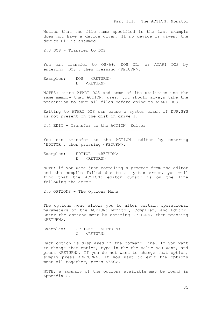Notice that the file name specified in the last example does not have a device given. If no device is given, the device D1: is assumed.

2.3 DOS - Transfer to DOS -------------------------

You can transfer to OS/A+, DOS XL, or ATARI DOS by entering 'DOS', then pressing <RETURN>.

Examples: DOS <RETURN> D <RETURN>

NOTES: since ATARI DOS and some of its utilities use the same memory that ACTION! uses, you should always take the precaution to save all files before going to ATARI DOS.

Exiting to ATARI DOS can cause a system crash if DUP.SYS is not present on the disk in drive 1.

2.4 EDIT - Transfer to the ACTION! Editor -----------------------------------------

You can transfer to the ACTION! editor by entering 'EDITOR', then pressing <RETURN>.

Examples: EDITOR <RETURN> E <RETURN>

NOTE: if you were just compiling a program from the editor and the compile failed due to a syntax error, you will find that the ACTION! editor cursor is on the line following the error.

2.5 OPTIONS - The Options Menu ------------------------------

The options menu allows you to alter certain operational parameters of the ACTION! Monitor, Compiler, and Editor. Enter the options menu by entering OPTIONS, then pressing <RETURN>.

Examples: OPTIONS <RETURN> O <RETURN>

Each option is displayed in the command line. If you want to change that option, type in the the value you want, and press <RETURN>. If you do not want to change that option, simply press <RETURN>. If you want to exit the options menu all together, press <ESC>.

NOTE: a summary of the options available may be found in Appendix G.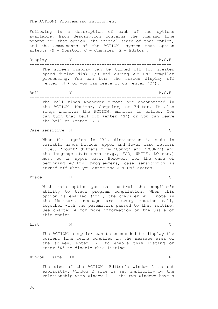Following is a description of each of the options available. Each description contains the command line prompt for that option, the initial state of that option, and the components of the ACTION! system that option affects  $(M = Monitor, C = Complier, E = Editor)$ .

Display Y M, C, E --------------------------------------------------------- The screen display can be turned off for greater speed during disk I/O and during ACTION! compiler processing. You can turn the screen display off (enter 'N') or you can leave it on (enter 'Y'). Bell Y M, C, E --------------------------------------------------------- The bell rings whenever errors are encountered in the ACTION! Monitor, Compiler, or Editor. It also rings whenever the ACTION! monitor is called. You can turn that bell off (enter 'N') or you can leave the bell on (enter 'Y'). Case sensitive N C --------------------------------------------------------- When this option is 'Y', distinction is made in variable names between upper and lower case letters (i.e., 'count' differs from 'Count' and 'COUNT') and the language statements (e.g., FOR, WHILE, DO etc.) must be in upper case. However, for the ease of beginning ACTION! programmers, case sensitivity is turned off when you enter the ACTION! system. Trace N N --------------------------------------------------------- With this option you can control the compiler's ability to trace program compilation. When this option is enabled ('Y'), the compiler will note in the Monitor's message area every routine call, together with the parameters passed to that routine. See chapter 4 for more information on the usage of this option. List N --------------------------------------------------------- The ACTION! compiler can be commanded to display the current line being compiled in the message area of the screen. Enter 'Y' to enable this listing or enter 'N' to disable this listing. Window 1 size 18 E --------------------------------------------------------- The size of the ACTION! Editor's window 1 is set explicitly. Window 2 size is set implicitly by the relationship with window 1 -- the two windows have a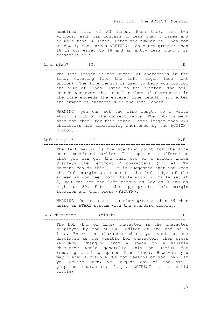combined size of 23 lines. When there are two windows, each can contain no less than 5 lines and no more than 18 lines. Enter the number of lines for window 1, then press <RETURN>. An entry greater than 18 is converted to 18 and an entry less than 5 is converted to 5.

Line size? 120 E

--------------------------------------------------------- The line length is the number of characters in the line, counting from the left margin (see next option). The line length is used to help you control the size of lines listed to the printer. The bell sounds whenever the actual number of characters in the line exceeds the entered line length. You enter the number of characters of the line length.

WARNING: you can set the line length to a value which is out of the correct range. The options menu does not check for this error. Lines longer than 240 characters are arbitrarily shortened by the ACTION! Editor.

Left margin? 2 2 M, E ---------------------------------------------------------

The left margin is the starting point for the line count mentioned earlier. This option is offered so that you can get the full use of a screen which displays the leftmost 2 characters (not all TV screens can do this!). It is suggested that you keep the left margin as close to the left edge of the screen as you feel comfortable with. Normally set at 2, you can set the left margin as low as 0 and as high as 39. Enter the appropriate left margin location and then press <RETURN>.

WARNING: Do not enter a number greater than 39 when using an ATARI system with the standard display.

EOL character? (blank) E

---------------------------------------------------------

The EOL (End Of Line) character is the character displayed by the ACTION! editor at the end of a line. Enter the character which you want to see displayed as the visible EOL character, then press <RETURN>. Changing from a space to a visible character would generally only be useful for removing trailing spaces from lines. However, you may prefer a visible EOL for reasons of your own. If you desire such, we suggest any of the ATARI graphics characters (e.g., <CTRL>T is a solid circle).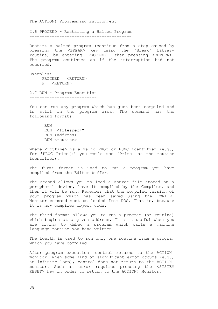2.6 PROCEED - Restarting a Halted Program -----------------------------------------

Restart a halted program (continue from a stop caused by pressing the <BREAK> key using the 'Break' Library routine) by entering 'PROCEED', then pressing <RETURN>. The program continues as if the interruption had not occurred.

Examples: PROCEED <RETURN> P <RETURN>

2.7 RUN - Program Execution ---------------------------

You can run any program which has just been compiled and is still in the program area. The command has the following formats:

 RUN RUN "<filespec>" RUN <address> RUN <routine>

where  $\langle$ routine> is a valid PROC or FUNC identifier (e.g., for 'PROC Prime()' you would use 'Prime' as the routine identifier).

The first format is used to run a program you have compiled from the Editor buffer.

The second allows you to load a source file stored on a peripheral device, have it compiled by the Compiler, and then it will be run. Remember that the compiled version of your program which has been saved using the 'WRITE' Monitor command must be loaded from DOS. That is, because it is now compiled object code.

The third format allows you to run a program (or routine) which begins at a given address. This is useful when you are trying to debug a program which calls a machine language routine you have written.

The fourth is used to run only one routine from a program which you have compiled.

After program execution, control returns to the ACTION! monitor. When some kind of significant error occurs (e.g., an infinite loop), control does not return to the ACTION! monitor. Such an error requires pressing the <SYSTEM RESET> key in order to return to the ACTION! Monitor.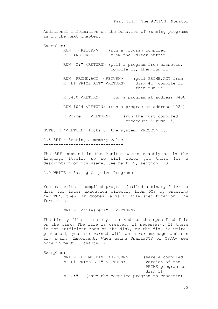Additional information on the behavior of running programs is in the next chapter.

Examples: RUN <RETURN> (run a program compiled R <RETURN> from the Editor buffer.) RUN "C:" <RETURN> (pull a program from cassette, compile it, then run it) RUN "PRIME.ACT" <RETURN> (pull PRIME.ACT from<br>R "D1:PRIME.ACT" <RETURN> disk #1, compile it, R "D1:PRIME.ACT" <RETURN> then run it) R \$400 <RETURN> (run a program at address \$400 RUN 1024 <RETURN> (run a program at address 1024) R Prime <RETURN> (run the just-compiled procedure 'Prime()')

NOTE: R \*<RETURN> locks up the system. <RESET> it.

2.8 SET - Setting a memory value --------------------------------

The SET command in the Monitor works exactly as in the Language itself, so we will refer you there for a description of its usage. See part IV, section 7.3.

2.9 WRITE - Saving Compiled Programs ------------------------------------

You can write a compiled program (called a binary file) to disk for later execution directly from DOS by entering 'WRITE', then, in quotes, a valid file specification. The format is:

WRITE "<filespec>" <RETURN>

The binary file in memory is saved to the specified file on the disk. The file is created, if necessary. If there is not sufficient room on the disk, or the disk is writeprotected, you are warned with an error message and can try again. Important: When using SpartaDOS or OS/A+ see note in part I, chapter 2.

Examples: WRITE "PRIME.BIN" <RETURN> (save a compiled W "D1:PRIME.BIN" <RETURN> version of the PRIME program to disk 1) W "C:" (save the compiled program to cassette)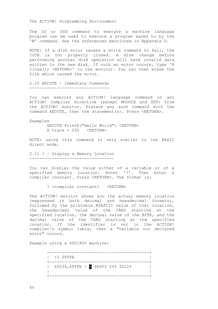The OS or DOS command to execute a machine language program can be used to execute a program saved to by the 'W' command. See the references mentioned in Appendix D.

NOTE: If a disk error causes a write command to fail, the IOCB is not properly closed. A disk change before performing another disk operation will have invalid data written to the new disk. If such an error occurs, type 'X Close(1) <RETURN>' to the monitor. You can then erase the file which caused the error.

2.10 XECUTE - Immediate Commands --------------------------------

You can execute any ACTION! language command or any ACTION! compiler directive (except MODULE and SET) from the ACTION! monitor. Preface any such command with the command XECUTE, then the statement(s). Press <RETURN>.

Examples XECUTE PrintE("Hello World") <RETURN> X trace = 255 <RETURN>

NOTE: using this command is very similar to the BASIC direct mode.

2.11 ? - Display a Memory Location ----------------------------------

You can display the value either of a variable or of a specified memory location. Enter '?'. Then enter a compiler constant. Press <RETURN>. The format is:

? <compiler constant> <RETURN>

The ACTION! monitor shows you the actual memory location (expressed in both decimal and hexadecimal formats), followed by the printable ATASCII value of that location, the hexadecimal value of the CARD starting at the specified location, the decimal value of the BYTE, and the decimal value of the CARD starting at the specified location. If the identifier is not in the ACTION! compiler's symbol table, then a "variable not declared error" occurs.

Example using a 400/800 machine:

| $ $ >? SFFFE                                   |  |
|------------------------------------------------|--|
| 65534, \$FFFE = $\frac{1}{5}$ \$E6F3 243 59123 |  |
|                                                |  |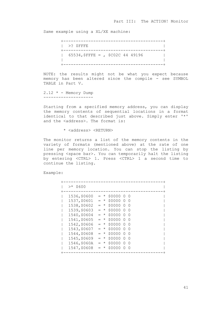Same example using a XL/XE machine:

```
 +----------------------------------------+
     | >? $FFFE
      +----------------------------------------+
      | 65534,$FFFE = , $C02C 44 49196 |
 | |
      +----------------------------------------+
```
NOTE: the results might not be what you expect because memory has been altered since the compile - see SYMBOL TABLE in Part V.

 $2.12 * -$  Memory Dump --------------------

Starting from a specified memory address, you can display the memory contents of sequential locations in a format identical to that described just above. Simply enter '\*' and the <address>. The format is:

\* <address> <RETURN>

The monitor returns a list of the memory contents in the variety of formats (mentioned above) at the rate of one line per memory location. You can stop the listing by pressing <space bar>. You can temporarily halt the listing by entering <CTRL> 1. Press <CTRL> 1 a second time to continue the listing.

Example:

| $>$ * \$600  |  |                  |          |
|--------------|--|------------------|----------|
| 1536, \$0600 |  | $= *$ \$0000 0 0 |          |
| 1537, \$0601 |  | $= *$ \$0000 0   | - 0      |
| 1538,\$0602  |  | $= * $0000000$   |          |
| 1539, \$0603 |  | $= *$ \$0000 0 0 |          |
| 1540, \$0604 |  | $= * $00000$     | - 0      |
| 1541, \$0605 |  | $= * $0000000$   |          |
| 1542, \$0606 |  | $= *$ \$0000 0   | - 0      |
| 1543,\$0607  |  | $= *$ \$0000 0 0 |          |
| 1544, \$0608 |  | $= *$ \$0000 0 0 |          |
| 1545,\$0609  |  | $= *$ \$0000 0   | $\Omega$ |
| 1546,\$060A  |  | $= *$ \$0000 0 0 |          |
| 1547, \$0608 |  | $= * $00000$     | - 0      |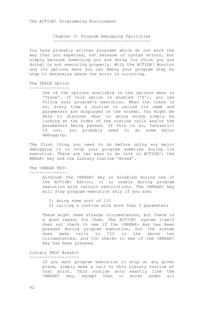Chapter 3: Program Debugging Facilities ---------------------------------------

You have probably written programs which do not work the way that you expected, not because of syntax errors, but simply because something you are doing (or think you are doing) is not executing properly. With the ACTION! Monitor and its options menu you can debug your program step by step to determine where the error is occurring.

# The TRACE Option

----------------

One of the options available in the options menu is 'Trace'. If this option is enabled ('Y'), you can follow your program's execution. When the trace is on, every time a routine is called its name and parameters are displayed on the screen. You might be able to discover what is going wrong simply by looking at the order of the routine calls and/or the parameters being passed. If this is so, fantastic! If not, you probably need to do some major debugging.

The first thing you need to do before doing any major debugging is to stop your program sometime during its execution. There are two ways to do this in ACTION!: the BREAK> key and the Library routine 'Break'.

#### The <BREAK KEY> ---------------

Although the <BREAK> key is disabled during use of the ACTION! Editor, it is usable during program execution with certain restrictions. The <BREAK> key will stop program execution only if you are:

- 1) doing some sort of I/O
- 2) calling a routine with more than 3 parameters

These might seem strange circumstances, but there is a good reason for them. The ACTION! system itself does not check to see if the <BREAK> key has been pressed during program execution, but the system does make calls to CIO in the above two circumstances, and CIO checks to see if the <BREAK> key has been pressed.

#### Library PROC Break() --------------------

If you want program execution to stop at any given place, simply make a call to this Library routine at that point. This routine acts exactly like the <BREAK> key, except that it works under all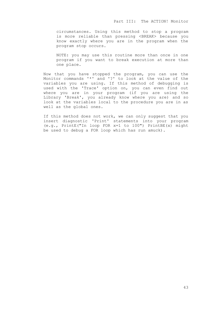circumstances. Using this method to stop a program is more reliable than pressing <BREAK> because you know exactly where you are in the program when the program stop occurs.

NOTE: you may use this routine more than once in one program if you want to break execution at more than one place.

Now that you have stopped the program, you can use the Monitor commands '\*' and '?' to look at the value of the variables you are using. If this method of debugging is used with the 'Trace' option on, you can even find out where you are in your program (if you are using the Library 'Break', you already know where you are) and so look at the variables local to the procedure you are in as well as the global ones.

If this method does not work, we can only suggest that you insert diagnostic 'Print' statements into your program (e.g., PrintE("In loop FOR x=1 to 100") PrintBE(x) might be used to debug a FOR loop which has run amuck).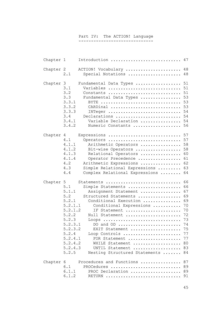## Part IV: The ACTION! Language ------------------------------

| Chapter 1 |                                                                                                                                               | Introduction<br>47                                                                                                                                                                                                                                                                                                                                                                                                             |
|-----------|-----------------------------------------------------------------------------------------------------------------------------------------------|--------------------------------------------------------------------------------------------------------------------------------------------------------------------------------------------------------------------------------------------------------------------------------------------------------------------------------------------------------------------------------------------------------------------------------|
| Chapter 2 | 2.1                                                                                                                                           | ACTION! Vocabulary<br>48<br>48<br>Special Notations                                                                                                                                                                                                                                                                                                                                                                            |
| Chapter 3 | 3.1<br>3.2<br>3.3<br>3.3.1<br>3.3.2<br>3.3.3<br>3.4<br>3.4.1<br>3.4.2                                                                         | 51<br>Fundamental Data Types<br>51<br>Variables<br>51<br>Constants<br>53<br>Fundamental Data Types<br>53<br>BYTE<br>53<br>CARDinal<br>54<br>INTeger<br>54<br>Declarations<br>Variable Declaration<br>54<br>Numeric Constants<br>56                                                                                                                                                                                             |
| Chapter 4 | 4.1<br>4.1.1<br>4.1.2<br>4.1.3<br>4.1.4<br>4.2<br>4.3<br>4.4                                                                                  | 57<br>Expressions<br>Operators<br>57<br>58<br>Arithmetic Operators<br>Bit-wise Operators<br>58<br>Relational Operators<br>60<br>Operator Precedence<br>61<br>Arithmetic Expressions<br>62<br>63<br>Simple Relational Expressions<br>Complex Relational Expressions<br>64                                                                                                                                                       |
| Chapter 5 | 5.1<br>5.1.1<br>5.2<br>5.2.1<br>5.2.1.1<br>5.2.1.2<br>5.2.2<br>5.2.3<br>5.2.3.1<br>5.2.3.2<br>5.2.4<br>5.2.4.1<br>5.2.4.2<br>5.2.4.3<br>5.2.5 | 66<br>Statements<br>66<br>Simple Statements<br>67<br>Assignment Statement<br>69<br>Structured Statements<br>69<br>Conditional Execution<br>Conditional Expressions<br>70<br>70<br>IF Statement<br>72<br>Null Statement<br>73<br>$Loops$<br>74<br>DO and OD<br>75<br>EXIT Statement<br>77<br>Loop Controls<br>77<br>FOR Statement<br>80<br>WHILE Statement<br>.<br>83<br>UNTIL Statement<br>84<br>Nesting Structured Statements |
| Chapter 6 | 6.1<br>6.1.1<br>6.1.2                                                                                                                         | Procedures and Functions<br>87<br>.<br>PROCedures<br>89<br>PROC Declaration<br>89<br>91                                                                                                                                                                                                                                                                                                                                        |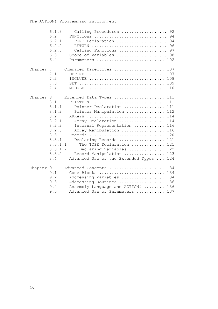|           | 6.1.3<br>6.2<br>6.2.1<br>6.2.2<br>6.2.3<br>6.3<br>6.4                                                         | Calling Procedures  92<br>FUNCtions<br>FUNC Declaration<br>RETURN<br>Calling Functions  97<br>Scope of Variables  98<br>Parameters  102                                                                                                                                                                                                       | 94<br>94<br>96                                |
|-----------|---------------------------------------------------------------------------------------------------------------|-----------------------------------------------------------------------------------------------------------------------------------------------------------------------------------------------------------------------------------------------------------------------------------------------------------------------------------------------|-----------------------------------------------|
| Chapter 7 | 7.1<br>7.2<br>7.3<br>7.4                                                                                      | Compiler Directives<br>DEFINE $\ldots, \ldots, \ldots, \ldots, \ldots, \ldots, \ldots, \ldots$<br>INCLUDE $\ldots \ldots \ldots \ldots \ldots \ldots \ldots \ldots$<br>MODULE                                                                                                                                                                 | 107<br>107<br>108<br>110                      |
| Chapter 8 | 8.1<br>8.1.1<br>8.1.2<br>8.2<br>8.2.1<br>8.2.2<br>8.2.3<br>8.3<br>8.3.1<br>8.3.1.1<br>8.3.1.2<br>8.3.2<br>8.4 | Extended Data Types  111<br>POINTERS  111<br>Pointer Declaration<br>Pointer Manipulation<br>ARRAYS  114<br>Array Declaration  114<br>Internal Representation<br>Array Manipulation<br>Records  120<br>Declaring Records<br>The TYPE Declaration<br>Declaring Variables  122<br>Record Manipulation  123<br>Advanced Use of the Extended Types | 111<br>112<br>116<br>116<br>121<br>121<br>124 |
| Chapter 9 | 9.1<br>9.2<br>9.3<br>9.4<br>9.5                                                                               | Advanced Concepts  134<br>Code Blocks  134<br>Addressing Variables  134<br>Addressing Routines  136<br>Assembly Language and ACTION!  136<br>Advanced Use of Parameters                                                                                                                                                                       | 137                                           |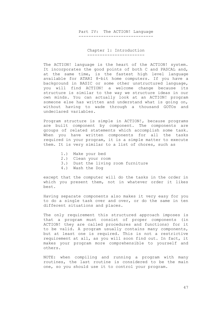Part IV: The ACTION! Language ------------------------------

> Chapter 1: Introduction -----------------------

The ACTION! language is the heart of the ACTION! system. It incorporates the good points of both C and PASCAL and, at the same time, is the fastest high level language available for ATARI 8-bit home computers. If you have a background in BASIC or some other unstructured language, you will find ACTION! a welcome change because its structure is similar to the way we structure ideas in our own minds. You can actually look at an ACTION! program someone else has written and understand what is going on, without having to wade through a thousand GOTOs and undeclared variables.

Program structure is simple in ACTION!, because programs are built component by component. The components are groups of related statements which accomplish some task. When you have written components for all the tasks required in your program, it is a simple matter to execute them. It is very similar to a list of chores, such as

- 1.) Make your bed
- 2.) Clean your room
- 3.) Dust the living room furniture
- 4.) Wash the Dog

except that the computer will do the tasks in the order in which you present them, not in whatever order it likes best.

Having separate components also makes it very easy for you to do a single task over and over, or do the same in ten different situations and places.

The only requirement this structured approach imposes is that a program must consist of proper components (in ACTION! they are called procedures and functions) for it to be valid. A program usually contains many components, but at least one is required. This is not a restrictive requirement at all, as you will soon find out. In fact, it makes your program more comprehensible to yourself and others.

NOTE: when compiling and running a program with many routines, the last routine is considered to be the main one, so you should use it to control your program.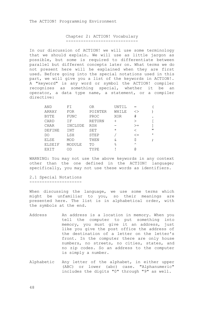Chapter 2: ACTION! Vocabulary -----------------------------

In our discussion of ACTION! we will use some terminology that we should explain. We will use as little jargon as possible, but some is required to differentiate between parallel but different concepts later on. What terms we do not present here will he explained when they are first used. Before going into the special notations used in this part, we will give you a list of the keywords in ACTION!. A "keyword" is any word or symbol the ACTION! compiler recognizes as something special, whether it be an operator, a data type name, a statement, or a compiler directive:

| AND           | FT         | ΟR            | UNTIL          |               |              |
|---------------|------------|---------------|----------------|---------------|--------------|
| ARRAY         | <b>FOR</b> | POINTER       | WHILE          | $\mathord{<}$ |              |
| BYTE          | FUNC       | PROC          | XOR            | #             | ٠            |
| CARD          | ΤF         | <b>RETURN</b> | $^{+}$         | ↘             |              |
| CHAR          | INCLUDE    | <b>RSH</b>    |                | >=            |              |
| DEFINE        | INT        | SET           | $\star$        |               | $^{\rm{II}}$ |
| DO            | LSH        | STEP          |                | $\lt =$       | T            |
| ELSE          | MOD        | THEN          | 8              | Ŝ             | ÷            |
| <b>ELSEIF</b> | MODULE     | TΟ            | $\frac{9}{10}$ | $\wedge$      |              |
| <b>FXTT</b>   | ОD         | TYPE          |                | g)            |              |

WARNING: You may not use the above keywords in any context other than the one defined in the ACTION! language; specifically, you may not use these words as identifiers.

2.1 Special Notations ---------------------

When discussing the language, we use some terms which might be unfamiliar to you, so their meanings are presented here. The list is in alphabetical order, with the symbols at the end.

- Address An address is a location in memory. When you tell the computer to put something into memory, you must give it an address, just like you give the post office the address of the destination of a letter on the letter's front. In the computer there are only house numbers, no streets, no cities, states, and no zip codes. So an address to the computer is simply a number.
- Alphabetic Any letter of the alphabet, in either upper (ABC) or lower (abc) case. "Alphanumeric" includes the digits "0" through "9" as well.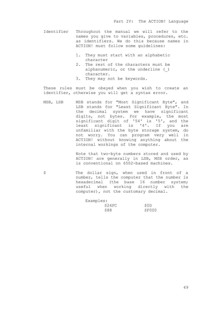- Identifier Throughout the manual we will refer to the names you give to variables, procedures, etc. as identifiers. We do this because names in ACTION! must follow some guidelines:
	- 1. They must start with an alphabetic character
	- 2. The rest of the characters must be alphanumeric, or the underline (\_) character.
	- 3. They may not be keywords.

These rules must be obeyed when you wish to create an identifier, otherwise you will get a syntax error.

MSB, LSB MSB stands for "Most Significant Byte", and LSB stands for "Least Significant Byte". In the decimal system we have significant digits, not bytes. For example, the most significant digit of '54' is '5', and the least significant is '4'. If you are unfamiliar with the byte storage system, do not worry. You can program very well in ACTION! without knowing anything about the internal workings of the computer.

> Note that two-byte numbers stored and used by ACTION! are generally in LSB, MSB order, as is conventional on 6502-based machines.

\$ The dollar sign, when used in front of a number, tells the computer that the number is hexadecimal (the base 16 number system; useful when working directly with the computer), not the customary decimal.

| Examples: |        |
|-----------|--------|
| \$24FC    | \$0D   |
| \$88      | \$F000 |

 $49$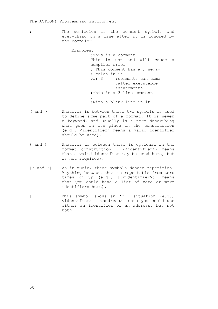; The semicolon is the comment symbol, and everything on a line after it is ignored by the compiler.

Examples:

;This is a comment This is not and will cause a compiler error ; This comment has a ; semi- ; colon in it<br>var=3 : com : comments can come ;after executable ;statements ;this is a 3 line comment ; ;with a blank line in it

- < and > Whatever is between these two symbols is used to define some part of a format. It is never a keyword, and usually is a term describing what goes in its place in the construction (e.g., <identifier> means a valid identifier should be used).
- { and } Whatever is between these is optional in the format construction ( {<identifier>} means that a valid identifier may be used here, but is not required).
- |: and :| As in music, these symbols denote repetition. Anything between them is repeatable from zero times on up (e.g., |:<identifier>:| means that you could have a list of zero or more identifiers here).
- | This symbol shows an 'or' situation (e.g., <identifier> | <address> means you could use either an identifier or an address, but not both.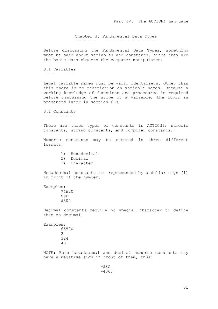Chapter 3: Fundamental Data Types ---------------------------------

Before discussing the Fundamental Data Types, something must be said about variables and constants, since they are the basic data objects the computer manipulates.

3.1 Variables -------------

Legal variable names must be valid identifiers. Other than this there is no restriction on variable names. Because a working knowledge of functions and procedures is required before discussing the scope of a variable, the topic is presented later in section 6.3.

3.2 Constants -------------

There are three types of constants in ACTION!: numeric constants, string constants, and compiler constants.

Numeric constants may be entered in three different formats:

- 1) Hexadecimal
- 2) Decimal
- 3) Character

Hexadecimal constants are represented by a dollar sign (\$) in front of the number.

Examples: \$4A00  $SDD$ \$300

Decimal constants require no special character to define them as decimal.

Examples: 65500 2 324 46

NOTE: Both hexadecimal and decimal numeric constants may have a negative sign in front of them, thus: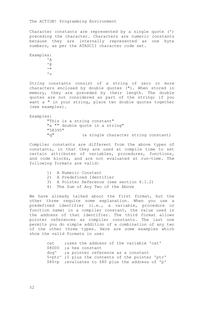Character constants are represented by a single quote (') preceding the character. Characters are numeric constants because they are internally represented as one byte numbers, as per the ATASCII character code set.

Examples:

 'A '@  $\mathbf{r}$  $v_{xx}$ 

String constants consist of a string of zero or more characters enclosed by double quotes ("). When stored in memory, they are preceded by their length. The double quotes are not considered as part of the string; if you want a " in your string, place two double quotes together (see examples).

Examples: "This is a string constant" "a "" double quote in a string" "58395" "q" (a single character string constant)

Compiler constants are different from the above types of constants, in that they are used at compile time to set certain attributes of variables, procedures, functions, and code blocks, and are not evaluated at run-time. The following formats are valid:

- 1) A Numeric Constant
- 2) A Predefined Identifier
- 3) A Pointer Reference (see section 8.1.2)
- 4) The Sum of Any Two of the Above

We have already talked about the first format, but the other three require some explanation. When you use a predefined identifier (i.e., a variable, procedure or function name) in a compiler constant, the value used is the address of that identifier. The third format allows pointer references as compiler constants. The last one permits you do simple addition of a combination of any two of the other three types. Here are some examples which show the valid formats in use:

> cat ;uses the address of the variable 'cat' \$8D00 ;a hex constant dog<sup>^</sup> ;a pointer reference as a constant 5+ptr^ ;5 plus the contents of the pointer 'ptr' \$80+p ;evaluates to \$80 plus the address of 'p'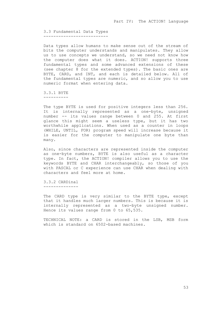3.3 Fundamental Data Types --------------------------

Data types allow humans to make sense out of the stream of bits the computer understands and manipulates. They allow us to use concepts we understand, so we need not know how the computer does what it does. ACTION! supports three fundamental types and some advanced extensions of these (see chapter 8 for the extended types). The basic ones are BYTE, CARD, and INT, and each is detailed below. All of the fundamental types are numeric, and so allow you to use numeric format when entering data.

3.3.1 BYTE ----------

The type BYTE is used for positive integers less than 256. It is internally represented as a one-byte, unsigned number -- its values range between 0 and 255. At first glance this might seem a useless type, but it has two worthwhile applications. When used as a counter in loops (WHILE, UNTIL, FOR) program speed will increase because it is easier for the computer to manipulate one byte than many.

Also, since characters are represented inside the computer as one-byte numbers, BYTE is also useful as a character type. In fact, the ACTION! compiler allows you to use the keywords BYTE and CHAR interchangeably, so those of you with PASCAL or C experience can use CHAR when dealing with characters and feel more at home.

3.3.2 CARDinal --------------

The CARD type is very similar to the BYTE type, except that it handles much larger numbers. This is because it is internally represented as a two-byte unsigned number. Hence its values range from 0 to 65,535.

TECHNICAL NOTE: a CARD is stored in the LSB, MSB form which is standard on 6502-based machines.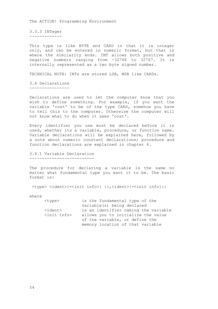3.3.3 INTeger -------------

This type is like BYTE and CARD in that it is integer only, and can be entered in numeric format, but that is where the similarity ends. INT allows both positive and negative numbers ranging from -32768 to 32767. It is internally represented as a two byte signed number.

TECHNICAL NOTE: INTs are stored LSB, MSB like CARDs.

3.4 Declarations ----------------

Declarations are used to let the computer know that you wish to define something. For example, if you want the variable 'cost' to be of the type CARD, somehow you have to tell this to the computer. Otherwise the computer will not know what to do when it sees 'cost'.

Every identifier you use must be declared before it is used, whether its a variable, procedure, or function name. Variable declarations will be explained here, followed by a note about numeric constant declarations; procedure and function declarations are explained in chapter 6.

3.4.1 Variable Declaration --------------------------

The procedure for declaring a variable is the same no matter what fundamental type you want it to be. The basic format is:

<type> <ident>{=<init info>} |:,<ident>{=<init info}:|

where

| $<$ type $>$              | is the fundamental type of the       |
|---------------------------|--------------------------------------|
|                           | variable(s) being declared           |
| $\langle$ ident $\rangle$ | is an identifier naming the variable |
| <init info=""></init>     | allows you to initialize the value   |
|                           | of the variable, or define the       |
|                           | memory location of that variable     |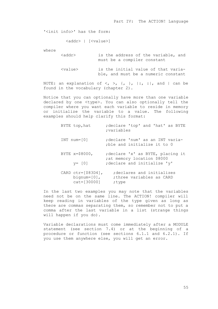'<init info>' has the form:

<addr> | [<value>]

where

| <addr></addr> | is the address of the variable, and |
|---------------|-------------------------------------|
|               | must be a compiler constant         |
| $<$ value $>$ | is the initial value of that varia- |
|               | ble, and must be a numeric constant |

NOTE: an explanation of  $\langle, \rangle$ ,  $\langle, \rangle$ ,  $|;$   $|;$   $|;$  and  $|$  can be found in the vocabulary (chapter 2).

Notice that you can optionally have more than one variable declared by one <type>. You can also optionally tell the compiler where you want each variable to reside in memory or initialize the variable to a value. The following examples should help clarify this format:

| BYTE top, hat                                              | declare 'top' and 'hat' as BYTE,<br>; variables                                               |
|------------------------------------------------------------|-----------------------------------------------------------------------------------------------|
| $INT$ $num=[0]$                                            | ;declare 'num' as an INT varia-<br>ble and initialize it to 0;                                |
| BYTE x=\$8000,<br>$v = \lceil 0 \rceil$                    | declare 'x' as BYTE, placing it,<br>at memory location \$8000;<br>declare and initialize 'v', |
| CARD $ctr=[$83D4]$ ,<br>bignum= $[0]$ ,<br>$cat = [30000]$ | declares and initializes:<br>: three variables as CARD<br>;type                               |

In the last two examples you may note that the variables need not be on the same line. The ACTION! compiler will keep reading in variables of the type given as long as there are commas separating them, so remember not to put a comma after the last variable in a list (strange things will happen if you do).

Variable declarations must come immediately after a MODULE statement (see section 7.4) or at the beginning of a procedure or function (see sections 6.1.1 and 6.2.1). If you use them anywhere else, you will get an error.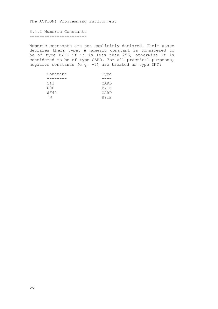3.4.2 Numeric Constants -----------------------

Numeric constants are not explicitly declared. Their usage declares their type. A numeric constant is considered to be of type BYTE if it is less than 256, otherwise it is considered to be of type CARD. For all practical purposes, negative constants (e.g. -7) are treated as type INT:

| Constant | Type        |
|----------|-------------|
|          |             |
| 543      | CARD        |
| \$0D     | <b>BYTE</b> |
| \$F42    | CARD        |
| ' M      | BYTE.       |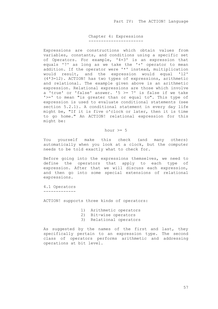### Chapter 4: Expressions ----------------------

Expressions are constructions which obtain values from variables, constants, and conditions using a specific set of Operators. For example, '4+3' is an expression that equals '7' as long as we take the '+' operator to mean addition. If the operator were '\*' instead, multiplication would result, and the expression would equal '12' (4\*3=12). ACTION! has two types of expressions, arithmetic and relational. The example given above is an arithmetic expression. Relational expressions are those which involve a 'true' or 'false' answer. '5 >= 7' is false if we take '>=' to mean "is greater than or equal to". This type of expression is used to evaluate conditional statements (see section 5.2.1). A conditional statement in every day life might be, "If it is five o'clock or later, then it is time to go home." An ACTION! relational expression for this might be:

## hour  $>= 5$

You yourself make this check (and many others) automatically when you look at a clock, but the computer needs to be told exactly what to check for.

Before going into the expressions themselves, we need to define the operators that apply to each type of expression. After that we will discuss each expression, and then go into some special extensions of relational expressions.

4.1 Operators -------------

ACTION! supports three kinds of operators:

- 1) Arithmetic operators
- 2) Bit-wise operators
- 3) Relational operators

As suggested by the names of the first and last, they specifically pertain to an expression type. The second class of operators performs arithmetic and addressing operations at bit level.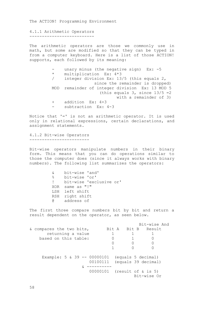4.1.1 Arithmetic Operators --------------------------

The arithmetic operators are those we commonly use in math, but some are modified so that they can be typed in from a computer keyboard. Here is a list of those ACTION! supports, each followed by its meaning:

> unary minus (the negative sign) Ex: -5 \* multiplication Ex: 4\*3 integer division Ex: 13/5 (this equals 2, since the remainder is dropped) MOD remainder of integer division Ex: 13 MOD 5 (this equals  $3$ , since  $13/5 = 2$  with a remainder of 3) + addition Ex: 4+3 subtraction Ex: 4-3

Notice that '=' is not an arithmetic operator. It is used only in relational expressions, certain declarations, and assignment statements.

4.1.2 Bit-wise Operators ------------------------

Bit-wise operators manipulate numbers in their binary form. This means that you can do operations similar to those the computer does (since it always works with binary numbers). The following list summarizes the operators:

| bit-wise 'and'            |
|---------------------------|
| bit-wise 'or'             |
| ! bit-wise 'exclusive or' |
| XOR same as "!"           |
| LSH left shift            |
| RSH right shift           |
| @ address of              |
|                           |

The first three compare numbers bit by bit and return a result dependent on the operator, as seen below.

| Bit-wise And |
|--------------|
|              |
|              |
|              |
|              |
|              |
|              |
|              |
|              |
|              |
|              |
|              |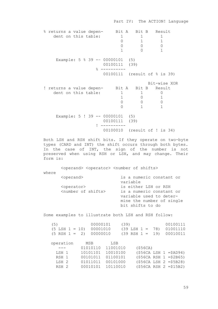Part IV: The ACTION! Language % returns a value depen- Bit A Bit B Result dent on this table:  $\begin{array}{cccc} 1 & 1 & 1 \\ 0 & 1 & 1 \end{array}$  $0 \t 1 \t 1$  0 0 0 1 0 1 Example: 5 % 39 -– 00000101 (5) 00100111 (39)  $% - - - - - - - - -$  00100111 (result of % is 39) Bit-wise XOR ! returns a value depen- Bit A Bit B Result dent on this table:  $\begin{array}{cccc} 1 & 1 & 0 \\ 1 & 0 & 1 \end{array}$  1 0 1  $\begin{array}{ccccccc}\n0 & & 0 & & 0\n\end{array}$  $0 \t 1 \t 1$  Example: 5 ! 39 -- 00000101 (5) 00100111 (39) ! ---------- 00100010 (result of ! is 34)

Both LSH and RSH shift bits. If they operate on two-byte types (CARD and INT) the shift occurs through both bytes. In the case of INT, the sign of the number is not preserved when using RSH or LSH, and may change. Their form is:

<operand> <operator> <number of shifts>

where <operand> is a numeric constant or variable <operator>
is either LSH or RSH

shumber of shifts>
is a numeric constant is a numeric constant or variable used to deter mine the number of single bit shifts to do

Some examples to illustrate both LSH and RSH follow:

| (5)                | 00000101 |          | (39) |                 |         |     | 00100111                  |
|--------------------|----------|----------|------|-----------------|---------|-----|---------------------------|
| $(5$ LSH $1 = 10)$ | 00001010 |          |      | $(39$ LSH $1 =$ |         | 78) | 01001110                  |
| $(5$ RSH $1 = 2)$  | 00000010 |          |      | $(39$ RSH $1 =$ |         | 19) | 00010011                  |
| operation          | MSB      | LSB      |      |                 |         |     |                           |
|                    | 01010110 | 11001010 |      |                 | (S56CA) |     |                           |
| LSH 1              | 10101101 | 10010100 |      |                 |         |     | $(556CA$ LSH $1 = $AD94)$ |
| RSH 1              | 00101011 | 01100101 |      |                 |         |     | $(556CA$ RSH $1 = $2B65)$ |
| LSH <sub>2</sub>   | 01011011 | 00101000 |      |                 |         |     | $(556CA$ LSH $2 = $5B28)$ |
| RSH <sub>2</sub>   | 00010101 | 10110010 |      |                 |         |     | $(556CA$ RSH $2 = $15B2)$ |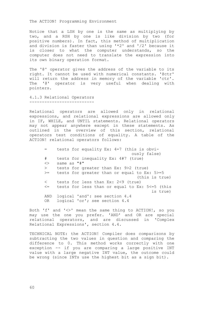Notice that a LSH by one is the same as multiplying by two, and a RSH by one is like division by two (for positive numbers). In fact, this method of multiplication and division is faster than using '\*2' and '/2' because it is closer to what the computer understands, so the computer does not need to translate the expression into its own binary operation format.

The '@' operator gives the address of the variable to its right. It cannot be used with numerical constants. '@ctr' will return the address in memory of the variable 'ctr'. The '@' operator is very useful when dealing with pointers.

4.1.3 Relational Operators --------------------------

Relational operators are allowed only in relational expressions, and relational expressions are allowed only in IF, WHILE, and UNTIL statements. Relational operators may not appear anywhere except in these statements. As outlined in the overview of this section, relational operators test conditions of equality. A table of the ACTION! relational operators follows:

> = tests for equality Ex: 4=7 (this is obvi ously false) # tests for inequality Ex: 4#7 (true) <> same as "#" > tests for greater than Ex: 9>2 (true) >= tests for greater than or equal to Ex: 5>=5 (this is true) < tests for less than Ex: 2<9 (true) <= tests for less than or equal to Ex: 5<=5 (this is true) AND logical 'and': see section 4.4 OR logical 'or'; see section 4.4

Both 'f' and '<>' mean the same thing to ACTION!, so you may use the one you prefer. 'AND' and OR are special relational operators, and are discussed in 'Complex Relational Expressions', section 4.4.

TECHNICAL NOTE: the ACTION! Compiler does comparisons by subtracting the two values in question and comparing the difference to 0. This method works correctly with one exception -- if you are comparing a large positive INT value with a large negative INT value, the outcome could be wrong (since INTs use the highest bit as a sign bit).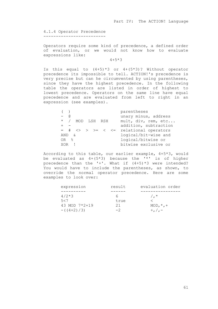4.1.4 Operator Precedence -------------------------

Operators require some kind of precedence, a defined order of evaluation, or we would not know how to evaluate expressions like:

# $4+5*3$

Is this equal to  $(4+5)*3$  or  $4+(5*3)?$  Without operator precedence its impossible to tell. ACTION!'s precedence is very precise but can he circumvented by using parentheses, since they have the highest precedence. In the following table the operators are listed in order of highest to lowest precedence. Operators on the same line have equal precedence and are evaluated from left to right in an expression (see examples).

|           |           |  |             | parentheses                                                |
|-----------|-----------|--|-------------|------------------------------------------------------------|
| $-$ a     |           |  |             | unary minus, address                                       |
| $\star$ / |           |  | MOD LSH RSH | mult, div, rem, etc                                        |
|           |           |  |             | addition, subtraction                                      |
|           |           |  |             | $=$ $\#$ $\iff$ $>$ $>$ $\iff$ $\iff$ relational operators |
| AND       | $-\delta$ |  |             | logical/bit-wise and                                       |
| OR %      |           |  |             | logical/bitwise or                                         |
| XOR       |           |  |             | bitwise exclusive or                                       |

According to this table, our earlier example, 4+5\*3, would be evaluated as  $4+(5*3)$  because the  $1*1$  is of higher precedence than the '+'. What if (4+5)\*3 were intended? You would have to include the parentheses, as shown, to override the normal operator precedence. Here are some examples to look over:

| expression   |               | result | evaluation order |
|--------------|---------------|--------|------------------|
|              |               |        |                  |
| $4/2*3$      |               | h      | $\sqrt{2}$       |
| 5 < 7        |               | true   |                  |
|              | 43 MOD 7*2+19 | 21     | MOD, $*,+$       |
| $-((4+2)/3)$ |               | $-2$   | $+$ . $/$ . $-$  |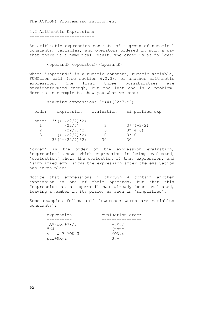4.2 Arithmetic Expressions --------------------------

An arithmetic expression consists of a group of numerical constants, variables, and operators ordered in such a way that there is a numerical result. The order is as follows:

<operand> <operator> <operand>

where '<operand>' is a numeric constant, numeric variable, FUNCtion call (see section 6.2.3), or another arithmetic expression. The first three possibilities are straightforward enough, but the last one is a problem. Here is an example to show you what we mean:

starting expression: 3\*(4+(22/7)\*2)

| $3*(4+(22/7)*2)$<br>start<br>(22/7)<br>$3*(4+3*2)$<br>3<br>$(22/7)*2$<br>$3*(4+6)$<br>6 |  |
|-----------------------------------------------------------------------------------------|--|
|                                                                                         |  |
|                                                                                         |  |
|                                                                                         |  |
|                                                                                         |  |
| $(4+(22/7)*2)$<br>3<br>$3*10$<br>10                                                     |  |
| $3*(4+(22/7)*2)$<br>30<br>4<br>30                                                       |  |

'order' is the order of the expression evaluation, 'expression' shows which expression is being evaluated, 'evaluation' shows the evaluation of that expression, and 'simplified exp' shows the expression after the evaluation has taken place.

Notice that expressions 2 through 4 contain another expression as one of their operands, but that this "expression as an operand" has already been evaluated, leaving a number in its place, as seen in 'simplified'.

Some examples follow (all lowercase words are variables constants):

| expression              | evaluation order  |
|-------------------------|-------------------|
|                         |                   |
| $'A^{\star}$ (dog+7) /3 | $+$ , $\star$ , / |
| 564                     | (none)            |
| var & 7 MOD 3           | $MOD, \&$         |
| $ptr+Qxyz$              | $\theta +$        |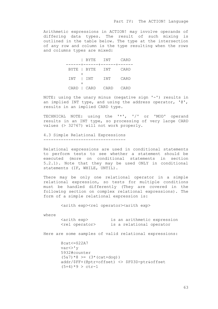Arithmetic expressions in ACTION! may involve operands of differing data types. The result of such mixing is outlined in the table below. The type at the intersection of any row and column is the type resulting when the rows and columns types are mixed:

 | BYTE INT CARD ------+------+------+------ BYTE | BYTE INT CARD  $+$  INT | INT INT CARD  $+$ CARD | CARD CARD CARD

NOTE: using the unary minus (negative sign '-') results in an implied INT type, and using the address operator, '@', results in an implied CARD type.

TECHNICAL NOTE: using the '\*', '/' or 'MOD' operand results in an INT type, so processing of very large CARD values (> 32767) will not work properly.

4.3 Simple Relational Expressions ---------------------------------

Relational expressions are used in conditional statements to perform tests to see whether a statement should be executed (more on conditional statements in section 5.2.1). Note that they may be used ONLY in conditional statements (IF, WHILE, UNTIL).

There may be only one relational operator in a simple relational expression, so tests for multiple conditions must be handled differently (They are covered in the following section on complex relational expressions). The form of a simple relational expression is:

<arith exp><rel operator><arith exp>

where

| <arith exp=""></arith>  |  |                          | is an arithmetic expression |
|-------------------------|--|--------------------------|-----------------------------|
| <rel operator=""></rel> |  | is a relational operator |                             |

Here are some samples of valid relational expressions:

 @cat<=\$22A7 var<>'y 5932#counter  $(5\&7)*8$  >=  $(3*(cat+doq))$  addr/\$FF+(@ptr+offset) <> \$F03D-ptr&offset  $(5+4)*9 > c$ tr-1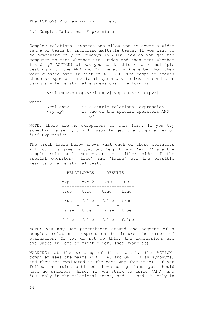4.4 Complex Relational Expressions ----------------------------------

Complex relational expressions allow you to cover a wider range of tests by including multiple tests. If you want to do something only on Sundays in July, how do you get the computer to test whether its Sunday and then test whether its July? ACTION! allows you to do this kind of multiple testing with the AND and OR operators (remember how they were glossed over in section 4.1.3?). The compiler treats these as special relational operators to test a condition using simple relational expressions. The form is:

<rel exp><sp op><rel exp>|:<sp op><rel exp>:|

where

| <rel exp=""></rel> |       |  | is a simple relational expression   |  |
|--------------------|-------|--|-------------------------------------|--|
| <sp op=""></sp>    |       |  | is one of the special operators AND |  |
|                    | or OR |  |                                     |  |

NOTE: there are no exceptions to this form. If you try something else, you will usually get the compiler error 'Bad Expression'.

The truth table below shows what each of these operators will do in a given situation. 'exp 1' and 'exp 2' are the simple relational expressions on either side of the special operator; 'true' and 'false' are the possible results of a relational test.

> RELATIONALS | RESULTS --------------+------------- exp 1 | exp 2 | AND | OR --------------+------------- true | true | true | true  $+$  +  $+$  true | false | false | true  $+$  +  $+$  false | true | false | true  $+$  +  $+$ false | false | false | false

NOTE: you may use parentheses around one segment of a complex relational expression to insure the order of evaluation. If you do not do this, the expressions are evaluated in left to right order. (see Examples)

WARNING: at the writing of this manual, the ACTION! compiler sees the pairs AND  $--$  &, and OR  $--$  % as synonyms, and they are evaluated in the same way (bit-wise). If you follow the rules outlined above using them, you should have no problems. Also, if you stick to using 'AND' and 'OR' only in the relational sense, and '&' and '%' only in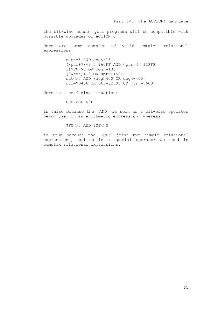the bit-wise sense, your programs will be compatible with possible upgrades of ACTION!.

Here are some samples of valid complex relational expressions:

> cat<=5 AND dog<>13  $(\text{Qptr}+7)*3$  # \$60FF AND  $\text{Qptr} \leq \text{S1FFF}$  x!\$F0<>0 OR dog>=100  $(8\&cat)$ <10 OR  $\&other$ <>\$0D cat<>0 AND (dog>400 OR dog<-400) ptr=\$D456 OR ptr=\$E000 OR ptr =\$600

Here is a confusing situation:

\$F0 AND \$0F

is false because the 'AND' is seen as a bit-wise operator being used in an arithmetic expression, whereas

 $$F0\leq>0$  AND  $$0F\leq>0$ 

is true because the 'AND' joins two simple relational expressions, and so is a special operator as used in complex relational expressions.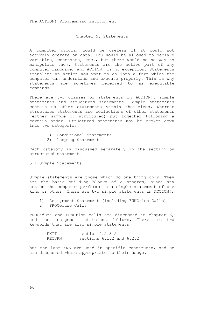Chapter 5: Statements ---------------------

A computer program would be useless if it could not actively operate on data. You would be allowed to declare variables, constants, etc., but there would be no way to manipulate them. Statements are the active part of any computer language, and ACTION! is no exception. Statements translate an action you want to do into a form which the computer can understand and execute properly. This is why statements are sometimes referred to as executable commands.

There are two classes of statements in ACTION!: simple statements and structured statements. Simple statements contain no other statements within themselves, whereas structured statements are collections of other statements (either simple or structured) put together following a certain order. Structured statements may be broken down into two categories:

- 1) Conditional Statements
- 2) Looping Statements

Each category is discussed separately in the section on structured statements.

5.1 Simple Statements ---------------------

Simple statements are those which do one thing only. They are the basic building blocks of a program, since any action the computer performs is a simple statement of one kind or other. There are two simple statements in ACTION!:

- 1) Assignment Statement (including FUNCtion Calls)
- 2) PROCedure Calls

PROCedure and FUNCtion calls are discussed in chapter 6, and the assignment statement follows. There are two keywords that are also simple statements,

| <b>RXTT</b> | section $5.2.3.2$            |
|-------------|------------------------------|
| RETURN      | sections $6.1.2$ and $6.2.2$ |

but the last two are used in specific constructs, and so are discussed where appropriate to their usage.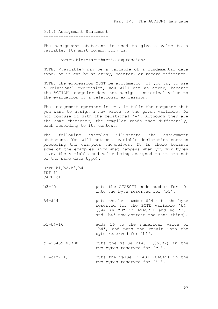5.1.1 Assignment Statement --------------------------

The assignment statement is used to give a value to a variable. Its most common form is:

<variable>=<arithmetic expression>

NOTE: <variable> may be a variable of a fundamental data type, or it can be an array, pointer, or record reference.

NOTE: the expression MUST be arithmetic! If you try to use a relational expression, you will get an error, because the ACTION! compiler does not assign a numerical value to the evaluation of a relational expression.

The assignment operator is '='. It tells the computer that you want to assign a new value to the given variable. Do not confuse it with the relational '='. Although they are the same character, the compiler reads them differently, each according to its context.

The following examples illustrate the assignment statement. You will notice a variable declaration section preceding the examples themselves. It is there because some of the examples show what happens when you mix types (i.e. the variable and value being assigned to it are not of the same data type).

BYTE b1,b2,b3,b4 INT i1 CARD c1

- b3='D puts the ATASCII code number for 'D' into the byte reserved for 'b3'.
- B4=\$44 puts the hex number \$44 into the byte reserved for the BYTE variable 'b4' (\$44 is "D" in ATASCII and so 'b3' and 'b4' now contain the same thing).
- b1=b4+16 adds 16 to the numerical value of 'b4', and puts the result into the byte reserved for 'b1'.
- c1=23439-\$07D8 puts the value 21431 (\$53B7) in the two bytes reserved for 'c1'.
- $i1=c1*(-1)$  puts the value -21431 (\$AC49) in the two bytes reserved for 'i1'.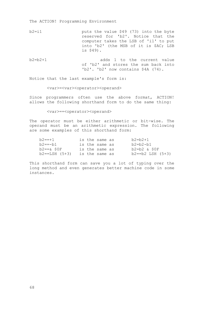b2=i1 puts the value \$49 (73) into the byte reserved for 'b2'. Notice that the computer takes the LSB of 'i1' to put into 'b2' (the MSB of it is \$AC; LSB is \$49).

b2=b2+1 adds 1 to the current value of 'b2' and stores the sum back into 'b2'. 'b2' now contains \$4A (74).

Notice that the last example's form is:

<var>=<var><operator><operand>

Since programmers often use the above format, ACTION! allows the following shorthand form to do the same thing:

<var>==<operator><operand>

The operator must be either arithmetic or bit-wise. The operand must be an arithmetic expression. The following are some examples of this shorthand form:

| $b2 == +1$          | is the same as | $b2=b2+1$              |
|---------------------|----------------|------------------------|
| b2==-b1             | is the same as | b2=b2-b1               |
| $b2 = -\alpha$ \$0F | is the same as | $b2 = b2$ & $S0F$      |
| $b2 = -LSH (5+3)$   | is the same as | $b2 == b2$ LSH $(5+3)$ |

This shorthand form can save you a lot of typing over the long method and even generates better machine code in some instances.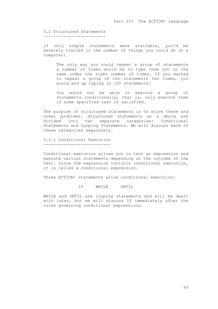5.2 Structured Statements -------------------------

If only simple statements were available, you'd be severely limited in the number of things you could do on a computer:

The only way you could repeat a group of statements a number of times would be to type them out in the same order the right number of times. If you wanted to repeat a group of ten statements ten times, you would end up typing in 100 statements!

You would not be able to execute a group of statements conditionally, that is, only execute them if some specified test is satisfied.

The purpose of structured statements is to solve these and other problems. Structured statements as a whole are divided into two separate categories: Conditional Statements and Looping Statements. We will discuss each of these categories separately.

5.2.1 Conditional Execution ---------------------------

Conditional execution allows you to test an expression and execute various statements depending on the outcome of the test. Since the expression controls conditional execution, it is called a conditional expression.

Three ACTION! statements allow conditional execution:

## IF WHILE UNTIL

WHILE and UNTIL are looping statements and will be dealt with later, but we will discuss IF immediately after the rules governing conditional expressions.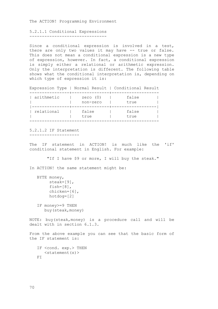5.2.1.1 Conditional Expressions -------------------------------

Since a conditional expression is involved in a test, there are only two values it may have -- true or false. This does not mean a conditional expression is a new type of expression, however. In fact, a conditional expression is simply either a relational or arithmetic expression. Only the interpretation is different. The following table shows what the conditional interpretation is, depending on which type of expression it is:

Expression Type | Normal Result | Conditional Result ----------------+---------------+------------------- | arithmetic | zero (0) | false | | | non-zero | true | |---------------+---------------+------------------| | relational | false | false | | | true | true | ----------------------------------------------------

5.2.1.2 IF Statement --------------------

The IF statement in ACTION! is much like the 'if' conditional statement in English. For example:

"If I have \$9 or more, I will buy the steak."

In ACTION! the same statement might be:

```
 BYTE money,
        steak=[9],
         fish=[8],
         chicken=[6], 
         hotdog=[2]
    IF money>=9 THEN 
      buy(steak,money) 
NOTE: buy(steak,money) is a procedure call and will be
dealt with in section 6.1.3.
From the above example you can see that the basic form of
the IF statement is:
    IF <cond. exp.> THEN 
      <statement(s)F<sub>T</sub>
```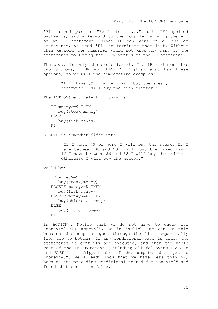'FI' is not part of "Fe fi fo fum...", but 'IF' spelled backwards, and a keyword to the compiler showing the end of an IF statement. Since IF can work on a list of statements, we need 'FI' to terminate that list. Without this keyword the compiler would not know how many of the statements following the THEN went with the IF statement.

The above is only the basic format. The IF statement has two options, ELSE and ELSEIF. English also has these options, so we will use comparative examples:

> "If I have \$9 or more I will buy the steak, otherwise I will buy the fish platter."

The ACTION! equivalent of this is:

```
 IF money>=9 THEN 
    buy(steak,money) 
 ELSE
    buy(fish,money)
 FI
```
ELSEIF is somewhat different:

"If I have \$9 or more I will buy the steak. If I have between \$8 and \$9 I will buy the fried fish. If I have between \$6 and \$8 I will buy the chicken. Otherwise I will buy the hotdog."

would be:

```
 IF money>=9 THEN
    buy(steak,money)
 ELSEIF money>=8 THEN 
    buy(fish,money)
 ELSEIF money>=6 THEN 
    buy(chicken, money)
 ELSE
    buy(hotdog,money)
 FI
```
in ACTION!. Notice that we do not have to check for "money>=8 AND money<9", as in English. We can do this because the computer goes through the list sequentially from top to bottom. If any conditional case is true, the statements it controls are executed, and then the whole rest of the IF statement (including all following ELSEIFs and ELSEs) is skipped. So, if the computer does get to "money>=8", we already know that we have less than \$9, because the preceding conditional tested for money>=9" and found that condition false.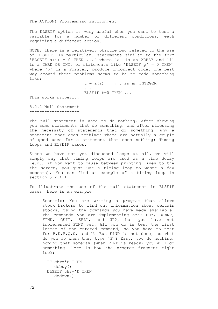The ELSEIF option is very useful when you want to test a variable for a number of different conditions, each requiring a different action.

NOTE: there is a relatively obscure bug related to the use of ELSEIF. In particular, statements similar to the form 'ELSEIF a(i) = 0 THEN ...' where 'a' is an ARRAY and 'i' is a CARD OR INT, or statements like 'ELSEIF  $p^* = 0$  THEN' where 'p' is a Pointer, produce incorrect code. The best way around these problems seems to be to code something like:

 $t = a(i)$  ;  $t$  is an INTEGER ... ELSEIF t=0 THEN ...

This works properly.

5.2.2 Null Statement --------------------

The null statement is used to do nothing. After showing you some statements that do something, and after stressing the necessity of statements that do something, why a statement that does nothing? There are actually a couple of good uses for a statement that does nothing: Timing Loops and ELSEIF cases.

Since we have not yet discussed loops at all, we will simply say that timing loops are used as a time delay (e.g., if you want to pause between printing lines to the the screen, you just use a timing loop to waste a few moments). You can find an example of a timing loop in section 5.2.4.1.

To illustrate the use of the null statement in ELSEIF cases, here is an example:

Scenario: You are writing a program that allows stock brokers to find out information about certain stocks, using the commands you have made available. The commands you are implementing are: BUY, DOWN?, FIND, QUIT, SELL, and UP?, but you have not implemented FIND yet. All you do is test the first letter of the entered command, so you have to test for B,D,F,Q,S, and U. But FIND is not done, so what do you do when they type 'F'? Easy, you do nothing, hoping that someday (when FIND is ready) you will do something. Here is how the program fragment might look:

```
 IF chr='B THEN
    dobuy()
 ELSEIF chr='D THEN 
    dodown()
```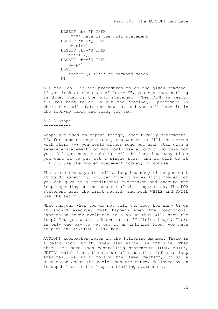```
 ELSEIF chr='F THEN
    ;**** here is the null statement
 ELSEIF chr='Q THEN 
    doquit()
 ELSEIF chr='S THEN 
   dosell()
 ELSEIF chr='U THEN 
   doup()
 ELSE
   doerror() ;**** no command match
FT
```
All the 'do---'s are procedures to do the given command. If you look at the case of "chr='F", you see that nothing is done. That is the null statement. When FIND is ready, all you need to do is put the 'dofind()' procedure in where the null statement now is, and you will have it in the look-up table and ready for use.

5.2.3 Loops -----------

Loops are used to repeat things, specifically statements. If, for some strange reason, you wanted to fill the screen with stars (\*) you could either send out each star with a separate statement, or you could use a loop to do this for you. All you need to do is tell the loop how many times you want it to put out a single star, and it will do it (if you use the proper statement format, of course).

There are two ways to tell a loop how many times you want it to do something. You can give it an explicit number, or you can give it a conditional expression and execute the loop depending on the outcome of that expression. The FOR statement uses the first method, and both WHILE and UNTIL use the second.

What happens when you do not tell the loop how many times it should execute? What happens when the conditional expression never evaluates to a value that will stop the loop? You get what is known as an 'Infinite Loop'. There is only one way to get out of an infinite loop; you have to push the <SYSTEM RESET> key.

ACTION! approaches loops in the following manner. There is a basic loop, which, when used alone, is infinite. Then there are some loop controlling statements (FOR, WHILE, UNTIL) which limit the number of times this infinite loop executes. We will follow the same pattern; first a discussion about the basic loop structure, followed by an in depth look at the loop controlling statements.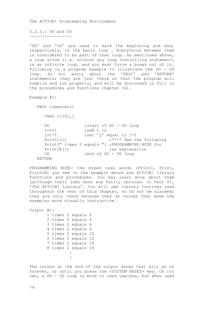5.2.3.1 DO and OD -----------------

'DO' and 'OD' are used to mark the beginning and end, respectively, of the basic loop . Everything between them is considered to be part of that loop. As mentioned above, a loop alone (i.e. without any loop controlling statement) is an infinite loop, and you must force a break out of it. Following is a program example to illustrate the DO - OD loop. Do not worry about the 'PROC' and 'RETURN' statements; they are just there so that the program will compile and run properly, and will be discussed in full in the procedures and functions chapter (6).

Example #1:

```
 PROC timestwo()
```
CARD  $i=[0], j$ 

DO ; start of DO - OD loop  $i == +1$  ;add 1 to<br> $j = i *2$  ;set 'j'  $j=i*2$  ; set 'j' equal to  $i*2$ <br>PrintC(i) ;  $i***$  See t ;\*\*\*\* See the following Print(" times 2 equals ") ; PROGRAMMING NOTE for<br>PrintCE(i) ; an explanation  $PrintCE(i)$  OD ;end of DO - OD loop RETURN

PROGRAMMING NOTE: the mixed case words (PrintC, Print, PrintCE) you see in the example above are ACTION! library functions and procedures. You may learn more about them (although their jobs here are fairly obvious) in Part VI, 'The ACTION! Library'. You will see library routines used throughout the rest of this chapter, so do not be alarmed; they are only there because they do things that make the examples more visually instructive.

Output #1: 1 times 2 equals 2 2 times 2 equals 4 3 times 2 equals 6 4 times 2 equals 8 5 times 2 equals 10 6 times 2 equals 12 7 times 2 equals 14 8 times 2 equals 16 **Service State State Service State State** 

The colons at the end of the output shows that will go on forever, or until you press the <SYSTEM RESET> key. On its own, a DO - OD loop is more or less useless, but when used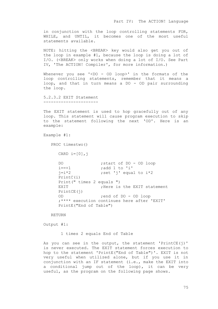in conjunction with the loop controlling statements FOR, WHILE, and UNTIL, it becomes one of the most useful statements available.

NOTE: hitting the <BREAK> key would also get you out of the loop in example #1, because the loop is doing a lot of I/O. (<BREAK> only works when doing a lot of I/O. See Part IV, 'The ACTION! Compiler', for more information.)

Whenever you see '<DO - OD loop>' in the formats of the loop controlling statements, remember that it means a loop, and that in turn means a DO - OD pair surrounding the loop.

5.2.3.2 EXIT Statement ----------------------

The EXIT statement is used to hop gracefully out of any loop. This statement will cause program execution to skip to the statement following the next 'OD'. Here is an example:

```
Example #1:
```
PROC timestwo()

CARD  $i=[0], j$ 

DO ; start of DO - OD loop  $i == +1$ <br> $i == i *2$ <br> $i == i *2$ <br> $i == i *2$ <br> $i == i *2$ ; set 'j' equal to  $i*2$  PrintC(i) Print(" times 2 equals ") EXIT ;Here is the EXIT statement PrintCE(j) OD ;end of DO - OD loop ;\*\*\*\* execution continues here after 'EXIT' PrintE("End of Table")

RETURN

Output #1:

1 times 2 equals End of Table

As you can see in the output, the statement 'PrintCE $(i)$ ' is never executed. The EXIT statement forces execution to hop to the statement 'PrintE("End of Table")'. EXIT is not very useful when utilized alone, but if you use it in conjunction with an IF statement (i.e., make the EXIT into a conditional jump out of the loop), it can be very useful, as the program on the following page shows.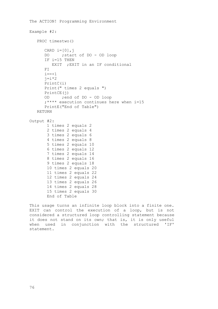```
The ACTION! Programming Environment
Example #2:
    PROC timestwo()
      CARD i=[0],jDO ; start of DO - OD loop
       IF i=15 THEN
         EXIT ; EXIT in an IF conditional
       FI
      i == +1j=i*2 PrintC(i)
       Print(" times 2 equals ")
      PrintCE(j)
       OD ;end of DO - OD loop
       ;**** execution continues here when i=15 
       PrintE("End of Table")
    RETURN
Output #2:
        1 times 2 equals 2
        2 times 2 equals 4
        3 times 2 equals 6
        4 times 2 equals 8
        5 times 2 equals 10
        6 times 2 equals 12
        7 times 2 equals 14
        8 times 2 equals 16
        9 times 2 equals 18
        10 times 2 equals 20
        11 times 2 equals 22
        12 times 2 equals 24
        13 times 2 equals 26
        14 times 2 equals 28 
        15 times 2 equals 30 
        End of Table
```
This usage turns an infinite loop block into a finite one. EXIT can control the execution of a loop, but is not considered a structured loop controlling statement because it does not stand on its own; that is, it is only useful when used in conjunction with the structured 'IF' statement.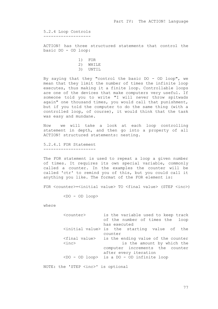5.2.4 Loop Controls -------------------

ACTION! has three structured statements that control the basic DO - OD loop:

> 1) FOR 2) WHILE 3) UNTIL

By saying that they "control the basic DO - OD loop", we mean that they limit the number of times the infinite loop executes, thus making it a finite loop. Controllable loops are one of the devices that make computers very useful. If someone told you to write "I will never throw spitwads again" one thousand times, you would call that punishment, but if you told the computer to do the same thing (with a controlled loop, of course), it would think that the task was easy and mundane.

Now we will take a look at each loop controlling statement in depth, and then go into a property of all ACTION! structured statements: nesting.

5.2.4.1 FOR Statement ---------------------

The FOR statement is used to repeat a loop a given number of times. It requires its own special variable, commonly called a counter. In the examples the counter will be called 'ctr' to remind you of this, but you could call it anything you like. The format of the FOR element is:

FOR <counter>=<initial value> TO <final value> (STEP <inc>)

<DO - OD loop>

where

| <counter></counter>     | is the variable used to keep track                          |
|-------------------------|-------------------------------------------------------------|
|                         | of the number of times the loop                             |
|                         | has executed                                                |
|                         | <initial value=""> is the starting value of the</initial>   |
|                         | counter                                                     |
|                         | <final value=""> is the ending value of the counter</final> |
| $\langle$ inc $\rangle$ | is the amount by which the                                  |
|                         | computer increments the counter                             |
|                         | after every iteration                                       |
|                         | <do -="" loop="" od=""> is a DO - OD infinite loop</do>     |

NOTE: the 'STEP <inc>' is optional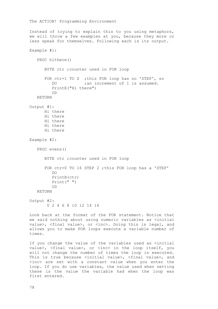```
The ACTION! Programming Environment
Instead of trying to explain this to you using metaphors,
we will throw a few examples at you, because they more or
less speak for themselves. Following each is its output.
Example #1:
    PROC hithere()
       BYTE ctr ;counter used in FOR loop
       FOR ctr=1 TO S ;this FOR loop has no 'STEP', so
         DO c an increment of 1 is assumed.
          PrintE("Hi there")
          OD
    RETURN
Output #1:
       Hi there 
       Hi there 
       Hi there 
       Hi there 
       Hi there
Example #2: 
    PROC evens()
       BYTE ctr ;counter used in FOR loop
       FOR ctr=0 TO 16 STEP 2 ;this FOR loop has a 'STEP'
         D<sub>O</sub> PrintB(ctr)
          Print(" ")
          OD
    RETURN
Output #2:
        0 2 4 6 8 10 12 14 16
Look back at the format of the FOR statement. Notice that
we said nothing about using numeric variables as <initial
value>, <final value>, or <inc>. Doing this is legal, and
allows you to make FOR loops execute a variable number of
times.
```
If you change the value of the variables used as <initial value>, <final value>, or <inc> in the loop itself, you will not change the number of times the loop is executed. This is true because <initial value>, <final value>, and <inc> are set with a constant value when you enter the loop. If you do use variables, the value used when setting these is the value the variable had when the loop was first entered.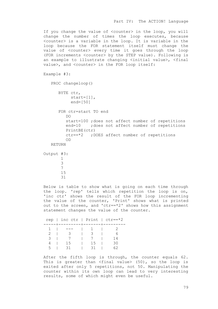If you change the value of <counter> in the loop, you will change the number of times the loop executes, because <counter> is a variable in the loop. It is variable in the loop because the FOR statement itself must change the value of <counter> every time it goes through the loop (FOR increments <counter> by the STEP value). Following is an example to illustrate changing <initial value>, <final value>, and <counter> in the FOR loop itself:

Example #3:

 PROC changeloop() BYTE ctr, start=[1], end=[50] FOR ctr=start TO end DO start=100 ;does not affect number of repetitions end=10 ;does not affect number of repetitions PrintBE(ctr) ctr==\*2 ;DOES affect number of repetitions OD RETURN Output #3: 1 3 7 15 31

Below is table to show what is going on each time through the loop. 'rep' tells which repetition the loop is on, 'inc ctr' shows the result of the FOR loop incrementing the value of the counter, 'Print' shows what is printed out to the screen, and 'ctr==\*2' shows how this assignment statement changes the value of the counter.

|   | rep   inc ctr   Print   ctr == $*2$<br>-----+---------+-------+-------- |    |    |
|---|-------------------------------------------------------------------------|----|----|
|   |                                                                         |    |    |
|   | - 3-                                                                    |    |    |
|   |                                                                         |    | 14 |
|   | 15                                                                      | 15 | 30 |
| 5 | -31                                                                     |    |    |

After the fifth loop is through, the counter equals 62. This is greater than <final value> (50), so the loop is exited after only 5 repetitions, not 50. Manipulating the counter within its own loop can lead to very interesting results, some of which might even be useful.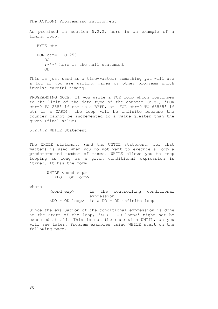As promised in section 5.2.2, here is an example of a timing loop:

 BYTE ctr FOR ctr=1 TO 250 DO ;\*\*\*\* here is the null statement OD

This is just used as a time-waster; something you will use a lot if you are writing games or other programs which involve careful timing.

PROGRAMMING NOTE: If you write a FOR loop which continues to the limit of the data type of the counter (e.g., 'FOR ctr=0 TO 255' if ctr is a BYTE, or 'FOR ctr=0 TO 65535' if ctr is a CARD), the loop will be infinite because the counter cannot be incremented to a value greater than the given <final value>.

5.2.4.2 WHILE Statement -----------------------

The WHILE statement (and the UNTIL statement, for that matter) is used when you do not want to execute a loop a predetermined number of times. WHILE allows you to keep looping as long as a given conditional expression is 'true'. It has the form:

> WHILE <cond exp> <DO - OD loop>

where

<cond exp> is the controlling conditional expression <DO - OD loop> is a DO - OD infinite loop

Since the evaluation of the conditional expression is done at the start of the loop, '<DO - OD loop>' might not be executed at all. This is not the case with UNTIL, as you will see later. Program examples using WHILE start on the following page.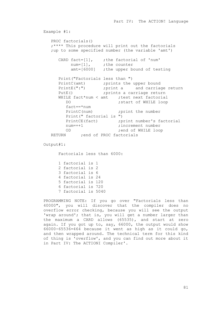Example #1: PROC factorials() ;\*\*\*\* This procedure will print out the factorials ;up to some specified number (the variable 'amt') CARD fact= $[1]$ , ;the factorial of 'num' num=[1], ; the counter amt=[6000] ;the upper bound of testing Print("Factorials less than ") PrintC(amt) ; prints the upper bound<br>PrintE(":") ; print a and carriac print a and carriage return PutE()  $\qquad \qquad ; \text{prints a carriage return}$  WHILE fact\*num < amt ;test next factorial DO **;**start of WHILE loop fact==\*num<br>PrintC(num) ; print the number Print(" factorial is ") PrintCE(fact) ; print number's factorial num==+1 ;increment number OD ;end of WHILE loop RETURN ; end of PROC factorials Output#1:

Factorials less than 6000:

 1 factorial is 1 2 factorial is 2 3 factorial is 6 4 factorial is 24 5 factorial is 120 6 factorial is 720 7 factorial is 5040

PROGRAMMING NOTE: If you go over "Factorials less than 40000", you will discover that the compiler does no overflow error checking, because you will see the output 'wrap around'; that is, you will get a number larger than the maximum a CARD allows (65535), and start at zero again. If you got up to, say, 66000, the output would show 66000-65536=464 because it went as high as it could go, and then wrapped around. The technical term for this kind of thing is 'overflow', and you can find out more about it in Part IV: The ACTIONI Compiler'.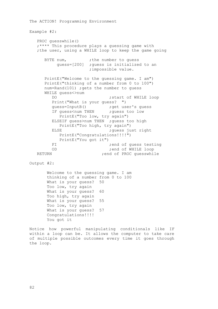```
The ACTION! Programming Environment
Example #2:
    PROC guesswhile()
    ;**** This procedure plays a guessing game with 
   ; the user, using a WHILE loop to keep the game going
     BYTE num, ;the number to quess
           guess=[200] ;guess is initialized to an 
                        ;impossible value.
      PrintE("Welcome to the guessing game. I am") 
      PrintE("thinking of a number from 0 to 100") 
     num=Rand(101) ; gets the number to quess
     WHILE quess<>num
        DO ; start of WHILE loop
         Print("What is your guess? ")
guess=InputB() (3) ; get user's guess
IF guess<num THEN ; guess too low
            PrintE("Too low, try again")
         ELSEIF guess>num THEN ;guess too high 
            PrintE("Too high, try again")
        ELSE ; quess just right
            PrintE("Congratulations!!!!") 
        PrintE("You got it")
                               ; end of quess testing
   OD (and of WHILE loop)<br>rend of PROC quesswhi
                           : end of PROC quesswhile
Output #2:
       Welcome to the guessing game. I am
       thinking of a number from 0 to 100
       What is your guess? 50
       Too low, try again
      What is your quess? 60
       Too high, try again 
       What is your guess? 55
       Too low, try again
      What is your quess? 57
       Congratulations!!!!
       You got it
Notice how powerful manipulating conditionals like IF
```
within a loop can be. It allows the computer to take care of multiple possible outcomes every time it goes through the loop.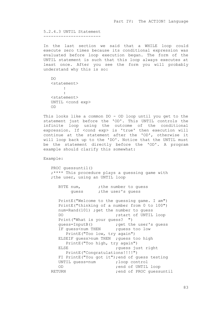5.2.4.3 UNTIL Statement -----------------------

In the last section we said that a WHILE loop could execute zero times because its conditional expression was evaluated before loop execution began. The form of the UNTIL statement is such that this loop always executes at least once. After you see the form you will probably understand why this is so:

```
D<sub>O</sub> <statement>
: 100 million
            :
    <statement>
    UNTIL <cond exp> 
    OD
```
This looks like a common DO - OD loop until you get to the statement just before the 'OD'. This UNTIL controls the infinite loop using the outcome of the conditional expression. If <cond exp> is 'true' then execution will continue at the statement after the 'OD', otherwise it will loop back up to the 'DO'. Notice that the UNTIL must be the statement directly before the 'OD'. A program example should clarify this somewhat:

Example:

 PROC guessuntil() ;\*\*\*\* This procedure plays a guessing game with ;the user, using an UNTIL loop

| BYTE num, |       | the number to quess, |  |
|-----------|-------|----------------------|--|
|           | quess | the user's quess;    |  |

 PrintE("Welcome to the guessing game. I am") PrintE("thinking of a number from 0 to 100") num=Rand(101) ; get the number to quess DO ; start of UNTIL loop Print("What is your guess? ") guess=InputB() (iget the user's guess IF guess<num THEN ; guess too low PrintE("Too low, try again") ELSEIF guess>num THEN ;guess too high PrintE("Too high, try again") ELSE ; quess just right PrintE("Congratulations!!!!") FI PrintE("You got it");end of guess testing<br>UNTIL quess=num ;loop control UNTIL guess=num ;loop control<br>OD :end of UNTIL OD ;end of UNTIL loop ; end of PROC quessuntil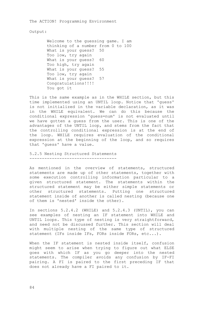Output:

 Welcome to the guessing game. I am thinking of a number from 0 to 100 What is your guess? 50 Too low, try again What is your guess? 60 Too high, try again What is your guess? 55 Too low, try again What is your guess? 57 Congratulations!!!! You got it

This is the same example as in the WHILE section, but this time implemented using an UNTIL loop. Notice that 'guess' is not initialized in the variable declaration, as it was in the WHILE equivalent. We can do this because the conditional expression 'guess=num' is not evaluated until we have gotten a guess from the user. This is one of the advantages of the UNTIL loop, and stems from the fact that the controlling conditional expression is at the end of the loop. WHILE requires evaluation of the conditional expression at the beginning of the loop, and so requires that 'guess' have a value.

5.2.5 Nesting Structured Statements -----------------------------------

As mentioned in the overview of statements, structured statements are made up of other statements, together with some execution controlling information particular to a given structured statement. The statements within the structured statement may be either simple statements or other structured statements. Putting one structured statement inside of another is called nesting (because one of them is 'nested' inside the other).

In sections 5.2.4.2 (WHILE) and 5.2.4.3 (UNTIL), you can see examples of nesting an IF statement into WHILE and UNTIL loops. This type of nesting is very straightforward, and need not be discussed further. This section will deal with multiple nesting of the same type of structured statement (IFs inside IFs, FORs inside FORs, etc...).

When the IF statement is nested inside itself, confusion might seem to arise when trying to figure out what ELSE goes with which IF as you go deeper into the nested statements. The compiler avoids any confusion by IF-FI pairing. A FI is paired to the first preceding IF that does not already have a FI paired to it.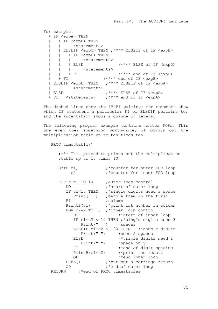For example: + IF <expA> THEN | + IF <expB> THEN | | <statements> | | ELSEIF <expC> THEN ;\*\*\*\* ELSEIF of IF <expB> | | + IF <expD> THEN | | | <statements><br>| | ELSE | | | ELSE ;\*\*\*\* ELSE of IF <expD> | | | <statements><br>| | + FI | | + FI ;\*\*\*\* end of IF <expD> | + FI ;\*\*\*\* end of IF <expB> | ELSEIF <expE> THEN ;\*\*\*\* ELSEIF of IF <expA> | <statements> | ELSE ;\*\*\*\* ELSE of IF <expA> + FI <statements> ;\*\*\*\* end of IF <expA>

The dashed lines show the IF-FI pairing; the comments show which IF statement a particular FI or ELSEIF pertains to; and the indentation shows a change of levels.

The following program example contains nested FORs. This one even does something worthwhile; it prints out the multiplication table up to ten times ten.

PROC timestable()

 ;\*\*\* This procedure prints out the multiplication ;table up to 10 times 10

| BYTE c1,                         | to the root outer FOR loop,                         |
|----------------------------------|-----------------------------------------------------|
| c2                               | *counter for inner FOR loop                         |
|                                  |                                                     |
| FOR $c1=1$ TO $10$               | ;outer loop control                                 |
| DO.                              | "start of outer loop"                               |
|                                  | IF c1<10 THEN ;*single digits need a space          |
| Print(" "")                      | ; before them in the first                          |
| FT.                              | ; column                                            |
|                                  | PrintB(c1) ;*print 1st number in column             |
|                                  | FOR $c2=2$ TO 10 ;*inner loop control               |
| DO.                              | *start of inner loop                                |
|                                  | IF $c1 \star c2 < 10$ THEN ; * single digits need 3 |
|                                  | Print(" ") ; spaces                                 |
|                                  | ELSEIF c1*c2 < 100 THEN ;*double digits             |
|                                  | Print(" ") ; need 2 spaces                          |
| ELSE                             | ;*triple digits need 1                              |
|                                  | Print(" ") ; space only                             |
| FT.                              | ;*end of digit spacing                              |
| $PrintB(c1*c2)$                  | ;*print the result                                  |
| OD                               | t*end inner loop                                    |
| PutE()                           | ;*put out a carriage return                         |
| 0D.                              | thend of outer loop                                 |
| RETURN :*end of PROC timestables |                                                     |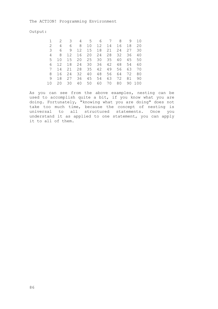Output:

|    |    | 3   | 4  | 5 <sub>5</sub> |      |       | 6 7 8 9 |          | 10     |
|----|----|-----|----|----------------|------|-------|---------|----------|--------|
|    | 4  | 6   | 8  | 10             | 12   | 14    |         | 16 18 20 |        |
| 3  | 6  | 9   | 12 | 15             |      | 18 21 | 24      | 27       | 30     |
| 4  | 8  | 12  | 16 | 20             | 24   | 28    | 32      | 36       | 40     |
| 5. | 10 | 15  |    | 20 25          |      | 30 35 | 40      |          | 45 50  |
| 6  | 12 | 18  | 24 | 30             |      | 36 42 | 48      | 54       | 60     |
|    | 14 | 2.1 | 28 | 35             | 42   | 49    | 56      | 63       | 70     |
| 8  | 16 | 2.4 | 32 | 40             | 48   | 56    | 64      |          | 72 80  |
| 9  | 18 | 27  | 36 | 45             | 54   | 63    | 72      |          | 81 90  |
| 10 | 20 | 30  |    | 40 50          | 60 - | 70    | 80      |          | 90 100 |

As you can see from the above examples, nesting can be used to accomplish quite a bit, if you know what you are doing. Fortunately, "knowing what you are doing" does not take too much time, because the concept of nesting is universal to all structured statements. Once you understand it as applied to one statement, you can apply it to all of them.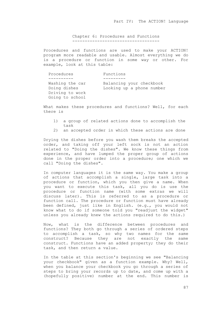Chapter 6: Procedures and Functions -----------------------------------

Procedures and functions are used to make your ACTION! program more readable and usable. Almost everything we do is a procedure or function in some way or other. For example, look at this table:

| Procedures                                                            | Functions                                             |
|-----------------------------------------------------------------------|-------------------------------------------------------|
|                                                                       |                                                       |
| Washing the car<br>Doing dishes<br>Driving to work<br>Going to school | Balancing your checkbook<br>Looking up a phone number |

What makes these procedures and functions? Well, for each there is

- 1) a group of related actions done to accomplish the task
- 2) an accepted order in which these actions are done

Drying the dishes before you wash them breaks the accepted order, and taking off your left sock is not an action related to "Doing the dishes". We know these things from experience, and have lumped the proper group of actions done in the proper order into a procedure; one which we call "Doing the dishes".

In computer languages it is the same way. You make a group of actions that accomplish a single, large task into a procedure or function, which you then give a name. When you want to execute this task, all you do is use the procedure or function name (with some extras we will discuss later). This is referred to as a procedure or function call. The procedure or function must have already been defined, just like in English. (e.g., you would not know what to do if someone told you "readjust the widget" unless you already knew the actions required to do this.)

Now, what is the difference between procedures and functions? They both go through a series of ordered steps to accomplish a task, so why two names for the same construct? Because they are not exactly the same construct. Functions have an added property; they do their task, and then return a value.

In the table at this section's beginning we see "Balancing your checkbook" given as a function example. Why? Well, when you balance your checkbook you go through a series of steps to bring your records up to date, and come up with a (hopefully positive) number at the end. This number is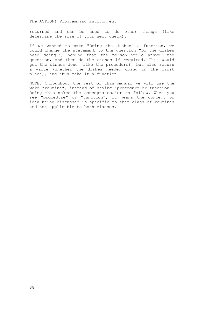returned and can be used to do other things (like determine the size of your next check).

If we wanted to make "Doing the dishes" a function, we could change the statement to the question "Do the dishes need doing?", hoping that the person would answer the question, and then do the dishes if required. This would get the dishes done (like the procedure), but also return a value (whether the dishes needed doing in the first place), and thus make it a function.

NOTE: Throughout the rest of this manual we will use the word "routine", instead of saying "procedure or function". Doing this makes the concepts easier to follow. When you see "procedure" or "function", it means the concept or idea being discussed is specific to that class of routines and not applicable to both classes.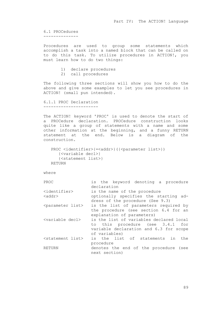6.1 PROCedures --------------

Procedures are used to group some statements which accomplish a task into a named block that can be called on to do this task. To utilize procedures in ACTION!, you must learn how to do two things:

- 1) declare procedures
- 2) call procedures

The following three sections will show you how to do the above and give some examples to let you see procedures in ACTION! (small pun intended).

```
6.1.1 PROC Declaration
----------------------
```
The ACTION! keyword 'PROC' is used to denote the start of a PROCedure declaration. PROCedure construction looks quite like a group of statements with a name and some other information at the beginning, and a funny RETURN statement at the end. Below is a diagram of the construction.

```
PROC <identifier>{=<addr>}({<parameter list>})
   {<variable decl>}
    {<statement list>}
 RETURN
```
where

| PROC                            | is the keyword denoting a procedure     |
|---------------------------------|-----------------------------------------|
|                                 | declaration                             |
| <identifier></identifier>       | is the name of the procedure            |
| $<$ addr $>$                    | optionally specifies the starting ad-   |
|                                 | dress of the procedure (See 9.3)        |
| <parameter list=""></parameter> | is the list of parameters required by   |
|                                 | the procedure (see section 6.4 for an   |
|                                 | explanation of parameters)              |
| <variable decl=""></variable>   | is the list of variables declared local |
|                                 | to this procedure (see 3.4.1 for        |
|                                 | variable declaration and 6.3 for scope  |
|                                 | of variables)                           |
| <statement list=""></statement> | is the list of statements in the        |
|                                 | procedure                               |
| <b>RETURN</b>                   | denotes the end of the procedure (see   |
|                                 | next section)                           |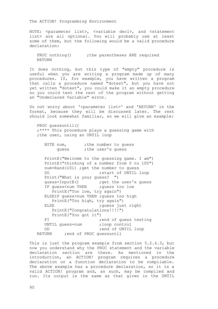NOTE: <parameter list>, <variable decl>, and <statement list> are all optional. You will probably use at least some of them, but the following would be a valid procedure declaration:

PROC nothing() ; the parentheses ARE required RETURN

It does nothing, but this type of "empty" procedure is useful when you are writing a program made up of many procedures. If, for example, you have written a program that calls a procedure named "dotest", but you have not yet written "dotest", you could make it an empty procedure so you could test the rest of the program without getting an "Undeclared Variable" error.

Do not worry about '<parameter list>' and 'RETURN' in the format, because they will be discussed later. The rest should look somewhat familiar, so we will give an example:

 PROC guessuntil() ;\*\*\*\* This procedure plays a guessing game with ;the user, using an UNTIL loop

| BYTE num, |       | ; the number to quess |  |
|-----------|-------|-----------------------|--|
|           | quess | ; the user's quess    |  |

 PrintE("Welcome to the guessing game. I am") PrintE("thinking of a number from 0 to 100") num=Rand(101) ; get the number to quess DO **;** start of UNTIL loop Print("What is your guess? ") guess=InputB() (a) ; get the user's guess IF guess<num THEN ; guess too low PrintE("Too low, try again") ELSEIF guess>num THEN ;guess too high PrintE("Too high, try again") ; quess just right PrintE("Congratulations!!!!") PrintE("You got it") FI ;end of guess testing UNTIL guess=num ;loop control OD **;end of UNTIL loop** RETURN ; end of PROC quessuntil

This is just the program example from section 5.2.4.3, but now you understand why the PROC statement and the variable declaration section are there. As mentioned in the introduction, an ACTION! program requires a procedure declaration or a function declaration to be compilable. The above example has a procedure declaration, so it is a valid ACTION! program and, as such, may be compiled and run. Its output is the same as that given in the UNTIL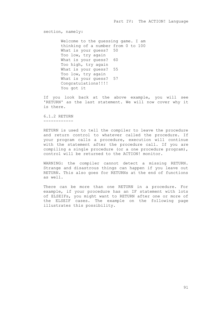section, namely:

 Welcome to the guessing game. I am thinking of a number from 0 to 100 What is your guess? 50 Too low, try again What is your guess? 60 Too high, try again What is your quess? 55 Too low, try again What is your guess? 57 Congratulations!!!! You got it

If you look back at the above example, you will see 'RETURN' as the last statement. We will now cover why it is there.

6.1.2 RETURN ------------

RETURN is used to tell the compiler to leave the procedure and return control to whatever called the procedure. If your program calls a procedure, execution will continue with the statement after the procedure call. If you are compiling a single procedure (or a one procedure program), control will be returned to the ACTION! monitor.

WARNING: the compiler cannot detect a missing RETURN. Strange and disastrous things can happen if you leave out RETURN. This also goes for RETURNs at the end of functions as well.

There can be more than one RETURN in a procedure. For example, if your procedure has an IF statement with lots of ELSEIFs, you might want to RETURN after one or more of the ELSEIF cases. The example on the following page illustrates this possibility.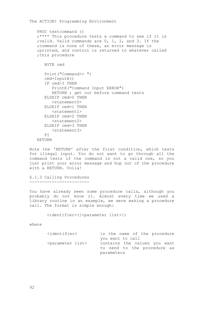```
 PROC testcommand ()
 ;**** This procedure tests a command to see if it is 
 ;valid. Valid commands are 0, 1, 2, and 3. If the 
 ;command is none of these, an error message is 
 ;printed, and control is returned to whatever called
 ;this procedure
    BYTE cmd
    Print("Command>> ") 
    cmd=InputB()
    IF cmd>3 THEN
       PrintE("Command Input ERROR")
       RETURN ; get out before command tests
    ELSEIF cmd=0 THEN
       <statement0> 
    ELSEIF cmd=1 THEN
       <statement1> 
    ELSEIF cmd=2 THEN
       <statement2> 
    ELSEIF cmd=3 THEN
      <statement3>
    FI
 RETURN
```
Note the 'RETURN' after the first condition, which tests for illegal input. You do not want to go through all the command tests if the command is not a valid one, so you just print your error message and hop out of the procedure with a RETURN. Voila!

```
6.1.3 Calling Procedures
------------------------
```
You have already seen some procedure calls, although you probably do not know it. Almost every time we used a library routine in an example, we were making a procedure call. The format is simple enough:

<identifier>({<parameter list>})

where

| <identifier></identifier>       | is the name of the procedure |
|---------------------------------|------------------------------|
|                                 | you want to call             |
| <parameter list=""></parameter> | contains the values you want |
|                                 | to send to the procedure as  |
|                                 | parameters                   |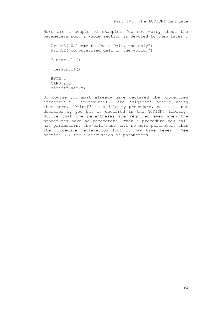Here are a couple of examples (do not worry about the parameters now, a whole section is devoted to them later):

 PrintE("Welcome to Joe's Deli, the only") PrintE("computerized deli in the world.")

factorials()

guessuntil()

 BYTE z CARD add signoff(add,z)

Of course you must already have declared the procedures 'factorials', 'guessuntil', and 'signoff' before using them here. 'PrintE' is a library procedure, so it is not declared by you but is declared in the ACTION! library. Notice that the parentheses are required even when the procedures have no parameters. When a procedure you call has parameters, the call must have no more parameters than the procedure declaration (but it may have fewer). See section 6.4 for a discussion of parameters.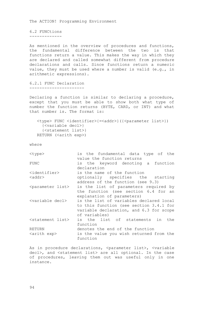6.2 FUNCtions -------------

As mentioned in the overview of procedures and functions, the fundamental difference between the two is that functions return a value. This makes the way in which they are declared and called somewhat different from procedure declarations and calls. Since functions return a numeric value, they must be used where a number is valid (e.g., in arithmetic expressions).

6.2.1 FUNC Declaration ----------------------

Declaring a function is similar to declaring a procedure, except that you must be able to show both what type of number the function returns (BYTE, CARD, or INT) and what that number is. The format is:

```
 <type> FUNC <identifier>{=<addr>}({<parameter list>})
   {<variable decl>}
   {<statement list>}
 RETURN (<arith exp>)
```
where

| $<$ type $>$                    | is the fundamental data type of the     |
|---------------------------------|-----------------------------------------|
|                                 | value the function returns              |
| <b>FUNC</b>                     | is the keyword denoting a function      |
|                                 | declaration                             |
| <identifier></identifier>       | is the name of the function             |
| $<$ addr $>$                    | optionally specifies the starting       |
|                                 | address of the function (see 9.3)       |
| <parameter list=""></parameter> | is the list of parameters required by   |
|                                 | the function (see section 6.4 for an    |
|                                 | explanation of parameters)              |
| <variable decl=""></variable>   | is the list of variables declared local |
|                                 | to this function (see section 3.4.1 for |
|                                 | variable declaration, and 6.3 for scope |
|                                 | of variables)                           |
| <statement list=""></statement> | is the list of statements in the        |
|                                 | function                                |
| RETURN                          | denotes the end of the function         |
| <arith exp=""></arith>          | is the value you wish returned from the |
|                                 | function                                |

As in procedure declarations, <parameter list>, <variable decl>, and <statement list> are all optional. In the case of procedures, leaving them out was useful only in one instance.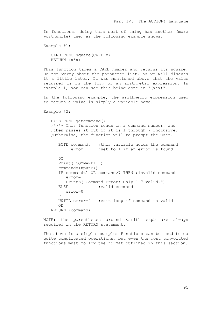In functions, doing this sort of thing has another (more worthwhile) use, as the following example shows:

Example #1:

 CARD FUNC square(CARD x) RETURN (x\*x)

This function takes a CARD number and returns its square. Do not worry about the parameter list, as we will discuss it a little later. It was mentioned above that the value returned is in the form of an arithmetic expression. In example 1, you can see this being done in " $(x*x)$ ".

In the following example, the arithmetic expression used to return a value is simply a variable name.

Example #2:

 BYTE FUNC getcommand() ;\*\*\*\* This function reads in a command number, and ;then passes it out if it is 1 through 7 inclusive. ;Otherwise, the function will re-prompt the user.

BYTE command, ; this variable holds the command<br>error ; set to 1 if an error is found ; set to 1 if an error is found

```
 DO
    Print("COMMAND> ")
    command=InputB()
    IF command<1 OR command>7 THEN ;invalid command
       error=1
       PrintE("Command Error: Only 1-7 valid.")
   ELSE ;valid command
       error=0
   F<sub>T</sub>
    UNTIL error=0 ;exit loop if command is valid
   OD
 RETURN (command)
```
NOTE: the parentheses around <arith exp> are always required in the RETURN statement.

The above is a simple example: Functions can be used to do quite complicated operations, but even the most convoluted functions must follow the format outlined in this section.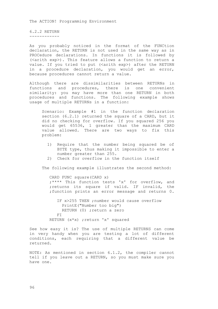6.2.2 RETURN ------------

As you probably noticed in the format of the FUNCtion declaration, the RETURN is not used in the same way as in PROCedure declarations. In functions it is followed by (<arith exp>). This feature allows a function to return a value. If you tried to put (<arith exp>) after the RETURN in a procedure declaration, you would get an error, because procedures cannot return a value.

Although there are dissimilarities between RETURNs in functions and procedures, there is one convenient similarity: you may have more than one RETURN in both procedures and functions. The following example shows usage of multiple RETURNs in a function:

Scenario: Example #1 in the function declaration section (6.2.1) returned the square of a CARD, but it did no checking for overflow. If you squared 256 you would get 65536, 1 greater than the maximum CARD value allowed. There are two ways to fix this problem:

- 1) Require that the number being squared be of BYTE type, thus making it impossible to enter a number greater than 255.
- 2) Check for overflow in the function itself

The following example illustrates the second method:

CARD FUNC square(CARD x) ;\*\*\*\* This function tests 'x' for overflow, and ;returns its square if valid. IF invalid, the ;function prints an error message and returns 0.

 IF x>255 THEN ;number would cause overflow PrintE("Number too big") RETURN (0) ; return a zero FI RETURN (x\*x) ; return 'x' squared

See how easy it is? The use of multiple RETURNS can come in very handy when you are testing a lot of different conditions, each requiring that a different value be returned.

NOTE: As mentioned in section 6.1.2, the compiler cannot tell if you leave out a RETURN, so you must make sure you have one.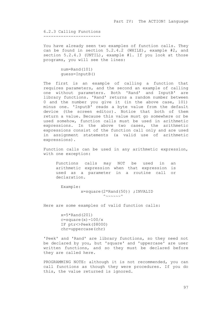6.2.3 Calling Functions -----------------------

You have already seen two examples of function calls. They can be found in section 5.2.4.2 (WHILE), example #2, and section 5.2.4.3 (UNTIL), example #1. If you look at those programs, you will see the lines:

```
 num=Rand(101) 
 guess=InputB()
```
The first is an example of calling a function that requires parameters, and the second an example of calling one without parameters. Both 'Rand' and InputB' are library functions. 'Rand' returns a random number between 0 and the number you give it (in the above case, 101) minus one. 'InputB' reads a byte value from the default device (the screen editor). Notice that both of them return a value. Because this value must go somewhere or be used somehow, function calls must be used in arithmetic expressions. In the above two cases, the arithmetic expressions consist of the function call only and are used in assignment statements (a valid use of arithmetic expressions).

Function calls can be used in any arithmetic expression, with one exception:

Functions calls may NOT be used in an arithmetic expression when that expression is used as a parameter in a routine call or declaration.

```
 Example:
          x=square(2*Rand(50)) ;INVALID
                   \wedge~~~~~
```
Here are some examples of valid function calls:

 $x=5*$ Rand $(201)$ c=square $(x)$ -100/ $x$  IF ptr<>Peek(\$8000) chr=uppercase(chr)

'Peek' and 'Rand' are library functions, so they need not be declared by you, but 'square' and 'uppercase' are user written functions, and so they must be declared before they are called here.

PROGRAMMING NOTE: although it is not recommended, you can call functions as though they were procedures. If you do this, the value returned is ignored.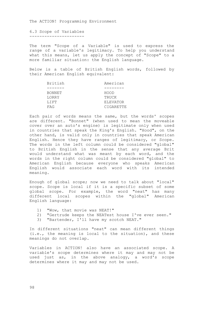6.3 Scope of Variables ----------------------

The term "Scope of a Variable" is used to express the range of a variable's legitimacy. To help you understand what this means, let us apply the concept of "Scope" to a more familiar situation: the English language.

Below is a table of British English words, followed by their American English equivalent:

| British       | American        |
|---------------|-----------------|
|               |                 |
| <b>BONNET</b> | HOOD            |
| LORRY         | TRUCK           |
| T.T FT        | <b>ELEVATOR</b> |
| FAG           | CIGARETTE       |
|               |                 |

Each pair of words means the same, but the words' scopes are different. "Bonnet" (when used to mean the moveable cover over an auto's engine) is legitimate only when used in countries that speak the King's English. "Hood", on the other hand, is valid only in countries that speak American English. Hence they have ranges of legitimacy, or Scope. The words in the left column could be considered "global" to British English in the sense that any average Brit would understand what was meant by each word, and the words in the right column could be considered "global" to American English because everyone who speaks American English would associate each word with its intended meaning.

Enough of global scope; now we need to talk about "local" scope. Scope is local if it is a specific subset of some global scope. For example, the word "neat" has many different local scopes within the "global" American English language:

- 1) "Wow, that movie was NEAT!"
- 2) "Gertrude keeps the NEATest house I've ever seen."
- 3) "Bartender, I'll have my scotch NEAT."

In different situations "neat" can mean different things (i.e., the meaning is local to the situation), and these meanings do not overlap.

Variables in ACTION! also have an associated scope. A variable's scope determines where it may and may not be used just as, in the above analogy, a word's scope determines where it may and may not be used.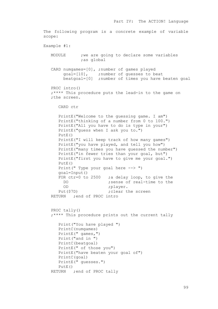```
The following program is a concrete example of variable
scope:
Example #1:
    MODULE ;we are going to declare some variables
                ;as global
    CARD numgames=[0], ;number of games played
         goal=[10], ;number of guesses to beat
         beatgoal=[0] ;number of times you have beaten goal
    PROC intro()
    ;**** This procedure puts the lead-in to the game on
    ;the screen.
       CARD ctr
       PrintE("Welcome to the guessing game. I am") 
       PrintE("thinking of a number from 0 to 100.") 
       PrintE("All you have to do is type in your") 
       PrintE("guess when I ask you to.")
      PutE() PrintE("I will keep track of how many games") 
       PrintE("you have played, and tell you how") 
       PrintE("many times you have guessed the number") 
       PrintE("in fewer tries than your goal, but") 
       PrintE("first you have to give me your goal.") 
       PutE()
      Print(" Type your goal here \leftarrow > ")
       goal=Input()
      FOR ctr=0 to 2500 ;a delay loop, to give the
       DO ; sense of real-time to the
        OD ;player.
      Put($7D) ; clear the screen
    RETURN ;end of PROC intro
    PROC tally()
    ;**** This procedure prints out the current tally
       Print("You have played ")
       PrintC(numgames) 
       PrintE(" games,") 
       Print("and in ") 
       PrintC(beatgoal) 
       PrintE(" of those you")
       PrintE("have beaten your goal of")
      PrintC(goal)
       PrintE(" guesses.") 
      PutE() RETURN ;end of PROC tally
```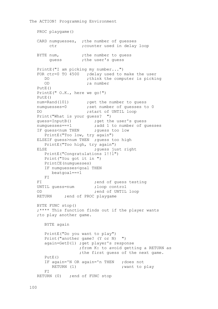```
The ACTION! Programming Environment
    PROC playgame()
   CARD numguesses, ; the number of quesses
       ctr ; counter used in delay loop
   BYTE num, ;the number to quess
       quess ;the user's quess
    PrintE("I am picking my number...")
   FOR ctr=0 TO 4500 ; delay used to make the user<br>DO : think the computer is picking
                      ; think the computer is picking
       OD ;a number
   PutE()
    PrintE(" O.K., here we go!")
   PutE()
  num=Rand(101) ; get the number to quess
  numquesses=0 ; set number of quesses to 0
  DO ; start of UNTIL loop
  Print("What is your guess? ")<br>guess=InputB() ; get th<br>numguesses==+1 ; add 1<br>IF guess?
                      ;get the user's quess
numguesses==+1 ;add 1 to number of guesses
IF guess<num THEN ; guess too low
      PrintE("Too low, try again")
  ELSEIF quess>num THEN ; quess too high
       PrintE("Too high, try again")
  ELSE ; quess just right
      PrintE("Congratulations 1!!1") 
       Print("You got it in ")
      PrintCE(numguesses)
      IF numguesses<goal THEN
         beatgoal==+1
      FI
   FI ;end of quess testing
  UNTIL quess=num ; loop control
  OD ;end of UNTIL loop
  RETURN ; end of PROC playgame
   BYTE FUNC stop()
    ;**** This function finds out if the player wants 
    ;to play another game.
       BYTE again
       PrintE("Do you want to play")
       Print("another game? (Y or N) ")
      again=GetD(1) ; get player's response
                     ;from K: to avoid getting a RETURN as 
                    ; the first quess of the next game.
       PutE()
      IF again='N OR again='n THEN ; does not<br>RETURN (1) : want to
                                    ; want to play
       FI
   RETURN (0) ; end of FUNC stop
```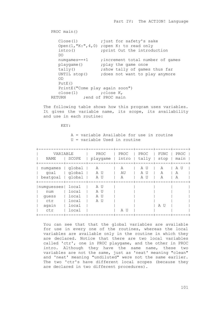PROC main()

Close(1) : just for safety's sake Open(1,"K:",4,0) ;open K: to read only intro()  $\qquad \qquad ;$  print Out the introduction  $D<sub>O</sub>$ numgames==+1 ; increment total number of games<br>playgame() ; play the game once ; play the game once tally()  $\qquad \qquad$  ; show tally of games thus far UNTIL stop() ; does not want to play anymore OD Put $E()$  PrintE("Come play again soon")  $close(1)$ RETURN ; end of PROC main

The following table shows how this program uses variables. It gives the variable name, its scope, its availability and use in each routine:

KEY:

 A = variable Available for use in routine U = variable Used in routine

| VARIABLE<br>NAME                                   | SCOPE                                              | PROC<br>playgame        | PROC         | PROC<br>$intro$   tally | FUNC  <br>stop | PROC  <br>main   |
|----------------------------------------------------|----------------------------------------------------|-------------------------|--------------|-------------------------|----------------|------------------|
| numqames  <br>qoal<br>beatgoal                     | qlobal<br>qlobal<br>global                         | Α<br>A U<br>A U         | A<br>AU<br>A | A U<br>A U<br>A U       | A<br>Α<br>A    | U<br>Α<br>Α<br>A |
| numquesses <br>num<br>quess<br>ctr<br>again<br>ctr | local<br>local<br>local<br>local<br>local<br>local | A U<br>A U<br>AU<br>A U | A U          |                         | AU             |                  |

You can see that that the global variables are available for use in every one of the routines, whereas the local variables are available only in the routine in which they are declared. Notice that there are two local variables called 'ctr', one in PROC playgame, and the other in PROC intro. Although they have the same name, these two variables are not the same, just as 'neat' meaning "clean" and 'neat' meaning "undiluted" were not the same earlier. The two 'ctr's have different local scopes (because they are declared in two different procedures).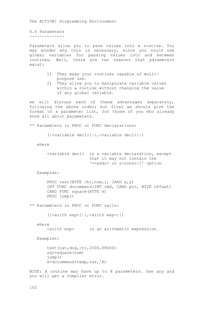```
6.4 Parameters
--------------
```
Parameters allow you to pass values into a routine. You may wonder why this is necessary, since you could use global variables for passing values into and between routines. Well, there are two reasons that parameters exist:

- 1) They make your routines capable of multi purpose use.
- 2) They allow you to manipulate variable values within a routine without changing the value of any global variable.

we will discuss each of these advantages separately, following the above order; but first we should give the format of a parameter list, for those of you who already know all about parameters.

\*\* Parameters in PROC or FUNC declarations:

({<variable decl>}|:,<variable decl>:|)

where

 <variable decl> is a variable declaration, except that it may not contain the '=<addr> or r<const>]' option

Examples:

PROC test(BYTE chr, num, i, CARD x, y) INT FUNC docommand(INT cmd, CARD ptr, BYTE offset) CARD FUNC square(BYTE x) PROC jump()

\*\* Parameters in PROC or FUNC calls:

({<arith exp>}|:,<arith exp>:|)

where

<arith exp> is an arithmetic expression

Examples:

```
 test(cat,dog,ctr,2500,$8D00) 
 sqr=square(num)
 jump()
 x=docommand(temp,var,'A)
```
NOTE: A routine may have up to 8 parameters. Use any and you will get a compiler error.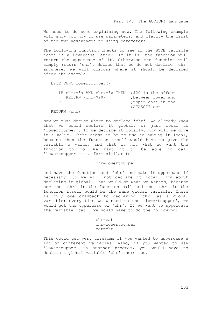We need to do some explaining now. The following example will show you how to use parameters, and clarify the first of the two advantages to using parameters.

The following function checks to see if the BYTE variable 'chr' is a lowercase letter. If it is, the function will return the uppercase of it. Otherwise the function will simply return 'chr'. Notice that we do not declare 'chr' anywhere. We will discuss where it should be declared after the example.

BYTE FUNC lowertoupper()

| IF chr>='a AND chr<='z THEN ;\$20 is the offset |                     |
|-------------------------------------------------|---------------------|
| RETURN (chr-\$20)                               | ; between lower and |
| ET.                                             | ; upper case in the |
|                                                 | :ATASCII set        |
| RETURN (chr)                                    |                     |

Now we must decide where to declare 'chr'. We already know that we could declare it global, or just local to 'lowertoupper'. If we declare it locally, how will we give it a value? There seems to be no use to having it local, because then the function itself would have to give the variable a value, and that is not what we want the function to do. We want it to be able to call 'lowertoupper' in a form similar to

# chr=lowertoupper()

and have the function test 'chr' and make it uppercase if necessary. So we will not declare it local. How about declaring it global? That would do what we wanted, because now the 'chr' in the function call and the 'chr' in the function itself would be the same global variable. There is only one drawback to declaring 'chr' as a global variable: every time we wanted to use 'lowertoupper', we would get the uppercase of 'chr'. If we want to uppercase the variable 'cat', we would have to do the following:

```
 chr=cat
 chr=lowertoupper() 
 cat=chr
```
This could get very tiresome if you wanted to uppercase a lot of different variables. Also, if you wanted to use 'lowertoupper' in another program, you would have to declare a global variable 'chr' there too.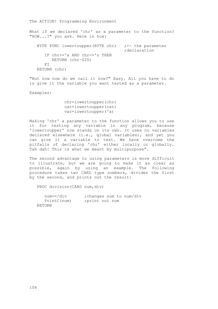What if we declared 'chr' as a parameter to the function? "HOW...?" you ask. Here is how:

BYTE FUNC lowertoupper(BYTE chr)  $\qquad$  ; <- the parameter ;declaration IF chr>='a AND chr<='z THEN RETURN (chr-\$20) F<sub>T</sub> RETURN (chr)

"But now how do we call it now?" Easy. All you have to do is give it the variable you want tested as a parameter.

Examples:

 chr=lowertoupper(chr) cat=lowertoupper(cat) var=lowertoupper('a)

Making 'chr' a parameter to the function allows you to use it for testing any variable in any program, because 'lowertoupper' now stands on its own. It uses no variables declared elsewhere (i.e., global variables), and yet you can give it a variable to test. We have overcome the pitfalls of declaring 'chr' either locally or globally. Tah dah! This is what we meant by multipurpose".

The second advantage to using parameters is more difficult to illustrate, but we are going to make it as clear as possible, again by using an example. The following procedure takes two CARD type numbers, divides the first by the second, and prints out the result:

PROC division(CARD num,div)

| $num = /div$ | ; changes num to num/div |
|--------------|--------------------------|
| PrintC(num)  | print out num;           |
| RETURN       |                          |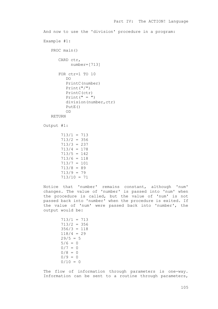```
And now to use the 'division' procedure in a program:
Example #1: 
    PROC main()
       CARD ctr,
            number=[713]
       FOR ctr=1 TO 10
          DO 
          PrintC(number)
          Print("/")
          PrintC(ctr)
         Print(" = "") division(number,ctr)
          PutE()
          OD
    RETURN
Output #1:
        713/1 = 713 
       713/2 = 356 713/3 = 237 
        713/4 = 178 
       713/5 = 142 713/6 = 118 
        713/7 = 101 
       713/8 = 89 713/9 = 79 
        713/10 = 71
Notice that 'number' remains constant, although 'num'
```
changes. The value of 'number' is passed into 'num' when the procedure is called, but the value of 'num' is not passed back into 'number' when the procedure is exited. If the value of 'num' were passed back into 'number', the output would be:

```
 713/1 = 713 
 713/2 = 356 
356/3 = 118118/4 = 2929/5 = 55/6 = 00/7 = 00/8 = 00/9 = 00/10 = 0
```
The flow of information through parameters is one-way. Information can be sent to a routine through parameters,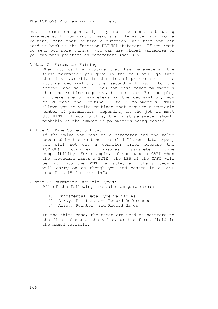but information generally may not be sent out using parameters. If you want to send a single value back from a routine, make that routine a function, and then you can send it back in the function RETURN statement. If you want to send out more things, you can use global variables or you can pass pointers as parameters (see 9.5).

A Note On Parameter Pairing:

When you call a routine that has parameters, the first parameter you give in the call will go into the first variable in the list of parameters in the routine declaration, the second will go into the second, and so on.... You can pass fewer parameters than the routine requires, but no more. For example, if there are 5 parameters in the declaration, you could pass the routine 0 to 5 parameters. This allows you to write routines that require a variable number of parameters, depending on the job it must do. HINT: if you do this, the first parameter should probably be the number of parameters being passed.

A Note On Type Compatibility:

If the value you pass as a parameter and the value expected by the routine are of different data types, you will not get a compiler error because the<br>ACTION! compiler insures parameter type compiler insures parameter type compatibility. For example, if you pass a CARD when the procedure wants a BYTE, the LSB of the CARD will be put into the BYTE variable, and the procedure will carry on as though you had passed it a BYTE (see Part IV for more info).

- A Note On Parameter Variable Types: All of the following are valid as parameters:
	- 1) Fundamental Data Type variables
	- 2) Array, Pointer, and Record References
	- 3) Array, Pointer, and Record Names

In the third case, the names are used as pointers to the first element, the value, or the first field in the named variable.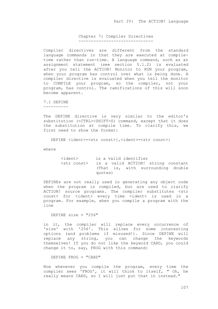Chapter 7: Compiler Directives ------------------------------

Compiler directives are different from the standard language commands in that they are executed at compiletime rather than run-time. A language command, such as an assignment statement (see section 5.1.2) is evaluated after you tell the ACTION! Monitor to RUN your program, when your program has control over what is being done. A compiler directive is evaluated when you tell the monitor to COMPILE your program, so the compiler, not your program, has control. The ramifications of this will soon become apparent.

7.1 DEFINE ----------

The DEFINE directive is very similar to the editor's substitution (<CTRL><SHIFT>S) command, except that it does the substitution at compile time. To clarify this, we first need to show the format:

DEFINE <ident>=<str const>{,<ident>=<str const>}

where

| <ident></ident>                                         | is a valid identifier             |  |  |
|---------------------------------------------------------|-----------------------------------|--|--|
| <str const=""> is a valid ACTION! string constant</str> |                                   |  |  |
|                                                         | (That is, with surrounding double |  |  |
|                                                         | quotes)                           |  |  |

DEFINEs are not really used in generating any object code when the program is compiled, but are used to clarify ACTION! source programs. The compiler substitutes <str const> for <ident> every time <ident> is used in a program. For example, when you compile a program with the line

DEFINE size = "256"

in it, the compiler will replace every occurrence of 'size' with '256'. This allows for some interesting options (and problems if misused!). Since DEFINE will replace any string, you can change the keywords themselves! If you do not like the keyword CARD, you could change it to, say, FROG with this command:

DEFINE FROG = "CARD"

Now whenever you compile the program, every time the compiler sees 'FROG', it will think to itself, " Oh, he really means CARD, so I will just put that in instead."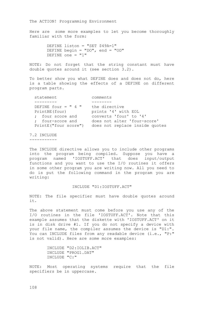Here are some more examples to let you become thoroughly familiar with the form:

> DEFINE liston = "SET \$49A=1" DEFINE begin = "DO", end = "OD" DEFINE one  $=$  "1"

NOTE: Do not forget that the string constant must have double quotes around it (see section 3.2).

To better show you what DEFINE does and does not do, here is a table showing the effects of a DEFINE on different program parts.

```
statement comments
 --------- --------
DEFINE four = " 4 " the directive
 PrintBE(four) prints '4' with EOL
 ; four score and converts 'four' to '4'
 ; four-score and does not alter 'four-score' 
 PrintE("four score") does not replace inside quotes
```
7.2 INCLUDE -----------

The INCLUDE directive allows you to include other programs into the program being compiled. Suppose you have a program named 'IOSTUFF.ACT' that does input/output functions and you want to use the I/O routines it offers in some other program you are writing now. All you need to do is put the following command in the program you are writing:

### INCLUDE "D1:IOSTUFF.ACT"

NOTE: The file specifier must have double quotes around it.

The above statement must come before you use any of the I/O routines in the file 'IOSTUFF.ACT'. Note that this example assumes that the diskette with 'IOSTUFF.ACT' on it is in disk drive #1. If you do not specify a device with your file name, the compiler assumes the device is "D1:". You can INCLUDE files from any readable device (i.e., "P:" is not valid). Here are some more examples:

> INCLUDE "D2:IOLIB.ACT" INCLUDE "PROG1.DAT" INCLUDE "C:"

NOTE: Most operating systems require that the file specifiers be in uppercase.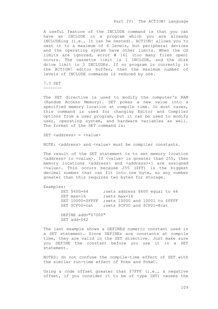## Part IV: The ACTION! Language

A useful feature of the INCLUDE command is that you can have an INCLUDE in a program which you are already INCLUDEing (i.e., it can he nested). ACTION! allows you to nest it to a maximum of 6 levels, but peripheral devices and the operating system have other limits. When the OS limits are ignored, error # 161 (too many files open) occurs. The cassette limit is 1 INCLUDE, and the disk drive limit is 3 INCLUDEs. If no program is currently in the ACTION! editor buffer, then the maximum number of levels of INCLUDE commands is reduced by one.

7.3 SET --------

The SET directive is used to modify the computer's RAM (Random Access Memory). SET pokes a new value into a specified memory location at compile time. In most cases, this command is used for changing Editor and Compiler options from a user program, but it can be used to modify user, operating system, and hardware variables as well. The format of the SET command is:

 $SET$  <address> = <value>

NOTE: <address> and <value> must be compiler constants.

The result of the SET statement is to set memory location <address> to <value>. If <value> is greater than 255, then memory locations <address> and <address>+1 are assigned <value>. This occurs because 255 (\$FF) is the biggest decimal number that can fit into one byte, so any number greater than this requires two bytes for storage.

Examples:

 SET \$600=64 ;sets address \$600 equal to 64 SET max=16 ; sets max=16 SET 10000=\$FFFF ;sets 10000 and 10001 to \$FFFF<br>SET \$CF00=cat :sets \$CF00 and \$CF01=@cat sets \$CF00 and \$CF01=@cat

> DEFINE add="\$7000" SET add=\$42

The last example shows a DEFINEd numeric constant used in a SET statement. Since DEFINEs are constants at compile time, they are valid in the SET directive. Just make sure you DEFINE the constant before you use it in a SET statement.

NOTES: do not confuse the compile-time effect of SET with the similar run-time effect of Poke and PokeC.

Using a code offset greater than \$7FFF (i.e., a negative offset, if you consider it to be of type INT) causes the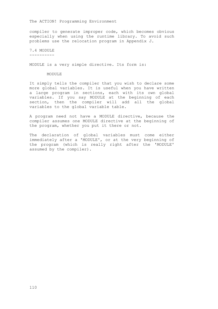compiler to generate improper code, which becomes obvious especially when using the runtime library. To avoid such problems use the relocation program in Appendix J.

7.4 MODULE ----------

MODULE is a very simple directive. Its form is:

MODULE.

It simply tells the compiler that you wish to declare some more global variables. It is useful when you have written a large program in sections, each with its own global variables. If you say MODULE at the beginning of each section, then the compiler will add all the global variables to the global variable table.

A program need not have a MODULE directive, because the compiler assumes one MODULE directive at the beginning of the program, whether you put it there or not.

The declaration of global variables must come either immediately after a 'MODULE', or at the very beginning of the program (which is really right after the 'MODULE' assumed by the compiler).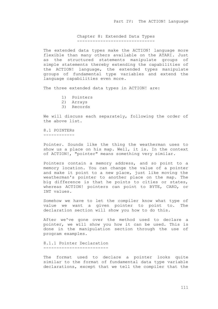Chapter 8: Extended Data Types ------------------------------

The extended data types make the ACTION! language more flexible than many others available on the ATARI. Just as the structured statements manipulate groups of simple statements thereby extending the capabilities of the ACTION! language, the extended types manipulate groups of fundamental type variables and extend the language capabilities even more.

The three extended data types in ACTION! are:

- 1) Pointers
- 2) Arrays
- 3) Records

We will discuss each separately, following the order of the above list.

8.1 POINTERs ------------

Pointer. Sounds like the thing the weatherman uses to show us a place on his map. Well, it is. In the context of ACTION!, "pointer" means something very similar.

Pointers contain a memory address, and so point to a memory location. You can change the value of a pointer and make it point to a new place, just like moving the weatherman's pointer to another place on the map. The big difference is that he points to cities or states, whereas ACTION! pointers can point to BYTE, CARD, or INT values.

Somehow we have to let the compiler know what type of value we want a given pointer to point to. The declaration section will show you how to do this.

After we've gone over the method used to declare a pointer, we will show you how it can be used. This is done in the manipulation section through the use of program examples.

8.1.1 Pointer Declaration -------------------------

The format used to declare a pointer looks quite similar to the format of fundamental data type variable declarations, except that we tell the compiler that the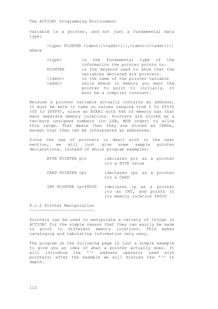variable is a pointer, and not just a fundamental data type:

 <type> POINTER <ident>{=<addr>}|:,<ident>{=<addr>}:| where

> <type> is the fundamental type of the information the pointer points to. POINTER is the keyword used to show that the variables declared are pointers. <ident>
> is the name of the pointer variable<br>
> saddr>
> tells where in memory you want the tells where in memory you want the pointer to point to initially. It must be a compiler constant.

Because a pointer variable actually contains an address, it must be able to take on values ranging from 0 to 65535 (\$0 to \$FFFF), since an ATARI with 64k of memory has that many separate memory locations. Pointers are stored as a two-byte unsigned numbers (in LSB, MSB order) to allow this range. That means that they are stored as CARDs, except that they can be interpreted as addresses.

Since the use of pointers is dealt with in the next section, we will just give some sample pointer declarations, instead of whole program examples:

| BYTE POINTER ptr      | ; declares ptr as a pointer<br>; to a BYTE value                                      |
|-----------------------|---------------------------------------------------------------------------------------|
| CARD POINTER cpl      | declares cpl as a pointer,<br>;to a CARD                                              |
| INT POINTER ip=\$8000 | declares ip as a pointer,<br>; to an INT, and points it<br>to memory location \$8000; |

8.1.2 Pointer Manipulation --------------------------

Pointers can be used to manipulate a variety of things in ACTION! for the simple reason that they can easily be made to point to different memory locations. This makes cataloging and tabulating information very easy.

The program on the following page is just a simple example to give you an idea of what a pointer actually does. It will introduce the '^' address operator used with pointers; after the example we will discuss the '^' in depth.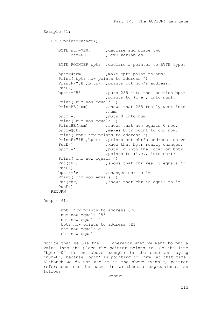Example #1: PROC pointerusage() BYTE num=\$E0,  $\qquad \qquad$  ; declare and place two chr=\$E1  $\qquad \qquad$  :BYTE variables. ; BYTE variables. BYTE POINTER bptr ; declare a pointer to BYTE type. bptr=@num ;make bptr point to num; Print("bptr now points to address ") PrintF("\$H",bptr) ; prints out num's address. PutE() bptr-=255 ;puts 255 into the location bptr ;points to (i;e;, into num). Print("num now equals ") PrintBE(num) ; shows that 255 really went into ;num. bptr-=0 ;puts 0 into num Print("num now equals ")<br>PrintBE(num) ; show: ; shows that num equals 0 now. bptr=@chr ;makes bptr point to chr now. Print("bptr now points to address ") PrintF(" $\frac{8}{1}$ ",bptr) ; prints out chr's address, so we<br>PutE() : know that bptr really changed. PutE() ; know that bptr really changed.<br>
bptr-='q ; puts 'q into the location bptr ; puts 'q into the location bptr ;points to (i.e., into chr); Print("chr now equals ") Put(chr) ; shows that chr really equals 'q PutE()<br>bptr-='z ; changes chr to 'z Print("chr now equals ") Put(chr) ; shows that chr is equal to 'z  $PutER()$  RETURN Output #1: bptr now points to address \$E0 num now equals 255 num now equals 0 bptr now points to address \$E1 chr now equals q

Notice that we use the '^' operator when we want to put a value into the place the pointer points to. So the line "bptr^=0" in the above example is the same as saying "num=0", because 'bptr' is pointing to 'num' at that time. Although we do not use it in the above example, pointer references can be used in arithmetic expressions, as follows:

chr now equals z

x=ptr^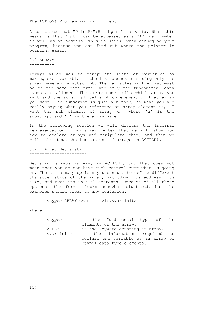Also notice that "PrintF("%H", bptr)" is valid. What this means is that 'bptr' can be accessed as a CARDinal number as well as an address. This is useful when debugging your program, because you can find out where the pointer is pointing easily.

8.2 ARRAYs ----------

Arrays allow you to manipulate lists of variables by making each variable in the list accessible using only the array name and a subscript. The variables in the list must be of the same data type, and only the fundamental data types are allowed. The array name tells which array you want and the subscript tells which element of that array you want. The subscript is just a number, so what you are really saying when you reference an array element is, "I want the nth element of array  $x_i$ " where 'n' is the subscript and 'x' is the array name.

In the following section we will discuss the internal representation of an array. After that we will show you how to declare arrays and manipulate them, and then we will talk about the limitations of arrays in ACTION!.

8.2.1 Array Declaration -----------------------

Declaring arrays is easy in ACTION!, but that does not mean that you do not have much control over what is going on. There are many options you can use to define different characteristics of the array, including its address, its size, and even its initial contents. Because of all these options, the format looks somewhat cluttered, but the examples should clear up any confusion.

<type> ARRAY <var init>|:,<var init>:|

where

| $<$ type $>$        |  | is the fundamental type of the      |  |  |
|---------------------|--|-------------------------------------|--|--|
|                     |  | elements of the array.              |  |  |
| ARRAY               |  | is the keyword denoting an array.   |  |  |
| <var init=""></var> |  | is the information required to      |  |  |
|                     |  | declare one variable as an array of |  |  |
|                     |  | <type> data type elements.</type>   |  |  |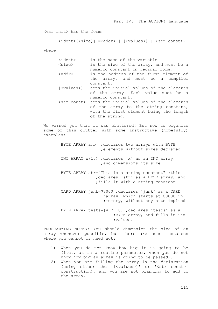<var init> has the form:

```
\{delta\} (size) \{=\delta\} | \{\forall values>] | \langlestr const>}
```
where

| $\langle$ ident $\rangle$ | is the name of the variable                                  |
|---------------------------|--------------------------------------------------------------|
| $<$ size $>$              | is the size of the array, and must be a                      |
|                           | numeric constant in decimal form.                            |
| <addr></addr>             | is the address of the first element of                       |
|                           | the array, and must be a compiler                            |
|                           | constant.                                                    |
|                           | [ <values>] sets the initial values of the elements</values> |
|                           | of the array. Each value must be a                           |
|                           | numeric constant.                                            |
|                           | <str const=""> sets the initial values of the elements</str> |
|                           | of the array to the string constant,                         |
|                           | with the first element being the length                      |
|                           | of the string.                                               |
|                           |                                                              |

We warned you that it was cluttered! But now to organize some of this clutter with some instructive (hopefully) examples:

- BYTE ARRAY a,b ; declares two arrays with BYTE ;elements without sizes declared
- INT ARRAY x(10) ;declares 'x' as an INT array, ;and dimensions its size
- BYTE ARRAY str="This is a string constant" ;this ;declares 'str' as a BYTE array, and ;fills it with a string constant
- CARD ARRAY junk=\$8000 ;declares 'junk' as a CARD ;array, which starts at \$8000 in ;memory, without any size implied
- BYTE ARRAY tests=[4 7 18] ;declares 'tests' as a ;BYTE array, and fills in its ;values.

PROGRAMMING NOTES: You should dimension the size of an array whenever possible, but there are some instances where you cannot or need not:

- 1) When you do not know how big it is going to be (i.e., as in a routine parameter, when you do not know how big an array is going to be passed).
- 2) When you are filling the array in the declaration (using either the '[<values>]' or '<str const>' construction), and you are not planning to add to the array.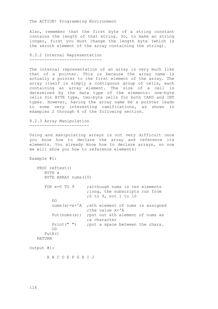Also, remember that the first byte of a string constant contains the length of that string. So, to make an string longer, first you must change the length byte (which is the zeroth element of the array containing the string).

8.2.2 Internal Representation -----------------------------

The internal representation of an array is very much like that of a pointer. This is because the array name is actually a pointer to the first element of the array. The array itself is simply a contiguous group of cells, each containing an array element. The size of a cell is determined by the data type of the elements: one-byte cells for BYTE type, two-byte cells for both CARD and INT types. However, having the array name be a pointer leads to some very interesting ramifications, as shown in examples 2 through 4 of the following section.

8.2.3 Array Manipulation ------------------------

Using and manipulating arrays is not very difficult once you know how to declare the array and reference its elements. You already know how to declare arrays, so now we will show you how to reference elements:

Example #1:

 PROC reftest() BYTE x BYTE ARRAY nums(10) FOR x=0 TO 9 ; although nums is ten elements ;long, the subscripts run from ;0 to 9, not 1 to 10 DO nums( $x$ )= $x$ +'A ; xth element of nums is assigned ;the value x+'A Put(nums(x)) ; put out xth element of nums as ;a character Print(" ") ; put a space between the chars. OD PutE() RETURN Output #1:

A B C D E F G H I J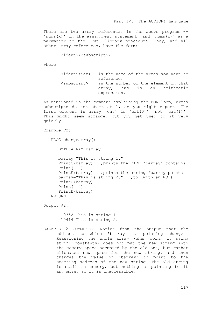There are two array references in the above program --'nums(x)' in the assignment statement, and 'nums(x)' as a parameter to the 'Put' library procedure. They, and all other array references, have the form:

<ident>(<subscript>)

where

 <identifier> is the name of the array you want to reference. <subscript> is the number of the element in that and is an arithmetic expression.

As mentioned in the comment explaining the FOR loop, array subscripts do not start at 1, as you might expect. The first element in array 'cat' is 'cat(0)', not 'cat(1)'. This might seem strange, but you get used to it very quickly.

Example F2:

PROC changearray()

BYTE ARRAY barray

 barray="This is string 1." PrintC(barray) ; prints the CARD 'barray' contains Print(" ") PrintE(barray) ; prints the string 'barray points barray="This is string  $2.'''$  ; to (with an EOL) PrintC(barray) Print(" ") PrintE(barray) **RETURN** 

Output #2:

 10352 This is string 1. 10414 This is string 2.

EXAMPLE 2 COMMENTS: Notice from the output that the address to which 'barray' is pointing changes. Reassigning the whole array (when doing it using string constants) does not put the new string into the memory space occupied by the old one, but rather allocates new space for the new string, and then changes the value of 'barray' to point to the starting address of the new string. The old string is still in memory, but nothing is pointing to it any more, so it is inaccessible.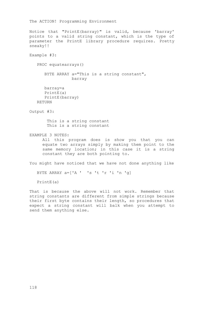```
The ACTION! Programming Environment
Notice that "PrintE(barray)" is valid, because 'barray'
points to a valid string constant, which is the type of
parameter the PrintE library procedure requires. Pretty
sneaky!!
Example #3:
   PROC equatearrays()
       BYTE ARRAY a="This is a string constant", 
                 barray
      barray=a
       PrintE(a)
       PrintE(barray) 
   RETURN
Output #3:
        This is a string constant 
        This is a string constant
EXAMPLE 3 NOTES:
     All this program does is show you that you can
     equate two arrays simply by making them point to the
     same memory location; in this case it is a string
     constant they are both pointing to.
You might have noticed that we have not done anything like
   BYTE ARRAY a=['A ' 's 't 'r 'i 'n 'g] 
   PrintE(a)
That is because the above will not work. Remember that
string constants are different from simple strings because
their first byte contains their length, so procedures that
expect a string constant will balk when you attempt to
send them anything else.
```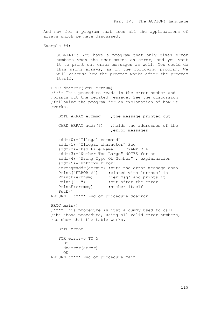And now for a program that uses all the applications of arrays which we have discussed.

Example #4:

SCENARIO: You have a program that only gives error numbers when the user makes an error, and you want it to print out error messages as well. You could do this using arrays, as in the following program. We will discuss how the program works after the program itself.

```
 PROC doerror(BYTE errnum)
 ;**** This procedure reads in the error number and
 ;prints out the related message. See the discussion 
 ;following the program for an explanation of how it 
 ;works.
```
BYTE ARRAY errmsq ; the message printed out CARD ARRAY  $addr(6)$  ; holds the addresses of the ;error messages addr(0)="Illegal command"

```
 addr(1)="Illegal character" See
      addr(2)="Bad File Name" EXAMPLE 4
      addr(3)="Number Too Large" NOTES for an 
      addr(4)="Wrong Type Of Number" , explaination 
      addr(5)="Unknown Error"
      errmsg=addr(errnum) ;puts the error message asso-
 Print("ERROR #") ;ciated with 'errnum' in
PrintB(errnum) ; 'errmsg' and prints it
Print(": ") ; yout after the error
     PrintE(errmsg) ;number itself
     PutER()
```
RETURN ; \*\*\*\* End of procedure doerror

```
 PROC main()
 ;**** This procedure is just a dummy used to call
; the above procedure, using all valid error numbers,
 ;to show that the table works.
```

```
 BYTE error
    FOR error=0 TO 5
      DO 
      doerror(error)
      OD
 RETURN ;**** End of procedure main
```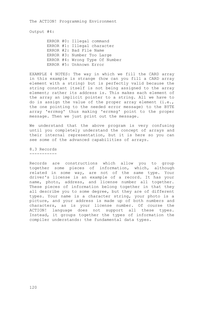Output #4:

 ERROR #0: Illegal command ERROR #1: Illegal character ERROR #2: Bad File Name ERROR #3: Number Too Large ERROR #4: Wrong Type Of Number ERROR #5: Unknown Error

EXAMPLE 4 NOTES: The way in which we fill the CARD array in this example is strange (how can you fill a CARD array element with a string) but is perfectly valid because the string constant itself is not being assigned to the array element; rather its address is. This makes each element of the array an implicit pointer to a string. All we have to do is assign the value of the proper array element (i.e., the one pointing to the needed error message) to the BYTE array 'errmsg' thus making 'errmsg' point to the proper message. Then we just print out the message.

We understand that the above program is very confusing until you completely understand the concept of arrays and their internal representation, but it is here so you can see some of the advanced capabilities of arrays.

8.3 Records -----------

Records are constructions which allow you to group together some pieces of information, which, although related in some way, are not of the same type. Your driver's license is an example of a record. It has your name, photo, address, and license number all together. These pieces of information belong together in that they all describe you to some degree, but they are of different types. Your name is a character string, your photo is a picture, and your address is made up of both numbers and characters, as is your license number. Of course the ACTION! language does not support all these types. Instead, it groups together the types of information the compiler understands: the fundamental data types.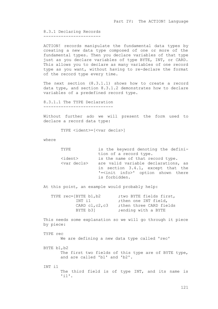8.3.1 Declaring Records -----------------------

ACTION! records manipulate the fundamental data types by creating a new data type composed of one or more of the fundamental types. Then you declare variables of that type just as you declare variables of type BYTE, INT, or CARD. This allows you to declare as many variables of one record type as you want, without having to re-declare the format of the record type every time.

The next section (8.3.1.1) shows how to create a record data type, and section 8.3.1.2 demonstrates how to declare variables of a predefined record type.

8.3.1.1 The TYPE Declaration ----------------------------

Without further ado we will present the form used to declare a record data type:

TYPE <ident>=[<var decls>]

where

| TYPE.                | is the keyword denoting the defini-          |
|----------------------|----------------------------------------------|
|                      | tion of a record type.                       |
| $\texttt{'ident>}$   | is the name of that record type.             |
| <var decls=""></var> | are valid variable declarations, as          |
|                      | in section 3.4.1, except that the            |
|                      | '= <init info="">' option shown there</init> |
|                      | is forbidden.                                |

At this point, an example would probably help:

| TYPE rec=[BYTE b1, b2 | ; two BYTE fields first, |
|-----------------------|--------------------------|
| TNT il                | then one INT field,      |
| CARD $cl, c2, c3$     | then three CARD fields   |
| BYTE b31              | ending with a BYTE       |

This needs some explanation so we will go through it piece by piece:

TYPE rec We are defining a new data type called 'rec'

BYTE b1,b2 The first two fields of this type are of BYTE type, and are called 'bl' and 'b2'.

INT i1 The third field is of type INT, and its name is 'i1'.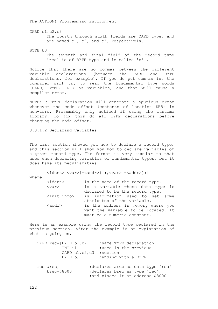CARD c1,c2,c3 The fourth through sixth fields are CARD type, and are named c1, c2, and c3, respectively.

BYTE b3

The seventh and final field of the record type 'rec' is of BYTE type and is called 'b3'.

Notice that there are no commas between the different variable declarations (between the CARD and BYTE declarations, for example). If you do put commas in, the compiler will try to read the fundamental type words (CARD, BYTE, INT) as variables, and that will cause a compiler error.

NOTE: a TYPE declaration will generate a spurious error whenever the code offset (contents of location \$B5) is non-zero. Presumably only noticed if using the runtime library. To fix this do all TYPE declarations before changing the code offset.

8.3.1.2 Declaring Variables ---------------------------

The last section showed you how to declare a record type, and this section will show you how to declare variables of a given record type. The format is very similar to that used when declaring variables of fundamental types, but it does have its peculiarities:

<ident> <var>{=<addr>}|:,<var>{=<addr>}:|

where

| $<$ ident $>$         | is the name of the record type.     |
|-----------------------|-------------------------------------|
| $<$ var $>$           | is a variable whose data type is    |
|                       | declared to be the record type.     |
| <init info=""></init> | is information used to set some     |
|                       | attributes of the variable.         |
| $<$ addr $>$          | is the address in memory where you  |
|                       | want the variable to be located. It |
|                       | must be a numeric constant.         |

Here is an example using the record type declared in the previous section. After the example is an explanation of what is going on.

| TYPE rec=[BYTE b1, b2 | ; same TYPE declaration           |
|-----------------------|-----------------------------------|
| TNT i1                | ; used in the previous            |
| CARD $c1, c2, c3$     | ; section                         |
| BYTE bl               | ; ending with a BYTE              |
|                       |                                   |
| rec arec,             | declares arec as data type 'rec', |
| $brec = $8000$        | ; declares brec as type 'rec',    |
|                       | ; and places it at address \$8000 |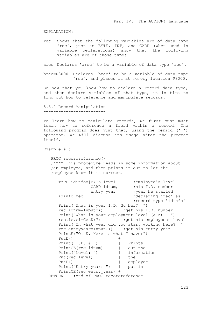EXPLANATION:

rec Shows that the following variables are of data type 'rec', just as BYTE, INT, and CARD (when used in variable declarations) show that the following variables are of those types.

arec Declares 'arec' to be a variable of data type 'rec'.

brec=\$8000 Declares 'brec' to be a variable of data type 'rec', and places it at memory location \$8000.

So now that you know how to declare a record data type, and then declare variables of that type, it is time to find out how to reference and manipulate records.

8.3.2 Record Manipulation -------------------------

To learn how to manipulate records, we first must must learn how to reference a field within a record. The following program does just that, using the period ('.') operator. We will discuss its usage after the program itself.

Example #1:

 PROC recordreference() ;\*\*\*\* This procedure reads in some information about ;an employee, and then prints it out to let the ;employee know it is correct.

| TYPE idinfo=[BYTE level                     | ;employee's level                                   |
|---------------------------------------------|-----------------------------------------------------|
|                                             | CARD idnum, ;his I.D. number                        |
|                                             | entry year] ; year he started                       |
| idinfo rec                                  | ;declaring 'rec' as                                 |
|                                             | record type 'idinfo',                               |
| Print ("What is your I.D. Number? ")        |                                                     |
|                                             | rec.idnum=InputC() (a) ; get his I.D. number        |
|                                             | Print ("What is your employment level $(A-Z)$ ? ")  |
|                                             | rec.level=GetD(7) ; get his employment level        |
|                                             | Print ("In what year did you start working here? ") |
| rec.entryyear=InputC() ; get his entry year |                                                     |
| PrintE("O. K. Here is what I have:")        |                                                     |
| PutE()                                      |                                                     |
| Print("I.D. # "')                           | Prints                                              |
| PrintCE (rec.idnum)                         | out the                                             |
| Print ("Level: ")   information             |                                                     |
| Put (rec.level)                             | the                                                 |
| PutE()                                      | employee                                            |
| Print ("Entry year: ")   put in             |                                                     |
| PrintCE(rec.entry year) +                   |                                                     |
| RETURN ; end of PROC recordreference        |                                                     |

 $123$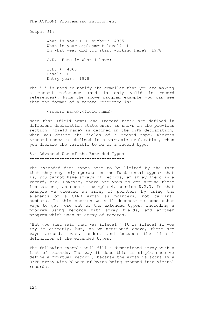Output #1:

What is your I.D. Number? 4365 What is your employment level? L In what year did you start working here? 1978 O.K. Here is what I have: I.D. # 4365 Level: L Entry year: 1978

The '.' is used to notify the compiler that you are making a record reference (and is only valid in record references). From the above program example you can see that the format of a record reference is:

<record name>.<field name>

Note that <field name> and <record name> are defined in different declaration statements, as shown in the previous section. <field name> is defined in the TYPE declaration, when you define the fields of a record type, whereas <record name> is defined in a variable declaration, when you declare the variable to be of a record type.

8.4 Advanced Use of the Extended Types --------------------------------------

The extended data types seem to be limited by the fact that they may only operate on the fundamental types; that is, you cannot have arrays of records, an array field in a record, etc. However, there are ways to get around these limitations, as seen in example 4, section 8.2.3. In that example we created an array of pointers by using the elements of a CARD array as pointers, not cardinal numbers. In this section we will demonstrate some other ways to get more out of the extended types, including a program using records with array fields, and another program which uses an array of records.

"But you just said that was illegal." It is illegal if you try it directly, but, as we mentioned above, there are ways around, over, under, and between the literal definition of the extended types.

The following example will fill a dimensioned array with a list of records. The way it does this is simple once we define a "virtual record", because the array is actually a BYTE array with blocks of bytes being grouped into virtual records.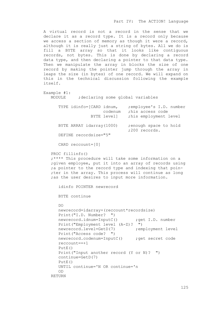A virtual record is not a record in the sense that we declare it as a record type. It is a record only because we access a section of memory as though it were a record, although it is really just a string of bytes. All we do is fill a BYTE array so that it looks like contiguous records, not bytes. This is done by declaring a record data type, and then declaring a pointer to that data type. Then we manipulate the array in blocks the size of one record by making the pointer jump through the array in leaps the size (in bytes) of one record. We will expand on this in the technical discussion following the example itself.

Example #1:

MODULE ;declaring some global variables

| TYPE idinfo=[CARD idnum,<br>codenum<br>BYTE level] | ;employee's I.D. number<br>this access code<br>; his employment level |
|----------------------------------------------------|-----------------------------------------------------------------------|
| BYTE ARRAY idarray (1000)                          | ; enough space to hold<br>;200 records.                               |
| DEFINE recordsize="5"                              |                                                                       |

CARD reccount=[0]

```
 PROC fillinfo()
```
 ;\*\*\*\* This procedure will take some information on a ; given employee, put it into an array of records using ;a pointer to the record type and indexing that poin- ; ter in the array. This process will continue as long ;as the user desires to input more information.

idinfo POINTER newrecord

BYTE continue

```
D<sub>O</sub> newrecord=idarray+(reccount*recordsize) 
   Print("I.D. Number? ")
  newrecord.idnum=InputC() ;get I.D. number
    Print("Employment level (A-Z)? ") 
  newrecord.level=GetD(7) ; employment level
   Print("Access code? ")
  newrecord.codenum=InputC() ;get secret code
    reccount==+1
    PutE()
   Print("Input another record (Y or N)? ") 
   continue=GetD(7)
    PutE()
   UNTIL continue='N OR continue='n
   OD
 RETURN
```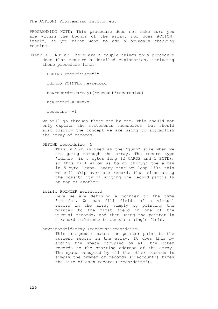PROGRAMMING NOTE: This procedure does not make sure you are within the bounds of the array, nor does ACTION! itself, so you might want to add a boundary checking routine.

EXAMPLE 1 NOTES: There are a couple things this procedure does that require a detailed explanation, including these procedure lines:

DEFINE recordsize="5"

idinfo POINTER newrecord

newrecord=idarray+(reccount\*recordsize)

newrecord.XXX=xxx

reccount==+1

we will go through these one by one. This should not only explain the statements themselves, but should also clarify the concept we are using to accomplish the array of records.

# DEFINE recordsize="5"

This DEFINE is used as the "jump" size when we are going through the array. The record type 'idinfo' is 5 bytes long (2 CARDS and 1 BYTE), so this will allow us to go through the array in 5-byte leaps. Every time we leap like this we will skip over one record, thus eliminating the possibility of writing one record partially on top of another.

# idinfo POINTER newrecord

Here we are defining a pointer to the type 'idinfo'. We can fill fields of a virtual record in the array simply by pointing the pointer to the first field in one of the virtual records, and then using the pointer in a record reference to access a single field.

### newrecord=idarray+(reccount\*recordsize)

This assignment makes the pointer point to the current record in the array. It does this by adding the space occupied by all the other records to the starting address of the array. The space occupied by all the other records is simply the number of records ('reccount') times the size of each record ('recordsize').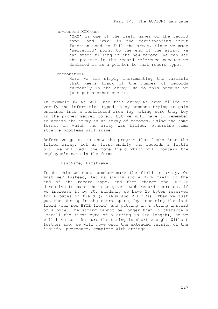## newrecord.XXX=xxx

'XXX' is one of the field names of the record type, and 'xxx' is the corresponding input function used to fill the array. Since we made 'newrecord' point to the end of the array, we can start filling in the new record. We can use the pointer in the record reference because we declared it as a pointer to that record type.

#### reccount==+1

Here we are simply incrementing the variable that keeps track of the number of records currently in the array. We do this because we just put another one in.

In example #4 we will use this array we have filled to verify the information typed in by someone trying to gain entrance into a restricted area (by making sure they key in the proper secret code), but we will have to remember to access the array as an array of records, using the same format in which the array was filled, otherwise some strange problems will arise.

Before we go on to show the program that looks into the filled array, let us first modify the records a little bit. We will add one more field which will contain the employee's name in the form:

# LastName, FirstName

To do this we must somehow make the field an array. Or must we? Instead, let us simply add a BYTE field to the end of the record type, and then change the DEFINE directive to make the size given each record increase. If we increase it by 20, suddenly we have 25 bytes reserved for 6 bytes of field (2 CARDs and 2 BYTEs). Then we just put the string in the extra space, by accessing the last field (our new BYTE field) and putting in a string instead of a byte. The string cannot be longer than 19 characters (recall the first byte of a string is its length), so we will have to make sure the string is short enough. Without further ado, we will move onto the extended version of the 'idinfo' procedure, complete with strings.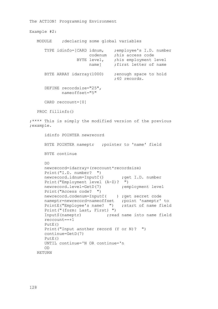The ACTION! Programming Environment Example #2: MODULE ;declaring some global variables TYPE idinfo=[CARD idnum, ;employee's I.D. number codenum ;his access code BYTE level, ; his employment level name] ; first letter of name BYTE ARRAY idarray(1000) ; enough space to hold ;40 records. DEFINE recordsize="25", nameoffset="5" CARD reccount=[0] PROC fillinfo() ;\*\*\*\* This is simply the modified version of the previous ;example. idinfo POINTER newrecord BYTE POINTER nameptr ;pointer to 'name' field BYTE continue DO newrecord=idarray+(reccount\*recordsize) Print("I.D. number? ") newrecord.idnum=InputC() ;get I.D. number Print("Employment level (A-Z)? ") newrecord.level=GetD(7) ; employment level Print("Access code? ") newrecord.codenum=InputC( ) ;get secret code nameptr=newrecord+nameoffset ;point 'nameptr' to PrintE("Employee's name? ") ; start of name field Print("(form: Last, First) ") InputS(nameptr) ; read name into name field reccount==+1 PutE() Print("Input another record (Y or N)? ") continue=GetD(7) PutE() UNTIL continue='N OR continue='n OD RETURN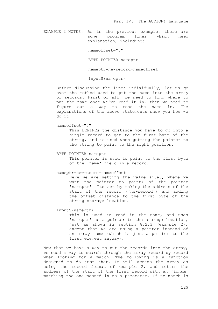EXAMPLE 2 NOTES: As in the previous example, there are some program lines which need explanation, including:

nameoffset="5"

BYTE POINTER nameptr

nameptr=newrecord+nameoffset

InputS(nameptr)

Before discussing the lines individually, let us go over the method used to put the name into the array of records. First of all, we need to find where to put the name once we've read it in, then we need to figure out a way to read the name in. The explanations of the above statements show you how we do it:

nameoffset="5"

This DEFINEs the distance you have to go into a single record to get to the first byte of the string, and is used when getting the pointer to the string to point to the right position.

BYTE POINTER nameptr

This pointer is used to point to the first byte of the 'name' field in a record.

nameptr=newrecord+nameoffset

Here we are setting the value (i.e., where we want the pointer to point) of the pointer 'nameptr'. Its set by taking the address of the start of the record ('newrecord') and adding the offset distance to the first byte of the string storage location.

InputS(nameptr)

This is used to read in the name, and uses 'nameptr' as a pointer to the storage location, just as shown in section 8.2.3 (example 2), except that we are using a pointer instead of an array name (which is just a pointer to the first element anyway).

Now that we have a way to put the records into the array, we need a way to search through the array record by record when looking for a match. The following is a function designed to do just that. It will access the array as using the record format of example 2, and return the address of the start of the first record with an 'idnum' matching the one passed in as a parameter. If no match is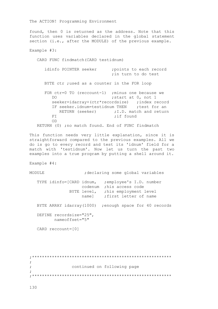The ACTION! Programming Environment found, then 0 is returned as the address. Note that this function uses variables declared in the global statement section (i.e., after the MODULE) of the previous example. Example #3: CARD FUNC findmatch(CARD testidnum) idinfo POINTER seeker ; points to each record ;in turn to do test BYTE ctr ; used as a counter in the FOR loop FOR ctr=0 TO (reccount-1) ; minus one because we DO ; start at 0, not 1 seeker=idarray+(ctr\*recordsize) ; index record IF seeker.idnum=testidnum THEN ; test for an RETURN (seeker) ; I.D. match and return FI ; if found  $\cap$  RETURN (0) ;no match found. End of FUNC findmatch This function needs very little explanation, since it is straightforward compared to the previous examples. All we do is go to every record and test its 'idnum' field for a match with 'testidnum'. Now let us turn the past two examples into a true program by putting a shell around it.

Example #4:

MODULE ; declaring some global variables TYPE idinfo=[CARD idnum, ;employee's I.D. number codenum ;his access code BYTE level, ; his employment level name] ; first letter of name BYTE ARRAY idarray(1000) ; enough space for 40 records DEFINE recordsize="25", nameoffset="5" CARD reccount=[0] ;\*\*\*\*\*\*\*\*\*\*\*\*\*\*\*\*\*\*\*\*\*\*\*\*\*\*\*\*\*\*\*\*\*\*\*\*\*\*\*\*\*\*\*\*\*\*\*\*\*\*\*\*\*\*\*\* ; ; continued on following page ;

;\*\*\*\*\*\*\*\*\*\*\*\*\*\*\*\*\*\*\*\*\*\*\*\*\*\*\*\*\*\*\*\*\*\*\*\*\*\*\*\*\*\*\*\*\*\*\*\*\*\*\*\*\*\*\*\*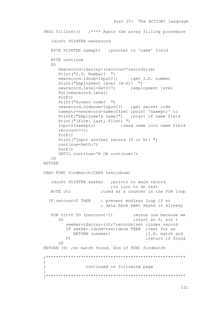```
PROC fillinfo() ;**** Again the array filling procedure
    idinfo POINTER newrecord
   BYTE POINTER nameptr ;pointer to 'name' field
   BYTE continue
   DO
      newrecord=idarray+(reccount*recordsize)
      Print("I.D. Number? ")
     newrecord.idnum=InputC() ;get I.D. number
      Print("Employment level (A-Z)? ") 
     newrecord.level=GetD(7) ; employment level
      Put(newrecord.level)
      PutE()
      Print("Access code? ")
     newrecord.codenum=InputC() ; get secret code
      nameptr=newrecord+nameoffset ;point 'nameptr' to 
     PrintE("Employee's name?") ; start of name field
      Print("(form: Last, First) ")
     InputS(nameptr) ; read name into name field
      reccount==+1
      PutE()
      Print("Input another record (Y or N)? ") 
      continue=GetD(7)
     PutER() UNTIL continue='N OR continue='n
    OD
RETURN
CARD FUNC findmatch(CARD testidnum)
  idinfo POINTER seeker ; points to each record
                          ;in turn to do test
  BYTE ctr ;used as a counter in the FOR loop
  IF reccoun>0 THEN ; prevent endless loop if no 
                       ; data have been keyed in already
  FOR ctr=0 TO (reccount-1) ; minus one because we
     DO ; start at 0, not 1 seeker=idarray+(ctr*recordsize) ;index record 
        IF seeker.idnum=testidnum THEN ; test for an
           RETURN (seeker) \qquad \qquad ;I.D. match and
        FI ; return if found
      OD
RETURN (0) ; no match found. End of FUNC findmatch
;********************************************************
;
; continued on following page
;
;********************************************************
```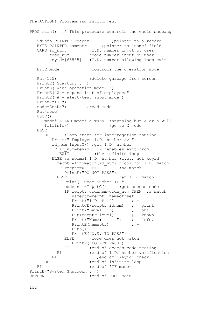The ACTION! Programming Environment PROC main()  $:$  \* This procedure controls the whole shebang idinfo POINTER recptr (inter to a record BYTE POINTER nameptr (pointer to 'name' field CARD id\_num,  $\qquad \qquad$  ; I.D. number input by user code num, ; code number input by user keyid=[65535] ;I.D. number allowing loop exit BYTE mode  $\qquad \qquad ;$  controls the operation mode Put(125) ;delete garbage from screen PrintE("Startup....") PrintE("What operation mode? ") PrintE("X = expand list of employees") PrintE("A = alert/test input mode")  $Print(''>'')$ mode=GetD(7) ; read mode Put(mode) PutE() IF mode#'A AND mode#'a THEN ;anything but A or a will fillinfo()  $:q_0$  to X mode ELSE DO ; loop start for interrogation routine Print(" Employee I;D. number >> ") id\_num=InputC() ;get I.D. number IF id\_num=keyid THEN ;enables exit from<br>EXTT :the infinite loop ; the infinite loop ELSE ;a normal I.D. number (i.e., not keyid) recptr=findmatch(id\_num) ;look for I.D. match IF recptr=0 THEN ; no match PrintE("DO NOT PASS") ELSE ; an I.D. match Print(" Code Number >> ") code num=InputC() ;get access code IF recptr.codenum=code num THEN ;a match nameptr=recptr+nameoffset  $Print("I.D. # ")$  ; + PrintCE(recptr.idnum) ; | print Print("Level: ") ; | out Put(recptr.level) ; | known Print("Name: ") ; | info. PrintE(nameptr) ; + PutE() PrintE("O.K. TO PASS") ELSE ; code does not match PrintE("DO NOT PASS") FI ; end of access code testing FI ;end of I.D. number verification FI ;end of 'keyid' check OD ;end of infinite loop FI ;end of 'IF mode= PrintE("System Shutdown...")<br>RETURN :end ; end of PROC main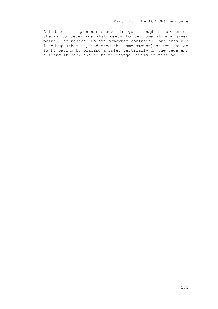All the main procedure does is go through a series of checks to determine what needs to be done at any given point. The nested IFs are somewhat confusing, but they are lined up (that is, indented the same amount) so you can do IF-FI paring by placing a ruler vertically on the page and sliding it back and forth to change levels of nesting.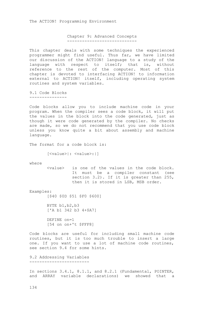Chapter 9: Advanced Concepts ----------------------------

This chapter deals with some techniques the experienced programmer might find useful. Thus far, we have limited our discussion of the ACTION! language to a study of the language with respect to itself; that is, without reference to the rest of the computer. Most of this chapter is devoted to interfacing ACTION! to information external to ACTION! itself, including operating system routines and system variables.

9.1 Code Blocks ---------------

Code blocks allow you to include machine code in your program. When the compiler sees a code block, it will put the values in the block into the code generated, just as though it were code generated by the compiler. No checks are made, so we do not recommend that you use code block unless you know quite a bit about assembly and machine language.

The format for a code block is:

[<value>|: <value>:|]

where

 <value> is one of the values in the code block. It must be a compiler constant (see section 3.2). If it is greater than 255, then it is stored in LSB, MSB order.

Examples:

[\$40 \$0D \$51 \$F0 \$600]

 BYTE b1,b2,b3 ['A b1 342 b3 4+\$A7]

 DEFINE on=1 [54 on on+'t \$FFF8]

Code blocks are useful for including small machine code routines, but it is too much trouble to insert a large one. If you want to use a lot of machine code routines, see section 9.4 for some hints.

9.2 Addressing Variables ------------------------

In sections 3.4.1, 8.1.1, and 8.2.1 (Fundamental, POINTER, and ARRAY variable declarations) we showed that a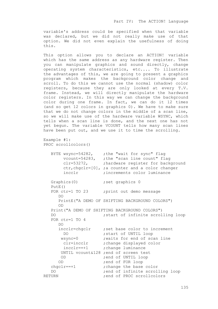variable's address could be specified when that variable was declared, but we did not really make use of that option. We did not even explain the usefulness of doing this.

This option allows you to declare an ACTION! variable which has the same address as any hardware register. Then you can manipulate graphics and sound directly, change operating system characteristics, etc.... To illustrate the advantages of this, we are going to present a graphics program which makes the background color change and scroll. To do this we cannot use the normal (shadow) color registers, because they are only looked at every T.V. frame. Instead, we will directly manipulate the hardware color registers. In this way we can change the background color during one frame. In fact, we can do it 12 times (and so get 12 colors in graphics 0). We have to make sure that we do not change colors in the middle of a scan line, so we will make use of the hardware variable WSYNC, which tells when a scan line is done, and the next one has not yet begun. The variable VCOUNT tells how many scan lines have been put out, and we use it to time the scrolling.

```
Example #1:
PROC scrollcolors()
```
BYTE wsync=54282, ;the "wait for sync" flag vcount=54283, ;the "scan line count" flag clr=53272, ;hardware register for background ctr,chgclr=[0], ;a counter and a color changer incclr : increments color luminance Graphics(0) ; set graphics 0 PutE() FOR ctr=1 TO 23 ; print out demo message  $D<sub>O</sub>$  PrintE("A DEMO OF SHIFTING BACKGROUND COLORS")  $\cap$  Print("A DEMO OF SHIFTING BACKGROUND COLORS") DO **b** ; start of infinite scrolling loop FOR ctr=1 TO 4 DO incclr=chgclr ; set base color to increment DO **;**start of UNTIL loop wsync=0 ;waits for end of scan line clr=incclr ;change displayed color incclr==+1 ;change luminance UNTIL vcount&128 ;end of screen test OD **;**end of UNTIL loop OD **;end of FOR loop**  chgclr==+1 ;change the base color DO **12** and of infinite scrolling loop RETURN **FROC** scrollcolors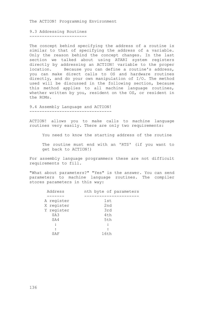9.3 Addressing Routines -----------------------

The concept behind specifying the address of a routine is similar to that of specifying the address of a variable. Only the reason behind the concept changes. In the last section we talked about using ATARI system registers directly by addressing an ACTION! variable to the proper location. Because you can define a routine's address, you can make direct calls to OS and hardware routines directly, and do your own manipulation of I/O. The method used will be discussed in the following section, because this method applies to all machine language routines, whether written by you, resident on the OS, or resident in the ROMs.

9.4 Assembly Language and ACTION! ---------------------------------

ACTION! allows you to make calls to machine language routines very easily. There are only two requirements:

You need to know the starting address of the routine

The routine must end with an 'RTS' (if you want to get back to ACTION!)

For assembly language programmers these are not difficult requirements to fill.

"What about parameters?" "Yes" is the answer. You can send parameters to machine language routines. The compiler stores parameters in this way:

| Address    | nth byte of parameters |
|------------|------------------------|
| A register | 1st                    |
| X register | 2nd                    |
| Y register | 3rd                    |
| \$A3       | 4th                    |
| \$A4       | 5th                    |
|            |                        |
| SAF        | 16th                   |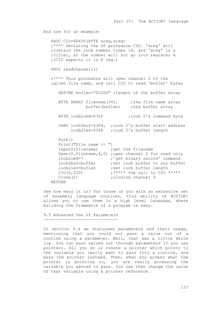```
And now for an example:
   PROC CIO=$E456(BYTE areg, xreg)
    ;**** Declaring the OS procedure CIO. 'xreg' will
    ;contain the iocb number times 16, and 'areg' is a 
    ;filler, so the number will not go into register A 
    ;(CIO expects it in X reg.)
   PROC readchannel2()
    ;**** This procedure will open channel 2 to the 
    ;given file name, and call CIO to read 'buflen' bytes
      DEFINE buflen="$2000" ;length of the buffer array
BYTE ARRAY filename(30), bthe file name array
buffer(buflen) ; the buffer array
     BYTE iocb2cmd=$362 ;iocb 2's command byte
      CARD iocb2buf=$364, ;iocb 2's buffer start address
           iocb2len=$368 ;iocb 2's buffer length
     PutE() Print("File name >> ")
      InputS(filename) ;get the filename
      Open(2,filename,4,0) ;open channel 2 for read only 
 iocb2cmd=7 ;'get binary record' command 
iocb2buf=buffer ;set iocb buffer to our buffer
iocb2len=buflen  ;set iocb buffer length
CIO(0, $20) ; **** the call to CIO ****Close(2) ; closing channel 2
   RETURN
```
See how easy it is? For those of you with an extensive set of assembly language routines, this ability of ACTION! allows you to use them in a high level language, where building the framework of a program is easy.

9.5 Advanced Use of Parameters ------------------------------

In section 6.4 we discussed parameters and their usage, mentioning that you could not pass a value out of a routine using a parameter. Well, that was a little white lie. You can pass values out through parameters if you use pointers. All you do is create a pointer which points to the variable you really want to pass into a routine, and pass the pointer instead. Then, when you access what the pointer is pointing to, you are really accessing the variable you wanted to pass. You can then change the value of that variable using a pointer reference.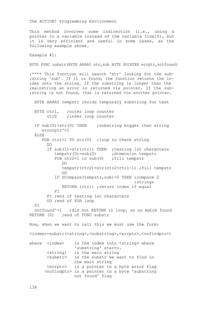This method involves some indirection (i.e., using a pointer to a variable instead of the variable itself), but it is very efficient and useful in some cases, as the following example shows.

Example #1:

BYTE FUNC substr(BYTE ARRAY str,sub BYTE POINTER errptr,notfound)

;\*\*\*\* This function will search 'str' looking for the sub- ;string 'sub'. If it is found, the function returns the in- ;dex onto the string. If the substring is longer than the ;mainstring an error is returned via pointer. If the sub- ;string is not found, that is returned via another pointer.

 BYTE ARRAY tempstr ;holds temporary substring for test BYTE ctr1, ;outer loop counter ctr2 ;inner loop counter IF  $sub(0)>str(0)$  THEN ; substring bigger than string errorptr^=1 ELSE FOR ctr1=1 TO str(0) ; loop to check string DO IF  $sub(1) = str(ctr1)$  THEN ; testing 1st characters  $tempstr(0)=sub(0)$  ; dimension tempstr FOR ctr2=1 to sub(0) ; fill tempstr DO tempstr(ctr2)=str(ctr2+ctr1-1) ;fill tempstr OD IF SCompare(tempstr,sub)=0 THEN ;compare 2 ;strings RETURN (ctrl) ; return index if equal FT. FI ;end of testing 1st characters OD ;end of FOR loop FI notfound^=1 ;did not RETURN in loop, so no match found RETURN (0) ; end of FUNC substr Now, when we want to call this we must use the form: <index>=substr(<string>,<substring>,<errptr>,<nofindptr>) where <index> is the index into <string> where 'substring' starts. <string) is the main string <subetr> is the substr we want to find in the main string <errptr> is a pointer to a byte error flag <nofindptr> is a pointer to a byte 'substring not found' flag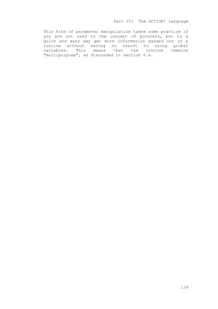This kind of parameter manipulation takes some practice if you are not used to the concept of pointers, but is a quick and easy way get more information passed out of a routine without having to resort to using global variables. This means that the routine remains "multipurpose", as discussed in section 6.4.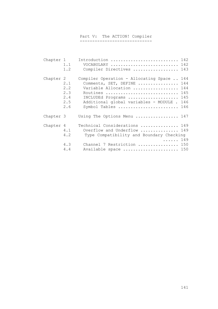# Part V: The ACTION! Compiler -----------------------------

| Chapter 1 | 1.1<br>1.2                             | Introduction  142<br>VOCABULARY  142<br>Compiler Directives  143                                                                                                                                |                          |
|-----------|----------------------------------------|-------------------------------------------------------------------------------------------------------------------------------------------------------------------------------------------------|--------------------------|
| Chapter 2 | 2.1<br>2.2<br>2.3<br>2.4<br>2.5<br>2.6 | Compiler Operation - Allocating Space  144<br>Comments, SET, DEFINE<br>Variable Allocation  144<br>Routines  145<br>INCLUDEd Programs<br>Additional global variables - MODULE.<br>Symbol Tables | 144<br>145<br>146<br>146 |
| Chapter 3 |                                        | Using The Options Menu  147                                                                                                                                                                     |                          |
| Chapter 4 | 4.1<br>4.2                             | Technical Considerations  149<br>Overflow and Underflow  149<br>Type Compatibility and Boundary Checking<br>$\ldots \ldots 149$                                                                 |                          |
|           | 4.3<br>4.4                             | Channel 7 Restriction  150<br>Available space  150                                                                                                                                              |                          |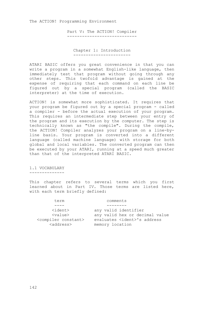Part V: The ACTION! Compiler ----------------------------

Chapter 1: Introduction -----------------------

ATARI BASIC offers you great convenience in that you can write a program in a somewhat English-like language, then immediately test that program without going through any other steps. This twofold advantage is gained at the expense of requiring that each command on each line be figured out by a special program (called the BASIC interpreter) at the time of execution.

ACTION! is somewhat more sophisticated. It requires that your program be figured out by a special program - called a compiler - before the actual execution of your program. This requires an intermediate step between your entry of the program and its execution by the computer. The step is technically known as "the compile". During the compile, the ACTION! Compiler analyzes your program on a line-byline basis. Your program is converted into a different language (called machine language) with storage for both global and local variables. The converted program can then be executed by your ATARI, running at a speed much greater than that of the interpreted ATARI BASIC.

1.1 VOCABULARY --------------

This chapter refers to several terms which you first learned about in Part IV. Those terms are listed here, with each term briefly defined:

| term                              | comments                            |
|-----------------------------------|-------------------------------------|
|                                   |                                     |
| <ident></ident>                   | any valid identifier                |
| $<$ value $>$                     | any valid hex or decimal value      |
| <compiler constant=""></compiler> | evaluates <ident>'s address</ident> |
| <address></address>               | memory location                     |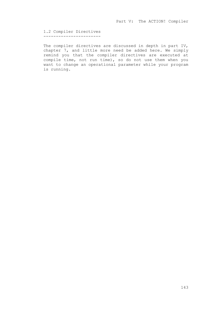1.2 Compiler Directives -----------------------

The compiler directives are discussed in depth in part IV, chapter 7, and little more need be added here. We simply remind you that the compiler directives are executed at compile time, not run time), so do not use them when you want to change an operational parameter while your program is running.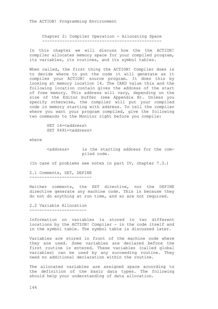Chapter 2: Compiler Operation - Allocating Space ------------------------------------------------

In this chapter we will discuss how the the ACTION! compiler allocates memory space for your compiled program, its variables, its routines, and its symbol tables.

When called, the first thing the ACTION! Compiler does is to decide where to put the code it will generate as it compiles your ACTION! source program. It does this by looking at memory location 14. The CARD value this and the following location contain gives the address of the start of free memory. This address will vary, depending on the size of the Editor buffer (see Appendix B). Unless you specify otherwise, the compiler will put your compiled code in memory starting with address. To tell the compiler where you want your program compiled, give the following two commands to the Monitor right before you compile:

> SET 14=<address> SET \$491=<address>

where

 <address> is the starting address for the compiled code.

(In case of problems see notes in part IV, chapter 7.3.)

2.1 Comments, SET, DEFINE -------------------------

Neither comments, the SET directive, nor the DEFINE directive generate any machine code. This is because they do not do anything at run time, and so are not required.

2.2 Variable Allocation -----------------------

Information on variables is stored in two different locations by the ACTION! Compiler - in the code itself and in the symbol table. The symbol table is discussed later.

Variables are stored in front of the machine code where they are used. Some variables are declared before the first routine is entered. These variables (called global variables) can be used by any succeeding routine. They need no additional declaration within the routine.

The allocated variables are assigned space according to the definition of the basic data types. The following should help your understanding of data allocation.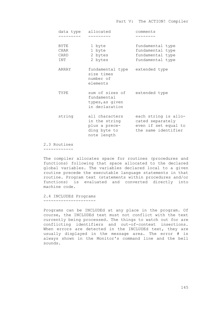|                             | data type allocated                                                             | comments                                                                                |
|-----------------------------|---------------------------------------------------------------------------------|-----------------------------------------------------------------------------------------|
| BYTE<br>CHAR<br>CARD<br>TNT | 1 byte<br>1 byte<br>2 bytes<br>2 bytes                                          | fundamental type<br>fundamental type<br>fundamental type<br>fundamental type            |
| ARRAY                       | fundamental type extended type<br>size times<br>number of<br>elements           |                                                                                         |
| TYPE                        | sum of sizes of<br>fundamental<br>types, as given<br>in declaration             | extended type                                                                           |
| string                      | all characters<br>in the string<br>plus a prece-<br>ding byte to<br>note length | each string is allo-<br>cated separately<br>even if set equal to<br>the same identifier |

2.3 Routines ------------

The compiler allocates space for routines (procedures and functions) following that space allocated to the declared global variables. The variables declared local to a given routine precede the executable language statements in that routine. Program text (statements within procedures and/or functions) is evaluated and converted directly into machine code.

2.4 INCLUDEd Programs ---------------------

Programs can be INCLUDEd at any place in the program. Of course, the INCLUDEd text must not conflict with the text currently being processed. The things to watch out for are conflicting identifiers and out-of-context insertions. When errors are detected in the INCLUDEd text, they are usually displayed in the message area. The error # is always shown in the Monitor's command line and the bell sounds.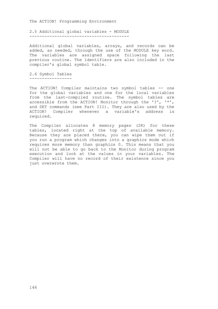2.5 Additional global variables - MODULE ----------------------------------------

Additional global variables, arrays, and records can be added, as needed, through the use of the MODULE key word. The variables are assigned space following the last previous routine. The identifiers are also included in the compiler's global symbol table.

2.6 Symbol Tables -----------------

The ACTION! Compiler maintains two symbol tables -- one for the global variables and one for the local variables from the last-compiled routine. The symbol tables are accessible from the ACTION! Monitor through the '?', '\*', and SET commands (see Part III). They are also used by the ACTION! Compiler whenever a variable's address is required.

The Compiler allocates 8 memory pages (2K) for these tables, located right at the top of available memory. Because they are placed there, you can wipe them out if you run a program which changes into a graphics mode which requires more memory than graphics 0. This means that you will not be able to go back to the Monitor during program execution and look at the values in your variables. The Compiler will have no record of their existence since you just overwrote them.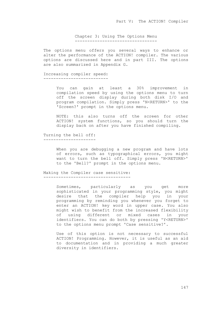Chapter 3: Using The Options Menu ---------------------------------

The options menu offers you several ways to enhance or alter the performance of the ACTION! compiler. The various options are discussed here and in part III. The options are also summarized in Appendix G.

Increasing compiler speed: --------------------------

> You can gain at least a 30% improvement in compilation speed by using the options menu to turn off the screen display during both disk I/O and program compilation. Simply press 'N<RETURN>' to the 'Screen?' prompt in the options menu.

> NOTE: this also turns off the screen for other ACTION! system functions, so you should turn the display back on after you have finished compiling.

Turning the bell off: ---------------------

> When you are debugging a new program and have lots of errors, such as typographical errors, you might want to turn the bell off. Simply press 'N<RETURN>' to the 'Bell?' prompt in the options menu.

Making the Compiler case sensitive: -----------------------------------

> Sometimes, particularly as you get more sophisticated in your programming style, you might desire that the compiler help you in your programming by reminding you whenever you forget to enter an ACTION! key word in upper case. You also might wish to benefit from the increased flexibility of using different or mixed cases in your identifiers. You can do both by pressing 'Y<RETURN>' to the options menu prompt 'Case sensitive?'.

> Use of this option is not necessary to successful ACTION! Programming. However, it is useful as an aid to documentation and in providing a much greater diversity in identifiers.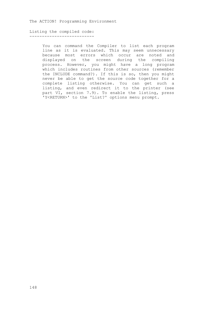#### Listing the compiled code: --------------------------

You can command the Compiler to list each program line as it is evaluated. This may seem unnecessary because most errors which occur are noted and displayed on the screen during the compiling process. However, you might have a long program which includes routines from other sources (remember the INCLUDE command?). If this is so, then you might never be able to get the source code together for a complete listing otherwise. You can get such a listing, and even redirect it to the printer (see part VI, section 7.9). To enable the listing, press 'Y<RETURN>' to the 'List?' options menu prompt.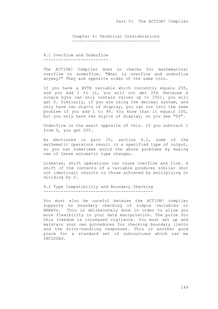Chapter 4: Technical Considerations -----------------------------------

4.1 Overflow and Underflow --------------------------

The ACTION! Compiler does no checks for mathematical overflow or underflow. "What is overflow and underflow anyway?" They are opposite sides of the same coin.

If you have a BYTE variable which currently equals 255, and you add 1 to it, you will not get 256 (because a single byte can only contain values up to 255), you will get 0. Similarly, if you are using the decimal system, and only have two digits of display, you can run into the same problem if you add 1 to 99. You know that it equals 100, but you only have two digits of display, so you see "00".

Underflow is the exact opposite of this. If you subtract 1 from 0, you get 255.

As mentioned in part IV, section 4.2, some of the mathematic operators result in a specified type of output, so you can sometimes avoid the above problems by making use of these automatic type changes.

Likewise, shift operations can cause overflow and flow. A shift of the contents of a variable produces similar (but not identical) results to those achieved by multiplying or dividing by 2.

4.2 Type Compatibility and Boundary Checking --------------------------------------------

You must also be careful because the ACTION! compiler supports no boundary checking of simple variables or ARRAYs. This is deliberately done in order to allow you more flexibility in your data manipulation. The price for this freedom is increased vigilance. You must set up and maintain your own procedures for checking boundary limits and the error-handling responses. This is another good place for a standard set of subroutines which can be INCLUDEd.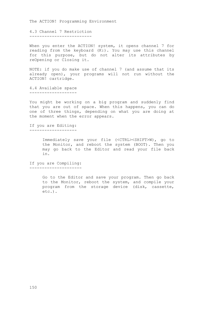4.3 Channel 7 Restriction -------------------------

When you enter the ACTION! system, it opens channel 7 for reading from the keyboard  $(K: )$ . You may use this channel for this purpose, but do not alter its attributes by reOpening or Closing it.

NOTE: if you do make use of channel 7 (and assume that its already open), your programs will not run without the ACTION! cartridge.

4.4 Available space -------------------

You might be working on a big program and suddenly find that you are out of space. When this happens, you can do one of three things, depending on what you are doing at the moment when the error appears.

If you are Editing: -------------------

> Immediately save your file (<CTRL><SHIFT>W), go to the Monitor, and reboot the system (BOOT). Then you may go back to the Editor and read your file back in.

If you are Compiling: ---------------------

> Go to the Editor and save your program. Then go back to the Monitor, reboot the system, and compile your program from the storage device (disk, cassette, etc.).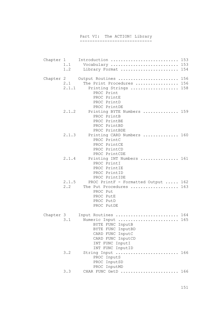# Part VI: The ACTION! Library -----------------------------

| Chapter 1 |       | Introduction  153                   |  |
|-----------|-------|-------------------------------------|--|
|           | 1.1   | Vocabulary  153                     |  |
|           | 1.2   | Library Format  154                 |  |
| Chapter 2 |       | Output Routines  156                |  |
|           | 2.1   | The Print Procedures  156           |  |
|           | 2.1.1 | Printing Strings  158               |  |
|           |       | PROC Print                          |  |
|           |       | PROC PrintE                         |  |
|           |       | PROC PrintD                         |  |
|           |       | PROC PrintDE                        |  |
|           | 2.1.2 | Printing BYTE Numbers  159          |  |
|           |       | PROC PrintB                         |  |
|           |       | PROC PrintBE                        |  |
|           |       | PROC PrintBD                        |  |
|           |       | PROC PrintBDE                       |  |
|           | 2.1.3 | Printing CARD Numbers  160          |  |
|           |       | PROC PrintC                         |  |
|           |       | PROC PrintCE                        |  |
|           |       | PROC PrintCD                        |  |
|           |       | PROC PrintCDE                       |  |
|           | 2.1.4 | Printing INT Numbers  161           |  |
|           |       | PROC PrintI<br>PROC PrintIE         |  |
|           |       | PROC PrintID                        |  |
|           |       | PROC PrintIDE                       |  |
|           | 2.1.5 | PROC PrintF - Formatted Output  162 |  |
|           | 2.2   | The Put Procedures  163             |  |
|           |       | PROC Put                            |  |
|           |       | PROC PutE                           |  |
|           |       | PROC PutD                           |  |
|           |       | PROC PutDE                          |  |
|           |       |                                     |  |
| Chapter 3 |       | Input Routines  164                 |  |
|           | 3.1   | Numeric Input  165                  |  |
|           |       | BYTE FUNC InputB                    |  |
|           |       | BYTE FUNC InputBD                   |  |
|           |       | CARD FUNC InputC                    |  |
|           |       | CARD FUNC InputCD                   |  |
|           |       | INT FUNC InputI                     |  |
|           |       | INT FUNC InputID                    |  |
|           | 3.2   | String Input  166                   |  |
|           |       | PROC InputS                         |  |
|           |       | PROC InputSD                        |  |
|           | 3.3   | PROC InputMD                        |  |
|           |       | CHAR FUNC GetD  166                 |  |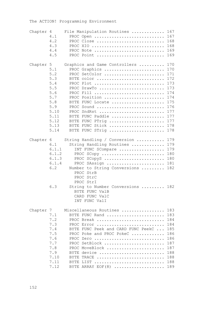| Chapter 4 | 4.1<br>4.2<br>4.3<br>4.4<br>4.5                                                                     | File Manipulation Routines<br>PROC Open<br>PROC Close<br>PROC XIO<br>PROC Note<br>PROC Point                                                                                                                                                                          | 167<br>167<br>168<br>168<br>169<br>169                                                                |
|-----------|-----------------------------------------------------------------------------------------------------|-----------------------------------------------------------------------------------------------------------------------------------------------------------------------------------------------------------------------------------------------------------------------|-------------------------------------------------------------------------------------------------------|
| Chapter 5 | 5.1<br>5.2<br>5.3<br>5.4<br>5.5<br>5.6<br>5.7<br>5.8<br>5.9<br>5.10<br>5.11<br>5.12<br>5.13<br>5.14 | Graphics and Game Controllers<br>PROC Graphics<br>PROC SetColor<br>BYTE color<br>PROC Plot<br>PROC DrawTo<br>PROC Fill<br>PROC Position<br>BYTE FUNC Locate<br>PROC Sound<br>PROC SndRst<br>BYTE FUNC Paddle<br>BYTE FUNC PTrig<br>BYTE FUNC Stick<br>BYTE FUNC STriq | 170<br>170<br>171<br>172<br>173<br>173<br>174<br>174<br>175<br>176<br>177<br>177<br>177<br>178<br>178 |
| Chapter 6 | 6.1<br>6.1.1<br>6.1.2<br>6.1.3<br>6.1.4<br>6.2                                                      | String Handling / Conversion  179<br>String Handling Routines<br>INT FUNC SCompare<br>PROC $SCopy$<br>PROC SCopyS<br>PROC SAssign<br>Number to String Conversions<br>PROC StrB<br>PROC StrC<br>PROC StrI                                                              | 179<br>179<br>180<br>180<br>181<br>182                                                                |
|           | 6.3                                                                                                 | String to Number Conversions<br>BYTE FUNC ValB<br>CARD FUNC ValC<br>INT FUNC ValI                                                                                                                                                                                     | 182                                                                                                   |
| Chapter 7 | 7.1<br>7.2<br>7.3<br>7.4<br>7.5<br>7.6<br>7.7<br>7.8<br>7.9<br>7.10<br>7.11<br>7.12                 | Miscellaneous Routines<br>BYTE FUNC Rand<br>PROC Break<br>PROC Error<br>BYTE FUNC Peek and CARD FUNC PeekC<br>PROC Poke and PROC PokeC<br>PROC Zero<br>PROC SetBlock<br>PROC MoveBlock<br>BYTE device<br>BYTE TRACE<br>BYTE LIST<br>BYTE ARRAY EOF (8)                | 183<br>183<br>184<br>184<br>185<br>186<br>186<br>187<br>187<br>188<br>188<br>188<br>189               |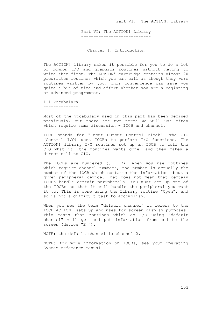Part VI: The ACTION! Library ----------------------------

Chapter 1: Introduction -----------------------

The ACTION! library makes it possible for you to do a lot of common I/O and graphics routines without having to write them first. The ACTION! cartridge contains almost 70 prewritten routines which you can call as though they were routines written by you. This convenience can save you quite a bit of time and effort whether you are a beginning or advanced programmer.

1.1 Vocabulary --------------

Most of the vocabulary used in this part has been defined previously, but there are two terms we will use often which require some discussion - IOCB and channel.

IOCB stands for "Input Output Control Block". The CIO (Central I/O) uses IOCBs to perform I/O functions. The ACTION! library I/O routines set up an IOCB to tell the CIO what it (the routine) wants done, and then makes a direct call to CIO.

The IOCBs are numbered  $(0 - 7)$ . When you use routines which require channel numbers, the number is actually the number of the IOCB which contains the information about a given peripheral device. That does not mean that certain IOCBs handle certain peripherals. You must set up one of the IOCBs so that it will handle the peripheral you want it to. This is done using the Library routine "Open", and so is not a difficult task to accomplish.

When you see the term "default channel" it refers to the IOCB ACTION! sets up and uses for screen display purposes. This means that routines which do I/O using "default channel" will get and put information from and to the screen (device "E:").

NOTE: the default channel is channel 0.

NOTE: for more information on IOCBs, see your Operating System reference manual.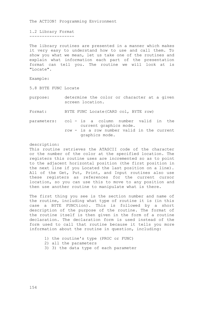1.2 Library Format ------------------

The library routines are presented in a manner which makes it very easy to understand how to use and call them. To show you what we mean, let us take one of the routines and explain what information each part of the presentation format can tell you. The routine we will look at is "Locate".

Example:

5.8 BYTE FUNC Locate

purpose: determine the color or character at a given screen location.

Format: BYTE FUNC Locate (CARD col, BYTE row)

parameters: col - is a column number valid in the current graphics mode. row - is a row number valid in the current graphics mode.

### description:

This routine retrieves the ATASCII code of the character or the number of the color at the specified location. The registers this routine uses are incremented so as to point to the adjacent horizontal position (the first position in the next line if you Located the last position on a line). All of the Get, Put, Print, and Input routines also use these registers as references for the current cursor location, so you can use this to move to any position and then use another routine to manipulate what is there.

The first thing you see is the section number and name of the routine, including what type of routine it is (in this case a BYTE FUNCtion). This is followed by a short description of the purpose of the routine. The format of the routine itself is then given in the form of a routine declaration. The declaration form is used instead of the form used to call that routine because it tells you more information about the routine in question, including:

- 1) the routine's type (PROC or FUNC)
- 2) all the parameters
- 3) 3) the data type of each parameter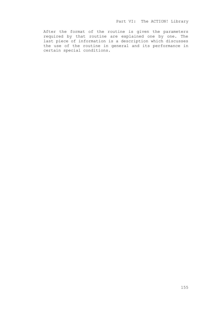After the format of the routine is given the parameters required by that routine are explained one by one. The last piece of information is a description which discusses the use of the routine in general and its performance in certain special conditions.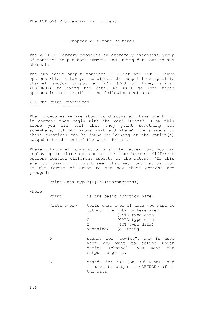Chapter 2: Output Routines --------------------------

The ACTION! Library provides an extremely extensive group of routines to put both numeric and string data out to any channel.

The two basic output routines -- Print and Put -- have options which allow you to direct the output to a specific channel and/or output an EOL (End of Line, a.k.a. <RETURN>) following the data. We will go into these options in more detail in the following sections.

2.1 The Print Procedures ------------------------

The procedures we are about to discuss all have one thing in common: they begin with the word "Print". From this alone you can tell that they print something out somewhere, but who knows what and where? The answers to these questions can he found by looking at the option(s) tagged onto the end of the word "Print".

These options all consist of a single letter, but you can employ up to three options at one time because different options control different aspects of the output. "Is this ever confusing!" It might seem that way, but let us look at the format of Print to see how these options are grouped:

Print<data type>{D}{E}(<parameters>)

| Print                 | is the basic function name.                                                                                                                                                       |
|-----------------------|-----------------------------------------------------------------------------------------------------------------------------------------------------------------------------------|
| <data type=""></data> | tells what type of data you want to<br>output. The options here are:<br>(BYTE type data)<br>B<br>C<br>(CARD type data)<br>T.<br>(INT type data)<br><nothing> (a string)</nothing> |
| D                     | stands for "device", and is used<br>when you want to define which<br>device (channel) you want the<br>output to go to.                                                            |
| Ε                     | stands for EOL (End Of Line), and<br>is used to output a <return> after<br/>the data.</return>                                                                                    |

where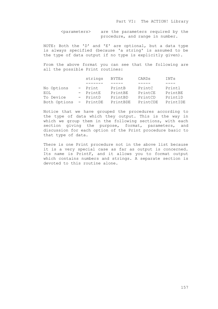<parameters> are the parameters required by the procedure, and range in number.

NOTE: Both the 'D' and 'E' are optional, but a data type is always specified (because 'a string' is assumed to be the type of data output if no type is explicitly given).

From the above format you can see that the following are all the possible Print routines:

|              | strings      | <b>BYTES</b> | CARDS    | INTs     |
|--------------|--------------|--------------|----------|----------|
|              |              |              |          |          |
| No Options   | - Print      | PrintB       | PrintC   | Printl   |
| EOL          | - PrintE     | PrintBE      | PrintCE  | PrintBE  |
| To Device    | - PrintD     | PrintBD      | PrintCD  | PrintlD  |
| Both Options | $-$ Print.DE | PrintBDE     | PrintCDE | PrintIDE |

Notice that we have grouped the procedures according to the type of data which they output. This is the way in which we group them in the following sections, with each section giving the purpose, format, parameters, and discussion for each option of the Print procedure basic to that type of data.

There is one Print procedure not in the above list because it is a very special case as far as output is concerned. Its name is PrintF, and it allows you to format output which contains numbers and strings. A separate section is devoted to this routine alone.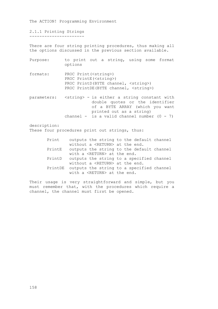2.1.1 Printing Strings ----------------------

There are four string printing procedures, thus making all the options discussed in the previous section available.

Purpose: to print out a string, using some format options formats: PROC Print(<string>) PROC PrintE(<string>) PROC PrintD(BYTE channel, <string>) PROC PrintDE(BYTE channel, <string>) parameters: < string> - is either a string constant with double quotes or the identifier of a BYTE ARRAY (which you want printed out as a string) channel - is a valid channel number  $(0 - 7)$ 

description:

These four procedures print out strings, thus:

| Print   |                                         | outputs the string to the default channel |
|---------|-----------------------------------------|-------------------------------------------|
|         | without a <return> at the end.</return> |                                           |
| PrintE  |                                         | outputs the string to the default channel |
|         | with a <return> at the end.</return>    |                                           |
| PrintD  |                                         | outputs the string to a specified channel |
|         | without a <return> at the end.</return> |                                           |
| PrintDE |                                         | outputs the string to a specified channel |
|         | with a <return> at the end.</return>    |                                           |

Their usage is very straightforward and simple, but you must remember that, with the procedures which require a channel, the channel must first be opened.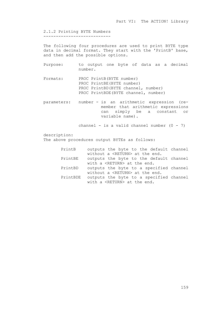2.1.2 Printing BYTE Numbers ---------------------------

The following four procedures are used to print BYTE type data in decimal format. They start with the 'PrintB' base, and then add the possible options.

- Purpose: to output one byte of data as a decimal number.
- Formats: PROC PrintB(BYTE number) PROC PrintBE(BYTE number) PROC PrintBD(BYTE channel, number) PROC PrintBDE(BYTE channel, number)
- parameters: number is an arithmetic expression (remember that arithmetic expressions can simply be a constant or variable name).

channel - is a valid channel number  $(0 - 7)$ 

description:

The above procedures output BYTEs as follows:

| PrintB   | outputs the byte to the default channel |
|----------|-----------------------------------------|
|          | without a <return> at the end.</return> |
| PrintBE  | outputs the byte to the default channel |
|          | with a <return> at the end.</return>    |
| PrintBD  | outputs the byte to a specified channel |
|          | without a <return> at the end.</return> |
| PrintBDE | outputs the byte to a specified channel |
|          | with a <return> at the end.</return>    |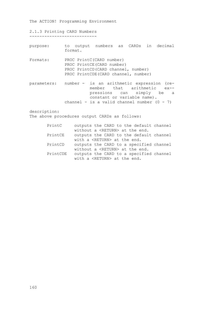2.1.3 Printing CARD Numbers

---------------------------

purpose: to output numbers as CARDs in decimal format.

Formats: PROC PrintC(CARD number) PROC PrintCE(CARD number) PROC PrintCD(CARD channel, number) PROC PrintCDE(CARD channel, number)

parameters: number - is an arithmetic expression (remember that arithmetic ex-pressions can simply be a constant or variable name). channel - is a valid channel number  $(0 - 7)$ 

description:

The above procedures output CARDs as follows:

| PrintC   | outputs the CARD to the default channel |
|----------|-----------------------------------------|
|          | without a <return> at the end.</return> |
| PrintCE  | outputs the CARD to the default channel |
|          | with a <return> at the end.</return>    |
| PrintCD  | outputs the CARD to a specified channel |
|          | without a <return> at the end.</return> |
| PrintCDE | outputs the CARD to a specified channel |
|          | with a <return> at the end.</return>    |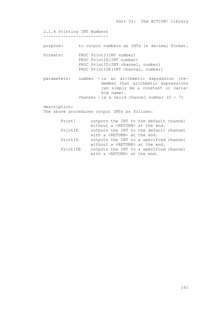2.1.4 Printing INT Numbers --------------------------

purpose: to output numbers as INTs in decimal format.

Formats: PROC PrintI(INT number) PROC PrintIE(INT number) PROC PrintID(INT channel, number) PROC PrintIDE(INT channel, number)

parameters: number - is an arithmetic expression (remember that arithmetic expressions can simply be a constant or variable name). channel - is a valid channel number  $(0 - 7)$ 

description:

The above procedures output INTs as follows:

| PrintT   | outputs the INT to the default channel  |
|----------|-----------------------------------------|
|          | without a <return> at the end.</return> |
| PrintIE  | outputs the INT to the default channel  |
|          | with a <return> at the end.</return>    |
| PrintID  | outputs the INT to a specified channel  |
|          | without a <return> at the end.</return> |
| PrintTDE | outputs the INT to a specified channel  |
|          | with a <return> at the end.</return>    |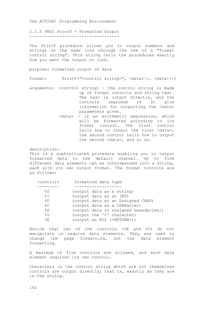2.1.5 PROC PrintF - Formatted Output ------------------------------------

The PrintF procedure allows you to output numbers and strings on the same line through the use of a "format control string". This string tells the procedures exactly how you want the output to look.

purpose: formatted output of data

format: PrintF("<control string>", <data>|:, <data>:|)

- arguments: <control string> the control string is made up of format controls and string text. The text is output directly, and the controls (maximum of 5) give information for outputting the <data> parameters given.
	- <data> is an arithmetic expression, which will be formatted according to its format control. The first control tells how to output the first <data>, the second control tells how to output the second <data>, and so on.

description:

This is a sophisticated procedure enabling you to output formatted data to the default channel. Up to five different data elements can be interspersed into a string, each with its own output format. The format controls are as follows:

| <control></control> | formatted data type                   |
|---------------------|---------------------------------------|
|                     |                                       |
| %S                  | (output data as a string)             |
| 8T                  | (output data as an INT)               |
| 응U                  | (output data as an Unsigned CARD)     |
| C                   | (output data as a CHARacter)          |
| %H                  | (output data in unsigned hexadecimal) |
| 응응                  | (output the '%' character)            |
| %Ε                  | (output an EOL ( <return>))</return>  |
|                     |                                       |

Notice that two of the controls (%E and %%) do not manipulate or require data elements. They are used to change the page formatting, not the data element formatting.

A maximum of five controls are allowed, and each data element requires its own control.

Characters in the control string which are not themselves controls are output directly; that is, exactly as they are in the string.

 $162$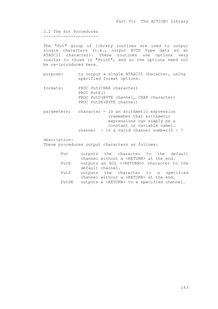2.2 The Put Procedures ----------------------

The "Put" group of library routines are used to output single characters (i.e., output BYTE type data as an ATASCII character). These routines use options very similar to those in "Print", and so the options need not be re-introduced here.

- purpose: to output a single ATASCII character, using specified format options.
- formats: PROC Put(CHAR character) PROC PutE() PROC PutD(BYTE channel, CHAR character) PROC PutDE(BYTE channel)
- parameters: character is an arithmetic expression (remember that arithmetic expressions can simply be a constant or variable name). channel - is a valid channel number  $(0 - 7)$

description:

These procedures output characters as follows:

| Put   |                  | outputs the character to the default                 |  |
|-------|------------------|------------------------------------------------------|--|
|       |                  | channel without a <return> at the end.</return>      |  |
| PutE  |                  | outputs an EOL ( <return>) character to the</return> |  |
|       | default channel. |                                                      |  |
| PutD  |                  | outputs the character to a specified                 |  |
|       |                  | channel without a <return> at the end.</return>      |  |
| PutDF |                  | outputs a <return> to a specified channel.</return>  |  |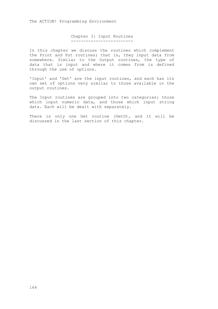Chapter 3: Input Routines -------------------------

In this chapter we discuss the routines which complement the Print and Put routines; that is, they input data from somewhere. Similar to the Output routines, the type of data that is input and where it comes from is defined through the use of options.

'Input' and 'Get' are the input routines, and each has its own set of options very similar to those available in the output routines.

The Input routines are grouped into two categories: those which input numeric data, and those which input string data. Each will be dealt with separately.

There is only one Get routine (GetD), and it will be discussed in the last section of this chapter.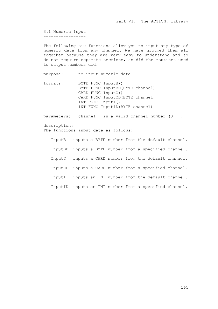3.1 Numeric Input -----------------

The following six functions allow you to input any type of numeric data from any channel. We have grouped them all together because they are very easy to understand and so do not require separate sections, as did the routines used to output numbers did.

purpose: to input numeric data

formats: BYTE FUNC InputB() BYTE FUNC InputBD(BYTE channel) CARD FUNC InputC() CARD FUNC InputCD(BYTE channel) INT FUNC InputI() INT FUNC InputID(BYTE channel)

parameters: channel - is a valid channel number  $(0 - 7)$ 

description: The functions input data as follows:

 InputB inputs a BYTE number from the default channel. InputBD inputs a BYTE number from a specified channel. InputC inputs a CARD number from the default channel. InputCD inputs a CARD number from a specified channel. InputI inputs an INT number from the default channel. InputID inputs an INT number from a specified channel.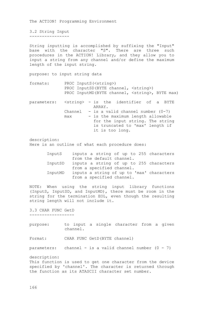3.2 String Input ----------------

String inputting is accomplished by suffixing the "Input" base with the character "S". There are three such procedures in the ACTION! Library, and they allow you to input a string from any channel and/or define the maximum length of the input string.

purpose: to input string data

| formats: | PROC InputS( <string>)<br/>PROC InputSD (BYTE channel, <string>)<br/>PROC InputMD (BYTE channel, <string>, BYTE max)</string></string></string> |
|----------|-------------------------------------------------------------------------------------------------------------------------------------------------|
|          | parameters: <string> - is the identifier of a BYTE<br/>ARRAY.</string>                                                                          |
|          | Channel $-$ is a valid channel number $(0-7)$                                                                                                   |
|          | - is the maximum length allowable<br>max                                                                                                        |
|          | for the input string. The string                                                                                                                |
|          | is truncated to 'max' length if                                                                                                                 |
|          | it is too long.                                                                                                                                 |

description: Here is an outline of what each procedure does:

| InputS  | inputs a string of up to 255 characters   |  |
|---------|-------------------------------------------|--|
|         | from the default channel.                 |  |
| InputSD | inputs a string of up to 255 characters   |  |
|         | from a specified channel.                 |  |
| InputMD | inputs a string of up to 'max' characters |  |
|         | from a specified channel.                 |  |

NOTE: When using the string input library functions (InputS, InputSD, and InputMD), there must be room in the string for the termination EOL, even though the resulting string length will not include it.

3.3 CHAR FUNC GetD ------------------

purpose: to input a single character from a given channel.

Format: CHAR FUNC GetD(BYTE channel)

parameters: channel - is a valid channel number  $(0 - 7)$ 

description:

This function is used to get one character from the device specified by 'channel'. The character is returned through the function as its ATASCII character set number.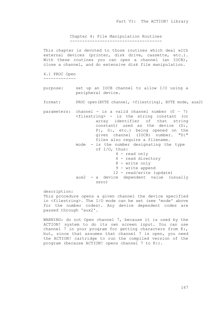Chapter 4: File Manipulation Routines -------------------------------------

This chapter is devoted to those routines which deal with external devices (printer, disk drive, cassette, etc.). With these routines you can open a channel (an IOCB), close a channel, and do extensive disk file manipulation.

4.1 PROC Open -------------

- purpose: set up an IOCB channel to allow I/O using a peripheral device.
- format: PROC open(BYTE channel, <filestring), BYTE mode, aux2)
- parameters: channel is a valid channel number  $(0 7)$ <filestring> - is the string constant (or array identifier of that string constant) used as the device (D:, P:, S:, etc.) being opened on the given channel (IOCB) number. "D:" files also require a filename. mode - is the number designating the type of I/O, thus: 4 - read only 6 - read directory 8 - write only 9 - write append 12 - read/write (update) aux2 - a device dependent value (usually zero)

description:

This procedure opens a given channel the device specified in <filestring>. The I/O mode can be set (see 'mode' above for the number codes). Any device dependent codes are passed through 'aux2'.

WARNING: do not Open channel 7, because it is used by the ACTION! system to do its own screen input. You can use channel 7 in your program for getting characters from K:, but, since that assumes that channel 7 is open, you need the ACTION! cartridge to run the compiled version of the program (because ACTION! opens channel 7 to K:).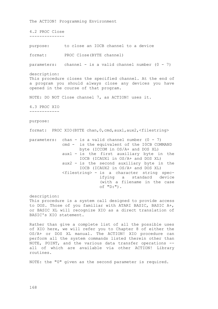The ACTION! Programming Environment 4.2 PROC Close ------------- purpose: to close an IOCB channel to a device format: PROC Close(BYTE channel) parameters: channel - is a valid channel number  $(0 - 7)$ description: This procedure closes the specified channel. At the end of a program you should always close any devices you have opened in the course of that program. NOTE: DO NOT Close channel 7, as ACTION! uses it. 4.3 PROC XIO ----------- purpose: format: PROC XIO(BYTE chan,0,cmd,auxl,aux2,<filestring> parameters: chan - is a valid channel number  $(0 - 7)$ cmd - is the equivalent of the I0CB COMMAND byte (ICCOM in OS/A+ and DOS XL) auxl - is the first auxiliary byte in the IOCB (ICAUXl in OS/A+ and DOS XL) aux2 - is the second auxiliary byte in the IOCB (ICAUX2 in OS/A+ and DOS XL) <filestring> - is a character string specifying a standard device (with a filename in the case  $of "D:")$ . description: This procedure is a system call designed to provide access

to DOS. Those of you familiar with ATARI BASIC, BASIC A+, or BASIC XL will recognize XIO as a direct translation of BASIC's XIO statement.

Rather than give a complete list of all the possible uses of XIO here, we will refer you to Chapter 8 of either the OS/A+ or DOS XL manual. The ACTION! XIO procedure can perform all the system commands listed therein other than NOTE, POINT, and the various data transfer operations - all of which are available via other ACTION! Library routines.

NOTE: the "0" given as the second parameter is required.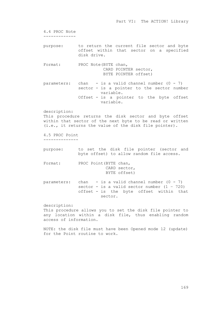4.4 PROC Note ------------ purpose: to return the current file sector and byte offset within that sector on a specified disk drive. Format: PROC Note (BYTE chan, CARD POINTER sector, BYTE POINTER offset) parameters: chan  $-$  is a valid channel number  $(0 - 7)$ sector - is a pointer to the sector number variable. Offset - is a pointer to the byte offset variable. description: This procedure returns the disk sector and byte offset within that sector of the next byte to be read or written (i.e., it returns the value of the disk file pointer). 4.5 PROC Point ------------- purpose: to set the disk file pointer (sector and byte offset) to allow random file access. Format: PROC Point (BYTE chan, CARD sector, BYTE offset) parameters: chan  $-$  is a valid channel number  $(0 - 7)$ sector - is a valid sector number  $(1 - 720)$ offset - is the byte offset within that sector. description: This procedure allows you to set the disk file pointer to any location within a disk file, thus enabling random access of information. NOTE: the disk file must have been Opened mode 12 (update) for the Point routine to work.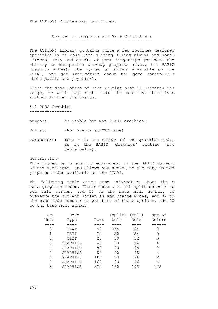Chapter 5: Graphics and Game Controllers ----------------------------------------

The ACTION! Library contains quite a few routines designed specifically to make game writing (using visual and sound effects) easy and quick. At your fingertips you have the ability to manipulate bit-map graphics (i.e., the BASIC graphics modes), the myriad of sounds available on the ATARI, and get information about the game controllers (both paddle and joystick).

Since the description of each routine best illustrates its usage, we will jump right into the routines themselves without further discussion.

5.1 PROC Graphics -----------------

purpose: to enable bit-map ATARI graphics.

Format: PROC Graphics(BYTE mode)

parameters: mode - is the number of the graphics mode, as in the BASIC 'Graphics' routine (see table below).

description:

This procedure is exactly equivalent to the BASIC command of the same name, and allows you access to the many varied graphics modes available on the ATARI.

The following table gives some information about the 9 base graphics modes. These modes are all split screen; to get full screen, add 16 to the base mode number; to preserve the current screen as you change modes, add 32 to the base mode number; to get both of these options, add 48 to the base mode number.

| Gr.  | Mode     |      | (split) | (full) | Num of         |
|------|----------|------|---------|--------|----------------|
| Mode | Type     | Rows | Cols    | Cols   | Colors         |
|      |          |      |         |        |                |
|      | TEXT     | 40   | N/A     | 2.4    | 2              |
|      | TEXT     | 20   | 20      | 24     | 5              |
| 2    | TEXT     | 20   | 10      | 12     | 5              |
| 3    | GRAPHICS | 40   | 20      | 2.4    | 4              |
| 4    | GRAPHICS | 80   | 40      | 48     | 2              |
| 5    | GRAPHICS | 80   | 40      | 48     | 4              |
| 6    | GRAPHICS | 160  | 80      | 96     | $\overline{c}$ |
|      | GRAPHICS | 160  | 80      | 96     | 4              |
| 8    | GRAPHICS | 320  | 160     | 192    |                |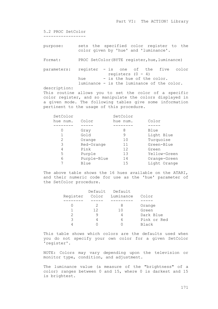5.2 PROC SetColor -----------------

purpose: sets the specified color register to the color given by 'hue' and 'luminance'.

Format: PROC SetColor(BYTE register, hue, luminance)

parameters: register - is one of the five color registers (0 - 4) hue - is the hue of the color. luminance - is the luminance of the color. description:

This routine allows you to set the color of a specific color register, and so manipulate the colors displayed in a given mode. The following tables give some information pertinent to the usage of this procedure.

| SetColor |             | SetColor |              |
|----------|-------------|----------|--------------|
| hue num. | Color       | hue num. | Color        |
|          |             |          |              |
|          | Gray        | 8        | Blue         |
|          | Gold        | 9        | Light Blue   |
| 2        | Orange      | 10       | Turquoise    |
| 3        | Red-Orange  | 11       | Green-Blue   |
| 4        | Pink        | 12.      | Green        |
| 5        | Purple      | 13       | Yellow-Green |
| 6        | Purple-Blue | 14       | Orange-Green |
|          | Blue        | 15       | Light Orange |

The above table shows the 16 hues available on the ATARI, and their numeric code for use as the 'hue' parameter of the SetColor procedure.

|          |    | Default Default |             |
|----------|----|-----------------|-------------|
| Register |    | Color Luminance | Color       |
|          |    |                 |             |
|          |    | 8               | Orange      |
|          | 12 | 10              | Green       |
|          |    | 4               | Dark Blue   |
| ্        |    | 6               | Pink or Red |
|          |    |                 | Black       |

This table shows which colors are the defaults used when you do not specify your own color for a given SetColor 'register'.

NOTE: Colors may vary depending upon the television or monitor type, condition, and adjustment.

The luminance value (a measure of the "brightness" of a color) ranges between 0 and 15, where 0 is darkest and 15 is brightest.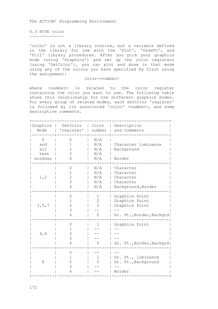5.3 BYTE color --------------

'color' is not a library routine, but a variable defined in the library for use with the 'Plot', 'DrawTo', and 'Fill' library procedures. After you pick your graphics mode (using 'Graphics') and set up the color registers (using 'SetColor'), you can plot and draw in that mode using any of the colors you have specified by first using the assignment:

### color=<number>

where <number> is related to the color register containing the color you want to use. The following table shows this relationship for the different graphics modes. For every group of related modes, each SetColor 'register' is followed by its associated 'color' <number>, and some descriptive comments.

| Graphics<br>Mode                       | SetColor<br>'register'                    | Color<br>number                 | Description<br>and Comments                                                    |
|----------------------------------------|-------------------------------------------|---------------------------------|--------------------------------------------------------------------------------|
| 0<br>and<br>a 1 1<br>t.ext.<br>windows | $^{()}$<br>1<br>$\mathfrak{D}$<br>3<br>4  | N/A<br>N/A<br>N/A<br>N/A<br>N/A | Character luminance<br>Background<br>Border                                    |
| 1, 2                                   | $\Omega$<br>1<br>$\overline{c}$<br>3<br>4 | N/A<br>N/A<br>N/A<br>N/A<br>N/A | Character<br>Character<br>Character<br>Character<br>Background, Border         |
| 3, 5, 7                                | 0<br>1<br>$\overline{c}$<br>3<br>4        | 1.<br>$\overline{c}$<br>3<br>0  | Graphics Point<br>Graphics Point<br>Graphics Point<br>Gr. Pt., Border, Backgrd |
| 4,6                                    | 0<br>1<br>$\overline{c}$<br>3<br>4        | 1<br>$\Omega$                   | Graphics Point<br>Gr. Pt., Border, Backgrd                                     |
| 8                                      | 0<br>1<br>2<br>3<br>4                     | 1<br>Ω                          | Gr. Pt., luminance<br>Gr. Pt., Background<br>Border                            |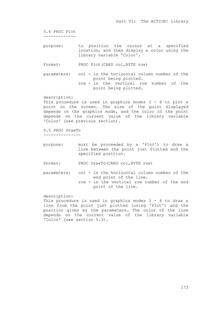5.4 PROC Plot

-------------

purpose: to position the cursor at a specified location, and then display a color using the library variable 'Color'.

Format: PROC Plot(CARD col, BYTE row)

parameters: col - is the horizontal column number of the point being plotted. row - is the vertical row number of the point being plotted.

description:

This procedure is used in graphics modes 3 - 8 to plot a point on the screen. The size of the point displayed depends on the graphics mode, and the color of the point depends on the current value of the library variable 'Color' (see previous section).

5.5 PROC DrawTo ---------------

purpose: must be proceeded by a 'Plot') to draw a line between the point just Plotted and the specified position.

Format: PROC DrawTo(CARD col, BYTE row)

parameters: col - is the horizontal column number of the end point of the line. row - is the vertical row number of the end point of the line.

description:

This procedure is used in graphics modes 3 - 8 to draw a line from the point just plotted (using 'Plot') and the position given by the parameters. The color of the line depends on the current value of the library variable 'Color' (see section 5.3).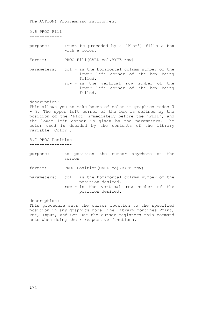The ACTION! Programming Environment 5.6 PROC Fill ------------ purpose: (must be preceded by a 'Plot') fills a box with a color. Format: PROC Fill(CARD col, BYTE row) parameters: col - is the horizontal column number of the lower left corner of the box being filled. row - is the vertical row number of the lower left corner of the box being filled. description: This allows you to make boxes of color in graphics modes 3 - 8. The upper left corner of the box is defined by the position of the 'Plot' immediately before the 'Fill', and the lower left corner is given by the parameters. The color used is decided by the contents of the library variable 'Color'. 5.7 PROC Position ---------------- purpose: to position the cursor anywhere on the screen format: PROC Position(CARD co),BYTE row) parameters: col - is the horizontal column number of the position desired. row - is the vertical row number of the position desired. description: This procedure sets the cursor location to the specified position in any graphics mode. The library routines Print,

Put, Input, and Get use the cursor registers this command

sets when doing their respective functions.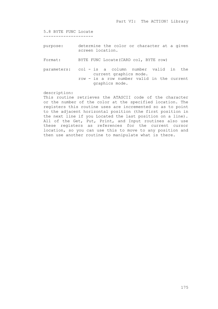5.8 BYTE FUNC Locate --------------------

- purpose: determine the color or character at a given screen location.
- Format: BYTE FUNC Locate(CARD col, BYTE row)
- parameters: col is a column number valid in the current graphics mode. row - is a row number valid in the current graphics mode.

## description:

This routine retrieves the ATASCII code of the character or the number of the color at the specified location. The registers this routine uses are incremented so as to point to the adjacent horizontal position (the first position in the next line if you Located the last position on a line). All of the Get, Put, Print, and Input routines also use these registers as references for the current cursor location, so you can use this to move to any position and then use another routine to manipulate what is there.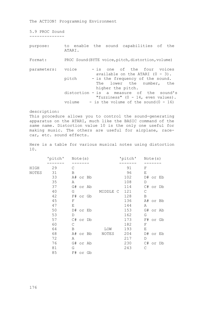```
5.9 PROC Sound
--------------
```
purpose: to enable the sound capabilities of the ATARI.

Format: PROC Sound(BYTE voice, pitch, distortion, volume)

parameters: voice - is one of the four voices available on the ATARI  $(0 - 3)$ . pitch - is the frequency of the sound. The lower the number, the higher the pitch. distortion - is a measure of the sound's "fuzziness" (0 - 14, even values). volume  $-$  is the volume of the sound  $(0 - 16)$ 

description:

This procedure allows you to control the sound-generating apparatus on the ATARI, much like the BASIC command of the same name. Distortion value 10 is the only one useful for making music. The others are useful for airplane, racecar, etc. sound effects.

Here is a table for various musical notes using distortion 10.

|       | 'pitch' | Note(s)  |          | 'pitch' | Note(s)  |
|-------|---------|----------|----------|---------|----------|
|       |         |          |          |         |          |
| HIGH  | 29      | C        |          | 91      | F        |
| NOTES | 31      | В        |          | 96      | E        |
|       | 33      | A# or Bb |          | 102     | D# or Eb |
|       | 35      | Α        |          | 108     | D        |
|       | 37      | G# or Ab |          | 114     | C# or Db |
|       | 40      | G        | MIDDLE C | 121     | С        |
|       | 42      | F# or Gb |          | 128     | B        |
|       | 45      | F        |          | 136     | A# or Bb |
|       | 47      | Ε        |          | 144     | Α        |
|       | 50      | D# or Eb |          | 153     | G# or Ab |
|       | 53      | D        |          | 162     | G        |
|       | 57      | C# or Db |          | 173     | F# or Gb |
|       | 60      | С        |          | 182     | F        |
|       | 64      | В        | LOW      | 193     | Е        |
|       | 68      | A# or Bb | NOTES    | 204     | D# or Eb |
|       | 72      | Α        |          | 217     | D        |
|       | 76      | G# or Ab |          | 230     | C# or Db |
|       | 81      | G        |          | 243     | С        |
|       | 85      | F# or Gb |          |         |          |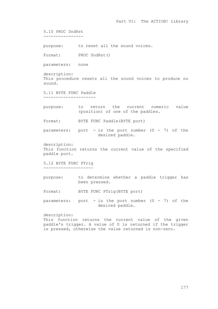5.10 PROC SndRst --------------- purpose: to reset all the sound voices. Format: PROC SndRst() parameters: none description: This procedure resets all the sound voices to produce no sound. 5.11 BYTE FUNC Paddle -------------------- purpose: to return the current numeric value (position) of one of the paddles. Format: BYTE FUNC Paddle(BYTE port) parameters: port - is the port number  $(0 - 7)$  of the desired paddle. description: This function returns the current value of the specified paddle port. 5.12 BYTE FUNC PTrig ------------------- purpose: to determine whether a paddle trigger has been pressed. Format: BYTE FUNC PTrig(BYTE port) parameters: port - is the port number  $(0 - 7)$  of the desired paddle. description:

Part VI: The ACTION! Library

This function returns the current value of the given paddle's trigger. A value of 0 is returned if the trigger is pressed, otherwise the value returned is non-zero.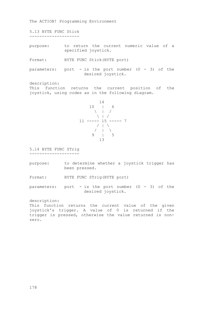5.13 BYTE FUNC Stick --------------------

purpose: to return the current numeric value of a specified joystick.

Format: BYTE FUNC Stick(BYTE port)

parameters: port - is the port number  $(0 - 3)$  of the desired joystick.

description:

This function returns the current position of the joystick, using codes as in the following diagram.



5.14 BYTE FUNC STrig --------------------

purpose: to determine whether a joystick trigger has been pressed.

Format: BYTE FUNC STrig(BYTE port)

parameters: port - is the port number  $(0 - 3)$  of the desired joystick.

description: This function returns the current value of the given joystick's trigger. A value of 0 is returned if the trigger is pressed, otherwise the value returned is nonzero.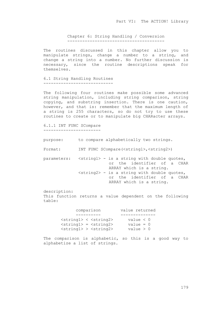Chapter 6: String Handling / Conversion ---------------------------------------

The routines discussed in this chapter allow you to manipulate strings, change a number to a string, and change a string into a number. No further discussion is necessary, since the routine descriptions speak for themselves.

6.1 String Handling Routines ----------------------------

The following four routines make possible some advanced string manipulation, including string comparison, string copying, and substring insertion. There is one caution, however, and that is: remember that the maximum length of a string is 255 characters, so do not try to use these routines to create or to manipulate big CHARacter arrays.

6.1.1 INT FUNC SCompare -----------------------

purpose: to compare alphabetically two strings.

Format: INT FUNC SCompare(<string1>,<string2>)

parameters: <stringl> - is a string with double quotes, or the identifier of a CHAR ARRAY which is a string. <string2> - is a string with double quotes, or the identifier of a CHAR ARRAY which is a string.

description:

This function returns a value dependent on the following table:

 comparison value returned ---------- -------------- <string1> < <string2> value < 0 <string1> = <string2> value = 0 <string1> > <string2> value > 0

The comparison is alphabetic, so this is a good way to alphabetize a list of strings.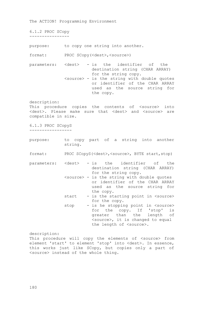6.1.2 PROC SCopy ----------------

purpose: to copy one string into another.

format: PROC SCopy(<dest>,<source>)

parameters: <dest> - is the identifier of the destination string (CHAR ARRAY) for the string copy. <source> - is the string with double quotes or identifier of the CHAR ARRAY used as the source string for the copy.

description:

This procedure copies the contents of <source> into <dest>. Please make sure that <dest> and <source> are compatible in size.

6.1.3 PROC SCopyS -----------------

- purpose: to copy part of a string into another string.
- format: PROC SCopyS(<dest>,<source>, BYTE start,stop)

parameters: <dest> - is the identifier of the destination string (CHAR ARRAY) for the string copy.

- <source> is the string with double quotes or identifier of the CHAR ARRAY used as the source string for the copy.
	- start is the starting point in <source> for the copy.
	- stop is he stopping point in <source> for the copy. If 'stop' is greater than the length of <source>, it is changed to equal the length of <source>.

description: This procedure will copy the elements of <source> from element 'start' to element 'stop' into <dest>. In essence, this works just like SCopy, but copies only a part of <source> instead of the whole thing.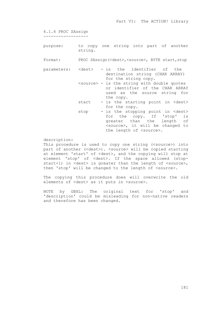6.1.4 PROC SAssign ------------------

- purpose: to copy one string into part of another string.
- Format: PROC SAssign(<dest>,<source>, BYTE start,stop
- parameters: <dest> is the identifier of the destination string (CHAR ARRAY) for the string copy.
	- <source> is the string with double quotes or identifier of the CHAR ARRAY used as the source string for the copy.
	- start is the starting point in <dest> for the copy.
	- stop is the stopping point in <dest> for the copy. If 'stop' is greater than the length of <source>, it will be changed to the length of <source>.

description:

This procedure is used to copy one string (<source>) into part of another (<dest>). <source> will be copied starting at element 'start' of <dest>, and the copying will stop at element 'stop' of <dest>. If the space allowed (stopstart+1) in <dest> is greater than the length of <source>, then 'stop' will be changed to the length of <source>.

The copying this procedure does will overwrite the old elements of <dest> as it puts in <source>.

NOTE by GBXL: The original text for 'stop' and 'description' could be misleading for non-native readers and therefore has been changed.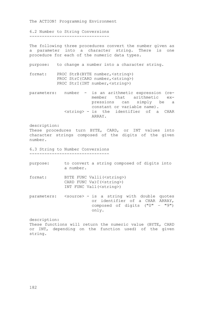6.2 Number to String Conversions --------------------------------

The following three procedures convert the number given as a parameter into a character string. There is one procedure for each of the numeric data types. purpose: to change a number into a character string. format: PROC StrB(BYTE number,<strinq>) PROC StrC(CARD number,<string>) PROC StrI(INT number,<string>) parameters: number - is an arithmetic expression (remember that arithmetic expressions can simply be a constant or variable name). <string> - is the identifier of a CHAR ARRAY. description: These procedures turn BYTE, CARD, or INT values into character strings composed of the digits of the given number. 6.3 String to Number Conversions --------------------------------

purpose: to convert a string composed of digits into a number.

format: BYTE FUNC Valli(<string>) CARD FUNC Va) C(<string>) INT FUNC Vall(<string>)

parameters: <source> - is a string with double quotes or identifier of a CHAR ARRAY, composed of digits ("0" – "9") only.

description: These functions will return the numeric value (BYTE, CARD or INT, depending on the function used) of the given string.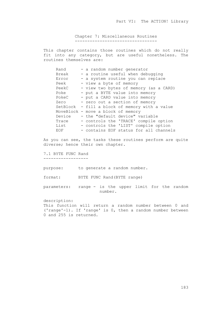Chapter 7: Miscellaneous Routines ---------------------------------

This chapter contains those routines which do not really fit into any category, but are useful nonetheless. The routines themselves are:

| Rand   | - a random number generator                    |
|--------|------------------------------------------------|
| Break  | - a routine useful when debugging              |
| Error  | - a system routine you can replace             |
| Peek   | - view a byte of memory                        |
| PeekC  | - view two bytes of memory (as a CARD)         |
| Poke   | - put a BYTE value into memory                 |
| PokeC  | - put a CARD value into memory                 |
| Zero   | - zero out a section of memory                 |
|        | SetBlock - fill a block of memory with a value |
|        | MoveBlock - move a block of memory             |
| Device | - the "default device" variable                |
| Trace  | - controls the 'TRACE' compile option          |
| List   | - controls the 'LIST' compile option           |
| EOF    | - contains EOF status for all channels         |

As you can see, the tasks these routines perform are quite diverse; hence their own chapter.

7.1 BYTE FUNC Rand

------------------

purpose: to generate a random number.

format: BYTE FUNC Rand(BYTE range)

parameters: range - is the upper limit for the random number.

description: This function will return a random number between 0 and ('range'-1). If 'range' is 0, then a random number between 0 and 255 is returned.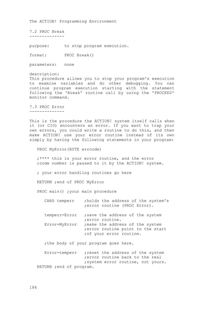7.2 PROC Break --------------

purpose: to stop program execution.

format: PROC Break()

parameters: none

description: This procedure allows you to stop your program's execution to examine variables and do other debugging. You can continue program execution starting with the statement following the 'Break' routine call by using the 'PROCEED' monitor command.

7.3 PROC Error --------------

This is the procedure the ACTION! system itself calls when it (or CIO) encounters an error. If you want to trap your own errors, you could write a routine to do this, and then make ACTION! use your error routine instead of its own simply by having the following statements in your program:

PROC MyError(BYTE errcode)

 ;\*\*\*\* this is your error routine, and the error ;code number is passed to it by the ACTION! system.

; your error handling routines go here

RETURN ;end of PROC MyError

PROC main() ; your main procedure

| CARD temperr                        | ; holds the address of the system's<br>; error routine (PROC Error).                                      |  |  |  |
|-------------------------------------|-----------------------------------------------------------------------------------------------------------|--|--|--|
| temperr=Error                       | ; save the address of the system<br>error routine.                                                        |  |  |  |
| Error=MyError                       | ;make the address of the system<br>error routine point to the start<br>; of your error routine.           |  |  |  |
| the body of your program goes here. |                                                                                                           |  |  |  |
| Error=temperr                       | ; reset the address of the system<br>error routine back to the real<br>; system error routine, not yours. |  |  |  |

RETURN ;end of program.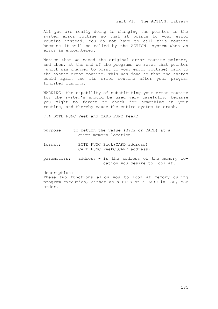All you are really doing is changing the pointer to the system error routine so that it points to your error routine instead. You do not have to call this routine because it will be called by the ACTION! system when an error is encountered.

Notice that we saved the original error routine pointer, and then, at the end of the program, we reset that pointer (which was changed to point to your error routine) back to the system error routine. This was done so that the system could again use its error routine after your program finished running.

WARNING: the capability of substituting your error routine for the system's should be used very carefully, because you might to forget to check for something in your routine, and thereby cause the entire system to crash.

7.4 BYTE FUNC Peek and CARD FUNC PeekC --------------------------------------

- purpose: to return the value (BYTE or CARD) at a given memory location.
- format: BYTE FUNC Peek(CARD address) CARD FUNC PeekC(CARD address)
- parameters: address is the address of the memory location you desire to look at.

description:

These two functions allow you to look at memory during program execution, either as a BYTE or a CARD in LSB, MSB order.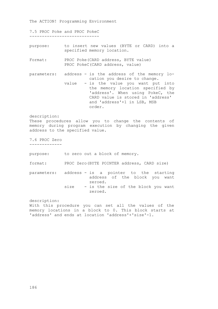7.5 PROC Poke and PROC PokeC ----------------------------

purpose: to insert new values (BYTE or CARD) into a specified memory location.

Format: PROC Poke(CARD address, BYTE value) PROC PokeC(CARD address, value)

parameters: address - is the address of the memory location you desire to change. value - is the value you want put into the memory location specified by 'address'. When using PokeC, the CARD value is stored in 'address' and 'address'+1 in LSB, MSB order.

description: These procedures allow you to change the contents of memory during program execution by changing the given address to the specified value.

7.6 PROC Zero -------------

purpose: to zero out a block of memory.

format: PROC Zero(BYTE POINTER address, CARD size)

parameters: address - is a pointer to the starting address of the block you want zeroed. size - is the size of the block you want zeroed.

description: With this procedure you can set all the values of the memory locations in a block to 0. This block starts at 'address' and ends at location 'address'+'size'-1.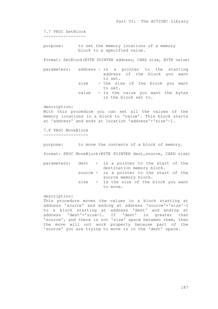7.7 PROC SetBlock ---------------- purpose: to set the memory locations of a memory block to a specified value. Format: SetBlock(BYTE POINTER address, CARD size, BYTE value) parameters: address - is a pointer to the starting address of the block you want to set. size - the size of the block you want to set. value - is the value you want the bytes in the block set to. description: With this procedure you can set all the values of the memory locations in a block to 'value'. This block starts at 'address' and ends at location 'address'+'size'-1. 7.8 PROC MoveBlock ----------------- purpose: to move the contents of a block of memory. format: PROC MoveBlock(BYTE POINTER dest,source, CARD size) parameters: dest - is a pointer to the start of the destination memory block. source - is a pointer to the start of the source memory block. size - is the size of the block you want to move. description:

This procedure moves the values in a block starting at address 'source' and ending at address 'source'+'size'-1 to a block starting at address 'dest' and ending at address 'dest'+'size-l. If 'dest' is greater than 'source', and there is not 'size' space between them, then the move will not work properly because part of the 'source' you are trying to move is in the 'dest' space.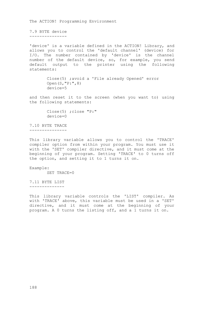7.9 BYTE device ---------------

'device' is a variable defined in the ACTION! Library, and allows you to control the 'default channel' (device) for I/O. The number contained by 'device' is the channel number of the default device, so, for example, you send default output to the printer using the following statements:

> Close(5) ;avoid a 'File already Opened' error Open(S,"P:",8) device=5

and then reset it to the screen (when you want to) using the following statements:

> Close(5) ;close "P:" device=0

7.10 BYTE TRACE ---------------

This library variable allows you to control the 'TRACE' compiler option from within your program. You must use it with the 'SET' compiler directive, and it must come at the beginning of your program. Setting 'TRACE' to 0 turns off the option, and setting it to 1 turns it on.

Example: SET TRACE=0

7.11 BYTE LIST --------------

This library variable controls the 'LIST' compiler. As with 'TRACE' above, this variable must be used in a 'SET' directive, and it must come at the beginning of your program. A 0 turns the listing off, and a 1 turns it on.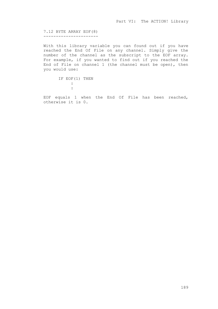7.12 BYTE ARRAY EOF(8) ----------------------

With this library variable you can found out if you have reached the End Of File on any channel. Simply give the number of the channel as the subscript to the EOF array. For example, if you wanted to find out if you reached the End of File on channel 1 (the channel must be open), then you would use:

 IF EOF(1) THEN : :

EOF equals 1 when the End Of File has been reached, otherwise it is 0.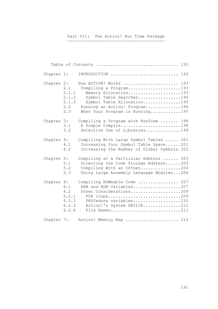Part VII: The Action! Run Time Package ---------------------------------------

|            |                                                | Table of Contents  191                                                                                                                                                                                 |
|------------|------------------------------------------------|--------------------------------------------------------------------------------------------------------------------------------------------------------------------------------------------------------|
| Chapter 1: |                                                | INTRODUCTION  192                                                                                                                                                                                      |
| Chapter 2: | 2.1<br>2.1.1<br>2.1.2<br>2.1.3<br>2.2<br>2.3   | How ACTION! Works  193<br>Compiling a Program193<br>Memory Allocation193<br>Symbol Table Searches194<br>Symbol Table Allocation195<br>Running an Action! Program196<br>When Your Program is Running197 |
| Chapter 3: | 3.1<br>3.2                                     | Compiling a Program with RunTime  198<br>A Simple Compile198<br>Selective Use of Libraries199                                                                                                          |
| Chapter 4: | 4.1<br>4.2                                     | Compiling With Large Symbol Tables  201<br>Increasing Your Symbol Table Space201<br>Increasing the Number of Global Symbols. 202                                                                       |
| Chapter 5: | 5.1<br>5.2<br>5.3                              | Compiling at a Particular Address  203<br>Directing the Code Storage Address203<br>Compiling With an Offset204<br>Using Large Assembly Language Modules206                                             |
| Chapter 6: | 6.1<br>6.2<br>6.2.1<br>6.2.2<br>6.2.3<br>6.2.4 | Compiling ROMmable Code  207<br>RAM and ROM Variables207<br>Other Considerations209<br>FOR $\log s$ 209<br>PROCedure variables210<br>Action!'s System DEVICE211<br>File Names211                       |
| Chapter 7: |                                                | Action! Memory Map  212                                                                                                                                                                                |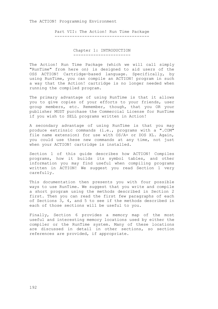Part VII: The Action! Run Time Package --------------------------------------

> Chapter 1: INTRODUCTION -----------------------

The Action! Run Time Package (which we will call simply "RunTime" from here on) is designed to aid users of the OSS ACTION! Cartridge-based language. Specifically, by using RunTime, you can compile an ACTION! program in such a way that the Action! cartridge is no longer needed when running the compiled program.

The primary advantage of using RunTime is that it allows you to give copies of your efforts to your friends, user group members, etc. Remember, though, that you OR your publisher MUST purchase the Commercial License for RunTime if you wish to SELL programs written in Action!

A secondary advantage of using RunTime is that you may produce extrinsic commands (i.e., programs with a ".COM" file name extension) for use with OS/A+ or DOS XL. Again, you could use these new commands at any time, not just when your ACTION! cartridge is installed.

Section 1 of this guide describes how ACTION! Compiles programs, how it builds its symbol tables, and other information you may find useful when compiling programs written in ACTION! We suggest you read Section 1 very carefully.

This documentation then presents you with four possible ways to use RunTime. We suggest that you write and compile a short program using the methods described in Section 2 first. Then you can read the first few paragraphs of each of Sections 3, 4, and 5 to see if the methods described in each of those sections will be useful to you.

Finally, Section 6 provides a memory map of the most useful and interesting memory locations used by either the compiler or the RunTime system. Many of these locations are discussed in detail in other sections, so section references are provided, if appropriate.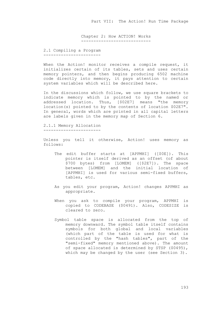Part VII: The Action! Run Time Package

Chapter 2: How ACTION! Works ----------------------------

2.1 Compiling a Program -----------------------

When the Action! monitor receives a compile request, it initializes certain of its tables, sets and uses certain memory pointers, and then begins producing 6502 machine code directly into memory, it pays attention to certain system variables which will be described here.

In the discussions which follow, we use square brackets to indicate memory which is pointed to by the named or addressed location. Thus, [\$02E7] means "the memory location(s) pointed to by the contents of location \$02E7". In general, words which are printed in all capital letters are labels given in the memory map of Section 6.

2.1.1 Memory Allocation -----------------------

Unless you tell it otherwise, Action! uses memory as follows:

- The edit buffer starts at [APPMHI] ([\$0E]). This pointer is itself derived as an offset (of about \$700 bytes) from [LOMEM] ([\$2E7]). The space between [LOMEM] and the initial location of [APPMHI] is used for various semi-fixed buffers, tables, etc.
- As you edit your program, Action! changes APPMHI as appropriate.
- When you ask to compile your program, APPMHI is copied to CODEBASE (\$0491). Also, CODESIZE is cleared to zero.
- Symbol table space is allocated from the top of memory downward. The symbol table itself contains symbols for both global and local variables (which part of the table is used for what is controlled by the "hash tables", part of the "semi-fixed" memory mentioned above). The amount of space allocated is determined by STSP (\$0495), which may be changed by the user (see Section 3).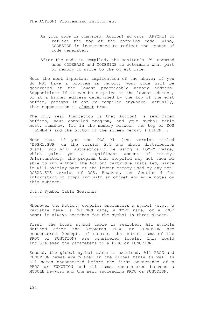- As your code is compiled, Action! adjusts [APPMHI] to reflect the top of the compiled code. Also, CODESIZE is incremented to reflect the amount of code generated.
- After the code is compiled, the monitor's 'W' command uses CODEBASE and CODESIZE to determine what part of memory to write to the object file.

Note the most important implication of the above: if you do NOT have a program in memory, your code will be generated at the lowest practicable memory address. Supposition: If it can be compiled at the lowest address, or at a higher address determined by the top of the edit buffer, perhaps it can be compiled anywhere. Actually, that supposition is almost true.

The only real limitation is that Action! 's semi-fixed buffers, your compiled program, and your symbol table must, somehow, fit in the memory between the top of DOS ([LOMEM]) and the bottom of the screen memory ([HIMEM]).

Note that if you use DOS XL (the version titled "DOSXL.SUP" on the version 2.3 and above distribution disk), you will automatically be using a LOMEM value, which gains you a significant amount of memory. Unfortunately, the program thus compiled may not then be able to run without the Action! cartridge installed, since it will overlay part of the lowest memory used by any non-DOSXL.SYS version of DOS. However, see Section 4 for information on compiling with an offset and more notes on this subject.

2.1.2 Symbol Table Searches ---------------------------

Whenever the Action! compiler encounters a symbol (e.g., a variable name, a DEFINEd name, a TYPE name, or a PROC name) it always searches for the symbol in three places.

First, the local symbol table is searched. All symbols defined after the keywords PROC or FUNCTION are encountered (except, of course, the actual name of the PROC or FUNCTION) are considered locals. This would include even the parameters to a PROC or FUNCTION.

Second, the global symbol table is examined. All PROC and FUNCTION names are placed in the global table as well as all names encountered before the first occurrence of a PROC or FUNCTION and all names encountered between a MODULE keyword and the next succeeding PROC or FUNCTION.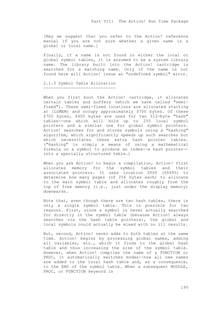[May we suggest that you refer to the Action! reference manual if you are not sure whether a given name is a global or local name.]

Finally, if a name is not found in either the local or global symbol tables, it is assumed to be a system library name. The library built into the Action! cartridge is searched for a matching name. Only if the name is not found here will Action! issue an "undefined symbol" error.

2.1.3 Symbol Table Allocation -----------------------------

When you first boot the Action! cartridge, it allocates certain tables and buffers (which we have called "semifixed"). These semi-fixed locations are allocated starting at [LOMEM] and occupy approximately \$700 bytes. Of these \$700 bytes, \$400 bytes are used for two 512—byte "hash" tables-—one which will hold up to 255 local symbol pointers and a similar one for global symbol pointers. Action! searches for and stores symbols using a "hashing" algorithm, which significantly speeds up such searches but which necessitates these extra hash pointer tables. ("Hashing" is simply a means of using a mathematical formula on a symbol to produce an index-—a hash pointer— into a specially structured table.)

When you ask Action! to begin a compilation, Action! first allocates memory for the symbol tables and their associated pointers. It uses location STSP (\$0495) to determine how many pages (of 256 bytes each) to allocate to the main symbol table and allocates roughly from the top of free memory (i.e., just under the display memory) downwards.

Note that, even though there are two hash tables, there is only a single symbol table. This is possible for two reasons. First, since a symbol is never actually searched for directly in the symbol table (because Action! always searches via the hash table pointers), the global and local symbols could actually be mixed with no ill results.

But, second, Action! never adds to both tables at the same time. Action! begins by processing global names, adding all variables, etc., which it finds to the global hash table and thus increasing the size of the symbol table. However, when Action! compiles the name of a FUNCTION or PROC, it automatically switches modes--now all new names are added to the local hash table and, as a consequence, to the END of the symbol table. When a subsequent MODULE, PROC, or FUNCTION keyword is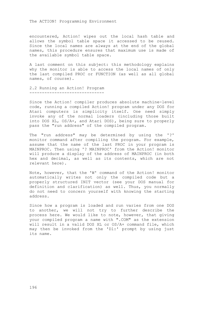encountered, Action! wipes out the local hash table and allows the symbol table space it accessed to be reused. Since the local names are always at the end of the global names, this procedure ensures that maximum use is made of the available symbol table space.

A last comment on this subject: this methodology explains why the monitor is able to access the local names of only the last compiled PROC or FUNCTION (as well as all global names, of course).

2.2 Running an Action! Program ------------------------------

Since the Action! compiler produces absolute machine-level code, running a compiled Action! program under any DOS for Atari computers is simplicity itself. One need simply invoke any of the normal loaders (including those built into DOS XL, OS/A+, and Atari DOS), being sure to properly pass the "run address" of the compiled program.

The "run address" may be determined by using the '?' monitor command after compiling the program. For example, assume that the name of the last PROC in your program is MAINPROC. Then using '? MAINPROC' from the Action! monitor will produce a display of the address of MAINPROC (in both hex and decimal, as well as its contents, which are not relevant here).

Note, however, that the 'W' command of the Action! monitor automatically writes not only the compiled code but a properly structured INIT vector (see your DOS manual for definition and clarification) as well. Thus, you normally do not need to concern yourself with knowing the starting address.

Since how a program is loaded and run varies from one DOS to another, we will not try to further describe the process here. We would like to note, however, that giving your compiled program a name with ".COM" as the extension will result in a valid DOS XL or OS/A+ command file, which may then be invoked from the 'Dl:' prompt by using just its name.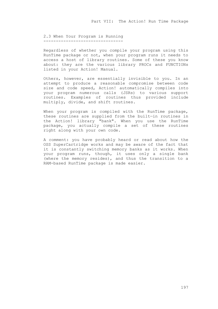2.3 When Your Program is Running --------------------------------

Regardless of whether you compile your program using this RunTime package or not, when your program runs it needs to access a host of library routines. Some of these you know about: they are the various library PROCs and FUNCTIONs listed in your Action! Manual.

Others, however, are essentially invisible to you. In an attempt to produce a reasonable compromise between code size and code speed, Action! automatically compiles into your program numerous calls (JSRs) to various support routines. Examples of routines thus provided include multiply, divide, and shift routines.

When your program is compiled with the RunTime package, these routines are supplied from the built—in routines in the Action! library "bank". When you use the RunTime package, you actually compile a set of these routines right along with your own code.

A comment: you have probably heard or read about how the OSS SuperCartridge works and may be aware of the fact that it is constantly switching memory banks as it works. When your program runs, though, it uses only a single bank (where the memory resides), and thus the transition to a RAM-based RunTime package is made easier.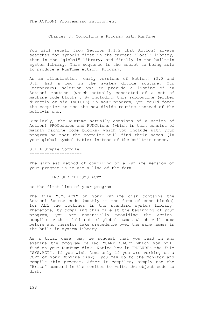Chapter 3: Compiling a Program with RunTime -------------------------------------------

You will recall from Section 1.1.2 that Action! always searches for symbols first in the current "local" library, then in the "global" library, and finally in the built-in system library. This sequence is the secret to being able to produce a RunTime Action! Program.

As an illustration, early versions of Action! (3.0 and 3.1) had a bug in the system divide routine. Our (temporary) solution was to provide a listing of an Action! routine (which actually consisted of a set of machine code blocks). By including this subroutine (either directly or via INCLUDE) in your program, you could force the compiler to use the new divide routine instead of the built-in one.

Similarly, the RunTime actually consists of a series of Action! PROCedures and FUNCtions (which in turn consist of mainly machine code blocks) which you include with your program so that the compiler will find their names (in your global symbol table) instead of the built-in names.

3.1 A Simple Compile ---------------------

The simplest method of compiling of a RunTime version of your program is to use a line of the form

INCLUDE "D1:SYS.ACT"

as the first line of your program.

The file "SYS.ACT" on your RunTime disk contains the Action! Source code (mostly in the form of cone blocks) for ALL the routines in the standard system library. Therefore, by compiling this file at the beginning of your program, you are essentially providing the Action! compiler with a full set of global names which will come before and therefor take precedence over the same names in the built-in system library.

As a trial case, may we suggest that you read in and examine the program called "SAMPLE.ACT" which you will find on your RunTime disk. Notice how it INCLUDEs the file "SYS.ACT". If you wish (and only if you are working on a COPY of your RunTime disk), you may go to the monitor and compile this program. After it compiles, simply use the "Write" command in the monitor to write the object code to disk.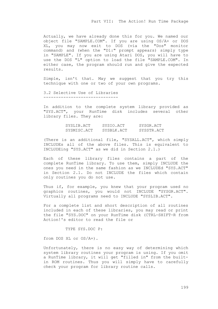Actually, we have already done this for you. We named our object file "SAMPLE.COM". If you are using OS/A+ or DOS XL, you may now exit to DOS (via the "Dos" monitor command) and (when the "D1:" prompt appears) simply type in "SAMPLE". If you are using Atari DOS, you will have to use the DOS "L" option to load the file "SAMPLE.COM". In either case, the program should run and give the expected results.

Simple, isn't that. May we suggest that you try this technique with one or two of your own programs.

3.2 Selective Use of Libraries ------------------------------

In addition to the complete system library provided as "SYS.ACT", your RunTime disk includes several other library files. They are:

| SYSLIB.ACT  | SYSIO.ACT  | SYSGR.ACT  |
|-------------|------------|------------|
| SYSMISC.ACT | SYSBLK.ACT | SYSSTR.ACT |

(There is an additional file, "SYSALL.ACT", which simply INCLUDEs all of the above files. This is equivalent to INCLUDEing "SYS.ACT" as we did in Section 2.1.)

Each of these library files contains a part of the complete RunTime library. To use them, simply INCLUDE the ones you need in the same fashion as we INCLUDEd "SYS.ACT" in Section 2.1. Do not INCLUDE the files which contain only routines you do not use.

Thus if, for example, you knew that your program used no graphics routines, you would not INCLUDE "SYSGR.ACT". Virtually all programs need to INCLUDE "SYSLIB.ACT".

For a complete list and short description of all routines included in each of these libraries, you may read or print the file "SYS.DOC" on your RunTime disk (CTRL—SHIFT—R from Action!'s editor to read the file or

TYPE SYS.DOC P:

from DOS XL or OS/A+).

Unfortunately, there is no easy way of determining which system library routines your program is using. If you omit a RunTime library, it will get "filled in" from the builtin ROM routines. Thus you will simply have to carefully check your program for library routine calls.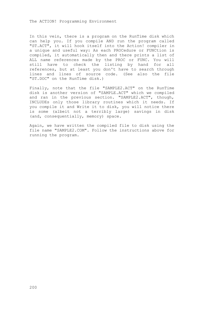In this vein, there is a program on the RunTime disk which can help you. If you compile AND run the program called "ST.ACT", it will hook itself into the Action! compiler in a unique and useful way: As each PROCedure or FUNCtion is compiled, it automatically then and there prints a list of ALL name references made by the PROC or FUNC. You will still have to check the listing by hand for all references, but at least you don't have to search through lines and lines of source code. (See also the file "ST.DOC" on the RunTime disk.)

Finally, note that the file "SAMPLE2.ACT" on the RunTime disk is another version of "SAMPLE.ACT" which we compiled and ran in the previous section. "SAMPLE2.ACT", though, INCLUDEs only those library routines which it needs. If you compile it and Write it to disk, you will notice there is some (albeit not a terribly large) savings in disk (and, consequentially, memory) space.

Again, we have written the compiled file to disk using the file name "SAMPLE2.COM". Follow the instructions above for running the program.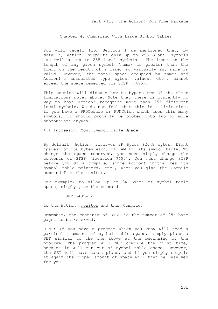Chapter 4: Compiling With Large Symbol Tables ---------------------------------------------

You will recall from Section 1 we mentioned that, by default, Action! supports only up to 255 Global symbols (as well as up to 255 Local symbols). The limit on the length of any given symbol (name) is greater than the limit on the length of a line, so virtually any name is valid. However, the total space occupied by names and varia: nowever, the cocal space occupied by names and<br>Action!'s associated type bytes, values, etc., cannot exceed the space reserved via STSP (\$495).

This section will discuss how to bypass two of the three limitations noted above. Note that there is currently no way to have Action! recognize more than 255 different local symbols. We do not feel that this is a limitation: if you have a PROCedure or FUNCtion which uses this many symbols, it should probably be broken into two or more subroutines anyway.

4.1 Increasing Your Symbol Table Space --------------------------------------

By default, Action! reserves 2K Bytes (2048 bytes, Eight "pages" of 256 bytes each) of RAM for its symbol table. To change the space reserved, you need simply change the contents of STSP (location \$495). You must change STSP before you do a compile, since Action! initializes its symbol table pointers, etc., when you give the Compile command from the monitor.

For example, to allow up to 3K Bytes of symbol table space, simply give the command

SET \$495=12

to the Action! monitor and then Compile.

Remember, the contents of STSP is the number of 256—byte pages to be reserved.

HINT: If you have a program which you know will need a particular amount of symbol table space, simply place a SET similar to the one above at the beginning of the program. The program will NOT compile the first time, because it will run out of symbol table space. However, the SET will have taken place, and if you simply compile it again the proper amount of space will then be reserved for you.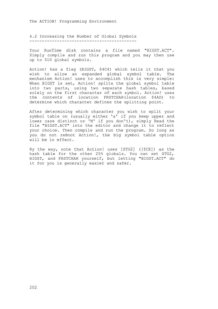4.2 Increasing the Number of Global Symbols -------------------------------------------

Your RunTime disk contains a file named "BIGST.ACT". Simply compile and run this program and you may then use up to 510 global symbols.

Action! has a flag (BIGST, \$4C4) which tells it that you wish to allow an expanded global symbol table. The mechanism Action! uses to accomplish this is very simple: When BIGST is set, Action! splits the global symbol table into two parts, using two separate hash tables, based solely on the first character of each symbol. Action! uses the contents of location FRSTCHAR(location \$4AD) to determine which character defines the splitting point.

After determining which character you wish to split your symbol table on (usually either 'a' if you keep upper and lower case distinct or 'M' if you don't), simply Read the file "BIGST.ACT" into the editor and change it to reflect your choice. Then compile and run the program. So long as you do not reBoot Action!, the big symbol table option will be in effect.

By the way, note that Action! uses [STG2] ([\$CE]) as the hash table for the other 255 globals. You can set STG2, BIGST, and FRSTCHAR yourself, but letting "BIGST.ACT" do it for you is generally easier and safer.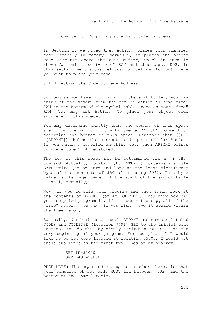Chapter 5: Compiling at a Particular Address --------------------------------------------

In Section 1, we noted that Action! places your compiled code directly in memory. Normally, it places the object code directly above the edit buffer, which in turn is above Action!'s "semi-fixed" RAM and thus above DOS. In this section we discuss methods for telling Action! where you wish to place your code.

5.1 Directing the Code Storage Address --------------------------------------

So long as you have no program in the edit buffer, you may think of the memory from the top of Action!'s semi-fixed RAM to the bottom of the symbol table space as your "free" RAM. You may ask Action! To place your object code anywhere in this space.

You may determine exactly what the bounds of this space are from the monitor. Simply use a '? \$E' command to determine the bottom of this space. Remember that [\$0E] ([APPMHI]) define the current "code pointer" for Action! If you haven't compiled anything yet, then APPMHI points to where code WILL be stored.

The top of this space may be determined via a '? \$B0' command. Actually, location \$B0 (STBASE) contains a single BYTE value (so be sure and look at the least significant byte of the contents of \$B0 after using '?'). This byte value is the page number of the start of the symbol table (less 1, actually).

Now, if you compile your program and then again look at the contents of APPMHI (or at CODESIZE), you know how big your compiled program is. If it does not occupy all of the "free" memory, you may, if you wish, move it upward within the free memory.

Basically, Action! needs both APPMHI (otherwise labeled CODE) and CODEBASE (location \$491) SET to the initial code address. You do this by simply including two SETs at the very beginning of your program. For example, if I would like my object code located at location \$5000, I would put these two lines as the first two lines of my program:

> SET \$E=\$5000 SET \$491=\$5000

ONCE MORE: The important thing to remember, here, is that your compiled object code MUST fit between [\$0E] and the bottom of the symbol table.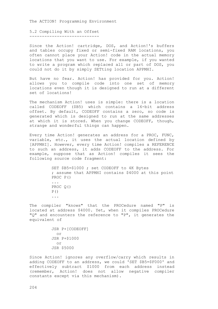5.2 Compiling With an Offset ----------------------------

Since the Action! cartridge, DOS, and Action!'s buffers and tables occupy fixed or semi-fixed RAM locations, you often cannot place your Action! code in the actual memory locations that you want to use. For example, if you wanted to write a program which replaced all or part of DOS, you could not do it by simply SETting location APPMHI.

But have no fear. Action! has provided for you. Action! allows you to compile code into one set of memory locations even though it is designed to run at a different set of locations!

The mechanism Action! uses is simple: there is a location called CODEOFF (\$B5) which contains a 16-bit address offset. By default, CODEOFF contains a zero, so code is generated which is designed to run at the same addresses at which it is stored. When you change CODEOFF, though, strange and wonderful things can happen.

Every time Action! generates an address for a PROC, FUNC, variable, etc., it uses the actual location defined by [APPMHI]. However, every time Action! compiles a REFERENCE to such an address, it adds CODEOFF to the address. For example, suppose that as Action! compiles it sees the following source code fragment:

> SET \$B5=\$1000 ; set CODEOFF to 4K Bytes ; assume that APPMHI contains \$4000 at this point PROC P() ... PROC Q()  $P()$ ...

The compiler "knows" that the PROCedure named "P" is located at address \$4000. Yet, when it compiles PROCedure "Q" and encounters the reference to "P", it generates the equivalent of

```
JSR P+[CODEOFF]
  or
JSR P+$1000
  or
JSR $5000
```
Since Action! ignores any overflow/carry which results in adding CODEOFF to an address, we could 'SET \$B5=\$F000' and effectively subtract \$1000 from each address instead (remember, Action! does not allow negative compiler constants except via this mechanism).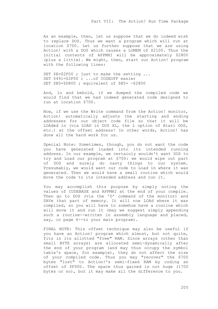As an example, then, let us suppose that we do indeed wish to replace DOS. Thus we want a program which will run at location \$700. Let us further suppose that we are using Action! with a DOS which causes a LOMEM of \$2100. Thus the initial contents of APPMHI will be approximately \$2800 (plus a little). We might, then, start our Action! program with the following lines:

SET \$E=\$2F00 ; just to make the setting ... SET \$491=\$2F00 ; ...of CODEOFF easier SET \$B5=\$D800 ; equivalent of \$B5= —\$2800

And, lo and behold, if we dumped the compiled code we would find that we had indeed generated code designed to run at location \$700.

Now, if we use the Write command from the Action! monitor, Action! automatically adjusts the starting and ending addresses for our object code file so that it will be LOAded in (via LOAD in DOS XL, the L option of Atari DOS, etc.) at the offset address! In other words, Action! has done all the hard work for us.

Special Note: Sometimes, though, you do not want the code you have generated loaded into its intended running address. In our example, we certainly wouldn't want DOS to try and Load our program at \$700: we would wipe out part of DOS and surely do nasty things to our system. Presumably, we would want our code to Load in where it was generated. Then we would have a small routine which would move the code to its intended address and run it.

You may accomplish this purpose by simply noting the values of CODEBASE and APPMHI at the end of your compile. Then go to DOS (via the 'D' command of the monitor) and SAVe that part of memory. It will now LOAd where it was compiled, so you will have to somehow have a routine which will move it and run it (may we suggest simply appending such a routine--written in assembly language and placed, say, in page 6--to your main program).

FINAL NOTE: This offset technique may also be useful if you have an Action! program which almost, but not quite, fits in its allotted "free" RAM. Since arrays (other than small BYTE arrays) are allocated semi-dynamically after the end of your program (and may thus occupy the symbol table's space, for example), they do not affect the size of your compiled code. Thus you may "recover" the \$700 bytes "lost" to Action!'s semi-fixed RAM by coding an offset of \$F900. The space thus gained is not huge (1700 bytes or so), but it may make all the difference to you.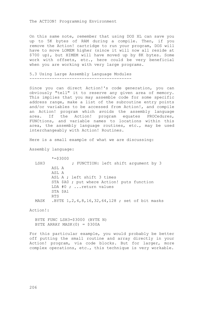On this same note, remember that using DOS XL can save you up to 5K bytes of RAM during a compile. Then, if you remove the Action! cartridge to run your program, DOS will have to move LOMEM higher (since it will now all reside at \$700 up), but HIMEM will have moved up by 8K bytes. Some work with offsets, etc., here could be very beneficial when you are working with very large programs.

5.3 Using Large Assembly Language Modules -----------------------------------------

Since you can direct Action!'s code generation, you can obviously "tell" it to reserve any given area of memory. This implies that you may assemble code for some specific address range, make a list of the subroutine entry points and/or variables to be accessed from Action!, and compile an Action! program which avoids the assembly language area. If the Action! program equates PROCedures, FUNCtions, and variable names to locations within this area, the assembly language routines, etc., may be used interchangeably with Action! Routines.

Here is a small example of what we are discussing:

Assembly language:

 $* = $3000$ LSH3 ; FUNCTION: left shift argument by 3 ASL A ASL A ASL A ; left shift 3 times STA \$A0 ; put where Action! puts function LDA #0 ; ...return values STA \$A1 RTS MASK .BYTE 1,2,4,8,l6,32,64,l28 ; set of bit masks

Action!:

BYTE FUNC LSH3=\$3000 (BYTE N) BYTE ARRAY MASK $(0) = $300A$ 

For this particular example, you would probably be better off putting the small routine and array directly in your Action! program, via code blocks. But for larger, more complex operations, etc., this technique is very workable.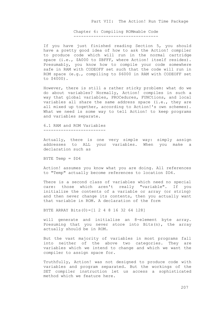Chapter 6: Compiling ROMmable Code ----------------------------------

If you have just finished reading Section 5, you should have a pretty good idea of how to ask the Action! compiler to produce code which will run in the normal cartridge space (i.e., \$A000 to \$BFFF, where Action! itself resides). Presumably, you know how to compile your code somewhere safe in RAM with CODEOFF set such that the code will run in ROM space (e.g., compiling to \$6000 in RAM with CODEOFF set to \$4000).

However, there is still a rather sticky problem: what do we do about variables? Normally, Action! compiles in such a way that global variables, PROCedures, FUNCtions, and local variables all share the same address space (i.e., they are all mixed up together, according to Action!'s own schemes). What we need is some way to tell Action! to keep programs and variables separate.

6.1 RAM and ROM Variables -------------------------

Actually, there is one very simple way: simply assign addresses to ALL your variables. When you make a declaration such as

BYTE Temp = \$D4

Action! assumes you know what you are doing. All references to "Temp" actually become references to location \$D4.

There is a second class of variables which need no special care: those which aren't really "variable". If you initialize the contents of a variable or array (or string) and then never change its contents, then you actually want that variable in ROM. A declaration of the form

BYTE ARRAY Bits(0)=[1 2 4 8 16 32 64 128]

will generate and initialize an 8-element byte array. Presuming that you never store into Bits(n), the array actually should be in ROM.

But the vast majority of variables in most programs fall into neither of the above two categories. They are variables which we intend to change and which we want the compiler to assign space for.

Truthfully, Action! was not designed to produce code with variables and program separated. But the workings of the SET compiler instruction let us access a sophisticated method which we feature here.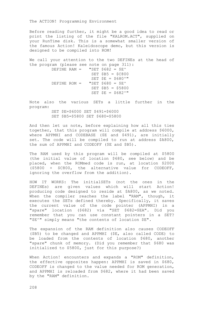Before reading further, it might be a good idea to read or print the listing of the file "KALROM.ACT", supplied on your RunTime disk. This is a somewhat smaller version of the famous Action! Kaleidoscope demo, but this version is designed to be compiled into ROM!

We call your attention to the two DEFINEs at the head of the program (please see note on page 311): DEFINE RAM =  $"SET S682 = SFA"$  $SET$   $$B5 = $C800$ SET  $$E = $680^{\circ}$ " DEFINE ROM =  $"SET S680 = SFA"$  $SET$   $$B5 = $5800$ SET  $SE = $682^{\wedge}$ "

Note also the various SETs a little further in the program: SET \$E=\$6000 SET \$491=\$6000

SET \$B5=\$5800 SET \$680=\$5800

And then let us note, before explaining how all this ties together, that this program will compile at address \$6000, where APPMHI and CODEBASE (\$E and \$491), are initially set. The code will be compiled to run at address \$A800, the sum of APPMHI and CODEOFF (\$E and \$B5).

The RAM used by this program will be compiled at \$5800 (the initial value of location \$680, see below) and be placed, when the ROMmed code is run, at location \$2000 (\$5800 + \$C800, the alternative value for CODEOFF, ignoring the overflow from the addition).

HOW IT WORKS: The initialSETs (not the ones in the DEFINEs) are given values which will start Action! producing code designed to reside at \$A800, as we noted. When the compiler reaches the label "RAM", though, it executes the SETs defined thereby. Specifically, it saves the current value of the code pointer (APPMHI) in a "spare" location (\$682) via "SET \$682=\$EA". Did you remember that you can use constant pointers in a SET? "\$E^" simply means "the contents of location \$E".

The expansion of the RAM definition also causes CODEOFF (\$B5) to be changed and APPMHI (\$E, also called CODE) to be loaded from the contents of location \$680, another "spare" chunk of memory. (Did you remember that \$680 was initialized to \$5800, just for this purpose?)

When Action! encounters and expands a "ROM" definition, the effective opposites happen: APPMHI is saved in \$680, CODEOFF is changed to the value needed for ROM generation, and APPMHI is reloaded from \$682, where it had been saved by the "RAM" definition.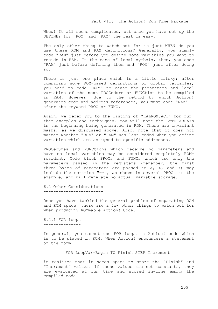Whew! It all seems complicated, but once you have set up the DEFINEs for "ROM" and "RAM" the rest is easy.

The only other thing to watch out for is just WHEN do you use these ROM and RAM definitions? Generally, you simply code "RAM" just before you define some variables you want to reside in RAM. In the case of local symbols, then, you code "RAM" just before defining them and "ROM" just after doing so.

There is just one place which is a little tricky: after compiling some ROM-based definitions of global variables, you need to code "RAM" to cause the parameters and local variables of the next PROCedure or FUNCtion to be compiled in RAM. However, due to the method by which Action! generates code and address references, you must code "RAM" after the keyword PROC or FUNC.

Again, we refer you to the listing of "KALROM.ACT" for further examples and techniques. You will note the BYTE ARRAYs in the beginning being generated in ROM. These are invariant masks, as we discussed above. Also, note that it does not matter whether "ROM" or "RAM" was last coded when you define variables which are assigned to specific addresses.

PROCedures and FUNCtions which receive no parameters and have no local variables may be considered completely ROMresident. Code block PROCs and FUNCs which use only the parameters passed in the registers (remember, the first three bytes of parameters are passed in A, X, and Y) may include the notation "=\*", as shown in several PROCs in the example, and will generate no actual variable storage.

6.2 Other Considerations ------------------------

Once you have tackled the general problem of separating RAM and ROM space, there are a few other things to watch out for when producing ROMmable Action! Code.

6.2.1 FOR loops ---------------

In general, you cannot use FOR loops in Action! code which is to be placed in ROM. When Action! encounters a statement of the form

## FOR LoopVar=Begin TO Finish STEP Increment

it realizes that it needs space to store the "Finish" and "Increment" values. If these values are not constants, they are evaluated at run time and stored in-line among the compiled code!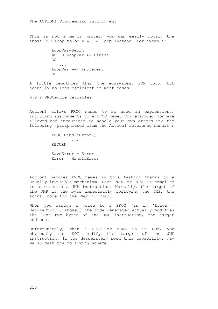This is not a major matter: you can easily modify the above FOR loop to be a WHILE loop instead. For example:

```
LoopVar=Begin
WHILE LoopVar <= Finish
D<sub>O</sub> ...
LoopVar ==+ Increment
\cap
```
A little lengthier than the equivalent FOR loop, but actually no less efficient in most cases.

6.2.2 PROCedure variables -------------------------

Action! allows PROC names to be used in expressions, including assignments to a PROC name. For example, you are allowed and encouraged to handle your own errors via the following (paraphrased from the Action! reference manual):

```
PROC HandleError()
         ...
RETURN
...
SaveError = Error
Error = HandleError
```
...

Action! handles PROC names in this fashion thanks to a usually invisible mechanism: Each PROC or FUNC is compiled to start with a JMP instruction. Normally, the target of the JMP is the byte immediately following the JMP, the actual code for the PROC or FUNC.

When you assign a value to a PROC (as in 'Error  $=$ HandleError', above), the code generated actually modifies the last two bytes of the JMP instruction, the target address.

Unfortunately, when a PROC or FUNC is in ROM, you obviously can NOT modify the target of the JMP instruction. If you desperately need this capability, may we suggest the following scheme: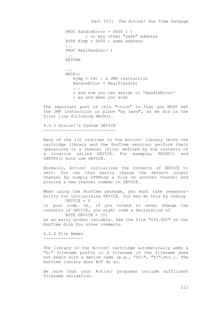Part VII: The Action! Run Time Package PROC HandleError = \$600 ( ) ; or any other "safe" address BYTE Himp =  $$600$  ; same address ... PROC RealHandler( ) ... RETURN ... MAIN() H $\gamma$ mp = \$4C ; a JMP instruction HandleError = Realflandler ; and now you can assign to 'HandleError' ; as and when you wish

The important part of this "trick" is that you MUST set the JMP instruction in place "by hand", as we did in the first line following MAIN().

6.2.3 Action!'s System DEVICE -----------------------------

Many of the I/O routines in the Action! library (both the cartridge library and the RunTime version) perform their operations to a channel (file) defined by the contents of a location called DEVICE. For example, PRINT() and INPUTS() both use DEVICE.

Normally, Action! initializes the contents of DEVICE to zero. You can thus easily change the default output channel by simply OPENing a file on another channel and placing a new channel number in DEVICE.

When using the RunTime package, you must take responsibility for initializing DEVICE. You may do this by coding DEVICE = 0 in your code. Or, if you intend to never change the contents of DEVICE, you might code a declaration of BYTE DEVICE = [0] as an early global variable. See the file "SYS.DOC" on the RunTime disk for other comments.

6.2.4 File Names ----------------

The library in the Action! cartridge automatically adds a "D:" filename prefix to a filename if the filename does not begin with a device name (e.g., "D2:", "P:",etc.). The RunTime library does NOT do so.

Be sure that your Action! programs include sufficient filename validation.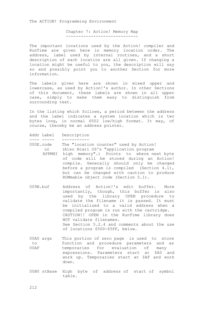Chapter 7: Action! Memory Map -----------------------------

The important locations used by the Action! compiler and RunTime are given here in memory location order. The address, label used by internal routines, and a short description of each location are all given. If changing a location might be useful to you, the description will say so and possibly point you to another Section for more information.

The labels given here are shown in mixed upper and lowercase, as used by Action!'s author. In other Sections of this document, these labels are shown in all upper case, simply to make them easy to distinguish from surrounding text.

In the listing which follows, a period between the address and the label indicates a system location which is two bytes long, in normal 6502 low/high format. It may, of course, thereby be an address pointer.

- Addr Label Description
- ---- ----- -----------

000E.code The "location counter" used by Action! or (Also Atari OS's "application program APPMHI high memory".) Points to where next byte of code will be stored during an Action! compile. Generally should only be changed before a program is compiled (Section 4.1), but can be changed with caution to produce

ROMmable object code (Section 5.1).

- 009B.buf Address of Action!'s edit buffer. More importantly, though, this buffer is also used by the library OPEN procedure to validate the filename it is passed. It must be initialized to a valid address when a compiled program is run with the cartridge. CAUTION!! OPEN in the RunTime library does NOT validate filenames. See Section 5.2.4 and comments about the use of locations \$500-\$5FF, below.
- 00A0 args This portion of zero page is used to store to function and procedure parameters and as<br>00AF temporaries for evaluation of many temporaries for evaluation of many expressions. Parameters start at \$A0 and work up. Temporaries start at \$AF and work down.
- 00B0 stBase High byte of address of start of symbol table.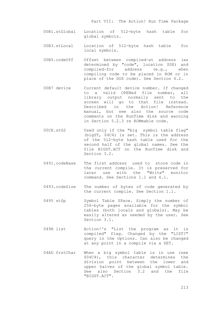Part VII: The Action! Run Time Package

- 00B1.stGlobal Location of 512-byte hash table for global symbols.
- 00B3.stLocal Location of 512-byte hash table for local symbols.
- 00B5.codeOff Offset between compiled-at address (as determined by "code", location \$0E) and compiled-for address (e.g., when compiling code to be placed in ROM or in place of the DOS code). See Section 4.2.
- 00B7 device Current default device number. If changed to a valid OPENed file number, all library output normally sent to the screen will go to that file instead. Described in the Action! Reference manual, but see also the source code comments on the RunTime disk and warning in Section 5.2.3 re ROMmable code.
- 00CE.stG2 Used only if the "big symbol table flag" (bigST, \$4C4) is set. This is the address of the 5l2-byte hash table used for the second half of the global names. See the file BIGST.ACT on the RunTime disk and Section 3.2.
- 0491.codeBase The first address used to store code in the current compile. It is preserved for later use with the "Write" monitor command. See Sections 1.1 and 4.1.
- 0493.codeSize The number of bytes of code generated by the current compile. See Section 1.1.
- 0495 stSp Symbol Table SPace. Simply the number of 256-byte pages available for the symbol tables (both locals and globals). May be easily altered as needed by the user. See Section 3.1.
- 049A list Action!'s "List the program as it is compiled" flag. Changed by the "LIST?" query in the Options. Can also be changed at any point in a compile via a SET.
- 04AD frstChar When a big symbol table is in use (see \$04C4), this character determines the division point between the lower and upper halves of the global symbol table. See also Section 3.2 and the file "BIGST.ACT".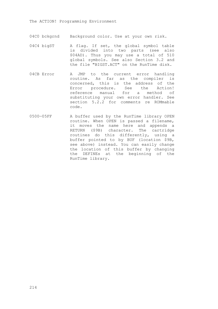04C0 bckgrnd Background color. Use at your own risk.

- 04C4 bigST A flag. If set, the global symbol table is divided into two parts (see also \$04AD). Thus you may use a total of 510 global symbols. See also Section 3.2 and the file "BIGST.ACT" on the RunTime disk.
- 04CB Error A JMP to the current error handling routine. As far as the compiler is concerned, this is the address of the Error procedure. See the Action! reference manual for a method of substituting your own error handler. See section 5.2.2 for comments re ROMmable code.
- 0500—05FF A buffer used by the RunTime library OPEN routine. When OPEN is passed a filename, it moves the name here and appends a RETURN (\$9B) character. The cartridge routines do this differently, using a buffer pointed to by BUF (location \$9B, see above) instead. You can easily change the location of this buffer by changing the DEFINEs at the beginning of the RunTime library.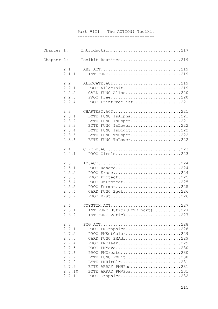## Part VIII: The ACTION! Toolkit -------------------------------

| Chapter 1: |                                                                                                          | Introduction217                                                                                                                                                                                                                                        |
|------------|----------------------------------------------------------------------------------------------------------|--------------------------------------------------------------------------------------------------------------------------------------------------------------------------------------------------------------------------------------------------------|
| Chapter 2: |                                                                                                          | Toolkit Routines219                                                                                                                                                                                                                                    |
|            | 2.1<br>2.1.1                                                                                             | ABS.ACT219<br>INT FUNC219                                                                                                                                                                                                                              |
|            | 2.2<br>2.2.1<br>2, 2, 2<br>2, 2, 3<br>2.2.4                                                              | ALLOCATE.ACT219<br>PROC AllocInit219<br>CARD FUNC Alloc220<br>PROC Free220<br>PROC PrintFreeList221                                                                                                                                                    |
|            | 2.3<br>2.3.1<br>2.3.2<br>2.3.3<br>2.3.4<br>2.3.5<br>2.3.6                                                | CHARTEST.ACT221<br>BYTE FUNC IsAlpha221<br>BYTE FUNC IsUpper221<br>BYTE FUNC IsLower222<br>BYTE FUNC IsDigit222<br>BYTE FUNC ToUpper222<br>BYTE FUNC ToLower222                                                                                        |
|            | 2.4<br>2.4.1                                                                                             | $CIRCLE.ACT.\dots\dots\dots\dots\dots223$<br>PROC Circle223                                                                                                                                                                                            |
|            | 2.5<br>2.5.1<br>2.5.2<br>2.5.3<br>2.5.4<br>2.5.5<br>2.5.6<br>2.5.7                                       | $IO.ACT.$ 224<br>PROC Rename224<br>PROC Erase224<br>PROC Protect225<br>PROC UnProtect225<br>PROC Format225<br>CARD FUNC Bget226<br>PROC BPut226                                                                                                        |
|            | 2.6<br>2.6.1<br>2.6.2                                                                                    | JOYSTIX.ACT227<br>INT FUNC HStick (BYTE port)227<br>INT FUNC VStick227                                                                                                                                                                                 |
|            | 2.7<br>2.7.1<br>2.7.2<br>2.7.3<br>2.7.4<br>2.7.5<br>2.7.6<br>2.7.7<br>2.7.8<br>2.7.9<br>2.7.10<br>2.7.11 | $PMG.ACT$ 228<br>PROC PMGraphics228<br>PROC PMSetColor229<br>CARD FUNC PMAdr229<br>PROC PMClear229<br>PROC PMMove230<br>PROC PMCreate230<br>BYTE FUNC PMHit230<br>BYTE PMHitClr231<br>BYTE ARRAY PMHPos231<br>BYTE ARRAY PMVPos231<br>PROC Graphics232 |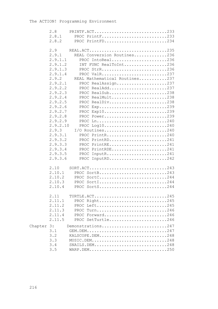|            | 2.8                                                                                                                                                                                       | $PRINTER.ACT.$ 233                                                                                                                                                                                                                                                                                                                                                                                                                           |
|------------|-------------------------------------------------------------------------------------------------------------------------------------------------------------------------------------------|----------------------------------------------------------------------------------------------------------------------------------------------------------------------------------------------------------------------------------------------------------------------------------------------------------------------------------------------------------------------------------------------------------------------------------------------|
|            | 2.8.1                                                                                                                                                                                     | PROC PrintF233                                                                                                                                                                                                                                                                                                                                                                                                                               |
|            | 2.8.2                                                                                                                                                                                     | PROC PrintFD234                                                                                                                                                                                                                                                                                                                                                                                                                              |
|            | 2.9<br>2.9.1<br>2.9.1.1<br>2.9.1.2<br>2.9.1.3<br>2.9.1.4<br>2.9.2<br>2.9.2.1<br>2.9.2.2<br>2.9.2.3<br>2.9.2.4<br>2.9.2.5<br>2.9.2.6<br>2.9.2.7<br>2.9.2.8<br>2.9.2.9<br>2.9.2.10<br>2.9.3 | REAL. ACT235<br>REAL Conversion Routines236<br>PROC IntoReal236<br>INT FUNC RealToInt236<br>PROC StrR236<br>PROC ValR237<br>REAL Mathematical Routines237<br>PROC RealAssign237<br>PROC RealAdd237<br>PROC RealSub238<br>PROC RealMult238<br>PROC RealDiv238<br>PROC Exp239<br>PROC Exp10239<br>PROC Power239<br>PROC $\texttt{Ln} \dots \dots \dots \dots \dots \dots \dots \dots \dots \dots 240$<br>PROC $Log10$ 240<br>$I/O$ Routines240 |
|            | 2.9.3.1                                                                                                                                                                                   | PROC PrintR240                                                                                                                                                                                                                                                                                                                                                                                                                               |
|            | 2.9.3.2<br>2.9.3.3<br>2.9.3.4<br>2.9.3.5                                                                                                                                                  | PROC PrintRD241<br>PROC PrintRE241<br>PROC PrintRDE241<br>PROC InputR241                                                                                                                                                                                                                                                                                                                                                                     |
|            | 2.9.3.6                                                                                                                                                                                   | PROC InputRD242                                                                                                                                                                                                                                                                                                                                                                                                                              |
|            | 2.10<br>2.10.1<br>2.10.2<br>2.10.3<br>2.10.4                                                                                                                                              | PROC SortB243<br>PROC SortC244<br>PROC SortI244<br>PROC SortS244                                                                                                                                                                                                                                                                                                                                                                             |
|            | 2.11<br>2.11.1<br>2.11.2<br>2.11.3<br>2.11.4<br>2.11.5                                                                                                                                    | $T \text{URTLE} \text{ . } \text{ACT} \text{ .} \ldots \text{ .} \ldots \text{ .} \ldots \text{ .} \ldots \text{ .} \ldots \text{ .} \ldots \text{ .} \ldots \text{ .} 245$<br>PROC Right245<br>PROC Left245<br>PROC Turn246<br>PROC Forward246<br>PROC SetTurtle246                                                                                                                                                                         |
| Chapter 3: | 3.1<br>3.2<br>3.3<br>3.4<br>3.5                                                                                                                                                           | Demonstrations247<br>KALSCOPE.DEM248<br>MUSIC.DEM248<br>$SNALLS$ . DEM248<br>WARP.DEM250                                                                                                                                                                                                                                                                                                                                                     |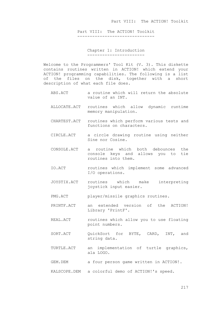Part VIII: The ACTION! Toolkit -------------------------------

> Chapter 1: Introduction -----------------------

Welcome to the Programmers' Tool Kit (V. 3). This diskette contains routines written in ACTION! which extend your ACTION! programming capabilities. The following is a list of the files on the disk, together with a short description of what each fi1e does.

- ABS.ACT a routine which will return the absolute value of an INT.
- ALLOCATE.ACT routines which allow dynamic runtime memory manipulation.
- CHARTEST.ACT routines which perform various tests and functions on characters.
- CIRCLE.ACT a circle drawing routine using neither Sine nor Cosine.
- CONSOLE.ACT a routine which both debounces the console keys and allows you to tie routines into them.
- IO.ACT routines which implement some advanced I/O operations.
- JOYSTIX.ACT routines which make interpreting joystick input easier.
- PMG.ACT player/missile graphics routines.
- PRINTF.ACT an extended version of the ACTION! Library 'PrintF'.
- REAL. ACT routines which allow you to use floating point numbers.
- SORT.ACT QuickSort for BYTE, CARD, INT, and string data.
- TURTLE.ACT an implementation of turtle graphics, ala LOGO.
- GEM. DEM a four person game written in ACTION!.
- KALSCOPE.DEM a colorful demo of ACTION!'s speed.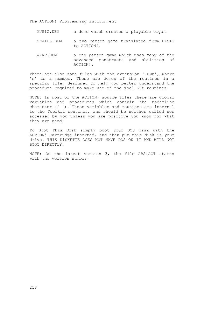- MUSIC.DEM a demo which creates a playable organ.
- SNAILS.DEM a two person game translated from BASIC to ACTION!.
- WARP. DEM a one person game which uses many of the advanced constructs and abilities of ACTION!.

There are also some files with the extension '.DMn', where 'n' is a number. These are demos of the routines in a specific file, designed to help you better understand the procedure required to make use of the Tool Kit routines.

NOTE: In most of the ACTION! source files there are global variables and procedures which contain the underline character ('\_'). These variables and routines are internal to the Toolkit routines, and should be neither called nor accessed by you unless you are positive you know for what they are used.

To Boot This Disk simply boot your DOS disk with the ACTION! Cartridge inserted, and then put this disk in your drive. THIS D1SKETTE DOES NOT HAVE DOS ON IT AND WILL NOT BOOT DIRECTLY.

NOTE: On the latest version 3, the file ABS.ACT starts with the version number.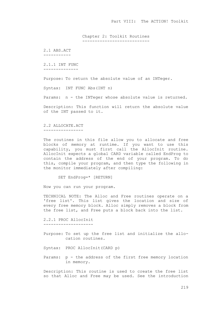Chapter 2: Toolkit Routines ---------------------------

2.1 ABS.ACT -----------

2.1.1 INT FUNC --------------

Purpose: To return the absolute value of an INTeger.

Syntax: INT FUNC Abs(INT n)

Params: n - the INTeger whose absolute value is returned.

Description: This function will return the absolute value of the INT passed to it.

2.2 ALLOCATE.ACT ----------------

The routines in this file allow you to allocate and free blocks of memory at runtime. If you want to use this capability, you must first call the AllocInit routine. AllocInit expects a global CARD variable called EndProg to contain the address of the end of your program. To do this, compile your program, and then type the following in the monitor immediately after compiling:

SET EndProg=\* [RETURN]

Now you can run your program.

TECHNICAL NOTE: The Alloc and Free routines operate on a 'free list'. This list gives the location and size of every free memory block. Alloc simply removes a block from the free list, and Free puts a block back into the list.

2.2.1 PROC AllocInit --------------------

Purpose: To set up the free list and initialize the allocation routines.

Syntax: PROC AllocInit(CARD p)

Params: p - the address of the first free memory location in memory.

Description: This routine is used to create the free list so that Alloc and Free may be used. See the introduction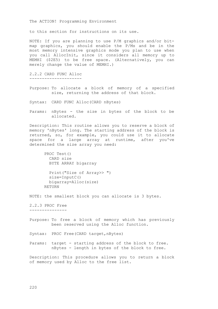to this section for instructions on its use.

NOTE: If you are planning to use P/M graphics and/or bitmap graphics, you should enable the P/Ms and be in the most memory intensive graphics mode you plan to use when you call AllocInit, since it considers all memory up to MEMHI (\$2E5) to be free space. (Alternatively, you can merely change the value of MEMHI.)

2.2.2 CARD FUNC Alloc ---------------------

Purpose: To allocate a block of memory of a specified size, returning the address of that block.

Syntax: CARD FUNC Alloc(CARD nBytes)

Params: nBytes - the size in bytes of the block to be allocated.

Description: This routine allows you to reserve a block of memory 'nBytes' long. The starting address of the block is returned, so, for example, you could use it to allocate space for a large array at runtime, after you've determined the size array you need:

PROC Test() CARD size BYTE ARRAY bigarray Print("Size of Array>> ") size=InputC() bigarray=Alloc(size) RETURN

NOTE: the smallest block you can allocate is 3 bytes.

2.2.3 PROC Free ---------------

Purpose: To free a block of memory which has previously been reserved using the Alloc function.

Syntax: PROC Free(CARD target,nBytes)

Params: target - starting address of the block to free. nBytes - length in bytes of the block to free.

Description: This procedure allows you to return a block of memory used by Alloc to the free list.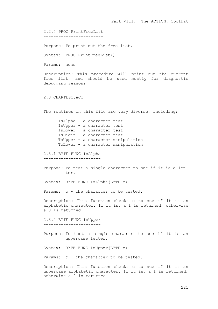Part VIII: The ACTION! Toolkit 2.2.4 PROC PrintFreeList ------------------------ Purpose: To print out the free list. Syntax: PROC PrintFreeList() Params: none Description: This procedure will print out the current free list, and should be used mostly for diagnostic debugging reasons. 2.3 CHARTEST.ACT ---------------- The routines in this file are very diverse, including: IsAlpha - a character test IsUpper - a character test IsLower - a character test IsDigit - a character test ToUpper - a character manipulation ToLower - a character manipulation 2.3.1 BYTE FUNC IsAlpha ----------------------- Purpose: To test a single character to see if it is a letter. Syntax: BYTE FUNC IsAlpha(BYTE c) Params: c - the character to be tested. Description: This function checks c to see if it is an alphabetic character. If it is, a 1 is returned; otherwise a 0 is returned. 2.3.2 BYTE FUNC IsUpper ----------------------- Purpose: To test a single character to see if it is an uppercase letter. Syntax: BYTE FUNC IsUpper(BYTE c) Params: c - the character to be tested. Description: This function checks c to see if it is an uppercase alphabetic character. If it is, a 1 is returned; otherwise a 0 is returned.

 $221$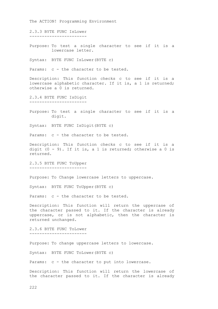The ACTION! Programming Environment 2.3.3 BYTE FUNC IsLower ----------------------- Purpose: To test a single character to see if it is a lowercase letter. Syntax: BYTE FUNC IsLower(BYTE c) Params: c - the character to be tested. Description: This function checks c to see if it is a lowercase alphabetic character. If it is, a 1 is returned; otherwise a 0 is returned. 2.3.4 BYTE FUNC IsDigit ----------------------- Purpose: To test a single character to see if it is a digit. Syntax: BYTE FUNC IsDigit(BYTE c) Params: c - the character to be tested. Description: This function checks c to see if it is a digit  $(0 - 9)$ . If it is, a 1 is returned; otherwise a 0 is returned. 2.3.5 BYTE FUNC ToUpper ----------------------- Purpose: To Change lowercase letters to uppercase. Syntax: BYTE FUNC ToUpper(BYTE c) Params: c - the character to be tested. Description: This function will return the uppercase of the character passed to it. If the character is already uppercase, or is not alphabetic, then the character is returned unchanged. 2.3.6 BYTE FUNC ToLower ----------------------- Purpose: To change uppercase letters to lowercase. Syntax: BYTE FUNC ToLower(BYTE c) Params: c - the character to put into lowercase. Description: This function will return the lowercase of the character passed to it. If the character is already

 $222$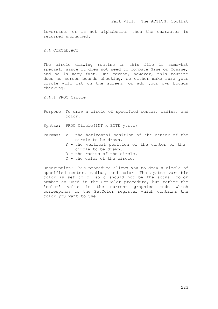lowercase, or is not alphabetic, then the character is returned unchanged.

2.4 CIRCLE.ACT --------------

The circle drawing routine in this file is somewhat special, since it does not need to compute Sine or Cosine, and so is very fast. One caveat, however, this routine does no screen bounds checking, so either make sure your circle will fit on the screen, or add your own bounds checking.

2.4.1 PROC Circle -----------------

Purpose: To draw a circle of specified center, radius, and color.

Syntax: PROC Circle(INT x BYTE y, r, c)

- Params: x the horizontal position of the center of the circle to be drawn.
	- Y the vertical position of the center of the circle to be drawn.
	- R the radius of the circle.
	- C the color of the circle.

Description: This procedure allows you to draw a circle of specified center, radius, and color. The system variable color is set to c, so c should not be the actual color number as used in the SetColor procedure, but rather the 'color' value in the current graphics mode which corresponds to the SetColor register which contains the color you want to use.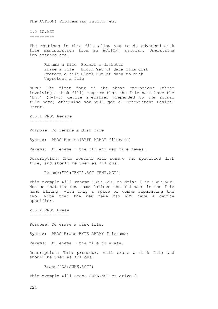2.5 IO.ACT ----------

The routines in this file allow you to do advanced disk file manipulation from an ACTION! program. Operations implemented are:

Rename a file Format a diskette Erase a file Block Get of data from disk Protect a file Block Put of data to disk Unprotect a file

NOTE: The first four of the above operations (those involving a disk fill) require that the file name have the 'Dn:' (n=1-8) device specifier prepended to the actual file name; otherwise you will get a 'Nonexistent Device' error.

2.5.1 PROC Rename -----------------

Purpose: To rename a disk file.

Syntax: PROC Rename(BYTE ARRAY filename)

Params: filename - the old and new file names.

Description: This routine will rename the specified disk file, and should be used as follows:

Rename("D1:TEMP1.ACT TEMP.ACT")

This example will rename TEMP1.ACT on drive 1 to TEMP.ACT. Notice that the new name follows the old name in the file name string, with only a space or comma separating the two. Note that the new name may NOT have a device specifier.

2.5.2 PROC Erase ----------------

Purpose: To erase a disk file.

Syntax: PROC Erase(BYTE ARRAY filename)

Params: filename - the file to erase.

Description: This procedure will erase a disk file and should be used as follows:

Erase("D2:JUNK.ACT")

This example will erase JUNK.ACT on drive 2.

 $224$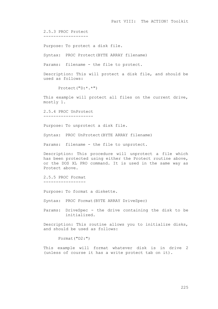2.5.3 PROC Protect ------------------

Purpose: To protect a disk file.

Syntax: PROC Protect(BYTE ARRAY filename)

Params: filename - the file to protect.

Description: This will protect a disk file, and should be used as follows:

Protect("D:\*.\*")

This example will protect all files on the current drive, mostly 1.

2.5.4 PROC UnProtect --------------------

Purpose: To unprotect a disk file.

Syntax: PROC UnProtect(BYTE ARRAY filename)

Params: filename - the file to unprotect.

Description: This procedure will unprotect a file which has been protected using either the Protect routine above, or the DOS XL PRO command. It is used in the same way as Protect above.

2.5.5 PROC Format -----------------

Purpose: To format a diskette.

Syntax: PROC Format(BYTE ARRAY DriveSpec)

Params: DriveSpec - the drive containing the disk to be initialized.

Description: This routine allows you to initialize disks, and should be used as follows:

Format("D2:")

This example will format whatever disk is in drive 2 (unless of course it has a write protect tab on it).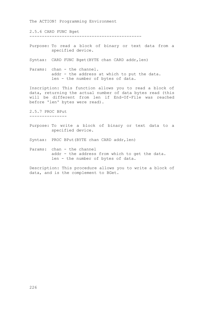2.5.6 CARD FUNC Bget ---------------------------------------------

Purpose: To read a block of binary or text data from a specified device.

Syntax: CARD FUNC Bget(BYTE chan CARD addr, len)

Params: chan - the channel. addr - the address at which to put the data. len - the number of bytes of data.

Inscription: This function allows you to read a block of data, returning the actual number of data bytes read (this will be different from len if End-Of-File was reached before 'len' bytes were read).

2.5.7 PROC BPut

---------------

Purpose: To write a block of binary or text data to a specified device.

Syntax: PROC BPut(BYTE chan CARD addr, len)

Params: chan - the channel addr - the address from which to get the data. len - the number of bytes of data.

Description: This procedure allows you to write a block of data, and is the complement to BGet.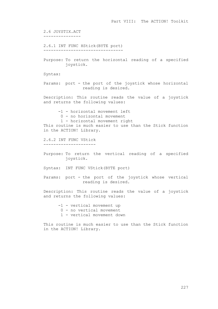2.6 JOYSTIX.ACT --------------- 2.6.1 INT FUNC HStick(BYTE port) -------------------------------- Purpose: To return the horizontal reading of a specified joystick. Syntax: Params: port - the port of the joystick whose horizontal reading is desired. Description: This routine reads the value of a joystick and returns the following values: -1 - horizontal movement left 0 - no horizontal movement 1 - horizontal movement right This routine is much easier to use than the Stick function in the ACTION! Library. 2.6.2 INT FUNC VStick --------------------- Purpose: To return the vertical reading of a specified joystick. Syntax: INT FUNC VStick(BYTE port) Params: port - the port of the joystick whose vertical reading is desired. Description: This routine reads the value of a joystick and returns the following values: -1 - vertical movement up 0 - no vertical movement 1 - vertical movement down This routine is much easier to use than the Stick function in the ACTION! Library.

Part VIII: The ACTION! Toolkit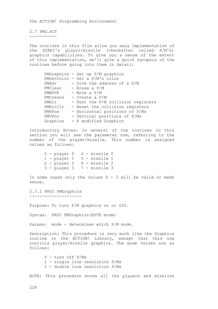2.7 PMG.ACT -----------

The routines in this file allow you easy implementation of the ATARI's playrr/missile (thereafter called P/M's) graphics capabilities. To give you a sense of the extent of this implementation, we'll give a quick synopsis of the routines before going into them in detail:

|          | PMGraphics - Set up P/M graphics   |
|----------|------------------------------------|
|          | PMSetColor - Set a P/M's color     |
| PMAdr    | - Give the address of a P/M        |
| PMClear  | - Erase a P/M                      |
| PMMOVE   | - Move a P/M                       |
| PMCreate | - Create a $P/M$                   |
| PMHit    | - Test the P/M collision registers |
| PMHitClr | - Reset the collision registers    |
| PMHPos   | - Horizontal positions of P/Ms     |
| PMVPos   | - Vertical positions of P/Ms       |
| Graphics | - A modified Graphics              |

Introductory Notes: In several of the routines in this section you will see the parameter num, referring to the number of the player/missile. This number is assigned values as follows:

|  | $0$ - player $0$ |  | 4 - missile 0 |  |
|--|------------------|--|---------------|--|
|  | $1$ - player $1$ |  | 5 - missile 1 |  |
|  | 2 - player 2     |  | 6 - missile 2 |  |
|  | $3$ - player $3$ |  | 7 - missile 3 |  |

In some cases only the values  $0 - 3$  will be valid or make sense.

2.7.1 PROC PMGraphics ---------------------

Purpose: To turn P/M graphics on or off.

Syntax: PROC PMGraphics(BYTE mode)

Params: mode - determines which P/M mode.

Description: This procedure is very much like the Graphics routine in the ACTION! Library, except that this one controls player/missile graphics. The mode values are as follows:

> 0 - turn off P/Ms 1 - single line resolution P/Ms 2 - double line resolution P/Ms

NOTE: This procedure moves all the players and missiles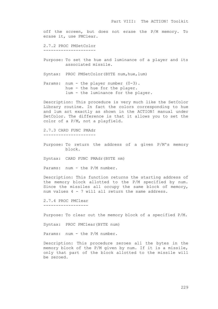off the screen, but does not erase the P/M memory. To erase it, use PMClear.

2.7.2 PROC PMSetColor ---------------------

Purpose: To set the hue and luminance of a player and its associated missile.

Syntax: PROC PMSetColor(BYTE num, hue, lum)

Params: num - the player number (0-3). hue - the hue for the player. lum - the luminance for the player.

Description: This procedure is very much like the SetColor Library routine. In fact the colors corresponding to hue and lum art exactly as shown in the ACTION! manual under SetColor. The difference is that it allows you to set the color of a P/M, not a playfield.

2.7.3 CARD FUNC PMAdr ---------------------

Purpose: To return the address of a given P/M's memory block.

Syntax: CARD FUNC PMAdr(BYTE nm)

Params: num - the P/M number.

Description: This function returns the starting address of the memory block allotted to the P/M specified by num. Since the missiles all occupy the same block of memory, num values 4 - 7 will all return the same address.

2.7.4 PROC PMClear ------------------

Purpose: To clear out the memory block of a specified P/M.

Syntax: PROC PMClear(BYTE num)

Params: num - the P/M number.

Description: This procedure zeroes all the bytes in the memory block of the P/M given by num. If it is a missile, only that part of the block allotted to the missile will be zeroed.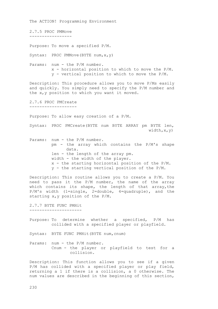The ACTION! Programming Environment 2.7.5 PROC PMMove ----------------- Purpose: To move a specified P/M. Syntax: PROC PMMove(BYTE num, x, y) Params: num - the P/M number. x - horizontal position to which to move the P/M. y - vertical position to which to move the P/M. Description: This procedure allows you to move P/Ms easily and quickly. You simply need to specify the P/M number and the x,y position to which you want it moved. 2.7.6 PROC PMCreate ------------------- Purpose: To allow easy creation of a P/M. Syntax: PROC PMCreate(BYTE num BYTE ARRAY pm BYTE len, width,x,y) Params: num - the P/M number. pm - the array which contains the P/M's shape data. len - the length of the array pm. width - the width of the player. x - the starting horizontal position of the P/M. y - the starting vertical position of the P/M. Description: This routine allows you to create a P/M. You need to pass it the P/M number, the name of the array which contains its shape, the length of that array, the P/M's width (1=single, 2=double, 4=quadruple), and the starting x,y position of the P/M. 2.7.7 BYTE FUNC PMHit --------------------- Purpose: To determine whether a specified, P/M has collided with a specified player or playfield. Syntax: BYTE FUNC PMHit(BYTE num,cnum) Params: num - the P/M number. Cnum - the player or playfield to test for a collision. Description: This function allows you to see if a given

P/M has collided with a specified player or play field, returning a 1 if there is a collision, a 0 otherwise. The num values are described in the beginning of this section,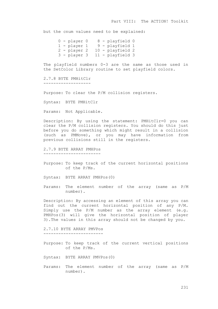but the cnum values need to be explained:

0 - player 0 8 - playfield 0 1 - player 1 9 - playfield 1 2 - player 2 10 - playfield 2 3 - player 3 11 - playfield 3

The playfield numbers 0-3 are the same as those used in the SetColor Library routine to set playfield colors.

2.7.8 BYTE PMHitClr -------------------

Purpose: To clear the P/M collision registers.

Syntax: BYTE PMHitClr

Params: Not Applicable.

Description: By using the statement: PMHitClr=0 you can clear the P/M collision registers. You should do this just before you do something which might result in a collision (such as PMMove), or you may have information from previous collisions still in the registers.

2.7.9 BYTE ARRAY PMHPos -----------------------

Purpose: To keep track of the current horizontal positions of the P/Ms.

Syntax: BYTE ARRAY PMHPos(0)

Params: The element number of the array (same as P/M number).

Description: By accessing an element of this array you can find out the current horizontal position of any P/M. Simply use the P/M number as the array element (e.g. PMHPos(3) will give the horizontal position of player 3).The values in this array should not be changed by you.

2.7.10 BYTE ARRAY PMVPos ------------------------

- Purpose: To keep track of the current vertical positions of the P/Ms.
- Syntax: BYTE ARRAY PMVPos(0)
- Params: The element number of the array (same as P/M number).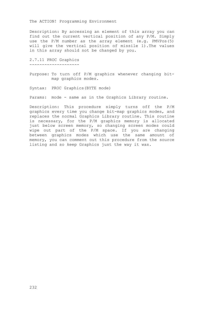Description: By accessing an element of this array you can find out the current vertical position of any P/M. Simply use the P/M number as the array element (e.g. PMVPos(5) will give the vertical position of missile 1).The values in this array should not be changed by you.

2.7.11 PROC Graphics --------------------

Purpose: To turn off P/M graphics whenever changing bitmap graphics modes.

Syntax: PROC Graphics(BYTE mode)

Params: mode - same as in the Graphics Library routine.

Description: This procedure simply turns off the P/M graphics every time you change bit-map graphics modes, and replaces the normal Graphics Library routine. This routine is necessary, for the P/M graphics memory is allocated just below screen memory, so changing screen modes could wipe out part of the P/M space. If you are changing between graphics modes which use the same amount of memory, you can comment out this procedure from the source listing and so keep Graphics just the way it was.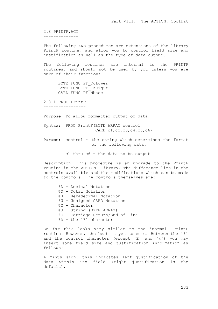2.8 PRINTF.ACT --------------

The following two procedures are extensions of the library PrintF routine, and allow you to control field size and justification as well as the type of data output.

The following routines are internal to the PRINTF routines, and should not be used by you unless you are sure of their function:

> BYTE FUNC PF ToLower BYTE FUNC PF<sup>IsDigit</sup> CARD FUNC PF Nbase

2.8.1 PROC PrintF -----------------

Purpose: To allow formatted output of data.

Syntax: PROC PrintF(BYTE ARRAY control CARD c1,c2,c3,c4,c5,c6)

Params: control - the string which determines the format of the following data.

c1 thru c6 - the data to be output

Description: This procedure is an upgrade to the PrintF routine in the ACTION! Library. The difference lies in the controls available and the modifications which can be made to the controls. The controls themselves are:

%D - Decimal Notation %O - Octal Notation %H - Hexadecimal Notation %U - Unsigned CARD Notation %C - Character %S - String (BYTE ARRAY) %E - Carriage Return/End-of-Line %% - the '%' character

So far this looks very similar to the 'normal' PrintF routine. However, the best is yet to come. Between the '%' and the control character (except 'E' and '%') you may insert some field size and justification information as follows:

A minus sign: this indicates left justification of the data within its field (right justification is the default).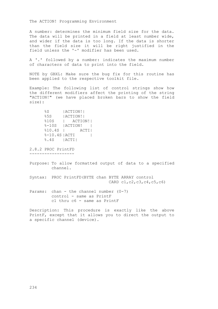A number: determines the minimum field size for the data. The data will be printed in a field at least number wide, and wider if the data is too long. If the data is shorter than the field size it will be right justified in the field unless the '-' modifier has been used.

A '.' followed by a number: indicates the maximum number of characters of data to print into the field.

NOTE by GBXL: Make sure the bug fix for this routine has been applied to the respective toolkit file.

Example: The following list of control strings show how the different modifiers affect the printing of the string "ACTION!" (we have placed broken bars to show the field size):

```
%S |ACTION!|
%5S |ACTION!|
%10S | ACTION!|
\text{\textdegree}-10S | ACTION! |
%10.4S | ACTI|
8 - 10.4S | ACTI |
%.4S |ACTI|
```
2.8.2 PROC PrintFD ------------------

Purpose: To allow formatted output of data to a specified channel.

Syntax: PROC PrintFD(BYTE chan BYTE ARRAY control CARD c1,c2,c3,c4,c5,c6)

Params: chan - the channel number (0-7) control - same as PrintF c1 thru c6 - same as PrintF

Description: This procedure is exactly like the above PrintF, except that it allows you to direct the output to a specific channel (device).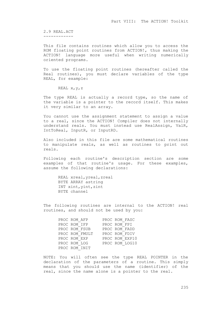2.9 REAL.ACT ------------

This file contains routines which allow you to access the ROM floating point routines from ACTION!, thus making the ACTION! language more useful when writing numerically oriented programs.

To use the floating point routines (hereafter called the Real routines), you must declare variables of the type REAL, for example:

REAL x,y,z

The type REAL is actually a record type, so the name of the variable is a pointer to the record itself. This makes it very similar to an array.

You cannot use the assignment statement to assign a value to a real, since the ACTION! Compiler does not internally understand reals. You must instead use RealAssign, ValR, IntToReal, InputR, or InputRD.

Also included in this file are some mathematical routines to manipulate reals, as well as routines to print out reals.

Following each routine's description section are some examples of that routine's usage. For these examples, assume the following declarations:

REAL xreal,yreal,zreal BYTE ARRAY astring INT xint,yint,zint BYTE channel

The following routines are internal to the ACTION! real routines, and should not be used by you:

| PROC ROM AFP   | PROC ROM FASC  |
|----------------|----------------|
| PROC ROM IFP   | PROC ROM FPI   |
| PROC ROM FSUB  | PROC ROM FADD  |
| PROC ROM FMULT | PROC ROM FDIV  |
| PROC ROM EXP   | PROC ROM EXP10 |
| PROC ROM LOG   | PROC ROM LOG10 |
| PROC ROM INIT  |                |

NOTE: You will often see the type REAL POINTER in the declaration of the parameters of a routine. This simply means that you should use the name (identifier) of the real, since the name alone is a pointer to the real.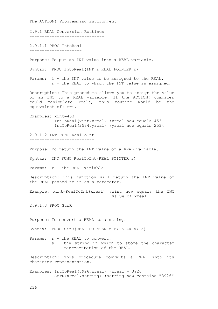2.9.1 REAL Conversion Routines ------------------------------

2.9.1.1 PROC IntoReal ---------------------

Purpose: To put an INI value into a REAL variable.

Syntax: PROC IntoReal(INT i REAL POINTER r)

Params: i - the INT value to be assigned to the REAL. r - the REAL to which the INT value is assigned.

Description: This procedure allows you to assign the value of an INT to a REAL variable. If the ACTION! compiler could manipulate reals, this routine would be the equivalent of: r=i.

Examples: xint=453 IntToReal(xint,xreal) ;xreal now equals 453 IntToReal(2534,yreal) ;yreal now equals 2534

2.9.1.2 INT FUNC RealToInt --------------------------

Purpose: To return the INT value of a REAL variable.

Syntax: INT FUNC RealToInt(REAL POINTER r)

Params: r - the REAL variable

Description: This function will return the INT value of the REAL passed to it as a parameter.

Example: xint=RealToInt(xreal) ; xint now equals the INT value of xreal

2.9.1.3 PROC StrR -----------------

Purpose: To convert a REAL to a string.

Syntax: PROC StrR(REAL POINTER r BYTE ARRAY s)

Params: r - the REAL to convert. s - the string in which to store the character representation of the REAL.

Description: This procedure converts a REAL into its character representation.

Examples: IntToReal(3926,xreal) ;xreal = 3926 StrR(xreal,astring) ;astring now contains "3926"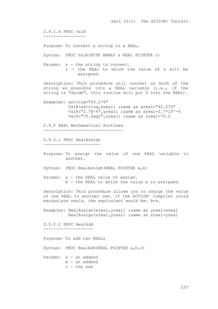2.9.1.4 PROC ValR ----------------- Purpose: To convert a string to a REAL. Syntax: PROC ValR(BYTE ARRAY s REAL POINTER r) Params: s - the string to convert. r - the REAL to which the value of s will be assigned. Description: This procedure will convert as much of the string as possible into a REAL variable (i.e., if the string is "abcde", this routine will put 0 into the REAL). Examples: astring="45.276" ValR(astring,xreal) ;same as xreal="45.276" ValR("2.7E-4",yreall ;same as xreal=2.7\*10^-4 ValR("70.2agr",zreal) ;same as zreal=70.2 2.9.2 REAL Mathematical Routines -------------------------------- 2.9.2.1 PROC RealAssign ----------------------- Purpose: To assign the value of one REAL variable to another. Syntax: PROC RealAssign(REAL POINTER a,b) Params: a - the REAL value to assign. b - the REAL to which the value a is assigned. Description: This procedure allows you to assign the value of one REAL to another one. If the ACTION! Compiler could manipulate reals, the equivalent would be: b=a. Examples: RealAssign(xreal,yreal) ;same as yreal=xreal RealAssign(zreal,yreal) ;same as zreal=yreal 2.9.2.2 PROC RealAdd -------------------- Purpose: To add two REALs Syntax: PROC RealAdd(REAL POINTER a,b,c) Params: a - an addend b - an addend c - the sum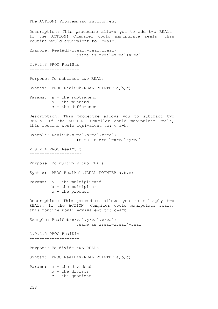```
The ACTION! Programming Environment
Description: This procedure allows you to add two REAls.
If the ACTION! Compiler could manipulate reals, this
routine would equivalent to: c=a+b.
Example: RealAdd(xreal,yreal,zreal) 
                   ;same as zreal=xreal+yreal
2.9.2.3 PROC RealSub
--------------------
Purpose: To subtract two REALs
Syntax: PROC RealSub(REAL POINTER a,b,c)
Params: a - the subtrahend
       b - the minuend
        c - the difference
Description: This procedure allows you to subtract two
REALs. If the ACTION' Compiler could manipulate reals,
this routine would equivalent to: c=a-b.
Example: RealSub(xreal,yreal,zreal) 
                   ;same as zreal=xreal-yreal
2.9.2.4 PROC RealMult
---------------------
Purpose: To multiply two REALs
Syntax: PROC RealMult(REAL POINTER a,b,c)
Params: a - the multiplicand
        b - the multiplier
        c - the product
Description: This procedure allows you to multiply two
REALs. If the ACTION! Compiler could manipulate reals,
this routine would equivalent to: c=a*b.
Example: RealSub(xreal, yreal, zreal)
                   ;same as zreal=xreal*yreal
2.9.2.5 PROC RealDiv
--------------------
Purpose: To divide two REALs
Syntax: PROC RealDiv(REAL POINTER a,b,c)
Params: a - the dividend
        b - the divisor
        c - the quotient
```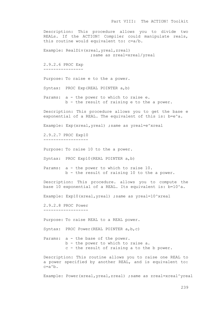Description: This procedure allows you to divide two REALs. If the ACTION! Compiler could manipulate reals, this routine would equivalent to: c=a/b. Example: RealDiv(xreal,yreal,zreal) ;same as zreal=xreal/yreal 2.9.2.6 PROC Exp ---------------- Purpose: To raise e to the a power. Syntax: PROC Exp(REAL POINTER a,b) Params:  $a - th$ e power to which to raise e. b - the result of raising e to the a power. Description: This procedure allows you to get the base e exponential of a REAL. The equivalent of this is: b=e^a. Example: Exp(xreal, yreal) ; same as yreal=e^xreal 2.9.2.7 PROC Exp10 ------------------ Purpose: To raise 10 to the a power. Syntax: PROC Exp10(REAL POINTER a,b) Params: a - the power to which to raise 10. b - the result of raising 10 to the a power. Description: This procedure. allows you to compute the base 10 exponential of a REAL. Its equivalent is: b=10^a. Example: Exp10(xreal, yreal) ; same as yreal=10^xreal 2.9.2.8 PROC Power ------------------ Purpose: To raise REAL to a REAL power. Syntax: PROC Power(REAL POINTER a,b,c) Params: a - the base of the power. b - the power to which to raise a. c - the result of raising a to the b power. Description: This routine allows you to raise one REAL to a power specified by another REAL, and is equivalent to: c=a^b. Example: Power(xreal,yreal,zreal) ;same as zreal=xreal^yreal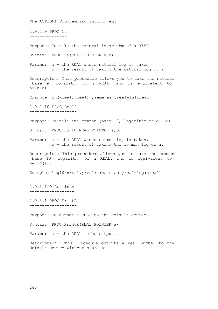The ACTION! Programming Environment 2.9.2.9 PROC Ln --------------- Purpose: To take the natural logarithm of a REAL. Syntax: PROC Ln(REAL POINTER a,b) Params: a - the REAL whose natural log is taken. b - the result of taking the natural log of a. Description: This procedure allows you to take the natural (base e) logarithm of a REAL, and is equivalent to:  $b=ln(a)$ . Example: Ln(xreal,yreal) ;same as yreal=ln(xreal) 2.9.2.10 PROC Log10 ------------------- Purpose: To take the common (base 10) logarithm of a REAL. Syntax: PROC Log10(REAL POINTER a,b) Params:  $a - th$ e REAL whose common log is taken. b – the result of taking the common log of a. Description: This procedure allows you to take the common (base 10) logarithm of a REAL. and is equivalent to:  $b = log(a)$ . Example: Log10(xreal, yreal) ; same as yreal=log(xreal) 2.9.3 I/O Routines ------------------ 2.9.3.1 PROC PrintR ------------------- Purpose: To output a REAL to the default device. Syntax: PROC PrintR(REAL POINTER a) Params: a - the REAL to be output. Description: This procedure outputs a real number to the default device without a RETURN.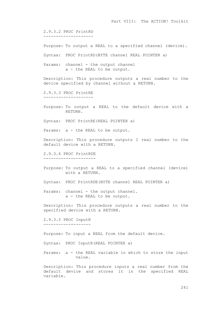2.9.3.2 PROC PrintRD --------------------

Purpose: To output a REAL to a specified channel (device).

Syntax: PROC PrintRD(BYTE channel REAL POINTER a)

Params: channel - the output channel a - the REAL to be output.

Description: This procedure outputs a real number to the device specified by channel without a RETURN.

2.9.3.3 PROC PrintRE --------------------

Purpose: To output a REAL to the default device with a RETURN.

Syntax: PROC PrintRE(REAL POINTER a)

Params: a - the REAL to be output.

Description: This procedure outputs I real number to the default device with a RETURN.

2.9.3.4 PROC PrintRDE ---------------------

- Purpose: To output a REAL to a specified channel (device) with a RETURN.
- Syntax: PROC PrintRDE(BYTE channel REAL POINTER a)

Params: channel - the output channel. a - the REAL to be output.

Description: This procedure outputs a real number to the specified device with a RETURN.

2.9.3.5 PROC InputR -------------------

Purpose: To input a REAL from the default device.

Syntax: PROC InputR(REAL POINTER a)

Params: a - the REAL variable in which to store the input value.

Description: This procedure inputs a real number from the default device and stores it in the specified REAL variable.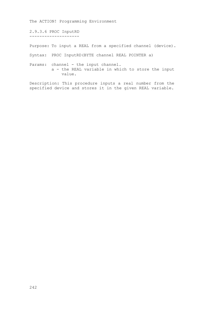2.9.3.6 PROC InputRD --------------------

Purpose: To input a REAL from a specified channel (device).

Syntax: PROC InputRD(BYTE channel REAL POINTER a)

Params: channel - the input channel. a - the REAL variable in which to store the input value.

Description: This procedure inputs a real number from the specified device and stores it in the given REAL variable.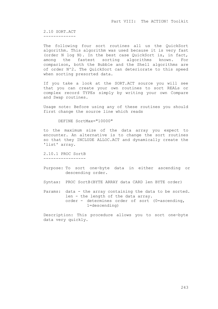2.10 SORT.ACT -------------

The following four sort routines all us the QuickSort algorithm. This algorithm was used because it is very fast (order N log N). In the best case QuickSort is, in fact, among the fastest sorting algorithms known. For comparison, both the Bubble and the Shell algorithms are of order N^2. The QuickSort can deteriorate to this speed when sorting presorted data.

If you take a look at the SORT.ACT source you will see that you can create your own routines to sort REALs or complex record TYPEs simply by writing your own Compare and Swap routines.

Usage note: Before using any of these routines you should first change the source line which reads

DEFINE SortMax="10000"

to the maximum size of the data array you expect to encounter. An alternative is to change the sort routines so that they INCLUDE ALLOC.ACT and dynamically create the 'list' array.

2.10.1 PROC SortB -----------------

- Purpose: To sort one-byte data in either ascending or descending order.
- Syntax: PROC SortB(BYTE ARRAY data CARD len BYTE order)

Params: data - the array containing the data to be sorted. len - the length of the data array. order - determines order of sort (0=ascending, 1=descending)

Description: This procedure allows you to sort one-byte data very quickly.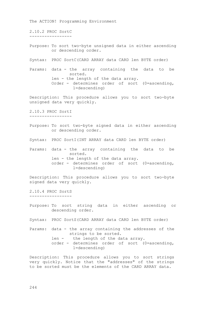The ACTION! Programming Environment 2.10.2 PROC SortC ----------------- Purpose: To sort two-byte unsigned data in either ascending or descending order. Syntax: PROC SortC(CARD ARRAY data CARD len BYTE order) Params: data - the array containing the data to be sorted. len - the length of the data array. Order - determines order of sort (0=ascending, 1=descending) Description: This procedure allows you to sort two-byte unsigned data very quickly. 2.10.3 PROC SortI ----------------- Purpose: To sort two-byte signed data in either ascending or descending order. Syntax: PROC SortI(INT ARRAY data CARD len BYTE order) Params: data - the array containing the data to be sorted. len - the length of the data array. order - determines order of sort (0=ascending, l=descending) Description: This procedure allows you to sort two-byte signed data very quickly. 2.10.4 PROC SortS ----------------- Purpose: To sort string data in either ascending or descending order. Syntax: PROC SortS(CARD ARRAY data CARD len BYTE order) Params: data - the array containing the addresses of the strings to be sorted. len - the length of the data array. order - determines order of sort (0=ascending, 1=descending) Description: This procedure allows you to sort strings very quickly. Notice that the "addresses" of the strings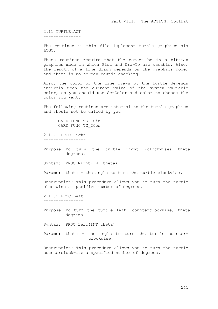2.11 TURTLE.ACT ---------------

The routines in this file implement turtle graphics ala LOGO.

These routines require that the screen be in a bit-map graphics mode in which Plot and DrawTo are useable. Also, the length of a line drawn depends on the graphics mode, and there is no screen bounds checking.

Also, the color of the line drawn by the turtle depends entirely upon the current value of the system variable color, so you should use SetColor and color to choose the color you want.

The following routines are internal to the turtle graphics and should not be called by you

> CARD FUNC TG\_ISin CARD FUNC TG\_ICos

2.11.1 PROC Right -----------------

Purpose: To turn the turtle right (clockwise) theta degrees.

Syntax: PROC Right(INT theta)

Params: theta - the angle to turn the turtle clockwise.

Description: This procedure allows you to turn the turtle clockwise a specified number of degrees.

2.11.2 PROC Left ----------------

Purpose: To turn the turtle left (counterclockwise) theta degrees.

Syntax: PROC Left(INT theta)

Params: theta - the angle to turn the turtle counterclockwise.

Description: This procedure allows you to turn the turtle counterclockwise a specified number of degrees.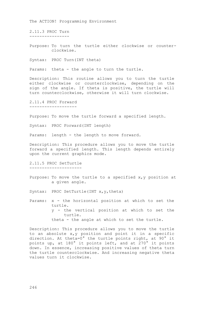2.11.3 PROC Turn ----------------

Purpose: To turn the turtle either clockwise or counterclockwise.

Syntax: PROC Turn(INT theta)

Params: theta - the angle to turn the turtle.

Description: This routine allows you to turn the turtle either clockwise or counterc1ockwise, depending on the sign of the angle. If theta is positive, the turtle will turn counterclockwise, otherwise it will turn clockwise.

2.11.4 PROC Forward -------------------

Purpose: To move the turtle forward a specified length.

Syntax: PROC Forward(INT length)

Params: length - the length to move forward.

Description: This procedure allows you to move the turtle forward a specified length. This length depends entirely upon the current graphics mode.

2.11.5 PROC SetTurtle ---------------------

Purpose: To move the turtle to a specified x,y position at a given angle.

Syntax: PROC SetTurtle(INT x, y, theta)

Params:  $x -$  the horizontal position at which to set the turtle. y - the vertical position at which to set the turtle. theta - the angle at which to set the turtle.

Description: This procedure allows you to move the turtle to an absolute x,y position and point it in a specific direction. At theta=0° the turtle points right, at 90° it points up, at 180° it points left, and at 270° it points down. In essence, increasing positive values of theta turn the turtle counterclockwise. And increasing negative theta values turn it clockwise.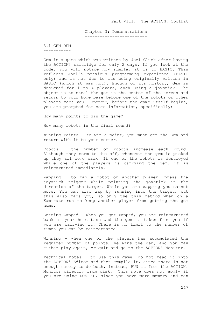Chapter 3: Demonstrations -------------------------

3.1 GEM.DEM -----------

Gem is a game which was written by Joel Gluck after having the ACTION! cartridge for only 2 days. If you look at the code, you will notice how similar it is to BASIC. This reflects Joel's previous programming experience (BASIC only) and is not due to its being originally written in BASIC (which it was not). Enough of its history, Gem is designed for 1 to 4 players, each using a joystick. The object is to steal the gem in the center of the screen and return to your home base before one of the robots or other players zaps you. However, before the game itself begins, you are prompted for some information, specifically:

How many points to win the game?

How many robots in the final round?

Winning Points - to win a point, you must get the Gem and return with it to your corner.

Robots - the number of robots increase each round. Although they seem to die off, whenever the gem is picked up they all come back. If one of the robots is destroyed while one of the players is carrying the gem, it is reincarnated immediately.

Zapping - to zap a robot or another player, press the joystick trigger while pointing the joystick in the direction of the target. While you are zapping you cannot move. You can also zap by running into the target, but this also zaps you, so only use this method when on a Kamikaze run to keep another player from getting the gem home.

Getting Zapped - when you get zapped, you are reincarnated back at your home base and the gem is taken from you if you are carrying it. There is no limit to the number of times you can be reincarnated.

Winning - when one of the players has accumulated the required number of points, he wins the gem, and you may either play again, or quit and go to the ACTION! Monitor.

Technical notes - to use this game, do not read it into the ACTION! Editor and then compile it, since there is not enough memory to do both. Instead, RUN it from the ACTION! Monitor directly from disk. (This note does not apply if you are using DOS XL, since you have more memory and can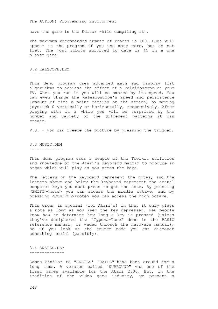have the game in the Editor while compiling it).

The maximum recommended number of robots is 100. Bugs will appear in the program if you use many more, but do not fret. The most robots survived to date is 45 in a one player game.

3.2 KALSCOPE.DEM ----------------

This demo program uses advanced math and display list algorithms to achieve the effect of a kaleidoscope on your TV. When you run it you will be amazed by its speed. You can even change the kaleidoscope's speed and persistence (amount of time a point remains on the screen) by moving joystick 0 vertically or horizontally, respectively. After playing with it a while you will be surprised by the number and variety of the different patterns it can create.

P.S. - you can freeze the picture by pressing the trigger.

3.3 MUSIC.DEM -------------

This demo program uses a couple of the Toolkit utilities and knowledge of the Atari's keyboard matrix to produce an organ which will play as you press the keys.

The letters on the keyboard represent the notes, and the letters above and below the keyboard represent the actual computer keys you must press to get the note. By pressing <SHIFT><note> you can access the middle octave, and by pressing <CONTROL><note> you can access the high octave.

This organ is special (for Atari's) in that it only plays a note as long as you keep the key depressed. Few people know how to determine how long a key is pressed (unless they've deciphered the "Type-a-Tune" demo in the BASIC reference manual, or waded through the hardware manual), so if you look at the source code you can discover something useful (possibly).

3.4 SNAILS.DEM --------------

Games similar to "SNAILS' TRAILS"·have been around for a long time. A version called "SURROUND" was one of the first games available for the Atari 2600. But, in the tradition of the video game industry, we present a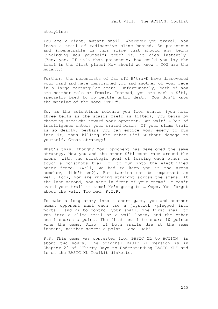storyline:

You are a giant, mutant snail. Wherever you travel, you leave a trail of radioactive slime behind. So poisonous and impenetrable is this slime that should any being (including you yourself) touch it, it dies instantly. (Yes, yes. If it's that poisonous, how could you lay the trail in the first place? How should we know … YOU are the mutant.)

Further, the scientists of far off H'tra-E have discovered your kind and have imprisoned you and another of your race in a large rectangular arena. Unfortunately, both of you are neither male or female. Instead, you are each a S'ti, specially bred to do battle until death! You don't know the meaning of the word "STOP".

So, as the scientists release you from stasis (you hear three bells as the stasis field is lifted), you begin by charging straight toward your opponent. But wait! A bit of intelligence enters your crazed brain. If your slime trail is so deadly, perhaps you can entice your enemy to run into it, thus killing the other S'ti without damage to yourself. Great strategy!

What's this, though? Your opponent has developed the same strategy. Now you and the other S'ti must race around the arena, with the strategic goal of forcing each other to touch a poisonous trail or to run into the electrified outer fence. (Well, we had to keep you in the arena somehow, didn't we?). But tactics can be important as well. Look, you are running straight across the arena. At the last second, you veer in front of your enemy! He can't avoid your trail in time! He's going to … Oops. You forgot about the wall. Too bad. R.I.P.

To make a long story into a short game, you and another human opponent must each use a joystick (plugged into ports 1 and 2) to control your snail. The first snail to run into a slime trail or a wall loses, and the other snail scores a point. The first snail to score 10 points wins the game. Also, if both snails die at the same instant, neither scores a point. Good Luck!

P.S. This game was converted from BASIC XL to ACTION! in about two hours. The original BASIC XL version is in Chapter 29 of "Thirty Days to Understanding BASIC XL" and is on the BASIC XL Toolkit diskette.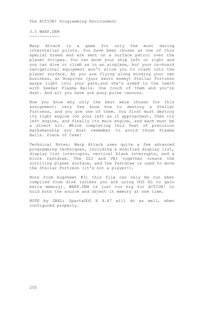3.5 WARP.DEM ------------

Warp Attack is a game for only the most daring interstellar pilots. You have been chosen as one of this special breed and are sent on a surface patrol over the planet Stripes. You can move your ship left or right and you can dive or climb as in an airplane, but your on-board navigational equipment won't allow you to crash into the planet surface. As you are flying along minding your own business, an Hospites (your sworn enemy) Stellar Fortress warps right into your path,and she's armed to the teeth with Seeker Plasma Balls. One touch of them and you're dust. And all you have are puny pulse cannons.

Now you know why only the best were chosen for this assignment: very few know how to destroy a Stellar Fortress, and you are one of them. You first must destroy its right engine (on your left as it approaches), then its left engine, and finally its main engine, and each must be a direct hit. While completing this feat of precision marksmanship you must remember to avoid those Plasma Balls. Piece of Cake!

Technical Notes: Warp Attack uses quite a few advanced programming techniques, including a modified display list, display list interrupts, vertical blank interrupts, and a block fastdraw. The DLI and VBI together create the scrolling planet surface, and the fastdraw is used to move the Stellar Fortress (it's not a player!).

Note from bugsheet #3: this file can only be run when compiled from disk (unless you are using DOS XL to gain extra memory). WARP.DEM is just too big for ACTION! to hold both the source and object in memory at one time.

NOTE by GBXL: SpartaDOS X 4.47 will do as well, when configured properly.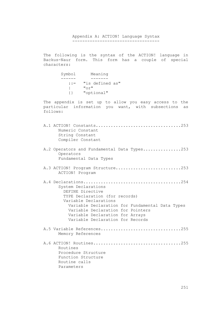Appendix A: ACTION! Language Syntax -----------------------------------

The following is the syntax of the ACTION! language in Backus-Naur form. This form has a couple of special characters:

| Symbol | Meaning                       |
|--------|-------------------------------|
|        |                               |
| $: :=$ | "is defined as"<br>$"$ or $"$ |
|        |                               |
| ιı     | "optional"                    |

 Routine calls Parameters

The appendix is set up to allow you easy access to the particular information you want, with subsections as follows:

| Numeric Constant<br>String Constant<br>Compiler Constant                                                                                                                                                                                                          |
|-------------------------------------------------------------------------------------------------------------------------------------------------------------------------------------------------------------------------------------------------------------------|
| A.2 Operators and Fundamental Data Types253<br>Operators<br>Fundamental Data Types                                                                                                                                                                                |
| A.3 ACTION! Program Structure253<br>ACTION! Program                                                                                                                                                                                                               |
| System Declarations<br>DEFINE Directive<br>TYPE Declaration (for records)<br>Variable Declarations<br>Variable Declaration for Fundamental Data Types<br>Variable Declaration for Pointers<br>Variable Declaration for Arrays<br>Variable Declaration for Records |
| A.5 Variable References255<br>Memory References                                                                                                                                                                                                                   |
| Routines<br>Procedure Structure<br>Function Structure                                                                                                                                                                                                             |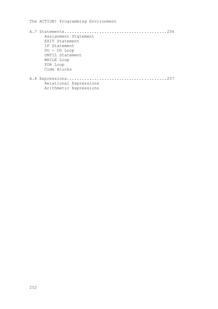| Assignment Statement   |
|------------------------|
| <b>EXTT Statement</b>  |
| IF Statement           |
| $DO - OD$ Loop         |
| UNTIL Statement        |
| WHILE Loop             |
| FOR Loop               |
| Code Blocks            |
|                        |
| Relational Expressions |
| Arithmetic Expressions |
|                        |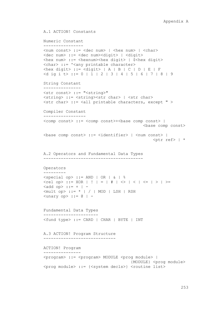A.1 ACTION! Constants

```
Numeric Constant
----------------
\langlenum const> ::= \langledec num> | \langlehex num> | \langlechar>
<dec num> ::= <dec num><digit> | <digit>
<hex num> ::= <hexnum><hex digit> | $<hex digit> 
<char> ::= '<any printable character>
\langlehex digit> ::= \langledigit> | A | B | C | D | E | F
\langled ig i t> ::= 0 | 1 | 2 | 3 | 4 | 5 | 6 | 7 | 8 | 9
String Constant
---------------
<str const> ::= "<string>"
<string> ::= <string><str char> | <str char>
\langlestr char\rangle ::= \langleall printable characters, except " \rangleCompiler Constant
-----------------
<comp const> ::= <comp const>+<base comp const> |
                                              <base comp const>
<base comp const> ::= <identifier> | <num const> |
                                                  \langleptr ref> | *
A.2 Operators and Fundamental Data Types
----------------------------------------
Operators
---------
\leqspecial op> ::= AND | OR | & | %
\langlerel op> ::= XOR | ! | = | # | \langle > | \rangle | \langle = | > | >=
\langle \text{add op} \rangle ::= + | -
\langle \text{mult op} \rangle ::= * | / | MOD | LSH | RSH
\langleunary op> ::= @ | -
Fundamental Data Types
----------------------
<fund type> ::= CARD | CHAR | BYTE | INT
A.3 ACTION! Program Structure
-----------------------------
ACTION! Program
---------------
<program> ::= <program> MODULE <prog module> | 
                                        {MODULE} <prog module>
<prog module> ::= {<system decls>} <routine list>
```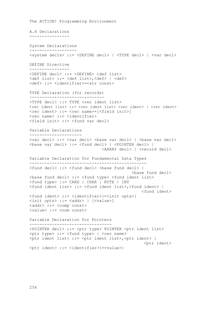```
The ACTION! Programming Environment
A.4 Declarations
----------------
System Declarations
-------------------
\langle system decls\rangle ::= \langleDEFINE decl\rangle | \langleTYPE decl\rangle | \langle var decl\rangleDEFINE Directive
----------------
<DEFINE decl> ::= <DEFINE> <def list> 
<def list> ::= <def list>,<def> | <def> 
<def> ::= <identifier>=<str const>
TYPE Declaration (for records)
------------------------------
<TYPE decl> ::= TYPE <rec ident list>
<rec ident list> ::= <rec ident list> <rec ident> | <rec ident>
<rec ident> ::= <rec name>=[<field init>]
<rec name> ::= <identifier>
<field init> ::= <fund var decl>
Variable Declarations
---------------------
<var decl> ::= <var decl> <base var decl> | <base var decl>
<base var decl> ::= <fund decl> | <POINTER decl> |
                              <ARRAY decl> | <record decl>
Variable Declaration for Fundamental Data Types
-----------------------------------------------
\langle fund decl> ::= \langle fund decl> \langle base fund decl> |
                                            <base fund decl>
<base fund decl> ::= <fund type> <fund ident list>
<fund type> ::= CARD | CHAR | BYTE | INT
<fund ident list> ::= <fund ident list>,<fund ident> |
                                                <fund ident>
<fund ident> ::= <identifier>{=<init opts>}
<init opts> ::= <addr> | [<value>]
<addr> ::= <comp const> 
<value> ::= <num const>
Variable Declaration for Pointers
---------------------------------
<POINTER decl> ::= <ptr type> POINTER <ptr ident list>
<ptr type> ::= <fund type> | <rec name>
<ptr ident list> ::= <ptr ident list>,<ptr ident> |
                                                 <ptr ident>
<ptr ident> ::= <identifier>{=<value>}
```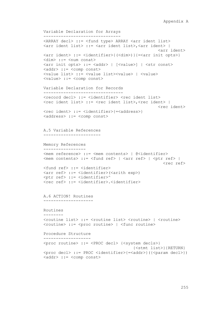```
Variable Declaration for Arrays
-------------------------------
<ARRAY decl> ::= <fund type> ARRAY <arr ident list> 
<arr ident list> ::= <arr ident list>,<arr ident> |
                                                <arr ident>
<arr ident> ::= <identifier>{(<dim>)}{=<arr init opts>}
<dim> ::= <num conat>
<arr init opts> ::= <addr> | [<value>] | <str const> 
<addr> ::= <comp const>
<value list> ::= <value list><value> | <value> 
<value> ::= <comp const>
Variable Declaration for Records
--------------------------------
<record decl> ::= <identifier> <rec ident list>
<rec ident list> ::= <rec ident list>,<rec ident> |
                                                <rec ident>
<rec ident> ::= <identifier>{=<address>}
<address> ::= <comp const>
A.5 Variable References
-----------------------
Memory References
-----------------
<mem reference> ::= <mem contents> | @<identifier>
<mem contents> ::= <fund ref> | <arr ref> | <ptr ref> |
                                                  <rec ref>
<fund ref> ::= <identifier>
<arr ref> ::= <identifier>(<arith exp>) 
<ptr ref> ::= <identifier>^
<rec ref> ::= <identifier>.<identifier>
A.6 ACTION! Routines
--------------------
Routines
--------
<routine list> ::= <routine list> <routine> | <routine>
<routine> ::= <proc routine> | <func routine>
Procedure Structure
-------------------
<proc routine> ::= <PROC decl> {<system decls>}
                                      {<stmt list>}{RETURN}
<proc decl> ::= PROC <identifier>{=<addr>}({<param decl>})
<addr> ::= <comp const>
```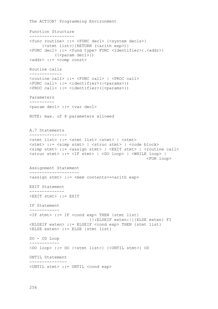The ACTION! Programming Environment Function Structure ------------------ <func routine> ::= <FUNC decl> {<system decls>} {<stmt list>}{RETURN (<arith exp>)} <FUNC decl> ::= <fund type> FUNC <identifier>{.<addr>}  $({\{\text{sparam deck}\}})$ <addr> ::= <comp const> Routine calls ------------- <routine call> ::= <FUNC call> | <PROC call> <FUNC call> ::= <identifier>({<params>}) <PROC call> ::= <identifier>({<params>}) Parameters ---------- <param decl> ::= <var decl> NOTE: max. of 8 parameters allowed A.7 Statements --------------- <stmt list> ::= <stmt list> <stmt> | <stmt> <stmt> ::= <simp stmt> | <struc stmt> | <code block> <simp stmt> ::= <assign stmt> | <EXIT stmt> | <routine call> <struc stmt> ::= <IF stmt> | <DO loop> | <WHILE loop> | <FOR loop> Assignment Statement -------------------- <assign stmt> ::= <mem contents>=<arith exp> EXIT Statement -------------- <EXIT stmt> ::= EXIT IF Statement ------------ <IF stmt> ::= IF <cond exp> THEN {stmt list} {|:ELSEIF exten:|}{ELSE exten} FI <ELSEIF exten> ::= ELSEIF <cond exp> THEN {stmt list} <ELSE exten> ::= ELSE {stmt list} DO - OD Loop ------------ <DO loop> ::= DO {<stmt list>} {<UNTIL stmt>} OD UNTIL Statement --------------- <UNTIL stmt> ::= UNTIL <cond exp>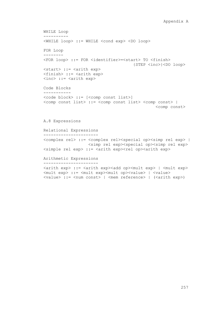```
WHILE Loop
----------
<WHILE loop> ::= WHILE <cond exp> <DO loop> 
FOR Loop
--------
<FOR loop> ::= FOR <identifier>=<start> TO <finish> 
                                     {STEP <inc>}<DO loop>
<start> ::= <arith exp>
<finish> ::= <arith exp>
<inc> ::= <arith exp>
Code Blocks
-----------
<code block> ::= [<comp const list>]
<comp const list> ::= <comp const list> <comp const> |
                                               <comp const>
A.8 Expressions
```

```
Relational Expressions
----------------------
<complex rel> ::= <complex rel><special op><simp rel exp> |
                  <simp rel exp><special op><simp rel exp>
<simple rel exp> ::= <arith exp><rel op><arith exp>
```
Arithmetic Expressions ----------------------

<arith exp> ::= <arith exp><add op><mult exp> | <mult exp> <mult exp> ::= <mult exp><mult op><value> | <value> <value> ::= <num const> | <mem reference> | (<arith exp>)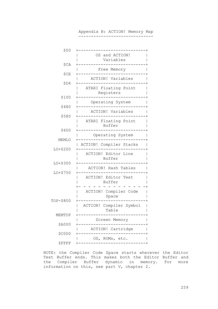Appendix B: ACTION! Memory Map ------------------------------

| \$00       |                                     |
|------------|-------------------------------------|
| \$CA       | OS and ACTION!<br>Variables         |
|            | Free Memory                         |
| <b>SCE</b> | ACTION! Variables                   |
| SD4        | ATARI Floating Point<br>Registers   |
| \$100      |                                     |
| \$480      | Operating System                    |
|            | ACTION! Variables                   |
| \$580      | Floating Point<br>ATARI<br>Buffer   |
| \$600      |                                     |
| MEMLO      | Operating System                    |
| LO+\$200   | ACTION! Compiler Stacks             |
|            | ACTION! Editor Line<br>Buffer       |
| LO+\$300   | ACTION! Hash Tables                 |
| LO+\$750   |                                     |
|            | ACTION! Editor<br>Text<br>Buffer    |
|            | ACTION! Compiler Code<br>Space      |
| TOP-\$800  | Compiler Symbol<br>ACTION!<br>Table |
| MEMTOP     |                                     |
|            | Screen Memory                       |
| \$A000     | ACTION! Cartridge                   |
| \$C000     |                                     |
|            | OS, ROMs, etc.                      |
| \$FFFF     |                                     |

NOTE: the Compiler Code Space starts wherever the Editor Text Buffer ends. This makes both the Editor Buffer and the Compiler Buffer dynamic in memory. For more information on this, see part V, chapter 2.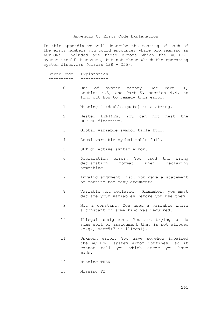#### Appendix C: Error Code Explanation ----------------------------------

In this appendix we will describe the meaning of each of the error numbers you could encounter while programming in ACTION!. Included are those errors which the ACTION! system itself discovers, but not those which the operating system discovers (errors 128 - 255).

Error Code Explanation ---------- -----------

- 0 Out of system memory. See Part II, section 4.3, and Part V, section 4.4, to find out how to remedy this error.
- 1 Missing " (double quote) in a string.
- 2 Nested DEFINEs. You can not nest the DEFINE directive.
- 3 Global variable symbol table full.
- 4 Local variable symbol table full.
- 5 SET directive syntax error.
- 6 Declaration error. You used the wrong declaration format when declaring something.
- 7 Invalid argument list. You gave a statement or routine too many arguments.
- 8 Variable not declared. Remember, you must declare your variables before you use them.
- 9 Not a constant. You used a variable where a constant of some kind was required.
- 10 Illegal assignment. You are trying to do some sort of assignment that is not allowed (e.g., var=5>7 is illegal).
- 11 Unknown error. You have somehow impaired the ACTION! system error routines, so it cannot tell you which error you have made.
- 12 Missing THEN
- 13 Missing FI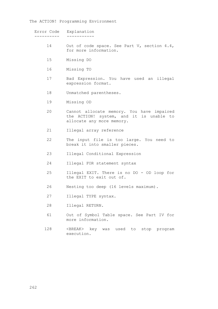| Error Code | Explanation                                                                                                       |
|------------|-------------------------------------------------------------------------------------------------------------------|
| 14         | Out of code space. See Part V, section 4.4,<br>for more information.                                              |
| 15         | Missing DO                                                                                                        |
| 16         | Missing TO                                                                                                        |
| 17         | Bad Expression. You have used an illegal<br>expression format.                                                    |
| 18         | Unmatched parentheses.                                                                                            |
| 19         | Missing OD                                                                                                        |
| 2.0        | Cannot allocate memory. You have impaired<br>the ACTION! system, and it is unable to<br>allocate any more memory. |
| 21         | Illegal array reference                                                                                           |
| 22         | The input file is too large. You need to<br>break it into smaller pieces.                                         |
| 23         | Illegal Conditional Expression                                                                                    |
| 2.4        | Illegal FOR statement syntax                                                                                      |
| 25         | Illegal EXIT. There is no DO - OD loop for<br>the EXIT to exit out of.                                            |
| 26         | Nesting too deep (16 levels maximum).                                                                             |
| 27         | Illegal TYPE syntax.                                                                                              |
| 28         | Illegal RETURN.                                                                                                   |
| 61         | Out of Symbol Table space. See Part IV for<br>more information.                                                   |
| 128        | <break> key was used to<br/>stop program<br/>execution.</break>                                                   |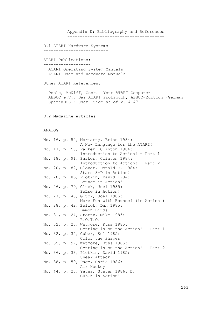```
Appendix D: Bibliography and References
          ---------------------------------------
D.1 ATARI Hardware Systems
--------------------------
ATARI Publications:
-------------------
  ATARI Operating System Manuals
   ATARI User and Hardware Manuals
Other ATARI References:
-----------------------
   Poole, McNiff, Cook. Your ATARI Computer
   ABBUC e.V., Das ATARI Profibuch, ABBUC-Edition (German)
   SpartaDOS X User Guide as of V. 4.47
D.2 Magazine Articles
---------------------
ANALOG
------
No. 16, p. 54, Moriarty, Brian 1984: 
               A New Language for the ATARI!
No. 17, p. 58, Parker, Clinton 1984:
               Introduction to Action! - Part 1
No. 18, p. 91, Parker, Clinton 1984: 
               Introduction to Action! - Part 2
No. 20, p. 82, Glover, Donald E. 1984: 
               Stars 3-D in Action!
No. 20, p. 86, Plotkin, David 1984: 
               Bounce in Action!
No. 26, p. 79, Gluck, Joel 1985: 
               PuLse in Action!
No. 27, p. 43, Gluck, Joel 1985: 
               More Fun with Bounce! (in Action!)
No. 28, p. 42, Bullok, Dan 1985: 
               Demon Birds
No. 31, p. 24, Stortz, Mike 1985: 
               R.O.T.O.
No. 32, p. 23, Wetmore, Russ 1985: 
               Getting in on the Action! - Part 1
No. 32, p. 35, Guber, Sol 1985: 
               Color the Shapes
No. 35, p. 97, Wetmore, Russ 1985: 
               Getting in on the Action! - Part 2
No. 36, p. 33, Plotkin, David 1985: 
               Sneak Attack
No. 38, p. 59, Page, Chris 1986: 
               Air Hockey
No. 44, p. 23, Yates, Steven 1986: D:
               CHECK in Action!
```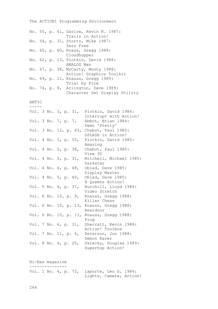The ACTION! Programming Environment No. 50, p. 61, Garlow, Kevin R. 1987: Trails in Action! No. 54, p. 31, Stortz, Mike 1987: Zero Free No. 60, p. 60, Knaus, Gregg 1988: Cloudhopper No. 62, p. 13, Plotkin, David 1988: ANALOG Man No. 67, p. 38, McCarty, Monty 1988: Action! Graphics Toolkit No. 69, p. 11, Knauss, Gregg 1989: Trial by Fire No. 74, p. 8, Arlington, Dave 1989: Character Set Display Utility ANTIC ----- Vol. 3 No. 3, p. 31, Plotkin, David 1984: Interrupt with Action! Vol. 3 No. 7, p. 7, Abbot, Brian 1984: Demo 'Pretty' Vol. 3 No. 12, p. 43, Chabot, Paul 1985: SPLASH in Action! Vol. 4 No. 1, p. 55, Plotkin, David 1985: Amazing Vol. 4 No. 2, p. 38, Chabot, Paul 1985: View 3D Vol. 4 No. 3, p. 31, Mitchell, Michael 1985: Darkstar Vol. 4 No. 4, p. 48, Oblad, Dave 1985: Display Master Vol. 4 No. 5, p. 40, Oblad, Dave 1985: 8 Queens Action! Vol. 5 No. 6, p. 37, Burchill, Lloyd 1986: Video Stretch Vol. 6 No. 10, p. 9, Knauss, Gregg 1988: Killer Chess Vol. 6 No. 10, p. 13, Knauss, Gregg 1988: Reardoor Vol. 6 No. 10, p. 13, Knauss, Gregg 1988: Frog Vol. 7 No. 6, p. 31, Sherratt, Kevin 1988: Action! Toolbox Vol. 7 No. 11, p. 6, Peterson, Jon 1988: Demon Racer Vol. 8 No. 4, p. 20, Skrecky, Douglas 1989: Superhop Action!

Hi-Res magazine --------------- Vol. 1 No. 4, p. 72, Laporte, Leo G. 1984: Lights, Camera, Action!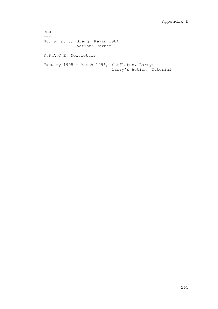ROM  $--$ No. 9, p. 8, Gregg, Kevin 1984: Action! Corner S.P.A.C.E. Newsletter --------------------- January 1995 – March 1996, Serflaten, Larry: Larry's Action! Tutorial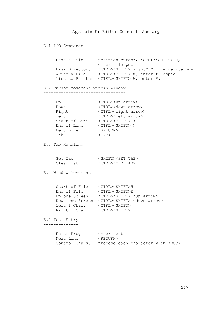```
Appendix E: Editor Commands Summary
          -----------------------------------
E.1 I/O Commands
----------------
    Read a File position cursor, <CTRL><SHIFT> R,
                    enter filespec
    Disk Directory <CTRL><SHIFT> R ?n:*.* (n = device num)<br>Write a File <CTRL><SHIFT> W, enter filespec
                   <CTRL><SHIFT> W, enter filespec
     List to Printer <CTRL><SHIFT> W, enter P:
E.2 Cursor Movement within Window
---------------------------------
    Up <CTRL><up arrow>
     Down <CTRL><down arrow>
    Right <CTRL><right arrow>
    Left <CTRL><left arrow>
 Start of Line <CTRL><SHIFT> <
 End of Line <CTRL><SHIFT> >
     Next Line <RETURN>
    Tab <TAB>
E.3 Tab Handling
----------------
    Set Tab < SHIFT><SET TAB>
     Clear Tab <CTRL><CLR TAB>
E.4 Window Movement
-------------------
 Start of File <CTRL><SHIFT>H
 End of File <CTRL><SHIFT>E
 Up one Screen <CTRL><SHIFT> <up arrow>
    Down one Screen <CTRL><SHIFT> <down arrow>
 Left 1 Char. <CTRL><SHIFT> ]
 Right 1 Char. <CTRL><SHIFT> [
E.5 Text Entry
--------------
     Enter Program enter text
     Next Line <RETURN>
    Control Chars.  precede each character with <ESC>
```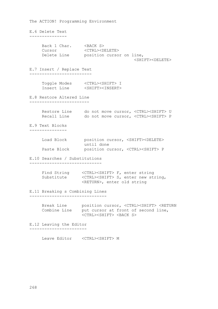```
The ACTION! Programming Environment
E.6 Delete Text
---------------
    Back 1 Char. <BACK S>
 Cursor <CTRL><DELETE>
Delete Line position cursor on line,
                                       <SHIFT><DELETE>
E.7 Insert / Replace Text
-------------------------
 Toggle Modes <CTRL><SHIFT> I
 Insert Line <SHIFT><INSERT>
E.8 Restore Altered Line
------------------------
 Restore Line do not move cursor, <CTRL><SHIFT> U
 Recall Line do not move cursor, <CTRL><SHIFT> P
E.9 Text Blocks
---------------
    Load Block position cursor, <SHIFT><DELETE>
                    until done
    Paste Block position cursor, <CTRL><SHIFT> P
E.10 Searches / Substitutions
-----------------------------
 Find String <CTRL><SHIFT> F, enter string
 Substitute <CTRL><SHIFT> S, enter new string,
                    <RETURN>, enter old string
E.11 Breaking s Combining Lines
-------------------------------
 Break Line position cursor, <CTRL><SHIFT> <RETURN
Combine Line put cursor at front of second line,
                   <CTRL><SHIFT> <BACK S>
E.12 Leaving the Editor
-----------------------
```
Leave Editor <CTRL><SHIFT> M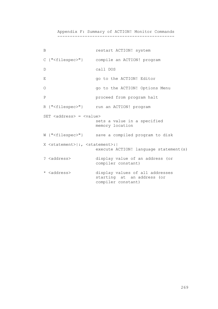Appendix F: Summary of ACTION! Monitor Commands -----------------------------------------------

| B |                                                        | restart ACTION! system                                                              |
|---|--------------------------------------------------------|-------------------------------------------------------------------------------------|
|   |                                                        | C {" <filespec>"} compile an ACTION! program</filespec>                             |
| D |                                                        | call DOS                                                                            |
| Ε |                                                        | go to the ACTION! Editor                                                            |
| O |                                                        | go to the ACTION! Options Menu                                                      |
| P |                                                        | proceed from program halt                                                           |
|   |                                                        | R {" <filespec>"} run an ACTION! program</filespec>                                 |
|   | $SET \text{Saddress} > = \text{value}$                 |                                                                                     |
|   |                                                        | sets a value in a specified<br>memory location                                      |
|   |                                                        | W {" <filespec>"} save a compiled program to disk</filespec>                        |
|   | X <statement> :, <statement>: </statement></statement> |                                                                                     |
|   |                                                        | execute ACTION! language statement (s)                                              |
|   | ? <address></address>                                  | display value of an address (or<br>compiler constant)                               |
|   | * <address></address>                                  | display values of all addresses<br>starting at an address (or<br>compiler constant) |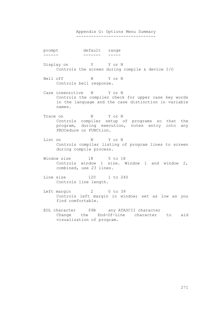### Appendix G: Options Menu Summary --------------------------------

| prompt | default | range |
|--------|---------|-------|
|        |         |       |

- Display on Y Y or N Controls the screen during compile & device I/O
- Bell off N Y or N Controls bell response.
- Case insensitive N Y or N Controls the compiler check for upper case key words in the language and the case distinction in variable names.
- Trace on N Y or N Controls compiler setup of programs so that the program, during execution, notes entry into any PROCedure or FUNCtion.
- List on N Y or N Controls compiler listing of program lines to screen during compile process.
- Window size 18 5 to 18 Controls window 1 size. Window 1 and window 2, combined, use 23 lines.
- Line size 120 1 to 240 Controls line length.
- Left margin  $2$  0 to 39 Controls left margin in window; set as low as you find comfortable.
- EOL character  $$9B$  any ATASCII character Change the End-Of-Line character to aid visualization of program.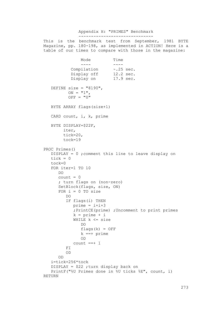### Appendix H: "PRIMES" Benchmark ------------------------------

This is the benchmark test from September, 1981 BYTE Magazine, pp. 180-198, as implemented in ACTION! Here is a table of our times to compare with those in the magazine:

```
\begin{array}{ccc}\n\text{Mode} & \text{Time} \\
\hline\n\end{array}---- Compilation ~.25 sec.
            Display off 12.2 sec.<br>Display on 17.9 sec.
            Display on
   DEFINE size = "8190",
           ON = "1",OFF = "0" BYTE ARRAY flags(size+1) 
    CARD count, i, k, prime
    BYTE DISPLAY=$22F, 
          iter,
          tick=20,
          tock=19
PROC Primes()
    DISPLAY = 0 ;comment this line to leave display on 
   tick = 0 tock=0
    FOR iter=1 TO 10
       DO
      count = 0 ; turn flags on (non-zero)
       SetBlock(flags, size, ON)
      FOR i = 0 TO size
           DO
           IF flags(i) THEN 
             prime = i+i+3 ;PrintCE(prime) ;Uncomment to print primes
             k = prime + i WHILE k <= size 
 DO
                 flags(k) = OFFk ==+ prime
                 OD
             count == + 1 FI
           OD
       OD
    i=tick+256*tock
    DISPLAY = $22 ;turn display back on
    PrintF("%U Primes done in %U ticks %E", count, i) 
RETURN
```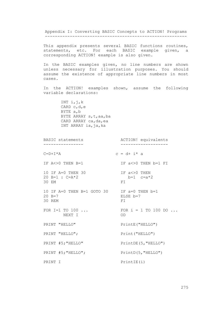Appendix I: Converting BASIC Concepts to ACTION! Programs ---------------------------------------------------------

This appendix presents several BASIC functions routines, statements, etc. For each BASIC example given, a corresponding ACTION! example is also given.

In the BASIC examples given, no line numbers are shown unless necessary for illustration purposes. You should assume the existence of appropriate line numbers in most cases.

In the ACTION! examples shown, assume the following variable declarations:

> INT  $i, j, k$  CARD c,d,e BYTE a,b BYTE ARRAY s,t,aa,ba CARD ARRAY ca,da,ea INT ARRAY ia,ja,ka

BASIC statements  $\overline{ACTION!}$  equivalents ---------------- -------------------  $C=D+T^*A$  c = d+ i\* a IF  $A \leq 0$  THEN  $B=1$  IF  $a \leq 0$  THEN  $b=1$  FI 10 IF A=0 THEN 30 IF a<>0 THEN 20 B=1 :  $C = A \times 2$  b=1  $c = a \times 2$ 30 EM FI 10 IF A=0 THEN B=1 GOTO 30 IF  $a=0$  THEN  $b=1$ <br>20 B=7 ELSE  $b=7$ ELSE b=7<br>FT  $30$  REM FOR  $I=1$  TO  $100$  ... FOR  $i = 1$  TO  $100$  DO ... NEXT I OD PRINT "HELLO" PrintE("HELLO") PRINT "HELLO"; Print("HELLO") PRINT #5; "HELLO" PrintDE(5, "HELLO") PRINT #5; "HELLO"; PrintD(5, "HELLO") PRINT I PrintIE(i)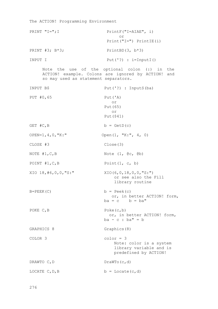The ACTION! Programming Environment PRINT "I=";I PrintF("I=AIAE", i) or Print("I=") PrintIE(i) PRINT #3; B\*3; PrintBD(3, b\*3) INPUT I Put('?) : i=InputI() Note the use of the optional colon (:) in the ACTION! example. Colons are ignored by ACTION! and so may used as statement separators. INPUT B\$ Put('?) : InputS(ba) PUT #0,65 Put('A) or Put(65) or Put(\$41) GET  $#C, B$  b = GetD(c) OPEN=1,4,0,"K:" Open(1, "K:", 4, 0) CLOSE #3 Close(3) NOTE #1, C, B Note (1,  $\theta$ c,  $\theta$ b) POINT  $#1, C, B$  Point(1, c, b) XIO 18,#6,0,0,"S:" XIO(6,0,18,0,0,"S:") or see also the Fill library routine  $B = P E E K(C)$  b =  $P e e k(c)$  or, in better ACTION! form,  $ba = c$   $b = ba$ " POKE C, B POKE (c, b) or, in better ACTION! form,  $ba - c : ba" = b$ GRAPHICS 8 Graphics(8)  $COLOR 3$  color = 3 Note: color is a system library variable and is predefined by ACTION! DRAWTO C, D DraWTo(c, d) LOCATE  $C, D, B$  b = Locate(c,d)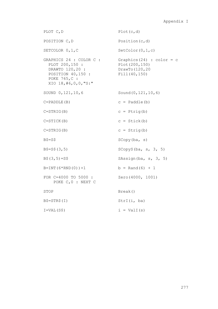```
PLOT C, D Plot(c, d)
POSITION C, D Position(c, d)
SETCOLOR 0, 1, C<br>SetColor(0, 1, c)
GRAPHICS 24 : COLOR C : Graphics(24) : color = c<br>PLOT 200,150 : Plot(200,150)
 PLOT 200,150 :<br>DRAWTO 120,20 :
                     DrawTo(120,20<br>Fill(40,150)
 POSITION 40,150 :
  POKE 765,C :
  XIO 18,#6,0,0,"S:" 
SOUND 0,121,10,6 Sound(0,121,10,6)
C = \text{PADDLE}(B) c = \text{Paddle}(b)C = \text{STRIG}(B) c = \text{Ptrig}(b)C = \text{STICK}(B) c = Stick(b)
C = \text{STRIG}(B) c = \text{Strig}(b)B\=S\ SCopy(ba, s)B\frac{5}{5} = S\frac{5}{3}, 5 SCopyS(ba, s, 3, 5)
B(3,5) = S\ SAssign(ba, s, 3, 5)
B=INT(6*RND(0))+1 b = Rand(6) + 1
FOR C=4000 TO 5000 : Zero(4000, 1001)
    POKE C,0 : NEXT C 
STOP Break()
B$=STR$(I) StrI(i, ba)
I=VAI(S\hat{S}) i = Val I(s)
```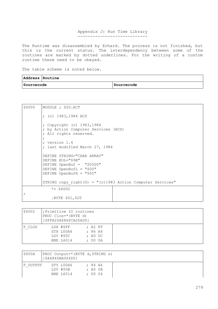## Appendix J: Run Time Library ----------------------------

The Runtime was disassembled by Erhard. The process is not finished, but this is the current status. The interdependency between some of the routines are marked by dotted underlines. For the writing of a custom runtime these need to be obeyed.

The table scheme is noted below.

| Address Routine |            |
|-----------------|------------|
| Sourcecode      | Sourcecode |

| \$6000 | MODULE ; SYS.ACT                                                                                                                           |
|--------|--------------------------------------------------------------------------------------------------------------------------------------------|
|        | ; (c) $1983, 1984$ ACS                                                                                                                     |
|        | ; Copyright (c) 1983, 1984<br>; by Action Computer Services (ACS)<br>; All rights reserved.                                                |
|        | $\cdot$<br>: version 1.4                                                                                                                   |
|        | ; last modified March 27, 1984                                                                                                             |
|        | DEFINE STRING="CHAR ARRAY"<br>DEFINE EOL="\$9B"<br>DEFINE OpenBuf = $"$0500"$<br>DEFINE OpenBufL = $"\$00"$<br>DEFINE OpenBufH = $"$ \$05" |
|        | STRING copy right $(0) = "c)1983$ Action Computer Services"                                                                                |
|        | $* = $6000$                                                                                                                                |
|        | .BYTE \$01,\$20                                                                                                                            |

| \$6002 | ; Primitive IO routines<br>PROC Clos=*(BYTE d)<br>[\$FFA2\$A686\$CA0\$AD0] |                                              |  |
|--------|----------------------------------------------------------------------------|----------------------------------------------|--|
| P CLOS | LDX #\$FF<br>STX LOOA6<br>LDY #\$0C<br><b>BNE L6014</b>                    | $;$ A2 FF<br>: 86A6<br>: A0 C<br>$:$ DO $0A$ |  |

| \$600A   | PROC Output=* (BYTE d, STRING s)<br>[\$A684\$BA0\$4D0] |                                  |  |
|----------|--------------------------------------------------------|----------------------------------|--|
| P OUTPUT | STY LOOA6<br>LDY #\$0B<br><b>BNE L6014</b>             | : 84 A6<br>$: A0$ $0B$<br>: D004 |  |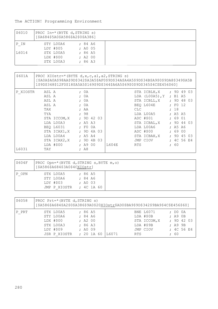| \$6010 | PROC In=*(BYTE d, STRING s)<br>[\$A684\$5A0\$A586\$A2\$0\$A386] |                                |  |
|--------|-----------------------------------------------------------------|--------------------------------|--|
| IP IN  | STY LOOA6<br>LDY #\$05                                          | : 84 A6<br>: A0 05             |  |
| L6014  | STX LOOA5<br>LDX #\$00<br>STX LOOA3                             | : 86A5<br>$;$ A2 00<br>: 86 A3 |  |

| \$601A   | PROC XIOstr=* (BYTE d, x, c, a1, a2, STRING s)<br>[\$A0A\$A0A\$98AA\$9D\$342\$A3A5\$AF0\$9D\$34A\$A4A5\$9D\$34B\$A9\$0\$9DA8\$349\$A5B<br>1\$9D\$348\$12F0\$18\$A5A5\$169\$9D\$344\$A6A5\$69\$0\$9D\$345\$4C\$E456\$60] |                           |  |         |  |  |       |            |                        |            |  |
|----------|-------------------------------------------------------------------------------------------------------------------------------------------------------------------------------------------------------------------------|---------------------------|--|---------|--|--|-------|------------|------------------------|------------|--|
| P XIOSTR | ASL A                                                                                                                                                                                                                   |                           |  | ; OA    |  |  |       |            | STA ICBLH, X           | : 9D 49 03 |  |
|          | ASL A                                                                                                                                                                                                                   |                           |  | : 0A    |  |  |       |            | LDA (L00A5), Y ; B1 A5 |            |  |
|          | ASL A                                                                                                                                                                                                                   |                           |  | : 0A    |  |  |       |            | STA ICBLL, X           | : 9D 48 03 |  |
|          | ASL A                                                                                                                                                                                                                   |                           |  | : 0A    |  |  |       |            | BEO L604E              | $E$ FO 12  |  |
|          | TAX                                                                                                                                                                                                                     |                           |  | $;$ AA  |  |  |       | <b>CLC</b> |                        | : 18       |  |
|          | TYA                                                                                                                                                                                                                     |                           |  | : 98    |  |  |       |            | LDA L00A5              | $:$ A5 A5  |  |
|          |                                                                                                                                                                                                                         | STA ICCOM, $X$ ; 9D 42 03 |  |         |  |  |       |            | ADC #\$01              | : 6901     |  |
|          |                                                                                                                                                                                                                         | LDA L00A3 ; A5 A3         |  |         |  |  |       |            | STA ICBAL, X           | : 9D 44 03 |  |
|          |                                                                                                                                                                                                                         | BEO L6031 ; FO OA         |  |         |  |  |       |            | LDA L00A6              | $:$ A5 A6  |  |
|          |                                                                                                                                                                                                                         | STA ICAX1, X ; 9D 4A 03   |  |         |  |  |       |            | ADC #\$00              | : 6900     |  |
|          |                                                                                                                                                                                                                         | LDA LOOA4                 |  | : A5 A4 |  |  |       |            | STA ICBAH, X           | : 9D 45 03 |  |
|          |                                                                                                                                                                                                                         | STA ICAX2, X ; 9D 4B 03   |  |         |  |  |       |            | JMP CIOV               | : 4C 56 E4 |  |
|          |                                                                                                                                                                                                                         | $LDA$ #\$00               |  | : A900  |  |  | L604E | RTS        |                        | ; 60       |  |
| L6031    | TAY                                                                                                                                                                                                                     |                           |  | $;$ A8  |  |  |       |            |                        |            |  |

| S604F  | PROC Opn=*(BYTE d, STRING s, BYTE m, o)<br>[\$A586\$A684\$3A0\$4CXIOstr] |                                              |  |  |  |  |  |
|--------|--------------------------------------------------------------------------|----------------------------------------------|--|--|--|--|--|
| IP OPN | STX LOOA5<br>STY LOOA6<br>LDY #\$03<br>JMP P XIOSTR                      | : 86A5<br>: 84 A6<br>: A0 03<br>$: 4C$ 1A 60 |  |  |  |  |  |

| \$6058 | PROC Prt=*(BYTE d, STRING s)<br>[\$A586\$A684\$A2\$0\$A386\$9A0\$20XIOstr\$AD0\$BA9\$9D\$342\$9BA9\$4C\$E456\$60] |                                                                  |                                                                                               |                                                                      |  |  |  |  |
|--------|-------------------------------------------------------------------------------------------------------------------|------------------------------------------------------------------|-----------------------------------------------------------------------------------------------|----------------------------------------------------------------------|--|--|--|--|
| P PRT  | STX LOOA5<br>STY LOOA6<br>$LDX$ #\$00<br>STX LOOA3<br>LDY #\$09<br>JSR P XIOSTR                                   | : 86A5<br>: 84 A6<br>$;$ A2 00<br>: 86 A3<br>: A0 09<br>: 201A60 | <b>BNE L6071</b><br>LDA #\$0B<br>STA ICCOM, X<br>LDA #\$9B<br>JMP CIOV<br>L6071<br><b>RTS</b> | : DOOA<br>$: A9$ $0B$<br>: 9D 42 03<br>: A9 9B<br>: 4C 56 E4<br>; 60 |  |  |  |  |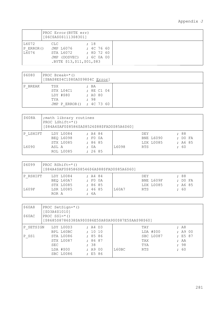|                             |     | PROC Error (BYTE err)<br>[\$6C\$A\$0\$1113\$8301]                                 |                                    |  |
|-----------------------------|-----|-----------------------------------------------------------------------------------|------------------------------------|--|
| L6072<br>P ERROR()<br>L6076 | CLC | JMP L6076<br>STA L6072<br>JMP (DOSVEC) ; 6C 0A 00<br>.BYTE \$13, \$11, \$01, \$83 | : 18<br>$: 4C$ 76 60<br>: 8D 72 60 |  |

| \$6080  | PROC Break= $*( )$<br>[\$BA\$8E\$4C1\$80A0\$98\$4C Error]        |                                      |
|---------|------------------------------------------------------------------|--------------------------------------|
| P BREAK | TSX<br>STX L04C1<br>LDY #\$80<br>TYA<br>JMP P ERROR() ; 4C 73 60 | ; BA<br>; 8E C1 04<br>: A0 80<br>.98 |

| \$608A   | ; math library routines<br>PROC LShift=* $()$<br>[\$84A4\$AF0\$8586\$A\$8526\$88\$FAD0\$85A6\$60] |         |       |                  |           |  |  |
|----------|---------------------------------------------------------------------------------------------------|---------|-------|------------------|-----------|--|--|
| P LSHIFT | LDY L0084                                                                                         | ; A4 84 |       | DEY              | :88       |  |  |
|          | <b>BEO L6098</b>                                                                                  | : FO OA |       | <b>BNE L6090</b> | $:$ DO FA |  |  |
|          | STX L0085                                                                                         | :8685   |       | LDX L0085        | ; A685    |  |  |
| L6090    | ASL A                                                                                             | : 0A    | L6098 | <b>RTS</b>       | ; 60      |  |  |
|          | ROL L0085                                                                                         | : 2685  |       |                  |           |  |  |

| \$6099   | PROC RShift=* $()$<br>[\$84A4\$AF0\$8586\$8546\$6A\$88\$FAD0\$85A6\$60] |                            |                                      |                            |  |  |  |
|----------|-------------------------------------------------------------------------|----------------------------|--------------------------------------|----------------------------|--|--|--|
| P RSHIFT | LDY L0084<br>BEO L60A7<br>STX L0085                                     | ; A484<br>: FO OA<br>:8685 | <b>DEY</b><br>BNE L609F<br>LDX L0085 | :88<br>$:$ DO FA<br>; A685 |  |  |  |
| L609F    | <b>LSR L0085</b><br>ROR A                                               | L60A7<br>: 4685<br>6A      | <b>RTS</b>                           | ; 60                       |  |  |  |

| \$60A8<br>\$60AC   | PROC SetSign= $*( )$<br>[\$D3A4\$1010]<br>PROC $SS1 = * ()$<br>[\$8685\$8786\$38\$A9\$0\$86E5\$A8\$A9\$0\$87E5\$AA\$98\$60] |                                                                   |                                                                      |                                                              |  |  |  |
|--------------------|-----------------------------------------------------------------------------------------------------------------------------|-------------------------------------------------------------------|----------------------------------------------------------------------|--------------------------------------------------------------|--|--|--|
| P SETSIGN<br>P SS1 | LDY LOOD3<br>BPL L60BC<br>STA L0086<br>STX L0087<br>SEC.<br>LDA #\$00<br>SBC L0086                                          | $;$ A4 D3<br>: 1010<br>:8586<br>:8687<br>: 38<br>: A900<br>; E586 | TAY<br>$LDA$ #\$00<br>SBC L0087<br>TAX<br>TYA<br>L60BC<br><b>RTS</b> | ; A8<br>: A900<br>; E587<br>; AA<br>; 98<br>60<br>$\ddot{ }$ |  |  |  |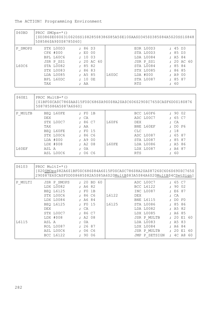| \$60BD  | PROC SMOps= $*( )$<br>[\$D386\$E0\$0\$310\$20SS1\$8285\$8386\$85A5\$E10\$AA\$D345\$D385\$84A5\$20SS1\$848<br>5\$8586\$A9\$0\$8785\$601 |                                   |            |  |  |  |  |
|---------|----------------------------------------------------------------------------------------------------------------------------------------|-----------------------------------|------------|--|--|--|--|
| P SMOPS | STX LOOD3                                                                                                                              | : 86 D3<br>EOR LOOD3              | : 45 D3    |  |  |  |  |
|         | $CPX$ #\$00                                                                                                                            | STA LOOD3<br>E000                 | : 85 D3    |  |  |  |  |
|         | BPL L60C6                                                                                                                              | : 1003<br>LDA L0084               | $;$ A5 84  |  |  |  |  |
|         | JSR P SS1                                                                                                                              | : 20 AC 60<br>JSR P SS1           | : 20 AC 60 |  |  |  |  |
| L60C6   | STA L0082                                                                                                                              | :8582<br>STA L0084                | :8584      |  |  |  |  |
|         | STX L0083                                                                                                                              | :8683<br>STX L0085                | :8685      |  |  |  |  |
|         | LDA L0085                                                                                                                              | L60DC<br>$LDA$ #\$00<br>$;$ A5 85 | : A900     |  |  |  |  |
|         | BPL L60DC                                                                                                                              | STA L0087<br>$:10$ OE             | :8587      |  |  |  |  |
|         | TAX                                                                                                                                    | <b>RTS</b><br>; AA                | 60         |  |  |  |  |

| \$60E1       | PROC MultB= $*( )$<br>[\$1BF0\$CA\$C786\$AA\$15F0\$C686\$A9\$0\$8A2\$A\$C606\$290\$C765\$CA\$F6D0\$18\$876<br>5\$8785\$86A5\$87A6\$601 |                            |                |            |           |  |  |  |
|--------------|----------------------------------------------------------------------------------------------------------------------------------------|----------------------------|----------------|------------|-----------|--|--|--|
| P MULTB      | BEO L60FE                                                                                                                              | F01B                       |                | BCC L60F6  | : 9002    |  |  |  |
|              | <b>DEX</b>                                                                                                                             | : CA                       |                | ADC L00C7  | : 65 C7   |  |  |  |
|              | STX LOOC7                                                                                                                              | :86C7                      | <b>I.60F6</b>  | <b>DEX</b> | : CA      |  |  |  |
|              | TAX                                                                                                                                    | : AA                       |                | BNE L60EF  | : DOF6    |  |  |  |
|              | BEO L60FE                                                                                                                              | : F0 15                    |                | CT.C       | : 18      |  |  |  |
|              | STX LOOC6                                                                                                                              | :86C6                      |                | ADC L0087  | : 6587    |  |  |  |
|              | $LDA$ #\$00                                                                                                                            | : A900                     |                | STA L0087  | :8587     |  |  |  |
|              | LDX #\$08                                                                                                                              | $;$ A2 08                  | <b>T.60FF.</b> | LDA L0086  | $;$ A5 86 |  |  |  |
| <b>L60EF</b> | ASL A                                                                                                                                  | 0A<br>$\ddot{\phantom{0}}$ |                | LDX L0087  | ; A6 87   |  |  |  |
|              | ASL L00C6                                                                                                                              | 06 C6                      |                | <b>RTS</b> | 60        |  |  |  |

| \$6103  | PROC MultI= $*( )$                                                      | [\$20SMOps\$82A6\$1BF0\$C686\$84A6\$15F0\$CA\$C786\$8A2\$A\$8726\$C606\$690\$C765\$<br>290\$87E6\$CA\$F0D0\$8685\$82A5\$85A6\$20MultB\$83A5\$84A6\$20MultB\$4CSetSign] |                                                                            |
|---------|-------------------------------------------------------------------------|------------------------------------------------------------------------------------------------------------------------------------------------------------------------|----------------------------------------------------------------------------|
| P MULTI | JSR P SMOPS<br>LDX L0082<br><b>BEO L6125</b><br>STX LOOC6               | : 20 BD 60<br>ADC 1,00C7<br>; A682<br>BCC 1.6122<br>INC L0087<br>: F01B<br>:86C6<br>L6122<br><b>DEX</b>                                                                | : 65 C7<br>90 02<br>$\ddot{\phantom{0}}$<br>; E687<br>CA                   |
|         | LDX L0084<br><b>BEO L6125</b><br><b>DEX</b><br>STX L00C7<br>$LDX$ #\$08 | ; A684<br><b>BNE L6115</b><br>L6125<br>STA L0086<br>: F0 15<br>LDA L0082<br>: CA<br>:86C7<br>LDX L0085<br>: A2.08<br>JSR P MULTB                                       | DO.<br>F0<br>$\cdot$<br>: 85 86<br>: A5 82<br>: A6 85<br>F.1<br>-60<br>-20 |
| L6115   | ASL A<br>ROL L0087<br>ASL L00C6<br><b>BCC L6122</b>                     | LDA L0083<br>0A<br>$\ddot{\phantom{0}}$<br>: 2687<br>LDX L0084<br>06 C6<br>JSR P MULTB<br>$\ddot{\phantom{0}}$<br>90 06<br>JMP P SETSIGN                               | : A5 83<br>: A6 84<br>60<br>20<br>E.1<br>: 4C<br>A8<br>-60                 |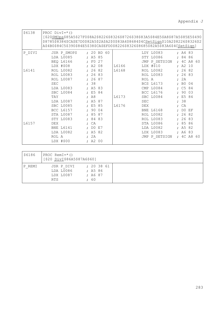| \$6138          | PROC $DivI = * ()$                                                                                                                                                   | [\$20SMOps\$85A5\$27F0\$8A2\$8226\$8326\$8726\$38\$83A5\$84E5\$A8\$87A5\$85E5\$490<br>\$8785\$8384\$CA\$E7D0\$82A5\$2A\$A2\$0\$83A4\$8684\$4CSetSign\$10A2\$8226\$8326\$2<br>A\$4B0\$84C5\$390\$84E5\$38\$CA\$EFD0\$8226\$8326\$8685\$82A5\$83A6\$4CSetSign]                                                                               |                                                                                                                                                                                                  |
|-----------------|----------------------------------------------------------------------------------------------------------------------------------------------------------------------|--------------------------------------------------------------------------------------------------------------------------------------------------------------------------------------------------------------------------------------------------------------------------------------------------------------------------------------------|--------------------------------------------------------------------------------------------------------------------------------------------------------------------------------------------------|
| P DIVI<br>L6141 | JSR P SMOPS<br>LDA L0085<br><b>BEO L6166</b><br>LDX #\$08<br>ROL L0082 ; 26 82<br>ROL L0083<br>ROL L0087<br><b>SEC</b><br>LDA L0083<br>SBC L0084<br>TAY<br>LDA L0087 | LDY L0083<br>: 20 BD 60<br>$;$ A5 85<br>STY L0086<br>; FO 27<br>JMP P SETSIGN ; 4C A8 60<br>$LDX$ #\$10<br>$;$ A2 08<br>L6166 <b>Legacion</b><br>L6168 ROL L0082<br>: 2683<br>ROL L0083<br>: 2687<br>ROL A<br>; 38<br>BCS L6173<br>CMP L0084<br>$;$ A5 83<br>; E5 84<br>BCC L6176<br>$;$ A8<br>SBC L0084<br>L6173<br>: A5 87<br><b>SEC</b> | ; A483<br>; 8486<br>$;$ A2 10<br>: 2682<br>: 2683<br>2A<br>B <sub>0</sub><br>04<br>$\cdot$<br>C5 84<br>$\mathcal{L}$<br>90 03<br>$\ddot{ }$<br>E5 84<br>$\ddot{ }$<br>38<br>$\ddot{\phantom{0}}$ |
| L6157           | SBC 1,0085<br>BCC 1.6157<br>STA L0087<br>STY L0083<br><b>DEX</b><br>BNE 1.6141<br>LDA L0082<br>ROL A<br>LDX #\$00                                                    | ; E5 85<br>T.6176<br><b>DEX</b><br>.90<br>04<br>BNE L6168<br>:8587<br>ROL L0082<br>ROL L0083<br>; 8483<br>STA L0086<br>; CA<br>$;$ DO E7<br>LDA L0082<br>$;$ A5 82<br>LDX L0083<br>2A<br>JMP P SETSIGN<br>$\cdot$<br>$;$ A2 00                                                                                                             | CA<br>: D0<br>EF<br>26 82<br>$\ddot{\phantom{0}}$<br>26 83<br>$\ddot{r}$<br>; 8586<br>$;$ A5 82<br>83<br>; A6<br>A8<br>: 4C<br>-60                                                               |

| \$6186 | PROC RemI= $*( )$<br>[\$20 DivI\$86A5\$87A6\$60]   |                                                        |
|--------|----------------------------------------------------|--------------------------------------------------------|
| P REMT | JSR P DIVI<br>LDA L0086<br>LDX L0087<br><b>RTS</b> | : 203861<br>$;$ A5 86<br>; A687<br>60<br>$\mathcal{L}$ |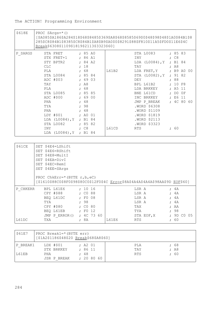| \$618E   | PROC SArgs= $*( )$<br>[\$A085\$A186\$A284\$18\$68\$8485\$369\$A8\$68\$8585\$69\$0\$48\$98\$48\$1A0\$84B1\$8<br>285\$C8\$84B1\$8385\$C8\$84B1\$A8\$B9\$A0\$0\$8291\$88\$F810\$11A5\$FD0\$11E6\$4C<br>Break\$6308\$1109\$1819\$2113\$3323\$60] |                                                               |       |                                                                                            |                                                            |
|----------|----------------------------------------------------------------------------------------------------------------------------------------------------------------------------------------------------------------------------------------------|---------------------------------------------------------------|-------|--------------------------------------------------------------------------------------------|------------------------------------------------------------|
| P SARGS  | STA FRET<br>STX FRET+1<br>STY BPTR2<br>CLC<br>PLA                                                                                                                                                                                            | ; 85 A0<br>; 86 A1<br>: 84 A2<br>; 18<br>; 68                 | L61B2 | STA L0083<br>INY<br>LDA (L0084), Y ; B1 84<br><b>TAY</b><br>LDA FRET, Y ; B9 A0 00         | : 8583<br>$;$ $C8$<br>$;$ A8                               |
|          | STA L0084<br>ADC #\$03<br>TAY<br>PLA<br>STA L0085<br>ADC #\$00                                                                                                                                                                               | , 8584<br>, 6903<br>; A8<br>; 68<br>; 85 85<br>; 69 00        |       | STA (L0082), Y ; 91 82<br><b>DEY</b><br>BPL L61B2<br>LDA BRKKEY<br>BNE L61CD<br>INC BRKKEY | ; 88<br>; 10 F8<br>: A5 11<br>$\div$ DO OF<br>; E6 11      |
|          | PHA<br>TYA<br>PHA<br>$LDY$ #\$01<br>LDA (L0084), Y ; B1 84<br>STA L0082 ; 85 82                                                                                                                                                              | ; 48<br>; 98<br>; 48<br>; AO 01                               |       | .WORD \$6308<br>.WORD \$1109<br>.WORD \$1819<br>.WORD \$2113<br>.WORD \$3323               |                                                            |
|          | INY<br>LDA (L0084), Y ; B1 84                                                                                                                                                                                                                | ; C8                                                          | L61CD | RTS                                                                                        | ; 60                                                       |
| \$61CE   | SET \$4E4=LShift<br>SET \$4E6=RShift<br>SET \$4E8=MultI<br>SET \$4EA=DivI<br>SET \$4EC=RemI<br>SET \$4EE=SArgs                                                                                                                               |                                                               |       |                                                                                            |                                                            |
|          | PROC ChkErr=*(BYTE $r, b, eC$ )<br>[\$1610\$88C0\$8F0\$98\$80C0\$12F0\$4C Error\$8A\$4A4A\$4A4A\$98AA\$9D EOF\$60]                                                                                                                           |                                                               |       |                                                                                            |                                                            |
| P CHKERR | BPL L61E6<br>CPY #\$88<br>BEO L61DC<br>TYA<br>CPY #\$80<br>BEQ L61EB<br>JMP P ERROR() ; 4C 73 60                                                                                                                                             | ; 10 16<br>; CO 88<br>; FO 08<br>; 98<br>$;$ CO 80<br>; FO 12 |       | LSR A<br>LSR A<br>LSR A<br>LSR A<br>TAX<br>TYA<br>STA EOF, X                               | ; 4A<br>; 4A<br>: 4A<br>; 4A<br>: AA<br>; 98<br>; 9D CO 05 |
| L61DC    | TXA                                                                                                                                                                                                                                          | : 8A                                                          | L61E6 | <b>RTS</b>                                                                                 | ; 60                                                       |
| S61E7    | PROC Break1=* (BYTE err)                                                                                                                                                                                                                     |                                                               |       |                                                                                            |                                                            |

| -20 TE \ | PROC Breakl=*(BYTE err)<br>[\$1A2\$1186\$48\$20 Break\$68\$A8\$60] |          |            |        |
|----------|--------------------------------------------------------------------|----------|------------|--------|
| P BREAK1 | $LDX$ #\$01                                                        | : A2 01  | PLA        | ; 68   |
|          | STX BRKKEY                                                         | : 8611   | TAY        | $;$ A8 |
| L61EB    | PHA                                                                | : 48     | <b>RTS</b> | - 60   |
|          | JSR P BREAK                                                        | : 208060 |            |        |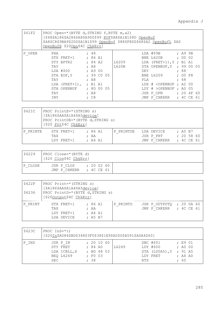| \$61F2 | PROC Open=*(BYTE d, STRING f, BYTE m, a2)<br>[\$48\$A186\$A284\$A8\$A9\$0\$99 EOF\$A8\$A1B1\$8D OpenBuf<br>\$A8\$C8\$9BA9\$2D0\$A1B1\$99 OpenBuf \$88\$F8D0\$68\$A2 OpenBufL \$A0<br>OpenBufH \$20Opn\$4C ChkErr] |          |                                                              |            |  |  |  |  |  |
|--------|-------------------------------------------------------------------------------------------------------------------------------------------------------------------------------------------------------------------|----------|--------------------------------------------------------------|------------|--|--|--|--|--|
| P OPEN | PHA                                                                                                                                                                                                               | : 48     | LDA #\$9B ; A9 9B                                            |            |  |  |  |  |  |
|        | $STX$ $FRET+1$ $: 86$ A1                                                                                                                                                                                          |          | BNE L620B                                                    | : DO 02    |  |  |  |  |  |
|        | STY BPTR2                                                                                                                                                                                                         | : 84 A2  | L6209<br>LDA $(FRET+1)$ , Y ; B1 A1                          |            |  |  |  |  |  |
|        | TAY                                                                                                                                                                                                               | $;$ A8   | L620B<br>STA OPENBUF, Y ; 99 00 05                           |            |  |  |  |  |  |
|        | LDA #\$00 ; A9 00                                                                                                                                                                                                 |          | DEY                                                          | :88        |  |  |  |  |  |
|        | STA EOF, Y ; 99 CO 05                                                                                                                                                                                             |          | BNE 16209                                                    | : DOF8     |  |  |  |  |  |
|        | TAY                                                                                                                                                                                                               | : A8     | PT.A                                                         | ; 68       |  |  |  |  |  |
|        | LDA $(FRET+1)$ , ; B1 A1                                                                                                                                                                                          |          | LDX $#$ <openbuf 00<="" ;="" a2="" td=""><td></td></openbuf> |            |  |  |  |  |  |
|        | STA OPENBUF : 8D 00 05                                                                                                                                                                                            |          | LDY $#$ >OPENBUF ; AO 05                                     |            |  |  |  |  |  |
|        | TAY                                                                                                                                                                                                               | $;$ A8   | JSR P OPN                                                    | : 204F60   |  |  |  |  |  |
|        | INY                                                                                                                                                                                                               | $;$ $C8$ | JMP P CHKERR                                                 | : 4C CE 61 |  |  |  |  |  |

| \$621C   | PROC PrintE=*(STRING s)<br>[\$A186\$AA\$A1A4\$A5device]<br>PROC PrintDE=*(BYTE d, STRING s)<br>[\$20 Prt\$4C ChkErr] |                              |           |                                         |                                     |  |  |
|----------|----------------------------------------------------------------------------------------------------------------------|------------------------------|-----------|-----------------------------------------|-------------------------------------|--|--|
| P PRINTE | STX FRET+1<br>TAX<br>LDY FRET+1                                                                                      | : 86 A1<br>: AA<br>$;$ A4 A1 | P PRINTDE | LDA DEVICE<br>JSR P PRT<br>JMP P CHKERR | $:$ A5 B7<br>: 205860<br>: 4C CE 61 |  |  |

| \$6229  | PROC Close=*(BYTE d)<br>$[$20$ $Clos$4C$ $ChkErr$ ] |                        |  |  |  |  |
|---------|-----------------------------------------------------|------------------------|--|--|--|--|
| P CLOSE | JSR P CLOS<br>JMP P CHKERR                          | : 200260<br>: 4C CE 61 |  |  |  |  |

| \$622F<br>\$6236 | PROC Print=*(STRING s)<br>[\$A186\$AA\$A1A4\$A5device]<br>PROC PrintD=*(BYTE d, STRING s)<br>[\$200utput\$4C ChkErr] |                                           |          |                                                     |  |  |
|------------------|----------------------------------------------------------------------------------------------------------------------|-------------------------------------------|----------|-----------------------------------------------------|--|--|
| P PRINT          | STX FRET+1<br>TAX<br>LDY FRET+1<br>LDA DEVICE                                                                        | : 86 A1<br>; AA<br>$;$ A4 A1<br>$:$ A5 B7 | P PRINTD | JSR P OUTPUTO ; 20 0A 60<br>JMP P CHKERR ; 4C CE 61 |  |  |

| \$623C | PROC $Ins = * ()$<br>[\$20In\$A084\$BD\$348\$3F0\$38\$1E9\$A0\$0\$A591\$A0A4\$60] |                                                                                                                                                                                               |  |  |  |  |  |  |
|--------|-----------------------------------------------------------------------------------|-----------------------------------------------------------------------------------------------------------------------------------------------------------------------------------------------|--|--|--|--|--|--|
| P INS  | JSR P IN<br>STY FRET<br>LDA ICBLL, X<br><b>BEO L6249</b><br>SEC                   | $SBC$ #\$01<br>: 201060<br>E901<br>LDY #\$00<br>T.6249<br>: A0 00<br>: 84 A0<br>$:$ BD 48 03<br>: 91 A5<br>STA (LOOA5), Y<br>$;$ FO 03<br>$;$ A4 A0<br>LDY FRET<br>: 38<br>; 60<br><b>RTS</b> |  |  |  |  |  |  |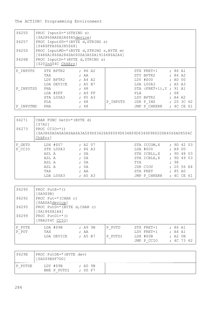| \$6250    | PROC InputS=* (STRING s)                                                           |           |          |                              |  |            |  |  |  |
|-----------|------------------------------------------------------------------------------------|-----------|----------|------------------------------|--|------------|--|--|--|
| \$6257    | [\$A286\$AA\$A2A4\$A5device]<br>PROC InputSD=*(BYTE d, STRING s)                   |           |          |                              |  |            |  |  |  |
| \$625D    | [\$48\$FFA9\$A385\$68]<br>PROC InputMD=* (BYTE d, STRING s, BYTE m)                |           |          |                              |  |            |  |  |  |
| \$626B    | [\$48\$A186\$A284\$A0\$0\$A3A5\$A191\$68\$A2A4]<br>PROC InputD=*(BYTE d, STRING s) |           |          |                              |  |            |  |  |  |
|           | [\$20InS\$4C ChkErr]                                                               |           |          |                              |  |            |  |  |  |
| P INPUTS  | STX BPTR2 ; 86 A2                                                                  |           |          | STX FRET+1 $: 86 A1$         |  |            |  |  |  |
|           | TAX                                                                                | : AA      |          | STY BPTR2                    |  | : 84 A2    |  |  |  |
|           | LDY BPTR2                                                                          | $;$ A4 A2 |          | LDY #\$00                    |  | : A0 00    |  |  |  |
|           | LDA DEVICE                                                                         | $:$ A5 B7 |          | LDA LOOA3                    |  | : A5 A3    |  |  |  |
| P INPUTSD | PHA                                                                                | : 48      |          | STA $(FRET+1)$ , $Y$ ; 91 A1 |  |            |  |  |  |
|           | LDA #\$FF : A9 FF                                                                  |           |          | PT.A                         |  | ; 68       |  |  |  |
|           | STA LOOA3 : 85 A3                                                                  |           |          | LDY BPTR2                    |  | $;$ A4 A2  |  |  |  |
|           | PLA                                                                                | : 68      | P INPUTD | JSR P INS                    |  | : 203C62   |  |  |  |
| P INPUTMD | PHA                                                                                | : 48      |          | JMP P CHKERR                 |  | : 4C CE 61 |  |  |  |

| \$6271 | CHAR FUNC GetD=* (BYTE d)<br>57A21 |           |                                                                                      |              |              |  |
|--------|------------------------------------|-----------|--------------------------------------------------------------------------------------|--------------|--------------|--|
| \$6273 | PROC $CCIO=*( )$<br>ChkErr]        |           | \$A386\$A0A\$A0A\$AA\$A3A5\$9D\$342\$A9\$0\$9D\$348\$9D\$349\$98\$20\$E456\$A085\$4C |              |              |  |
| F GETD | $LDX$ #\$07                        | $;$ A2 07 |                                                                                      | STA ICCOM, X | : 9D 42 03   |  |
| P CCIO | STX LOOA3                          | : 86 A3   |                                                                                      | LDA #\$00    | : A900       |  |
|        | ASL A                              | : 0A      |                                                                                      | STA ICBLL, X | : 9D4803     |  |
|        | ASL A                              | : 0A      |                                                                                      | STA ICBLH, X | : 9D 49 03   |  |
|        | ASL A                              | : 0A      | TYA                                                                                  |              | ; 98         |  |
|        | ASL A                              | : 0A      |                                                                                      | JSR CIOV     | $: 20.56$ F4 |  |
|        | TAX                                | : AA      |                                                                                      | STA FRET     | : 85 A0      |  |
|        | LDA LOOA3                          | $:$ A5 A3 |                                                                                      | JMP P CHKERR | : 4C CE 61   |  |

| \$6290 | PROC PutE= $*( )$<br>$[$ \$A9\$9B]            |         |         |            |              |  |  |
|--------|-----------------------------------------------|---------|---------|------------|--------------|--|--|
| \$6292 | PROC Put=*(CHAR c)<br>[\$AA\$A5device]        |         |         |            |              |  |  |
| \$6295 | PROC PutD=*(BYTE d, CHAR c)<br>[\$A186\$A1A4] |         |         |            |              |  |  |
| \$6299 | PROC Put $D1 = *$ ()<br>[ $$BA2$4C$ CCIO]     |         |         |            |              |  |  |
| P PUTE | LDA #\$9B                                     | ; A9 9B | P PUTD  | STX FRET+1 | : 86 A1      |  |  |
| P PUT  | TAX                                           | : AA    |         | LDY FRET+1 | : A4 A1      |  |  |
|        | LDA DEVICE                                    | : A5 B7 | P PUTD1 | LDX #\$0B  | $;$ A2 $0B$  |  |  |
|        |                                               |         |         | JMP P CCIO | $: 4C$ 73 62 |  |  |

| S629E   | PROC PutDE=* (BYTE dev)<br>[\$A0\$9B\$F7D0] |                     |  |  |  |  |  |  |
|---------|---------------------------------------------|---------------------|--|--|--|--|--|--|
| P PUTDE | LDY #\$9B<br>BNE P PUTD1                    | : A09B<br>$:$ DO F7 |  |  |  |  |  |  |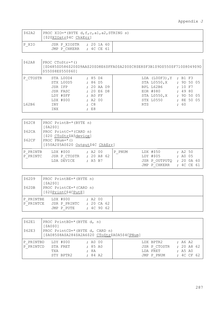| \$62A2 | $ $ PROC XIO=*(BYTE d, f, c, a1, a2, STRING s)<br>[\$20XIOstr\$4C ChkErr] |  |  |  |  |  |  |  |  |
|--------|---------------------------------------------------------------------------|--|--|--|--|--|--|--|--|
| IP XIO | JSR P XIOSTR : 20 1A 60<br>JMP P CHKERR ; 4C CE 61                        |  |  |  |  |  |  |  |  |

| \$62A8   | PROC $CTOStr = * ()$<br>[\$D485\$D586\$20\$D9AA\$20\$D8E6\$FFA0\$A2\$0\$C8\$E8\$F3B1\$9D\$550\$F710\$8049\$9D<br>\$550\$8E\$550\$601 |                                                                                                                             |                       |  |  |  |  |  |  |
|----------|--------------------------------------------------------------------------------------------------------------------------------------|-----------------------------------------------------------------------------------------------------------------------------|-----------------------|--|--|--|--|--|--|
| P CTOSTR | STA LOOD4<br>STX LOOD5<br>JSR IFP<br>JSR FASC                                                                                        | : 85 D4<br>LDA (L00F3), Y ; B1 F3<br>STA L0550, X ; 9D 50 05<br>$: 86$ D5<br>BPL L62B6<br>: 20AAD9<br>: 20E6D8<br>EOR #\$80 | : 10 F7<br>: 4980     |  |  |  |  |  |  |
|          | LDY #\$FF<br>LDX #\$00                                                                                                               | STA L0550, X<br>$: A0$ FF<br>STX L0550<br>$;$ A2 00                                                                         | : 9D 50 05<br>:8E5005 |  |  |  |  |  |  |
| T.62B6   | <b>TNY</b><br>INX                                                                                                                    | $;$ $C8$<br><b>RTS</b><br>E8                                                                                                | ; 60                  |  |  |  |  |  |  |

| \$62C8   | PROC PrintB=*(BYTE n)<br>SAS01                                                       |                                  |            |  |  |  |  |  |  |  |
|----------|--------------------------------------------------------------------------------------|----------------------------------|------------|--|--|--|--|--|--|--|
| \$62CA   | PROC PrintC=*(CARD n)                                                                |                                  |            |  |  |  |  |  |  |  |
| \$62CF   | [\$20 CToStr\$A5device]<br>PROC $PNum = * ()$<br>[\$50A2\$5A0\$20 Output\$4C ChkErr] |                                  |            |  |  |  |  |  |  |  |
| P PRINTB | LDX #\$00                                                                            | LDX #\$50<br>$;$ A2 00<br>P PNUM | $;$ A2 50  |  |  |  |  |  |  |  |
| P PRINTC | JSR P CTOSTR                                                                         | LDY #\$05<br>: 20A862            | : A0 05    |  |  |  |  |  |  |  |
|          | LDA DEVICE                                                                           | : A5 B7<br>JSR P OUTPUTO         | : 2000A60  |  |  |  |  |  |  |  |
|          |                                                                                      | JMP P CHKERR                     | : 4C CE 61 |  |  |  |  |  |  |  |

| \$62D9                                                            | PROC PrintBE=*(BYTE n)<br>$5A2501$                      |                                       |  |  |  |  |  |  |  |  |
|-------------------------------------------------------------------|---------------------------------------------------------|---------------------------------------|--|--|--|--|--|--|--|--|
| \$62DB                                                            | PROC PrintCE=*(CARD n)<br>[\$20 <u>PrintC</u> \$4CPutE] |                                       |  |  |  |  |  |  |  |  |
| LDX #\$00<br>P PRINTBE<br>P PRINTCE<br>JSR P PRINTC<br>JMP P PUTE |                                                         | $;$ A2 00<br>: 20 CA 62<br>: 4C 90 62 |  |  |  |  |  |  |  |  |

| \$62E1    | PROC PrintBD=*(BYTE d, n)                 |           |         |                                                   |              |            |  |
|-----------|-------------------------------------------|-----------|---------|---------------------------------------------------|--------------|------------|--|
| \$62E3    | SAO\$01<br>PROC PrintCD=*(BYTE d, CARD n) |           |         | [\$A085\$8A\$A284\$A2A6\$20 CToStr\$A0A5\$4CPNum] |              |            |  |
| P PRINTBD |                                           | LDY #\$00 | : AO 00 |                                                   | LDX BPTR2    | ; A6 A2    |  |
| P PRINTCD |                                           | STA FRET  | : 85 A0 |                                                   | JSR P CTOSTR | : 20A862   |  |
|           | TXA                                       |           | : 8A    |                                                   | LDA FRET     | $:$ A5 A0  |  |
|           |                                           | STY BPTR2 | : 84 A2 |                                                   | JMP P PNUM   | : 4C CF 62 |  |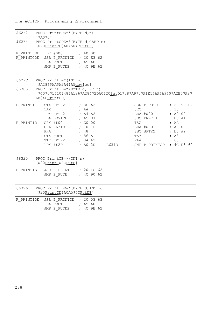| \$62F2 | PROC PrintBDE=*(BYTE d, n)<br>[\$A0\$0]                                                                                    |  |  |  |  |  |  |  |  |  |
|--------|----------------------------------------------------------------------------------------------------------------------------|--|--|--|--|--|--|--|--|--|
| \$62F4 | PROC PrintCDE=*(BYTE d, CARD n)<br>[\$20PrintCD\$A0A5\$4CPutDE]                                                            |  |  |  |  |  |  |  |  |  |
|        | P PRINTBDE LDY #\$00<br>: AO 00<br>P PRINTCDE JSR P PRINTCD : 20 E3 62<br>LDA FRET<br>: A5 A0<br>: 4C 9E 62<br>JMP P PUTDE |  |  |  |  |  |  |  |  |  |

| \$62FC<br>\$6303 | PROC PrintI=* (INT n)<br>[\$A286\$AA\$A2A4\$A5device]<br>PROC PrintID=*(BYTE d, INT n)<br>[\$C0\$0\$1610\$48\$A186\$A284\$2DA0\$20PutD1\$38\$A9\$0\$A1E5\$AA\$A9\$0\$A2E5\$A8\$<br>68\$4CPrintCD] |                                      |  |                               |  |       |                    |                            |  |                              |       |  |
|------------------|---------------------------------------------------------------------------------------------------------------------------------------------------------------------------------------------------|--------------------------------------|--|-------------------------------|--|-------|--------------------|----------------------------|--|------------------------------|-------|--|
| P PRINTI         | TAX                                                                                                                                                                                               | STX BPTR2<br>LDY BPTR2               |  | : 86 A2<br>: AA<br>$;$ A4 A2  |  |       | <b>SEC</b>         | JSR P PUTD1<br>$LDA$ #\$00 |  | : 20<br>: 38<br>: A900       | 99 62 |  |
| P PRINTID        |                                                                                                                                                                                                   | LDA DEVICE<br>$CPY$ #\$00            |  | : A5 B7<br>: CO O0            |  |       | TAX                | SBC FRET+1                 |  | : E5 A1<br>: AA              |       |  |
|                  | PHA                                                                                                                                                                                               | BPL L631D                            |  | : 1016<br>48                  |  |       |                    | $LDA$ #\$00<br>SBC BPTR2   |  | : A900<br>E5 A2              |       |  |
|                  |                                                                                                                                                                                                   | STX FRET+1<br>STY BPTR2<br>LDY #\$2D |  | : 86 A1<br>: 84 A2<br>: A0 2D |  | L631D | TAY<br>PT.A<br>JMP | P PRINTCD                  |  | $;$ A8<br>; 68<br>: 4C E3 62 |       |  |

| \$6320    | PROC PrintIE=*(INT n)<br>[\$20Prinit1\$4CPutE] |                          |  |
|-----------|------------------------------------------------|--------------------------|--|
| P PRINTIE | JSR P PRINTI<br>JMP P PUTE                     | : 20 FC 62<br>: 4C 90 62 |  |

| 56326 | PROC PrintIDE=*(BYTE d, INT n)<br>[\$20PrintID\$A0A5\$4CPutDE] |                       |  |  |  |  |  |  |  |  |
|-------|----------------------------------------------------------------|-----------------------|--|--|--|--|--|--|--|--|
|       | P PRINTIDE JSR P PRINTID : 20 03 63<br>LDA FRET<br>JMP P PUTDE | $:$ A5 A0<br>: 4C9F62 |  |  |  |  |  |  |  |  |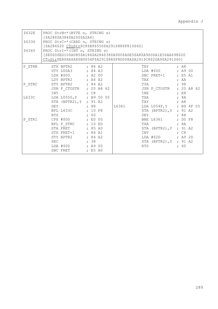| \$632E | PROC StrB=*(BYTE n, STRING s)<br>[\$A286\$A384\$A2\$0\$A2A4] |                                                                                |                                                                                                                       |  |  |  |  |  |  |  |  |
|--------|--------------------------------------------------------------|--------------------------------------------------------------------------------|-----------------------------------------------------------------------------------------------------------------------|--|--|--|--|--|--|--|--|
| \$6336 | PROC StrC=*(CARD n, STRING s)                                |                                                                                |                                                                                                                       |  |  |  |  |  |  |  |  |
|        | [\$A284\$20 CToStr\$C8\$B9\$550\$A291\$88\$F810\$60]         |                                                                                |                                                                                                                       |  |  |  |  |  |  |  |  |
| \$6345 | PROC StrI=* (INT n, STRING s)                                |                                                                                |                                                                                                                       |  |  |  |  |  |  |  |  |
|        |                                                              | [\$E0\$0\$ED10\$A085\$A186\$A284\$38\$A9\$0\$A0E5\$A8\$A9\$0\$A1E5\$AA\$98\$20 |                                                                                                                       |  |  |  |  |  |  |  |  |
|        |                                                              | CToStr\$E8\$8A\$A8\$B9\$54F\$A291\$88\$F8D0\$8A\$A291\$C8\$2DA9\$A291\$60]     |                                                                                                                       |  |  |  |  |  |  |  |  |
| P STRB | STX BPTR2 ; 86 A2                                            |                                                                                | TAY<br>: A8                                                                                                           |  |  |  |  |  |  |  |  |
|        | STY LOOA3 : 84 A3                                            |                                                                                | LDA #\$00 ; A9 00                                                                                                     |  |  |  |  |  |  |  |  |
|        | LDX #\$00                                                    | $;$ A2 00                                                                      | SBC FRET+1 ; E5 A1                                                                                                    |  |  |  |  |  |  |  |  |
|        | LDY BPTR2 ; A4 A2                                            |                                                                                | TAX<br>$;$ AA                                                                                                         |  |  |  |  |  |  |  |  |
| P STRC | $STY$ BPTR2 $: 84$ A2                                        |                                                                                | TYA NAMED A TENGERA A TENGERA A TENGERA A TENGERA A TENGERA A TENGERA A TENGERA A TENGERA A TENGERA A TENGERA<br>; 98 |  |  |  |  |  |  |  |  |
|        | JSR P CTOSTR ; 20 A8 62                                      |                                                                                | JSR P CTOSTR ; 20 A8 62                                                                                               |  |  |  |  |  |  |  |  |
|        | <b>TNY</b>                                                   | $\cdot$ $\cdot$ $\circ$ 8                                                      | E8<br>INX                                                                                                             |  |  |  |  |  |  |  |  |
| L633C  | LDA L0550, Y ; B9 50 05                                      |                                                                                | TXA <b>TXA</b><br>: 8A                                                                                                |  |  |  |  |  |  |  |  |
|        | STA (BPTR2), Y ; 91 A2                                       |                                                                                | $;$ A8                                                                                                                |  |  |  |  |  |  |  |  |
|        | DEY , 88                                                     |                                                                                | L6361 LDA L054F, Y ; B9 4F 05                                                                                         |  |  |  |  |  |  |  |  |
|        | BPL L633C ; 10 F8                                            |                                                                                | STA (BPTR2), Y ; 91 A2                                                                                                |  |  |  |  |  |  |  |  |
|        | <b>RTS</b>                                                   | $\cdot$ 60                                                                     | :88<br><b>DEY</b>                                                                                                     |  |  |  |  |  |  |  |  |
| P STRI | CPX #\$00 ; E0 00                                            |                                                                                | BNE 16361<br>: DO F8                                                                                                  |  |  |  |  |  |  |  |  |
|        | BPL P STRC ; 10 ED                                           |                                                                                | TXA<br>; 8A                                                                                                           |  |  |  |  |  |  |  |  |
|        | STA FRET ; 85 A0                                             |                                                                                | STA (BPTR2), Y ; 91 A2                                                                                                |  |  |  |  |  |  |  |  |
|        | STX FRET+1 ; 86 A1                                           |                                                                                | $;$ $C8$<br>INY                                                                                                       |  |  |  |  |  |  |  |  |
|        | STY BPTR2 ; 84 A2                                            |                                                                                | $LDA$ #\$2D ; A9 2D                                                                                                   |  |  |  |  |  |  |  |  |
|        | <b>SEC</b>                                                   | $\cdot$ 38                                                                     | STA (BPTR2), Y ; 91 A2                                                                                                |  |  |  |  |  |  |  |  |
|        | LDA #\$00 ; A9 00                                            |                                                                                | <b>RTS</b><br>: 60                                                                                                    |  |  |  |  |  |  |  |  |
|        | SBC FRET : E5 A0                                             |                                                                                |                                                                                                                       |  |  |  |  |  |  |  |  |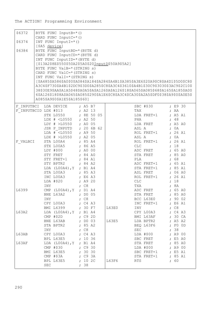| \$6372<br>BYTE FUNC InputB=*()<br>CARD FUNC InputC=*()<br>\$6374<br>INT FUNC InputI= $*( )$<br>[\$A5 device]<br>\$6384<br>BYTE FUNC InputBD=* (BYTE d)<br>CARD FUNC InputCD=* (BYTE d)<br>INT FUNC InputID=* (BYTE d)<br>[\$13A2\$8E\$550\$50A2\$5A0\$20InputD\$50A9\$5A2]<br>BYTE FUNC ValB=* (STRING s)<br>CARD FUNC ValC=*(STRING s)<br>INT FUNC ValI=*(STRING s)<br>[\$A485\$A586\$A0\$0\$A084\$A184\$A284\$A4B1\$A385\$A3E6\$20A9\$C8\$A4D1\$5D0\$C8\$<br>A3C4\$F730\$A4B1\$2DC9\$3D0\$A285\$C8\$A3C4\$3610\$A4B1\$30C9\$3030\$3AC9\$2C10\$<br>38\$30E9\$AA\$A1A5\$48\$A0A5\$A\$A126\$A\$A126\$18\$A065\$A085\$68\$A165\$A185\$A00<br>6\$A126\$18\$8A\$A065\$A085\$290\$A1E6\$C8\$A3C4\$CA30\$A2A5\$DF0\$38\$A9\$0\$A0E5\$<br>A085\$A9\$0\$A1E5\$A185\$601 |                       |                                                                                                                                       |               |              |  |       |            |                          |  |                      |  |
|-----------------------------------------------------------------------------------------------------------------------------------------------------------------------------------------------------------------------------------------------------------------------------------------------------------------------------------------------------------------------------------------------------------------------------------------------------------------------------------------------------------------------------------------------------------------------------------------------------------------------------------------------------------------------------------------------------------------------------------------------------------------|-----------------------|---------------------------------------------------------------------------------------------------------------------------------------|---------------|--------------|--|-------|------------|--------------------------|--|----------------------|--|
| F INPUTBCI                                                                                                                                                                                                                                                                                                                                                                                                                                                                                                                                                                                                                                                                                                                                                      |                       | LDA DEVICE                                                                                                                            |               | ; A5 B7      |  |       |            | SBC #\$30                |  | ; E930               |  |
|                                                                                                                                                                                                                                                                                                                                                                                                                                                                                                                                                                                                                                                                                                                                                                 | F INPUTBCID LDX #\$13 |                                                                                                                                       |               | $;$ A2 13    |  |       | <b>TAX</b> |                          |  | $;$ AA               |  |
|                                                                                                                                                                                                                                                                                                                                                                                                                                                                                                                                                                                                                                                                                                                                                                 |                       | STX L0550                                                                                                                             |               | ;8E5005      |  |       |            | LDA FRET+1               |  | : A5 A1              |  |
|                                                                                                                                                                                                                                                                                                                                                                                                                                                                                                                                                                                                                                                                                                                                                                 |                       | LDX # <l0550 50<="" ;="" a2="" td=""><td></td><td></td><td></td><td></td><td>PHA</td><td></td><td></td><td>; 48</td><td></td></l0550> |               |              |  |       | PHA        |                          |  | ; 48                 |  |
|                                                                                                                                                                                                                                                                                                                                                                                                                                                                                                                                                                                                                                                                                                                                                                 |                       | LDY # >L0550 ; A0 05                                                                                                                  |               |              |  |       | LDA FRET   |                          |  | : A5 A0              |  |
|                                                                                                                                                                                                                                                                                                                                                                                                                                                                                                                                                                                                                                                                                                                                                                 |                       | JSR P INPUTD ; 20 6B 62                                                                                                               |               |              |  |       | ASL A      |                          |  | : 0A                 |  |
|                                                                                                                                                                                                                                                                                                                                                                                                                                                                                                                                                                                                                                                                                                                                                                 |                       | LDA # <l0550 50<br="" ;="" a9="">LDX # &gt;L0550 ; A2 05</l0550>                                                                      |               |              |  |       | ASL A      | ROL FRET+1               |  | ; 26 A1<br>: 0A      |  |
| F VALBCI                                                                                                                                                                                                                                                                                                                                                                                                                                                                                                                                                                                                                                                                                                                                                        | STA LOOA4             |                                                                                                                                       |               | ; 85 A4      |  |       |            | ROL FRET+1               |  | ; 26 A1              |  |
|                                                                                                                                                                                                                                                                                                                                                                                                                                                                                                                                                                                                                                                                                                                                                                 | STX LOOA5             |                                                                                                                                       |               | ; 86 A5      |  |       | CLC        |                          |  | ; 18                 |  |
|                                                                                                                                                                                                                                                                                                                                                                                                                                                                                                                                                                                                                                                                                                                                                                 | LDY #\$00             |                                                                                                                                       |               | ; AO 00      |  |       | ADC FRET   |                          |  | ; 65 A0              |  |
|                                                                                                                                                                                                                                                                                                                                                                                                                                                                                                                                                                                                                                                                                                                                                                 | STY FRET              |                                                                                                                                       |               | : 84 AO      |  |       | STA FRET   |                          |  | : 85 A0              |  |
|                                                                                                                                                                                                                                                                                                                                                                                                                                                                                                                                                                                                                                                                                                                                                                 | STY FRET+1            |                                                                                                                                       |               | ; 84 A1      |  |       | PLA        |                          |  | ; 68                 |  |
|                                                                                                                                                                                                                                                                                                                                                                                                                                                                                                                                                                                                                                                                                                                                                                 |                       | STY BPTR2                                                                                                                             |               | ; 84 A2      |  |       |            | ADC FRET+1               |  | ; 65 A1              |  |
|                                                                                                                                                                                                                                                                                                                                                                                                                                                                                                                                                                                                                                                                                                                                                                 |                       | LDA (L00A4), Y ; B1 A4                                                                                                                |               |              |  |       |            | STA FRET+1               |  | ; 85 A1              |  |
|                                                                                                                                                                                                                                                                                                                                                                                                                                                                                                                                                                                                                                                                                                                                                                 |                       | STA LOOA3                                                                                                                             |               | , 85 A3      |  |       |            | ASL FRET                 |  | : 06 A0              |  |
|                                                                                                                                                                                                                                                                                                                                                                                                                                                                                                                                                                                                                                                                                                                                                                 | INC LOOA3             |                                                                                                                                       |               | ; E6 A3      |  |       |            | ROL FRET+1<br>CLC        |  | ; 26 A1              |  |
|                                                                                                                                                                                                                                                                                                                                                                                                                                                                                                                                                                                                                                                                                                                                                                 | LDA #\$20             |                                                                                                                                       |               | ; A9 20      |  |       |            |                          |  | ; 18                 |  |
|                                                                                                                                                                                                                                                                                                                                                                                                                                                                                                                                                                                                                                                                                                                                                                 | <b>TNY</b>            |                                                                                                                                       | $;$ $C8$      |              |  |       | TXA        |                          |  | ; 8A                 |  |
| L6399                                                                                                                                                                                                                                                                                                                                                                                                                                                                                                                                                                                                                                                                                                                                                           |                       | CMP (L00A4), Y ; D1 A4                                                                                                                |               |              |  |       |            | ADC FRET                 |  | ; 65 A0              |  |
|                                                                                                                                                                                                                                                                                                                                                                                                                                                                                                                                                                                                                                                                                                                                                                 | BNE L63A2             |                                                                                                                                       |               | $\div$ DO 05 |  |       |            | STA FRET                 |  | ; 85 A0              |  |
|                                                                                                                                                                                                                                                                                                                                                                                                                                                                                                                                                                                                                                                                                                                                                                 | <b>TNY</b>            |                                                                                                                                       | $;$ $\circ$ 8 |              |  |       |            | BCC L63E0                |  | ; 9002               |  |
|                                                                                                                                                                                                                                                                                                                                                                                                                                                                                                                                                                                                                                                                                                                                                                 | CPY LOOA3             |                                                                                                                                       |               | $;$ C4 A3    |  |       |            | INC FRET+1               |  | ; E6 A1              |  |
|                                                                                                                                                                                                                                                                                                                                                                                                                                                                                                                                                                                                                                                                                                                                                                 | BMI L6399             |                                                                                                                                       |               | : 30 F7      |  | L63E0 | INY        |                          |  | : C8                 |  |
| L63A2                                                                                                                                                                                                                                                                                                                                                                                                                                                                                                                                                                                                                                                                                                                                                           | $CMP$ #\$2D           | LDA (L00A4), Y ; B1 A4                                                                                                                |               | ; C9 2D      |  |       |            | CPY LOOA3<br>BMI L63AF   |  | $;$ C4 A3<br>; 30 CA |  |
|                                                                                                                                                                                                                                                                                                                                                                                                                                                                                                                                                                                                                                                                                                                                                                 | BNE L63AB             |                                                                                                                                       |               | $\div$ DO 03 |  | L63E5 |            | LDA BPTR2                |  | $:$ A5 A2            |  |
|                                                                                                                                                                                                                                                                                                                                                                                                                                                                                                                                                                                                                                                                                                                                                                 | STA BPTR2             |                                                                                                                                       |               | ; 85 A2      |  |       |            | BEO L63F6                |  | ; FO OD              |  |
|                                                                                                                                                                                                                                                                                                                                                                                                                                                                                                                                                                                                                                                                                                                                                                 | INY                   |                                                                                                                                       | $;$ $C8$      |              |  |       | <b>SEC</b> |                          |  | ; 38                 |  |
| L63AB                                                                                                                                                                                                                                                                                                                                                                                                                                                                                                                                                                                                                                                                                                                                                           | CPY LOOA3             |                                                                                                                                       |               | $;$ C4 A3    |  |       |            | $LDA$ #\$00              |  | $;$ A9 00            |  |
|                                                                                                                                                                                                                                                                                                                                                                                                                                                                                                                                                                                                                                                                                                                                                                 | BPL L63E5             |                                                                                                                                       |               | ; 1036       |  |       |            | SBC FRET                 |  | ; E5 A0              |  |
| L63AF                                                                                                                                                                                                                                                                                                                                                                                                                                                                                                                                                                                                                                                                                                                                                           |                       | LDA (L00A4), Y ; B1 A4                                                                                                                |               |              |  |       |            | STA FRET                 |  | : 85 A0              |  |
|                                                                                                                                                                                                                                                                                                                                                                                                                                                                                                                                                                                                                                                                                                                                                                 | CMP #\$30             |                                                                                                                                       |               | $;$ C9 30    |  |       |            | LDA #\$00                |  | ; A9 00              |  |
|                                                                                                                                                                                                                                                                                                                                                                                                                                                                                                                                                                                                                                                                                                                                                                 | BMI L63E5             |                                                                                                                                       |               | : 3030       |  |       |            |                          |  | ; E5 A1              |  |
|                                                                                                                                                                                                                                                                                                                                                                                                                                                                                                                                                                                                                                                                                                                                                                 | CMP #\$3A             |                                                                                                                                       |               | ; C9 3A      |  |       |            | SBC FRET+1<br>STA FRET+1 |  | : 85 A1              |  |
|                                                                                                                                                                                                                                                                                                                                                                                                                                                                                                                                                                                                                                                                                                                                                                 | BPL L63E5             |                                                                                                                                       |               | ; 10 2C      |  | L63F6 | <b>RTS</b> |                          |  | ; 60                 |  |
|                                                                                                                                                                                                                                                                                                                                                                                                                                                                                                                                                                                                                                                                                                                                                                 | <b>SEC</b>            |                                                                                                                                       | ; 38          |              |  |       |            |                          |  |                      |  |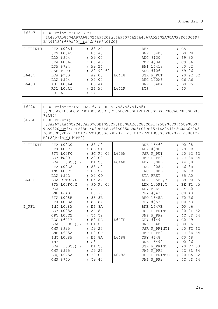|          |                  | 3AC9\$230\$669\$20Put\$A6C6\$E5D0\$60]                                                                                          |                                                     |          |            | [\$A485\$A586\$4A9\$A685\$24A9\$20Put\$A9\$0\$4A2\$A406\$A526\$2A\$CA\$F8D0\$3069\$                                                                                                                                                                       |            |                                                                                                            |                                                               |                          |  |
|----------|------------------|---------------------------------------------------------------------------------------------------------------------------------|-----------------------------------------------------|----------|------------|-----------------------------------------------------------------------------------------------------------------------------------------------------------------------------------------------------------------------------------------------------------|------------|------------------------------------------------------------------------------------------------------------|---------------------------------------------------------------|--------------------------|--|
| P PRINTH |                  | STA LOOA4<br>STX LOOA5<br>LDA #\$04<br>STA LOOA6<br>LDA #\$24<br>JSR P PUT                                                      | : 85A4<br>, 86A5<br>; A9 04<br>, 85 A6<br>; A9 24   | : 209262 |            |                                                                                                                                                                                                                                                           | <b>DEX</b> | <b>BNE L6408</b><br>ADC #\$30<br>CMP #\$3A<br><b>BMI L6418</b><br>ADC #\$06                                | ; CA<br>; DO F8<br>; 6930<br>; C9 3A<br>: 3002<br>; 69 06     |                          |  |
| L6404    |                  | $LDA$ #\$00<br>LDX #\$04                                                                                                        | ; A9 00<br>$;$ A2 04                                |          |            | L6418                                                                                                                                                                                                                                                     |            | JSR P PUT<br>DEC LOOA6                                                                                     | ; C6 A6                                                       | ; 20 92 62               |  |
| L6408    | ROL A            | ASL LOOA4<br>ROL LOOA5                                                                                                          | ; 06 A4<br>; 26 A5<br>; 2A                          |          |            | L641F                                                                                                                                                                                                                                                     | <b>RTS</b> | BNE L6404                                                                                                  | , DO E5<br>; 60                                               |                          |  |
|          |                  |                                                                                                                                 |                                                     |          |            |                                                                                                                                                                                                                                                           |            |                                                                                                            |                                                               |                          |  |
| \$6420   | \$8A861          |                                                                                                                                 |                                                     |          |            | PROC PrintF=* (STRING f, CARD a1, a2, a3, a4, a5)<br>[\$C085\$C186\$8C\$5F0\$A0\$0\$C0B1\$C285\$C2E6\$DA2\$A2B5\$9D\$5F0\$CA\$F8D0\$8B86                                                                                                                  |            |                                                                                                            |                                                               |                          |  |
| \$643D   | PROC PF2= $*( )$ | F2\$20PrintC\$4CPF2]                                                                                                            |                                                     |          |            | [\$8AE6\$8AA4\$C2C4\$DAB0\$C0B1\$25C9\$FD0\$8AE6\$C8\$C0B1\$25C9\$6F0\$45C9\$8D0\$<br>9BA9\$20Put\$4CPF2\$8BA4\$8BE6\$8BE6\$A085\$B9\$5F0\$BE\$5F1\$A0A4\$43C0\$E6F0\$5<br>3C0\$6D0\$20Print\$4CPF2\$49C0\$6D0\$20PrintT\$4CPF2\$48C0\$6D0\$20PrintH\$4CP |            |                                                                                                            |                                                               |                          |  |
| P PRINTF |                  | STA LOOCO<br>STX L00C1<br>STY LO5FO<br>LDY #\$00<br>LDA $(L00C0)$ , Y ; B1 C0<br>STA L00C2<br>, 85 C2<br>INC L00C2<br>LDX #\$0D | : 85 C0<br>; 86 C1<br>; AO 00<br>; E6 C2<br>; A2 OD |          | ; 8C F0 05 | L645A<br>L6460                                                                                                                                                                                                                                            |            | <b>BNE L6460</b><br>LDA #\$9B<br>JSR P PUT<br>JMP P PF2<br>LDY LOO8B<br>INC LOO8B<br>INC LOO8B<br>STA FRET | ; DO 08<br>; A9 9B<br>; A4 8B<br>; E6 8B<br>; E68B<br>: 85 A0 | : 209262<br>; 4C 3D 64   |  |
| L6431    | DEX              | LDA BPTR2, X ; B5 A2<br>STA LO5FO, X ; 9D FO 05<br><b>BNE L6431</b><br>STX LOO8B<br>STX LOO8A                                   | ; CA<br>$\div$ DO F8<br>; 868B<br>; 86 8A           |          |            |                                                                                                                                                                                                                                                           |            | LDA LO5F0, Y<br>LDX L05F1, Y<br>LDY FRET<br>$CPY$ #\$43<br>BEO L645A<br>CPY #\$53                          | ; A4 A0<br>$;$ CO 43<br>; FO E6<br>$;$ CO 53                  | ; B9 F0 05<br>; BE F1 05 |  |
| P PF2    |                  | INC LOO8A<br>LDY LOO8A<br>CPY L00C2<br>BCS L641F<br>LDA $(L00C0)$ , Y ; B1 C0                                                   | ; E6 8A<br>; A4 8A<br>, c4 c2<br>; BO DA            |          |            | <b>L647E</b>                                                                                                                                                                                                                                              |            | BNE L647E<br>JSR P PRINT<br>JMP P PF2<br>CPY #\$49<br><b>BNE L6488</b>                                     | ; DO 06<br>$;$ CO 49<br>; DO 06                               | : 20 2F 62<br>; 4C 3D 64 |  |
|          | <b>INY</b>       | CMP #\$25<br>BNE L645A<br>INC LOO8A                                                                                             | ; C9 25<br>$\div$ DO OF<br>; E6 8A<br>$;$ $C8$      |          |            | L6488                                                                                                                                                                                                                                                     |            | JSR P_PRINTI ; 20 FC 62<br>JMP P PF2<br>CPY #\$48<br><b>BNE L6492</b>                                      | $;$ CO 48<br>; DO 06                                          | ; 4C 3D 64               |  |
|          |                  | LDA $(L00C0)$ , Y ; B1 C0<br>$CMP$ #\$25<br>BEQ L645A                                                                           | ; C9 25<br>; F0 06                                  |          |            | L6492                                                                                                                                                                                                                                                     |            | JSR P_PRINTH ; 20 F7 63<br>; 4C 3D 64<br>JMP P PF2<br>JSR P PRINTC                                         |                                                               | ; 20 CA 62               |  |

\$63F7 PROC PrintH=\*(CARD n)

CMP #\$45 ; C9 45

JMP P PF2 ; 4C 3D 64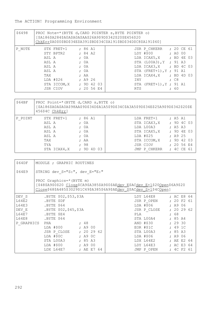| \$6498 | PROC Note=*(BYTE d, CARD POINTER s, BYTE POINTER o)<br>[\$A186\$A284\$A0A\$A0A\$AA\$26A9\$9D\$342\$20\$E456\$20<br>ChkErr\$A0\$0\$BD\$34E\$A391\$BD\$34C\$A191\$BD\$34D\$C8\$A191\$601 |                         |              |                              |  |  |  |
|--------|----------------------------------------------------------------------------------------------------------------------------------------------------------------------------------------|-------------------------|--------------|------------------------------|--|--|--|
| P NOTE | STX FRET+1                                                                                                                                                                             | : 86 A1                 | JSR P CHKERR | $: 20 \text{ CE } 61$        |  |  |  |
|        | STY BPTR2                                                                                                                                                                              | : 84 A2                 | LDY #\$00    | : A0 00                      |  |  |  |
|        | ASL A                                                                                                                                                                                  | : 0A                    |              | LDA ICAX5, X ; BD 4E 03      |  |  |  |
|        | ASL A                                                                                                                                                                                  | : 0A                    |              | STA (L00A3), Y ; 91 A3       |  |  |  |
|        | ASL A                                                                                                                                                                                  | : 0A                    |              | LDA ICAX3, X ; BD 4C 03      |  |  |  |
|        | ASL A                                                                                                                                                                                  | : 0A                    |              | STA $(FRET+1)$ , $Y$ ; 91 A1 |  |  |  |
|        | TAX                                                                                                                                                                                    | : AA                    | LDA ICAX4.X  | ; BD 4D 03                   |  |  |  |
|        | LDA #\$26                                                                                                                                                                              | : A926                  | INY          | $;$ $C8$                     |  |  |  |
|        |                                                                                                                                                                                        | STA ICCOM, X ; 9D 42 03 |              | STA $(FRET+1)$ , $Y$ ; 91 A1 |  |  |  |
|        | JSR CIOV                                                                                                                                                                               | : 2056E4                | <b>RTS</b>   | ; 60                         |  |  |  |

| \$64BF  | 456\$4C ChkErr] | PROC Point=*(BYTE d, CARD s, BYTE o)<br>[\$A186\$A0A\$A0A\$98AA\$9D\$34D\$A1A5\$9D\$34C\$A3A5\$9D\$34E\$25A9\$9D\$342\$20\$E |            |
|---------|-----------------|------------------------------------------------------------------------------------------------------------------------------|------------|
| P POINT | STX FRET+1      | : 86 A1<br>LDA FRET+1                                                                                                        | $:$ A5 A1  |
|         | ASL A           | STA ICAX3, X<br>: 0A                                                                                                         | : 9D 4C 03 |
|         | ASL A           | LDA LOOA3<br>: 0A                                                                                                            | : A5 A3    |
|         | ASL A           | STA ICAX5, X<br>: 0A                                                                                                         | : 9D 4E 03 |
|         | ASL A           | LDA #\$25<br>: 0A                                                                                                            | : A925     |
|         | TAX             | STA ICCOM, X<br>: AA                                                                                                         | : 9D 42 03 |
|         | TYA             | .98<br>JSR CIOV                                                                                                              | : 2056E4   |
|         | STA ICAX4, X    | 9D 4D 03<br>JMP P CHKERR<br>$\mathcal{L}$                                                                                    | : 4C CE 61 |

| \$64DF         | MODULE ; GRAPHIC ROUTINES                                                                                                                                                        |  |  |  |      |                        |              |  |
|----------------|----------------------------------------------------------------------------------------------------------------------------------------------------------------------------------|--|--|--|------|------------------------|--------------|--|
| \$64E9         | STRING dev S="S:", dev E="E:"                                                                                                                                                    |  |  |  |      |                        |              |  |
|                | PROC Graphics=* (BYTE m)<br>[\$48\$A9\$0\$20 Close\$CA9\$A385\$A9\$0\$AEdey_E\$ACdey_E+1\$20Open\$6A9\$20<br>Close\$68\$A485\$3029\$1C49\$A385\$6A9\$AEdev.s\$ACdev.s+1\$4COpen] |  |  |  |      |                        |              |  |
| DEV S          | BYTE \$02,\$53,\$3A                                                                                                                                                              |  |  |  |      | LDY L64E8              | $;$ AC E8 64 |  |
| L64E2          | .BYTE \$DF                                                                                                                                                                       |  |  |  |      | JSR P OPEN ; 20 F2 61  |              |  |
| L64E3          | .BYTE \$64                                                                                                                                                                       |  |  |  |      | LDA #\$06 ; A9 06      |              |  |
|                | DEV E .BYTE \$02, \$45, \$3A                                                                                                                                                     |  |  |  |      | JSR P CLOSE ; 20 29 62 |              |  |
| L64E7          | .BYTE \$E4                                                                                                                                                                       |  |  |  | PT.A |                        | ; 68         |  |
|                | L64E8 .BYTE \$64                                                                                                                                                                 |  |  |  |      | STA LOOA4              | : 85 A4      |  |
| P GRAPHICS PHA | $\cdot$ 48                                                                                                                                                                       |  |  |  |      | AND #\$30 ; 29 30      |              |  |
|                | LDA #\$00 ; A9 00                                                                                                                                                                |  |  |  |      | EOR #\$1C              | : 491C       |  |
|                | JSR P CLOSE : 20 29 62                                                                                                                                                           |  |  |  |      | STA LOOA3              | : 85 A3      |  |
|                | LDA #\$0C ; A9 0C                                                                                                                                                                |  |  |  |      | LDA #\$06              | : A906       |  |
|                | STA LOOA3 : 85 A3                                                                                                                                                                |  |  |  |      | LDX L64E2 ; AE E2 64   |              |  |
|                | LDA #\$00 ; A9 00                                                                                                                                                                |  |  |  |      | LDY L64E3              | ; AC E3 64   |  |
|                | LDX L64E7 : AE E7 64                                                                                                                                                             |  |  |  |      | JMP P OPEN             | ; 4C F2 61   |  |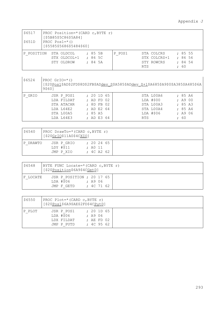# Appendix J

| \$6517<br>\$651D | PROC Position=*(CARD c, BYTE r)<br>[\$5B85\$5C86\$5A84]<br>PROC $Pos1 = * ()$<br>[\$5585\$5686\$5484\$60] |                                       |                                                        |                                  |
|------------------|-----------------------------------------------------------------------------------------------------------|---------------------------------------|--------------------------------------------------------|----------------------------------|
| P POSITION       | STA OLDCOL<br>STX OLDCOL+1<br>STY OLDROW                                                                  | P POS1<br>: 85.5B<br>:865C<br>: 84.5A | STA COLCRS<br>STX COLCRS+1<br>STY ROWCRS<br><b>RTS</b> | :8555<br>:8656<br>: 84.54<br>-60 |

| \$6524 | PROC $GrIO=\star$ ()<br>9\$601 | [\$20Pos1\$AD\$2FD\$8D\$2FB\$ADdev_\$\$A585\$ADdev_\$+1\$A685\$A9\$0\$A385\$A485\$6A |  |
|--------|--------------------------------|--------------------------------------------------------------------------------------|--|
| P GRIO | JSR P POS1                     | STA LOOA6<br>: 201D65<br>: 85A6                                                      |  |
|        | LDA FILDAT                     | $LDA$ #\$00<br>: AD FD 02<br>: A900                                                  |  |
|        | STA ATACHR                     | : 8D FB 02<br>STA LOOA3<br>: 85 A3                                                   |  |
|        | LDA L64E2                      | : AD E2 64<br>STA LOOA4<br>: 85 A4                                                   |  |
|        | STA LOOA5                      | LDA #\$06<br>: A906<br>: 85A5                                                        |  |
|        | LDA L64E3                      | : AD E3 64<br>60<br><b>RTS</b>                                                       |  |

| \$6540   | PROC $DrawTo=\star$ (CARD c, BYTE r)<br>[\$20GrIO\$11A0\$4CXIO] |                                   |  |  |  |  |
|----------|-----------------------------------------------------------------|-----------------------------------|--|--|--|--|
| P DRAWTO | JSR P GRIO<br>LDY #\$11<br>JMP P XIO                            | : 202465<br>: A0 11<br>: 4C A2 62 |  |  |  |  |

| \$6548   | BYTE FUNC Locate=*(CARD c,BYTE r)<br>[\$20Position\$6A9\$4CGetD] |                         |  |  |  |  |  |
|----------|------------------------------------------------------------------|-------------------------|--|--|--|--|--|
| F LOCATE | JSR P POSITION ; 20 17 65<br>LDA #\$06<br>JMP F GETD             | ; A9 06<br>$: 4C$ 71 62 |  |  |  |  |  |

| \$6550 | PROC Plot=*(CARD $c$ , BYTE r)<br>[\$20Pos1\$6A9\$AE\$2FD\$4CPutD] |                                                  |  |
|--------|--------------------------------------------------------------------|--------------------------------------------------|--|
| P PLOT | JSR P POS1<br>$LDA$ #\$06<br>LDX FILDAT<br>JMP P PUTD              | : 201D65<br>: A906<br>$;$ AE FD 02<br>: 4C 95 62 |  |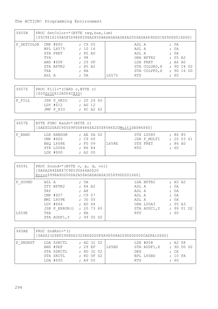| \$655B     |       | PROC SetColor=* (BYTE req, hue, lum) |         | [\$5C9\$1610\$A085\$98\$F29\$A285\$8A\$A0A\$A0A\$A205\$A0A6\$9D\$2C4\$9D\$D016\$60] |            |               |            |  |
|------------|-------|--------------------------------------|---------|-------------------------------------------------------------------------------------|------------|---------------|------------|--|
| P SETCOLOR |       | CMP #\$05                            | : C905  |                                                                                     | ASL A      |               | ; OA       |  |
|            |       | <b>BPL L6575</b>                     | : 1016  |                                                                                     | ASL A      |               | : 0A       |  |
|            |       | STA FRET                             | : 85 A0 |                                                                                     | ASL A      |               | : 0A       |  |
|            | TYA   |                                      | .98     |                                                                                     |            | ORA BPTR2     | : 05 A2    |  |
|            |       | $AND$ #\$0 $F$                       | : 290F  |                                                                                     |            | LDX FRET      | ; A6A0     |  |
|            |       | STA BPTR2                            | : 85 A2 |                                                                                     |            | STA COLORO, X | : 9D C4 02 |  |
|            | TXA   |                                      | ; 8A    |                                                                                     |            | STA COLPFO, X | : 9D 16 DO |  |
|            | ASL A |                                      | : 0A    | L6575                                                                               | <b>RTS</b> |               | - 60       |  |

| \$6576 | PROC Fill=*(CARD $c$ , BYTE r)<br>[\$20GrIO\$12A0\$4CXIO] |                                   |  |
|--------|-----------------------------------------------------------|-----------------------------------|--|
| P FILL | JSR P GRIO<br>LDY #\$12<br>JMP P XIO                      | : 202465<br>: A0 12<br>: 4C A2 62 |  |

| S657E  | BYTE FUNC Rand=*(BYTE r)                                           | [\$AE\$D20A\$C9\$0\$9F0\$8486\$A2\$0\$8586\$20MultI\$A086\$60] |                                                    |                                     |
|--------|--------------------------------------------------------------------|----------------------------------------------------------------|----------------------------------------------------|-------------------------------------|
| F RAND | LDX RANDOM<br>$CMP$ #\$00<br>BEO L658E<br>STX L0084<br>$LDX$ #\$00 | ; AE 0A D2<br>: C900<br>L658E<br>; F009<br>:8684<br>$;$ A2 00  | STX L0085<br>JSR P MULTI<br>STX FRET<br><b>RTS</b> | :8685<br>: 200361<br>: 86 A0<br>.60 |

| \$6591           | PROC Sound=*(BYTE $v$ , p, d, vol)<br>[\$A\$A284\$A8\$7C9\$530\$64A0\$20<br>Error\$998A\$D200\$A2A5\$A0A\$A0A\$A305\$99\$D201\$60] |                                                                                             |                                                                                          |                                                                          |  |  |  |  |  |  |
|------------------|------------------------------------------------------------------------------------------------------------------------------------|---------------------------------------------------------------------------------------------|------------------------------------------------------------------------------------------|--------------------------------------------------------------------------|--|--|--|--|--|--|
| P SOUND<br>L659E | ASL A<br>STY BPTR2<br>TAY<br>$CMP$ #\$07<br>BMI L659E<br>LDY #\$64<br>JSR P ERROR()<br>TXA<br>STA AUDF1, Y                         | : 0A<br>: 84 A2<br>$;$ A8<br>: C907<br>: 3005<br>: A064<br>: 207360<br>: 8A<br>.99<br>00 D2 | LDA BPTR2<br>ASL A<br>ASL A<br>ASL A<br>ASL A<br>ORA LOOA3<br>STA AUDC1, Y<br><b>RTS</b> | $:$ A5 A2<br>: 0A<br>: 0A<br>: 0A<br>: 0A<br>: 05 A3<br>: 9901D2<br>; 60 |  |  |  |  |  |  |

| \$65AE   | PROC SndRst= $*( )$<br>[\$AD\$232\$EF29\$8D\$232\$8D\$D20F\$A9\$0\$8A2\$9D\$D200\$CA\$FA10\$60] |                                                                 |  |                                                             |  |  |       |                   |                                        |  |                                                 |  |  |
|----------|-------------------------------------------------------------------------------------------------|-----------------------------------------------------------------|--|-------------------------------------------------------------|--|--|-------|-------------------|----------------------------------------|--|-------------------------------------------------|--|--|
| P SNDRST |                                                                                                 | LDA SSKCTL<br>AND #\$EF<br>STA SSKCTL<br>STA SKCTL<br>LDA #\$00 |  | ; AD 32 02<br>: 29 EF<br>: 8D 32 02<br>: 8D OF D2<br>: A900 |  |  | L65BD | DEX<br><b>RTS</b> | LDX #\$08<br>STA AUDF1, X<br>BPL L65BD |  | $;$ A2 08<br>: 9D 00 D2<br>: CA<br>: 10FA<br>60 |  |  |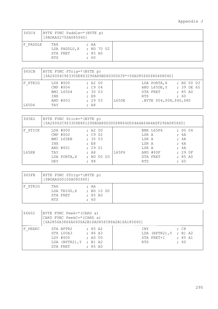| \$65C4   | BYTE FUNC Paddle=*(BYTE p)<br>[\$BDAA\$270\$A085\$60] |                             |                       |  |  |  |  |  |  |  |
|----------|-------------------------------------------------------|-----------------------------|-----------------------|--|--|--|--|--|--|--|
| F PADDLE | TAX<br>STA FRET<br><b>RTS</b>                         | ; BD 70 02<br>LDA PADDLO, X | ; AA<br>: 85 A0<br>60 |  |  |  |  |  |  |  |

| \$65CB           | BYTE FUNC PTrig=*(BYTE p)<br>[\$A2\$0\$4C9\$330\$E8\$329\$A8\$BD\$D300\$39*+5\$A085\$60\$804\$8040] |                                                              |                                                                                                                                            |  |  |  |  |  |  |  |  |
|------------------|-----------------------------------------------------------------------------------------------------|--------------------------------------------------------------|--------------------------------------------------------------------------------------------------------------------------------------------|--|--|--|--|--|--|--|--|
| F PTRIG<br>L65D4 | $LDX$ #\$00<br>$CMP$ #\$04<br>BMI L65D4<br>INX<br>AND #\$03<br>TAY                                  | $;$ A2 00<br>$;$ $C9$ 04<br>: 3003<br>E8<br>: 2903<br>$;$ A8 | ; BD 00 D3<br>LDA PORTA, X<br>AND L65DE, Y<br>: 39 DE 65<br>: 85 A0<br>STA FRET<br>.60<br><b>RTS</b><br>.BYTE \$04,\$08,\$40,\$80<br>L65DE |  |  |  |  |  |  |  |  |

| \$65E2       | BYTE FUNC Stick=* (BYTE p)<br>[\$A2\$0\$2C9\$330\$E8\$129\$BDA8\$D300\$88\$4D0\$4A4A\$4A4A\$F29\$A085\$60] |                                                                                                                                            |  |  |  |  |  |  |  |  |
|--------------|------------------------------------------------------------------------------------------------------------|--------------------------------------------------------------------------------------------------------------------------------------------|--|--|--|--|--|--|--|--|
| F STICK      | LDX #\$00<br>$CMP$ #\$02<br>BMI L65EB<br>INX<br>AND #\$01                                                  | BNE L65F6<br>$;$ A2 00<br>$:$ DO 04<br>: C902<br>LSR A<br>: 4A<br>: 3003<br>LSR A<br>.4A<br>E8<br>LSR A<br>; 4A<br>: 2901<br>LSR A<br>: 4A |  |  |  |  |  |  |  |  |
| <b>L65EB</b> | TAY<br>LDA PORTA, X<br><b>DEY</b>                                                                          | AND #\$0F<br>L65F6<br>: 290F<br>$;$ A8<br>: 85 A0<br>: BD 00 D3<br>STA FRET<br>88<br>-60<br><b>RTS</b>                                     |  |  |  |  |  |  |  |  |

| S65FB   | BYTE FUNC STriq=*(BYTE p)<br>[\$BDAA\$D010\$A085\$60] |                                     |  |  |  |  |  |  |  |
|---------|-------------------------------------------------------|-------------------------------------|--|--|--|--|--|--|--|
| F STRIG | TAX<br>LDA TRIGO, X<br>STA FRET<br><b>RTS</b>         | ; AA<br>; BD 10 DO<br>: 85 A0<br>60 |  |  |  |  |  |  |  |

| \$6602  | BYTE FUNC Peek=* (CARD a)<br>CARD FUNC PeekC=* (CARD a)<br>[\$A285\$A386\$A0\$0\$A2B1\$A085\$C8\$A2B1\$A185\$60] |                                          |                                                    |                        |  |  |  |  |  |  |
|---------|------------------------------------------------------------------------------------------------------------------|------------------------------------------|----------------------------------------------------|------------------------|--|--|--|--|--|--|
| F PEEKC | STA BPTR2<br>STX LOOA3<br>LDY #\$00<br>LDA (BPTR2), $Y$ ; B1 A2<br>STA FRET                                      | : 85 A2<br>: 86 A3<br>: AO 00<br>: 85 A0 | INY<br>LDA (BPTR2), Y ; B1 A2<br>STA FRET+1<br>RTS | : C8<br>: 85 A1<br>.60 |  |  |  |  |  |  |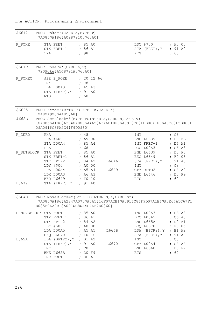| 56612  | PROC Poke=* (CARD $a$ , BYTE $v$ )<br>[\$A085\$A186\$A098\$9100\$60A0] |         |               |         |  |  |  |  |  |
|--------|------------------------------------------------------------------------|---------|---------------|---------|--|--|--|--|--|
| P POKE | STA FRET                                                               | : 85 A0 | LDY #\$00     | : AO 00 |  |  |  |  |  |
|        | STX FRET+1                                                             | : 86 A1 | STA (FRET), Y | : 91 A0 |  |  |  |  |  |
|        | TYA                                                                    | : 98    | <b>RTS</b>    | ; 60    |  |  |  |  |  |

| \$661C  | PROC PokeC=* (CARD $a, v$ )<br>[\$20Poke\$A5C8\$91A3\$60A0]          |                                                                    |  |  |  |  |  |  |  |  |
|---------|----------------------------------------------------------------------|--------------------------------------------------------------------|--|--|--|--|--|--|--|--|
| P POKEC | JSR P POKE<br><b>TNY</b><br>LDA L00A3<br>STA (FRET), Y<br><b>RTS</b> | : 201266<br>$;$ $C8$<br>$:$ A5 A3<br>: 91 A0<br>60<br>$\mathbf{r}$ |  |  |  |  |  |  |  |  |

| \$6625<br>\$662B | PROC Zero=* (BYTE POINTER a, CARD s)<br>[\$48\$A9\$0\$A485\$68]<br>PROC SetBlock=* (BYTE POINTER a, CARD s, BYTE v)<br>[\$A085\$A186\$A284\$A0\$0\$A4A5\$A3A6\$10F0\$A091\$C8\$FBD0\$A1E6\$A3C6\$F5D0\$3F<br>0\$A091\$C8\$A2C4\$F9D0\$601 |      |                  |  |              |  |       |            |               |  |                   |  |
|------------------|-------------------------------------------------------------------------------------------------------------------------------------------------------------------------------------------------------------------------------------------|------|------------------|--|--------------|--|-------|------------|---------------|--|-------------------|--|
| P ZERO           |                                                                                                                                                                                                                                           | PHA  |                  |  | : 48         |  |       | INY        |               |  | $;$ $C8$          |  |
|                  |                                                                                                                                                                                                                                           |      | LDA #\$00        |  | : A9 00      |  |       |            | BNE L6639     |  | $:$ DO FB         |  |
|                  |                                                                                                                                                                                                                                           |      | STA LOOA4        |  | : 85 A4      |  |       |            | INC FRET+1    |  | E6A1              |  |
|                  |                                                                                                                                                                                                                                           | PT.A |                  |  | : 68         |  |       |            | DEC LOOA3     |  | $;$ C6 A3         |  |
| P SETBLOCK       |                                                                                                                                                                                                                                           |      | STA FRET         |  | : 85 A0      |  |       |            | BNE L6639     |  | : DO F5           |  |
|                  |                                                                                                                                                                                                                                           |      | STX FRET+1       |  | : 86 A1      |  |       |            | BEO L6649     |  | $E_{\rm F}$ $0.3$ |  |
|                  |                                                                                                                                                                                                                                           |      | STY BPTR2        |  | : 84 A2      |  | L6646 |            | STA (FRET), Y |  | : 91 A0           |  |
|                  |                                                                                                                                                                                                                                           |      | LDY #\$00        |  | : A0 00      |  |       | <b>TNY</b> |               |  | $;$ $C8$          |  |
|                  |                                                                                                                                                                                                                                           |      | LDA LOOA4        |  | : A5 A4      |  | L6649 |            | CPY BPTR2     |  | : C4 A2           |  |
|                  |                                                                                                                                                                                                                                           |      | LDX L00A3        |  | ; A6 A3      |  |       |            | BNE L6646     |  | : DO F9           |  |
|                  |                                                                                                                                                                                                                                           |      | <b>BEO L6649</b> |  | $\div$ FO 10 |  |       | <b>RTS</b> |               |  | ; 60              |  |
| L6639            |                                                                                                                                                                                                                                           |      | STA (FRET), Y    |  | : 91 A0      |  |       |            |               |  |                   |  |

| \$664E                        | PROC MoveBlock=*(BYTE POINTER d, s, CARD sz)<br>[\$A085\$A186\$A284\$A0\$0\$A5A5\$16F0\$A2B1\$A091\$C8\$F9D0\$A1E6\$A3E6\$A5C6\$F1<br>D0\$5F0\$A2B1\$A091\$C8\$A4C4\$F7D0\$601 |                                                                                                                                        |                                             |                                                                                                                                                                                                                                       |  |  |  |  |  |  |
|-------------------------------|--------------------------------------------------------------------------------------------------------------------------------------------------------------------------------|----------------------------------------------------------------------------------------------------------------------------------------|---------------------------------------------|---------------------------------------------------------------------------------------------------------------------------------------------------------------------------------------------------------------------------------------|--|--|--|--|--|--|
| P MOVEBLOCK STA FRET<br>L665A | STX FRET+1<br>STY BPTR2<br>LDY #\$00<br>LDA L00A5<br><b>BEO L6670</b><br>LDA (BPTR2), Y<br>STA (FRET), Y<br><b>TNY</b><br>BNE L665A<br>INC FRET+1                              | : 85 A0<br>: 86 A1<br>: 84 A2<br>: A0 00<br>$:$ A5 A5<br>$E_{\rm F}$ $16$<br>$\cdot$ B1 A2<br>: 91 A0<br>$;$ $C8$<br>$:$ DO F9<br>E6A1 | L666B<br><b>TNY</b><br>T.6670<br><b>RTS</b> | INC LOOA3<br>E6A3<br>DEC LOOA5<br>$;$ C6 A5<br>BNE L665A<br>$:$ DO $F1$<br>BEO L6670<br>$;$ FO 05<br>LDA (BPTR2), Y<br>$:$ B1 A2<br>: 91 A0<br>STA (FRET), Y<br>$;$ $C8$<br>CPY LOOA4<br>$;$ $C4$ $A4$<br>BNE L666B<br>: DO F7<br>.60 |  |  |  |  |  |  |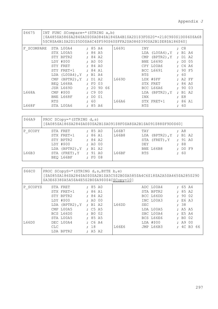| \$6675     | INT FUNC SCompare=* (STRING a, b)<br>[\$A485\$A586\$A284\$A0\$0\$A084\$A184\$A4B1\$A2D1\$3F0\$20*+21\$C9\$0\$1D0\$60\$A68<br>5\$C8\$A4B1\$A2D1\$5D0\$A6C4\$F590\$60\$FFA2\$A086\$390\$A2B1\$E8\$A186\$601 |                          |            |           |          |  |       |            |                   |                      |           |     |
|------------|-----------------------------------------------------------------------------------------------------------------------------------------------------------------------------------------------------------|--------------------------|------------|-----------|----------|--|-------|------------|-------------------|----------------------|-----------|-----|
| F SCOMPARE |                                                                                                                                                                                                           | STA LOOA4                |            | : 85A4    |          |  | L6691 | INY        |                   |                      | : C8      |     |
|            |                                                                                                                                                                                                           | STX LOOA5                |            | : 86A5    |          |  |       |            | LDA $(L00A4)$ , Y |                      | ; B1 A4   |     |
|            |                                                                                                                                                                                                           | STY BPTR2                |            | : 84 A2   |          |  |       | <b>CMP</b> | (BPTR2), Y        |                      | $;$ D1 A2 |     |
|            |                                                                                                                                                                                                           | LDY #\$00                |            | : A0 00   |          |  |       |            | BNE L669D         |                      | $;$ DO 05 |     |
|            |                                                                                                                                                                                                           | STY FRET                 |            | : 84 A0   |          |  |       |            | CPY LOOA6         |                      | : C4 A6   |     |
|            |                                                                                                                                                                                                           | STY FRET+1               |            | : 84 A1   |          |  |       |            | BCC 16691         |                      | : 90 F5   |     |
|            |                                                                                                                                                                                                           | LDA (L00A4), Y ; B1 A4   |            |           |          |  |       | <b>RTS</b> |                   |                      | 60        |     |
|            |                                                                                                                                                                                                           | CMP (BPTR2), $Y$ ; D1 A2 |            |           |          |  | L669D |            | LDX #\$FF         |                      | : A2 FF   |     |
|            |                                                                                                                                                                                                           | BEO L668A                |            | $;$ FO 03 |          |  |       |            | STX FRET          |                      | : 86 A0   |     |
|            |                                                                                                                                                                                                           | <b>JSR L669D</b>         |            |           | : 209D66 |  |       |            | BCC L66A6         | $\ddot{\phantom{0}}$ | 90        | 0.3 |
| L668A      |                                                                                                                                                                                                           | $CMP$ #\$00              |            | $;$ $C9$  | 00       |  |       |            | LDA (BPTR2), Y    |                      | $:$ B1 A2 |     |
|            |                                                                                                                                                                                                           | BNE L668F                | $\ddot{ }$ | DO 01     |          |  |       | <b>TNX</b> |                   | ÷                    | E8        |     |
|            | <b>RTS</b>                                                                                                                                                                                                |                          | $\ddot{ }$ | 60        |          |  | L66A6 |            | STX FRET+1        | $\ddot{\phantom{0}}$ | 86 A1     |     |
| L668F      |                                                                                                                                                                                                           | STA LOOA6                | $\ddot{ }$ |           | 85 A6    |  |       | <b>RTS</b> |                   |                      | 60        |     |

| \$66A9           | PROC SCopy=*(STRING d, s)<br>[\$A085\$A186\$A284\$A0\$0\$A2B1\$A091\$8F0\$A8\$A2B1\$A091\$88\$F9D0\$60]    |                                                                                                                                                                                                                                |  |  |  |  |  |
|------------------|------------------------------------------------------------------------------------------------------------|--------------------------------------------------------------------------------------------------------------------------------------------------------------------------------------------------------------------------------|--|--|--|--|--|
| P SCOPY<br>L66B3 | STA FRET<br>STX FRET+1<br>STY BPTR2<br>LDY #\$00<br>LDA (BPTR2), $Y$ ; B1 A2<br>STA (FRET), Y<br>BEO L66BF | L66B7<br>: 85 A0<br>TAY<br>; A8<br>L66B8<br>: 86 A1<br>LDA (BPTR2), $Y$ ; B1 A2<br>: 84 A2<br>: 91 A0<br>STA (FRET), Y<br>: A0 00<br>:88<br>DEY.<br>BNE L66B8<br>: DOF9<br>: 91 A0<br>L66BF<br>; 60<br><b>RTS</b><br>$;$ FO 08 |  |  |  |  |  |

| \$66C0        | PROC SCopyS=*(STRING d, s, BYTE b, e)<br>[\$A085\$A186\$A284\$A0\$0\$A2B1\$A5C5\$2B0\$A585\$A4C6\$18\$A2A5\$A465\$A285\$290<br>\$A3E6\$38\$A5A5\$A4E5\$2B0\$A9\$0\$4CSCopy+101 |                          |  |                |  |               |            |             |                |            |  |
|---------------|--------------------------------------------------------------------------------------------------------------------------------------------------------------------------------|--------------------------|--|----------------|--|---------------|------------|-------------|----------------|------------|--|
| P SCOPYS      |                                                                                                                                                                                | STA FRET                 |  | : 85 A0        |  |               |            | ADC LOOA4   | : 65 A4        |            |  |
|               |                                                                                                                                                                                | STX FRET+1               |  | : 86 A1        |  |               |            | STA BPTR2   | : 85 A2        |            |  |
|               |                                                                                                                                                                                | STY BPTR2                |  | : 84 A2        |  |               |            | BCC L66DD   | : 9002         |            |  |
|               |                                                                                                                                                                                | LDY #\$00                |  | : A0 00        |  |               |            | TNC LOOA3   | E6A3           |            |  |
|               |                                                                                                                                                                                | LDA (BPTR2), $Y$ ; B1 A2 |  |                |  | <b>T.66DD</b> | <b>SEC</b> |             | : 38           |            |  |
|               |                                                                                                                                                                                | CMP 1.00A5               |  | : C5 A5        |  |               |            | T.DA T.00A5 | $:$ A5 A5      |            |  |
|               |                                                                                                                                                                                | BCS L66D0                |  | : <b>BO</b> 02 |  |               |            | SBC LOOA4   | : E5 A4        |            |  |
|               |                                                                                                                                                                                | STA L00A5                |  | : 85 A5        |  |               |            | BCS L66E6   | : <b>BO</b> 02 |            |  |
| <b>T.66DO</b> |                                                                                                                                                                                | DEC LOOA4                |  | $;$ C6 A4      |  |               |            | LDA #\$00   | : A900         |            |  |
|               | CT.C.                                                                                                                                                                          |                          |  | : 18           |  | L66E6         |            | JMP L66B3   |                | : 4C B3 66 |  |
|               |                                                                                                                                                                                | LDA BPTR2                |  | $;$ A5 A2      |  |               |            |             |                |            |  |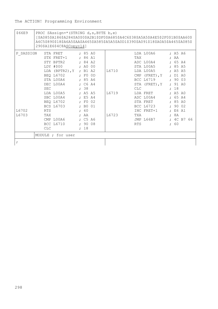| <b>\$66E9</b>         | PROC SAssign=*(STRING d, s, BYTE b, e)<br>[\$A085\$A186\$A284\$A0\$0\$A2B1\$DF0\$A685\$A4C6\$38\$A5A5\$A4E5\$2F0\$1B0\$AA60\$<br>A6C5\$890\$18\$A6A5\$AA\$A465\$A585\$A5\$A5\$A0D1\$390\$A091\$18\$A0A5\$A465\$A085\$<br>290\$A1E6\$4C8ASCopy+14] |         |        |                         |      |            |  |
|-----------------------|---------------------------------------------------------------------------------------------------------------------------------------------------------------------------------------------------------------------------------------------------|---------|--------|-------------------------|------|------------|--|
| P SASSIGN<br>STA FRET |                                                                                                                                                                                                                                                   | : 85 A0 |        | LDA LOOA6               |      | $:$ A5 A6  |  |
|                       | STX FRET+1 $: 86 A1$                                                                                                                                                                                                                              |         |        | TAX                     | : AA |            |  |
|                       | STY BPTR2                                                                                                                                                                                                                                         | : 84 A2 |        | ADC LOOA4               |      | : 65 A4    |  |
|                       | $LDY$ $#500$                                                                                                                                                                                                                                      | ; AO 00 |        | STA LOOA5               |      | : 85 A5    |  |
|                       | LDA (BPTR2), $Y$ ; B1 A2                                                                                                                                                                                                                          |         |        | L6710 LDA L00A5         |      | ; A5 A5    |  |
|                       | BEO L6702 ; FO OD                                                                                                                                                                                                                                 |         |        | CMP (FRET), Y           |      | $;$ D1 A0  |  |
|                       | STA LOOA6 ; 85 A6                                                                                                                                                                                                                                 |         |        | BCC L6719               |      | : 9003     |  |
|                       | DEC L00A4 ; C6 A4                                                                                                                                                                                                                                 |         |        | STA (FRET), $Y$ ; 91 A0 |      |            |  |
|                       | <b>SEC</b>                                                                                                                                                                                                                                        | ; 38    |        | <b>CLC</b>              | : 18 |            |  |
|                       | LDA L00A5 : A5 A5                                                                                                                                                                                                                                 |         | T.6719 | LDA FRET                |      | : A5 A0    |  |
|                       | SBC LOOA4                                                                                                                                                                                                                                         | : E5 A4 |        | ADC LOOA4               |      | : 65 A4    |  |
|                       | BEO L6702 ; FO 02                                                                                                                                                                                                                                 |         |        | STA FRET                |      | : 85 A0    |  |
|                       | BCS L6703 ; B0 01                                                                                                                                                                                                                                 |         |        | BCC L6723               |      | : 9002     |  |
| L6702                 | <b>RTS</b>                                                                                                                                                                                                                                        | : 60    |        | INC FRET+1              |      | E6A1       |  |
| T.6703                | TAX                                                                                                                                                                                                                                               | ; AA    | T.6723 | <b>TXA</b>              | : 8A |            |  |
|                       | CMP L00A6 : C5 A6                                                                                                                                                                                                                                 |         |        | JMP L66B7               |      | : 4C B7 66 |  |
|                       | <b>BCC L6710</b>                                                                                                                                                                                                                                  | .9008   |        | <b>RTS</b>              | .60  |            |  |
|                       | <b>CLC</b>                                                                                                                                                                                                                                        | : 18    |        |                         |      |            |  |
|                       | MODULE : for user                                                                                                                                                                                                                                 |         |        |                         |      |            |  |
| $\ddot{ }$            |                                                                                                                                                                                                                                                   |         |        |                         |      |            |  |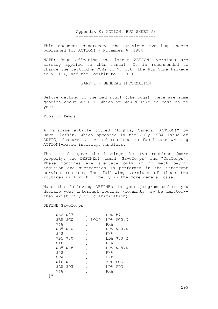#### Appendix K: ACTION! BUG SHEET #3 --------------------------------

This document supersedes the previous two bug sheets published for ACTION! - November 6, 1984

NOTE: Bugs affecting the latest ACTION! versions are already applied to this manual. It is recommended to change the cartridge ROMs to V. 3.6, the Run Time Package to V. 1.4, and the Toolkit to V. 3.0.

> PART 1 - GENERAL INFORMATION ----------------------------

Before getting to the bad stuff (the bugs), here are some goodies about ACTION! which we would like to pass on to you:

Tips on Temps -------------

A magazine article titled "Lights, Camera, ACTION!" by Dave Plotkin, which appeared in the July 1984 issue of ANTIC, featured a set of routines to facilitate writing ACTION!-based interrupt handlers.

The article gave the listings for two routines (more properly, two DEFINEs) named "SaveTemps" and "GetTemps". These routines are adequate only if no math beyond addition and subtraction is performed in the interrupt service routine. The following versions of these two routines will work properly in the more general case:

Make the following DEFINEs in your program before you declare your interrupt routine (comments may be omitted- they exist only for clarification):

DEFINE SaveTemps=

$$
\mathbf{u} \in \mathbb{R}^n
$$

|   | \$A2 \$07   |   |        | $LDX$ #7 |             |
|---|-------------|---|--------|----------|-------------|
|   | \$B5 \$C0   |   | ; LOOP |          | LDA \$CO, X |
|   | \$48        | ; |        | PHA      |             |
|   | \$B5 \$A0   | ; |        |          | LDA \$A0,X  |
|   | \$48        | ÷ |        | PHA      |             |
|   | \$B5 \$80   |   |        |          | LDA \$80, X |
|   | \$48        | ; |        | PHA      |             |
|   | $$B5$ $$A8$ |   |        |          | LDA \$A8,X  |
|   | \$48        | ; |        | PHA      |             |
|   | \$CA        | ; |        | DEX      |             |
|   | \$10 \$F1   | ; |        |          | BPL LOOP    |
|   | $$A5$ $$D3$ |   |        | LDA \$D3 |             |
|   | \$48        |   |        | PHA      |             |
| . |             |   |        |          |             |

]"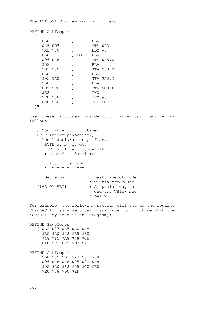DEFINE GetTemps=  $"$ [  $\begin{array}{lllllll} \text{\small $\$68$} & & \text{\small $r$} & & \text{\small $PLA$} \\ \text{\small $\$85$ $\$D3$} & & \text{\small $r$} & & \text{\small $STA$} \\ \text{\small $\$42$ $\$00$} & & \text{\small $r$} & & \text{\small $LDX$} \end{array}$ \$85 \$D3 ; STA \$D3 \$A2 \$00 ; LDX #0 \$68 ; LOOP PLA<br>\$68 ; LOOP PLA<br>\$95 \$A8 ; STA \$A8,X \$95 \$A8 ; STA \$A8,X \$68 ; PLA \$95 \$80 ; STA \$80,X \$68 ; PLA \$95 \$A0 ; STA \$A0,X \$68 ; PLA \$95 \$C0 ; STA \$C0,X \$E8 ; INX \$E0 \$08 ; CPX #8 \$D0 \$EF ; BNE LOOP ]" Use these routines inside your interrupt routine as follows: ; Your interrupt routine. PROC InterruptRoutine() ; Local declarations, if any. BYTE a, b, c, etc. ; First line of code within ; procedure SaveTemps ; Your interrupt ; code goes here. GetTemps ; Last line of code ; within procedure. [\$6C OldVBI] ; A special way to ; end for VBIs- see ; below. For example, the following program will set up the routine ChangeColor as a vertical blank interrupt routine (hit the <START> key to exit the program): DEFINE SaveTemps= "[ \$A2 \$07 \$B5 \$C0 \$48 \$B5 \$A0 \$48 \$B5 \$80 \$48 \$B5 \$A8 \$48 \$CA \$10 \$F1 \$A5 \$D3 \$48 ]" DEFINE GetTemps= "[ \$68 \$85 \$D3 \$A2 \$00 \$68 \$95 \$A8 \$68 \$95 \$80 \$68 \$95 \$A0 \$68 \$95 \$C0 \$E8 \$E0 \$08 \$D0 \$EF ]"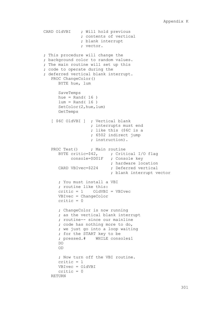```
CARD OldVBI ; Will hold previous
                 ; contents of vertical
                 ; blank interrupt
                 ; vector.
; This procedure will change the
; background color to random values.
; The main routine will set up this
; code to operate during the
; deferred vertical blank interrupt.
   PROC ChangeColor()
       BYTE hue, lum
       SaveTemps
      hue = Rand( 16 )lum = Rand( 16 ) SetColor(2,hue,lum)
       GetTemps
   [ $6C OldVBI ] ; Vertical blank
                     ; interrupts must end
                     ; like this ($6C is a
                     ; 6502 indirect jump
                     ; instruction).
   PROC Test() ; Main routine<br>BYTE critic=$42. : Crit
                         ; Critical I/O flag
            console=$D01F ; Console key
                             ; hardware location
       CARD VBIvec=$224 ; Deferred vertical
                             ; blank interrupt vector
       ; You must install a VBI
       ; routine like this:
       critic = 1 OldVBI = VBIvec
       VBIvec = ChangeColor
      critic = 0 ; ChangeColor is now running
       ; as the vertical blank interrupt
       ; routine-- since our mainline
       ; code has nothing more to do,
       ; we just go into a loop waiting
       ; for the START key to be
       ; pressed.# WHILE console&1
       DO
       OD
       ; Now turn off the VBI routine.
       critic = 1
       VBIvec = OldVBI
       critic = 0
    RETURN
```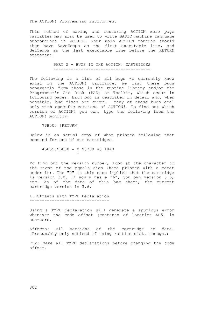This method of saving and restoring ACTION zero page variables may also be used to write BASIC machine language subroutines in ACTION! Your main ACTION routine should then have SaveTemps as the first executable line, and GetTemps as the last executable line before the RETURN statement.

> PART 2 - BUGS IN THE ACTION! CARTRIDGES ---------------------------------------

The following is a list of all bugs we currently know exist in the ACTION! cartridge. We list these bugs separately from those in the runtime library and/or the Programmer's Aid Disk (PAD) or Toolkit, which occur in following pages. Each bug is described in detail and, when possible, bug fixes are given. Many of these bugs deal only with specific versions of ACTION!. To find out which version of ACTION! you own, type the following from the ACTION! monitor:

?\$B000 [RETURN]

Below is an actual copy of what printed following that command for one of our cartridges.

 45055,\$B000 = 0 \$0730 48 1840  $\sim$   $\sim$   $\sim$   $\sim$   $\sim$ 

To find out the version number, look at the character to the right of the equals sign (here printed with a caret under it). The "0" in this case implies that the cartridge is version 3.0. If yours has a "6", you own version 3.6, etc. As of the date of this bug sheet, the current cartridge version is 3.6.

1. Offsets with TYPE Declaration --------------------------------

Using a TYPE declaration will generate a spurious error whenever the code offset (contents of location \$B5) is non-zero.

Affects: All versions of the cartridge to date. (Presumably only noticed if using runtime disk, though.)

Fix: Make all TYPE declarations before changing the code offset.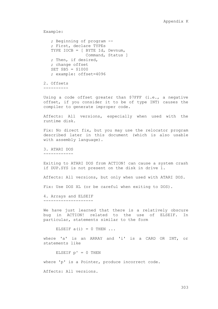```
Example:
```
 ; Beginning of program -- ; First, declare TYPEs TYPE IOCB = [ BYTE Id, Devnum, Command, Status ] ; Then, if desired, ; change offset  $SET$   $SB5 = $1000$ ; example: offset=4096

2. Offsets ----------

Using a code offset greater than \$7FFF (i.e., a negative offset, if you consider it to be of type INT) causes the compiler to generate improper code.

Affects: All versions, especially when used with the runtime disk.

Fix: No direct fix, but you may use the relocator program described later in this document (which is also usable with assembly language).

3. ATARI DOS ------------

Exiting to ATARI DOS from ACTION! can cause a system crash if DUP.SYS is not present on the disk in drive 1.

Affects: All versions, but only when used with ATARI DOS.

Fix: Use DOS XL (or be careful when exiting to DOS).

4. Arrays and ELSEIF --------------------

We have just learned that there is a relatively obscure bug in ACTION! related to the use of ELSEIF. In particular, statements similar to the form

ELSEIF  $a(i) = 0$  THEN ...

where 'a' is an ARRAY and 'i' is a CARD OR INT, or statements like

ELSEIF  $p^* = 0$  THEN

where 'p' is a Pointer, produce incorrect code.

Affects: All versions.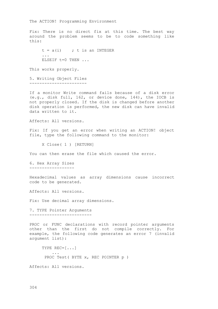Fix: There is no direct fix at this time. The best way around the problem seems to be to code something like this:

 $t = a(i)$  ;  $t$  is an INTEGER ... ELSEIF t=0 THEN ...

This works properly.

5. Writing Object Files -----------------------

If a monitor Write command fails because of a disk error (e.g., disk full, 162, or device done, 144), the IOCB is not properly closed. If the disk is changed before another disk operation is performed, the new disk can have invalid data written to it.

Affects: All versions.

Fix: If you get an error when writing an ACTION! object file, type the following command to the monitor:

X Close( 1 ) [RETURN]

You can then erase the file which caused the error.

6. Hex Array Sizes ------------------

Hexadecimal values as array dimensions cause incorrect code to be generated.

Affects: All versions.

Fix: Use decimal array dimensions.

7. TYPE Pointer Arguments -------------------------

PROC or FUNC declarations with record pointer arguments other than the first do not compile correctly. For example, the following code generates an error 7 (invalid argument list):

```
 TYPE REC=[...]
 ...
      PROC Test( BYTE x, REC POINTER p )
```
Affects: All versions.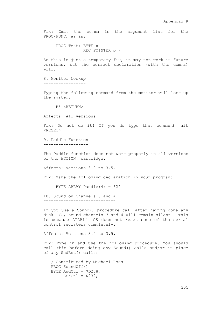Fix: Omit the comma in the argument list for the PROC/FUNC, as in:

 PROC Test( BYTE x REC POINTER p )

As this is just a temporary fix, it may not work in future versions, but the correct declaration (with the comma) will.

8. Monitor Lockup -----------------

Typing the following command from the monitor will lock up the system:

R\* <RETURN>

Affects: All versions.

Fix: Do not do it! If you do type that command, hit <RESET>.

9. Paddle Function ------------------

The Paddle function does not work properly in all versions of the ACTION! cartridge.

Affects: Versions 3.0 to 3.5.

Fix: Make the following declaration in your program:

BYTE ARRAY Paddle $(4) = 624$ 

10. Sound on Channels 3 and 4 -----------------------------

If you use a Sound() procedure call after having done any disk I/O, sound channels 3 and 4 will remain silent. This is because ATARI's OS does not reset some of the serial control registers completely.

Affects: Versions 3.0 to 3.5.

Fix: Type in and use the following procedure. You should call this before doing any Sound() calls and/or in place of any SndRst() calls:

 ; Contributed by Michael Ross PROC SoundOff() BYTE AudCtl =  $$D208$ ,  $SSKCL1 = $232,$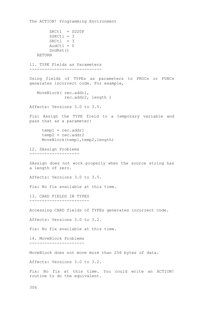```
The ACTION! Programming Environment
       SKCL = $D20FSSKCL1 = 3SKCL = 3AudCtl = 0 SndRst()
   RETURN
11. TYPE Fields as Parameters
-----------------------------
Using fields of TYPEs as parameters to PROCs or FUNCs
generates incorrect code. For example,
   MoveBlock( rec.addr1,
              rec.addr2, length )
Affects: Versions 3.0 to 3.5.
Fix: Assign the TYPE field to a temporary variable and
pass that as a parameter:
    temp1 = rec.addr1temp2 = rec.addr2MoveBlock(temp1,temp2,length)
12. SAssign Problems
--------------------
SAssign does not work properly when the source string has
a length of zero.
Affects: Versions 3.0 to 3.5.
Fix: No fix available at this time.
13. CARD FIELDS IN TYPES
------------------------
Accessing CARD fields of TYPEs generates incorrect code.
Affects: Versions 3.0 to 3.2.
Fix: No fix available at this time.
14. MoveBlock Problems
----------------------
MoveBlock does not move more than 256 bytes of data.
Affects: Versions 3.0 to 3.2.
Fix: No fix at this time. You could write an ACTION!
routine to do the equivalent.
```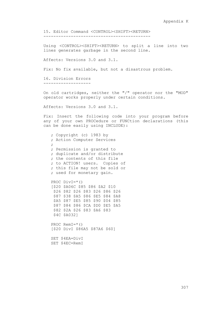15. Editor Command <CONTROL><SHIFT><RETURN> -------------------------------------------

Using <CONTROL><SHIFT><RETURN> to split a line into two lines generates garbage in the second line.

Affects: Versions 3.0 and 3.1.

Fix: No fix available, but not a disastrous problem.

16. Division Errors -------------------

On old cartridges, neither the "/" operator nor the "MOD" operator works properly under certain conditions.

Affects: Versions 3.0 and 3.1.

Fix: Insert the following code into your program before any of your own PROCedure or FUNCtion declarations (this can be done easily using INCLUDE):

 ; Copyright (c) 1983 by ; Action Computer Services  $\sim$  ; Permission is granted to ; duplicate and/or distribute ; the contents of this file ; to ACTION! users. Copies of ; this file may not be sold or ; used for monetary gain. PROC DivI=\*() [\$20 \$A06C \$85 \$86 \$A2 \$10 \$26 \$82 \$26 \$83 \$26 \$86 \$26 \$87 \$38 \$A5 \$86 \$E5 \$84 \$A8 \$A5 \$87 \$E5 \$85 \$90 \$04 \$85 \$87 \$84 \$86 \$CA \$D0 \$E5 \$A5 \$82 \$2A \$26 \$83 \$A6 \$83 \$4C \$A032] PROC RemI=\*() [\$20 DivI \$86A5 \$87A6 \$60] SET \$4EA=DivI SET \$4EC=RemI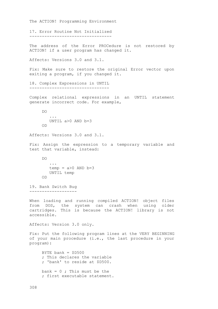```
The ACTION! Programming Environment
17. Error Routine Not Initialized
---------------------------------
The address of the Error PROCedure is not restored by
ACTION! if a user program has changed it.
Affects: Versions 3.0 and 3.1.
Fix: Make sure to restore the original Error vector upon
exiting a program, if you changed it.
18. Complex Expressions in UNTIL
--------------------------------
Complex relational expressions in an UNTIL statement
generate incorrect code. For example,
     DO
       UNTIL a>0 AND b=3 OD
Affects: Versions 3.0 and 3.1.
Fix: Assign the expression to a temporary variable and
test that variable, instead:
     DO
        ...
       temp = a > 0 AND b = 3 UNTIL temp
     OD
19. Bank Switch Bug
-------------------
When loading and running compiled ACTION! object files
from DOS, the system can crash when using older
cartridges. This is because the ACTION! library is not
accessible.
Affects: Version 3.0 only.
Fix: Put the following program lines at the VERY BEGINNING
of your main procedure (i.e., the last procedure in your
program):
    BYTE bank = $D500 ; This declares the variable
      ; 'bank' to reside at $D500.
    bank = 0; This must be the
      ; first executable statement.
```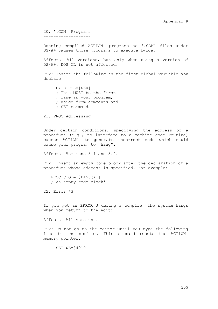20. '.COM' Programs -------------------

Running compiled ACTION! programs as '.COM' files under OS/A+ causes those programs to execute twice.

Affects: All versions, but only when using a version of OS/A+. DOS XL is not affected.

Fix: Insert the following as the first global variable you declare:

 BYTE RTS=[\$60] ; This MUST be the first ; line in your program, ; aside from comments and ; SET commands.

21. PROC Addressing -------------------

Under certain conditions, specifying the address of a procedure (e.g., to interface to a machine code routine) causes ACTION! to generate incorrect code which could cause your program to "hang".

Affects: Versions 3.1 and 3.4.

Fix: Insert an empty code block after the declaration of a procedure whose address is specified. For example:

 PROC CIO = \$E456() [] ; An empty code block!

22. Error #3 ------------

If you get an ERROR 3 during a compile, the system hangs when you return to the editor.

Affects: All versions.

Fix: Do not go to the editor until you type the following line to the monitor. This command resets the ACTION! memory pointer.

SET \$E=\$491^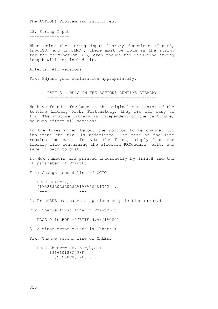23. String Input ----------------

When using the string input library functions (InputS, InputSD, and InputMD), there must be room in the string for the termination EOL, even though the resulting string length will not include it.

Affects: All versions.

Fix: Adjust your declaration appropriately.

PART 3 - BUGS IN THE ACTION! RUNTIME LIBRARY --------------------------------------------

We have found a few bugs in the original version(s) of the Runtime Library Disk. Fortunately, they are all easy to fix. The runtime library is independent of the cartridge, so bugs affect all versions.

In the fixes given below, the portion to be changed (to implement the fix) is underlined. The rest of the line remains the same. To make the fixes, simply load the library file containing the affected PROCedure, edit, and save it back to disk.

1. Hex numbers are printed incorrectly by PrintH and the %H parameter of PrintF.

Fix: Change second line of CCIO:

 PROC CCIO=\*() [\$A386\$A0A\$A0A\$AA\$A3A5\$9D\$342 ... --- ---

2. PrintBDE can cause a spurious compile time error.#

Fix: Change first line of PrintBDE:

PROC PrintBDE =  $*(BYTE d, n)$  [\$A0\$0]

3. A minor error exists in ChkErr.#

Fix: Change second line of ChkErr:

```
 PROC ChkErr=*(BYTE r,b,eC)
       [$1610$88C0$8F0
        $98$80C0$12F0 ...
 ---
```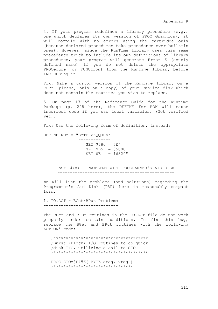4. If your program redefines a library procedure (e.g., one which declares its own version of PROC Graphics), it will compile with no errors using the cartridge only (because declared procedures take precedence over built-in ones). However, since the RunTime library uses this same precedence trick to include its own definitions of library procedures, your program will generate Error 6 (doubly defined name) if you do not delete the appropriate PROCedure (or FUNCtion) from the RunTime library before INCLUDEing it.

Fix: Make a custom version of the RunTime library on a COPY (please, only on a copy) of your RunTime disk which does not contain the routines you wish to replace.

5. On page 17 of the Reference Guide for the Runtime Package (p. 208 here), the DEFINE for ROM will cause incorrect code if you use local variables. (Not verified yet).

Fix: Use the following form of definition, instead:

DEFINE ROM = "BYTE ZZQQJUNK -------------  $SET$  \$680 =  $S E^{\wedge}$  $SET$   $$B5 = $5800$  $SET$   $\hat{S}F$  =  $\hat{S}682^{\wedge}$ "

> PART 4(a) - PROBLEMS WITH PROGRAMMER'S AID DISK -----------------------------------------------

We will list the problems (and solutions) regarding the Programmer's Aid Disk (PAD) here in reasonably compact form.

1. IO.ACT - BGet/BPut Problems ------------------------------

The BGet and BPut routines in the IO.ACT file do not work properly under certain conditions. To fix this bug, replace the BGet and BPut routines with the following ACTION! code:

 ;\*\*\*\*\*\*\*\*\*\*\*\*\*\*\*\*\*\*\*\*\*\*\*\*\*\*\*\*\*\*\*\*\*\*\*\*\*\* ;Burst (Block) I/O routines to do quick ;disk I/O, utilizing a call to CIO ;\*\*\*\*\*\*\*\*\*\*\*\*\*\*\*\*\*\*\*\*\*\*\*\*\*\*\*\*\*\*\*\*\*\*\*\*\*\*

 PROC CIO=\$E456( BYTE areg, xreg ) ;\*\*\*\*\*\*\*\*\*\*\*\*\*\*\*\*\*\*\*\*\*\*\*\*\*\*\*\*\*\*\*\*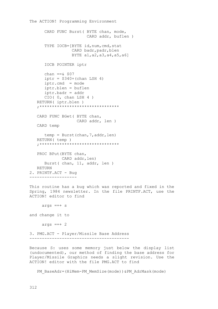```
The ACTION! Programming Environment
       CARD FUNC Burst( BYTE chan, mode,
                        CARD addr, buflen )
       TYPE IOCB=[BYTE id,num,cmd,stat
                  CARD badr,padr,blen
                  BYTE a1,a2,a3,a4,a5,a6]
       IOCB POINTER iptr
      chan ==& $07
      iptr = $340+(chan LSH 4) iptr.cmd = mode
       iptr.blen = buflen
       iptr.badr = addr
       CIO( 0, chan LSH 4 )
    RETURN( iptr.blen )
    ;********************************
    CARD FUNC BGet( BYTE chan,
                    CARD addr, len )
    CARD temp
      temp = Burst(chan, 7, addr, len)
    RETURN( temp )
    ;********************************
    PROC BPut(BYTE chan,
             CARD addr, len)
       Burst( chan, 11, addr, len )
   RETURN
2. PRINTF.ACT - Bug
-------------------
This routine has a bug which was reported and fixed in the
Spring, 1984 newsletter. In the file PRINTF.ACT, use the
ACTION! editor to find
     args ==+ sand change it to
     args ==+ 23. PMG.ACT - Player/Missile Base Address
----------------------------------------
Because S: uses some memory just below the display list
```
(undocumented), our method of finding the base address for Player/Missile Graphics needs a slight revision. Use the ACTION! editor with the file PMG.ACT to find

PM\_BaseAdr=(HiMem-PM\_MemSize(mode))&PM\_AdrMask(mode)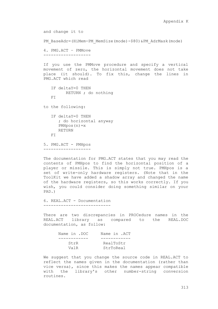and change it to PM\_BaseAdr=(HiMem-PM\_MemSize(mode)-\$80)&PM\_AdrMask(mode) 4. PMG.ACT – PMMove ------------------- If you use the PMMove procedure and specify a vertical movement of zero, the horizontal movement does not take place (it should). To fix this, change the lines in PMG.ACT which read IF deltaY=0 THEN RETURN ; do nothing FI to the following: IF deltaY=0 THEN ; do horizontal anyway PMHpos(n)=x RETURN FI 5. PMG.ACT - PMHpos -------------------

The documentation for PMG.ACT states that you may read the contents of PMHpos to find the horizontal position of a player or missile. This is simply not true. PMHpos is a set of write-only hardware registers. (Note that in the ToolKit we have added a shadow array and changed the name of the hardware registers, so this works correctly. If you wish, you could consider doing something similar on your PAD.)

6. REAL.ACT - Documentation ---------------------------

There are two discrepancies in PROCedure names in the REAL.ACT library as compared to the REAL.DOC documentation, as follow:

| Name in .DOC | Name in .ACT |  |
|--------------|--------------|--|
|              |              |  |
| StrR         | RealToStr    |  |
| ValR         | StrToReal    |  |

We suggest that you change the source code in REAL.ACT to reflect the names given in the documentation (rather than vice versa), since this makes the names appear compatible with the library's other number-string conversion routines.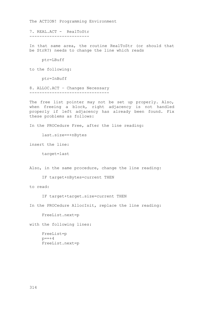7. REAL.ACT - RealToStr ------------------------

In that same area, the routine RealToStr (or should that be StrR?) needs to change the line which reads

ptr=LBuff

to the following:

ptr=InBuff

8. ALLOC.ACT – Changes Necessary --------------------------------

The free list pointer may not be set up properly. Also, when freeing a block, right adjacency is not handled properly if left adjacency has already been found. Fix these problems as follows:

In the PROCedure Free, after the line reading:

last.size==+nBytes

insert the line:

target=last

Also, in the same procedure, change the line reading:

IF target+nBytes=current THEN

to read:

IF target+target.size=current THEN

In the PROCedure AllocInit, replace the line reading:

FreeList.next=p

with the following lines:

 FreeList=p  $p = -4$ FreeList.next=p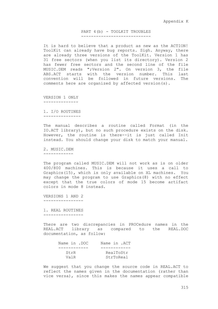PART 4(b) - TOOLKIT TROUBLES ----------------------------

It is hard to believe that a product as new as the ACTION! ToolKit can already have bug reports. Sigh. Anyway, there are already three versions of the ToolKit. Version 1 has 31 free sectors (when you list its directory). Version 2 has fewer free sectors and the second line of the file MUSIC.DEM reads ";Version 2". On version 3, the file ABS.ACT starts with the version number. This last convention will be followed in future versions. The comments here are organized by affected version(s).

VERSION 1 ONLY --------------

1. I/O ROUTINES ---------------

The manual describes a routine called Format (in the IO.ACT library), but no such procedure exists on the disk. However, the routine is there--it is just called Init instead. You should change your disk to match your manual.

2. MUSIC.DEM ------------

The program called MUSIC.DEM will not work as is on older 400/800 machines. This is because it uses a call to Graphics(15), which is only available on XL machines. You may change the program to use Graphics(8) with no effect except that the true colors of mode 15 become artifact colors in mode 8 instead.

VERSIONS 1 AND 2 ----------------

1. REAL ROUTINES ----------------

There are two discrepancies in PROCedure names in the REAL.ACT library as compared to the REAL.DOC documentation, as follow:

| Name in .DOC | Name in . ACT |
|--------------|---------------|
|              |               |
| StrR         | RealToStr     |
| ValR         | StrToReal     |

We suggest that you change the source code in REAL.ACT to reflect the names given in the documentation (rather than vice versa), since this makes the names appear compatible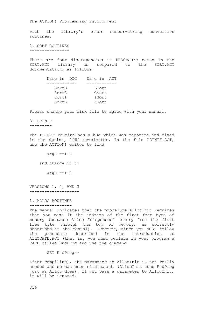with the library's other number-string conversion routines.

2. SORT ROUTINES ----------------

There are four discrepancies in PROCecure names in the SORT.ACT library as compared to the SORT.ACT documentation, as follows:

| Name in .DOC | Name in .ACT |
|--------------|--------------|
|              |              |
| SortB        | BSort        |
| SortC        | CSort        |
| SortI        | ISort        |
| SortS        | SSort        |
|              |              |

Please change your disk file to agree with your manual.

### 3. PRINTF

---------

The PRINTF routine has a bug which was reported and fixed in the Sprint, 1984 newsletter. In the file PRINTF.ACT, use the ACTION! editor to find

args  $==+$  s and change it to args  $==+ 2$ 

VERSIONS 1, 2, AND 3 --------------------

1. ALLOC ROUTINES -----------------

The manual indicates that the procedure AllocInit requires that you pass it the address of the first free byte of memory (because Alloc "dispenses" memory from the first free byte through the top of memory, as correctly described in the manual). However, since you MUST follow the procedure described in the introduction to ALLOCATE.ACT (that is, you must declare in your program a CARD called EndProg and use the command

SET EndProg=\*

after compiling), the parameter to AllocInit is not really needed and so has been eliminated. (AllocInit uses EndProg just as Alloc does). If you pass a parameter to AllocInit, it will be ignored.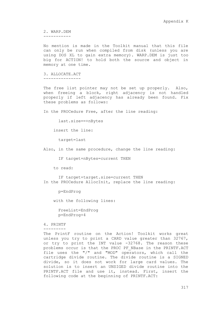2. WARP.DEM -----------

No mention is made in the Toolkit manual that this file can only be run when compiled from disk (unless you are using DOS XL to gain extra memory). WARP.DEM is just too big for ACTION! to hold both the source and object in memory at one time.

3. ALLOCATE.ACT ---------------

The free list pointer may not be set up properly. Also, when freeing a block, right adjacency is not handled properly if left adjacency has already been found. Fix these problems as follows:

In the PROCedure Free, after the line reading:

last.size==+nBytes

insert the line:

target=last

Also, in the same procedure, change the line reading:

IF target+nBytes=current THEN

to read:

 IF target+target.size=current THEN In the PROCedure AllocInit, replace the line reading:

p=EndProg

with the following lines:

 FreeList=EndProg p=EndProg+4

4. PRINTF

---------

The PrintF routine on the Action! Toolkit works great unless you try to print a CARD value greater than 32767, or try to print the INT value -32768. The reason these problems occur is that the PROC PF\_NBase in the PRINTF.ACT file uses the "/" and "MOD" operators, which call the cartridge divide routine. The divide routine is a SIGNED divide, so it does not work for large card values. The solution is to insert an UNSIGED divide routine into the PRINTF.ACT file and use it, instead. First, insert the following code at the beginning of PRINTF.ACT: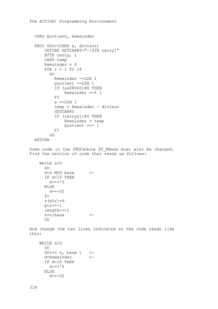```
The ACTION! Programming Environment
  CARD Quotient, Remainder
  PROC UDiv(CARD a, divisor)
      DEFINE GETCARRY="~[$2E carry]"
      BYTE carry, i
      CARD temp
     Remainder = 0FOR i = 1 TO 16
        DO
          Remainder ==LSH 1
           Quotient ==LSH 1
           IF (a&$8000)#0 THEN
              Remainder ==% 1
           FI
          a ==LSH 1
           temp = Remainder - divisor
           GETCARRY
           IF (carry&1)#0 THEN
              Remainder = temp
               Quotient ==+ 1
           FI
         OD
  RETURN
Some code in the PROCedure PF NBase must also be changed.
Find the section of code that reads as follows: 
     WHILE n>0
      DO
      d=n MOD base <-
       IF d<10 THEN
       d == + 0 ELSE
       d = 55FT.
      s(ptr)=d
     ptr=-1 length==+1
      n=n/base <-
      OD
And change the two lines indicated so the code reads like
this: 
     WHILE n>0
      DO
      UDiv( n, base ) <-
      d=Remainder <-
       IF d<10 THEN
       d == + 0 ELSE
       d=\pm 55
```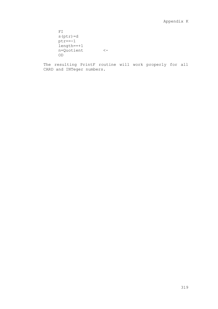$\mathbb{F} \mathbbm{I}$  s(ptr)=d  $ptr=-1$  length==+1 n=Quotient <- OD

The resulting PrintF routine will work properly for all CARD and INTeger numbers.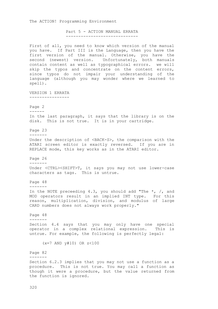The ACTION! Programming Environment

Part 5 - ACTION MANUAL ERRATA -----------------------------

First of all, you need to know which version of the manual you have. If Part III is the Language, then you have the first version of the manual. Otherwise, you have the second (newest) version. Unfortunately, both manuals contain content as well as typographical errors. we will skip the typos and concentrate on the content errors, since typos do not impair your understanding of the language (although you may wonder where we learned to spell). VERSION 1 ERRATA ---------------- Page 2 ------ In the last paragraph, it says that the library is on the disk. This is not true. It is in your cartridge. Page 23 ------- Under the description of <BACK-S>, the comparison with the ATARI screen editor is exactly reversed. If you are in REPLACE mode, this key works as in the ATARI editor. Page 26 ------- Under <CTRL><SHIFT>T, it says you may not use lower-case characters as tags. This is untrue. Page 48 ------- In the NOTE preceeding 4.3, you should add "The \*, /, and MOD operators result in an implied INT type. For this reason, multiplication, division, and modulus of large CARD numbers does not always work properly." Page 48 ------- Section 4.4 says that you may only have one special operator in a complex relational expression. This is untrue. For example, the following is perfectly legal:  $(x=7$  AND  $y#10$ ) OR  $z<100$ Page 82 ------- Section 6.2.3 implies that you may not use a function as a procedure. This is not true. You may call a function as though it were a procedure, but the value returned from the function is ignored.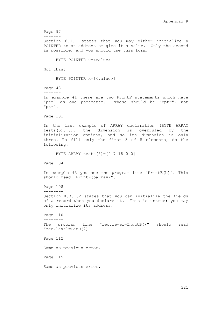```
Page 97
-------
Section 8.1.1 states that you may either initialize a
POINTER to an address or give it a value. Only the second
is possible, and you should use this form:
     BYTE POINTER x=<value>
Not this:
    BYTE POINTER x=[<value>]
Page 48
-------
In example #1 there are two PrintF statements which have
"ptr" as one parameter. These should be "bptr", not
"ptr".
Page 101
--------
In the last example of ARRAY declaration (BYTE ARRAY
tests(5)...), the dimension is overruled by the
initialization options, and so its dimension is only
three. To fill only the first 3 of 5 elements, do the
following:
    BYTE ARRAY tests(5) = [4 \ 7 \ 18 \ 0 \ 0]Page 104
--------
In example #3 you see the program line "PrintE(b)". This
should read "PrintE(barray)".
Page 108
--------
Section 8.3.1.2 states that you can initialize the fields
of a record when you declare it. This is untrue; you may
only initialize its address.
Page 110
--------
The program line "rec.level=InputB()" should read
"rec.level=GetD(7)".
Page 112
--------
Same as previous error.
Page 115
--------
Same as previous error.
```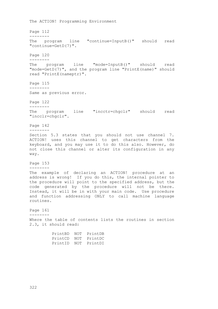The ACTION! Programming Environment Page 112 -------- The program line "continue=InputB()" should read "continue=GetD(7)". Page 120 -------- The program line "mode=InputB()" should read "mode=GetD(7)", and the program line "PrintE(name)" should read "PrintE(nameptr)". Page 115 -------- Same as previous error. Page 122 -------- The program line "incctr=chgclr" should read "incclr=chgclr". Page 142 -------- Section 5.3 states that you should not use channel 7. ACTION! uses this channel to get characters from the keyboard, and you may use it to do this also. However, do not close this channel or alter its configuration in any way. Page 153 -------- The example of declaring an ACTION! procedure at an address is wrong! If you do this, the internal pointer to the procedure will point to the specified address, but the code generated by the procedure will not be there. Instead, it will be in with your main code. Use procedure and function addressing ONLY to call machine language routines. Page 161 -------- Where the table of contents lists the routines in section 2.3, it should read: PrintBD NOT PrintDB PrintCD NOT PrintDC PrintID NOT PrintDI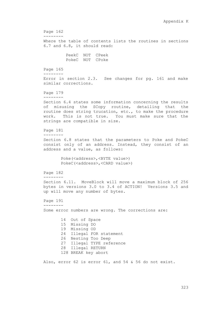```
Page 162
--------
Where the table of contents lists the routines in sections
6.7 and 6.8, it should read:
          PeekC NOT CPeek
          PokeC NOT CPoke
Page 165
--------
Error in section 2.3. See changes for pg. 161 and make
similar corrections.
Page 179
--------
Section 6.4 states some information concerning the results
of misusing the SCopy routine, detailing that the
routine does string trucation, etc., to make the procedure
work. This is not true. You must make sure that the
strings are compatible in size.
Page 181
--------
Section 6.8 states that the parameters to Poke and PokeC
consist only of an address. Instead, they consist of an
address and a value, as follows:
       Poke(<address>,<BYTE value>)
       PokeC(<address>,<CARD value>)
Page 182
--------
Section 6.11. MoveBlock will move a maximum block of 256
bytes in versions 3.0 to 3.4 of ACTION! Versions 3.5 and
up will move any number of bytes.
Page 191
--------
Some error numbers are wrong. The corrections are:
       14 Out of Space
       15 Missing DO
       19 Missing OD
       24 Illegal FOR statement
       26 Nesting Too Deep
        27 Illegal TYPE reference
       28 Illegal RETURN
       128 BREAK key abort
Also, error 62 is error 61, and 54 & 56 do not exist.
```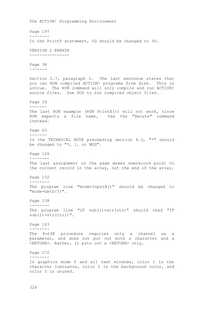The ACTION! Programming Environment Page 197 -------- In the PrintF statement, %D should be changed to %U. VERSION 2 ERRATA ---------------- Page 38 ------- Section 2.7, paragraph 3. The last sentence states that you can RUN compiled ACTION! programs from disk. This is untrue. The RUN command will only compile and run ACTION! source files. Use DOS to run compiled object files. Page 39 ------- The last RUN example (RUN PrintE()) will not work, since RUN expects a file name. Use the "Xecute" command instead. Page 63 ------- In the TECHNICAL NOTE preceeding section 4.3, "\*" should be changed to  $"*,$   $/$ , or MOD". Page 126 -------- The last assignment on the page makes newrecord point to the current record in the array, not the end of the array. Page 132 -------- The program line "mode=InputB()" should be changed to "mode=GetD(7)". Page 138 -------- The program line "IF sub(1)=str(ctr)" should read "IF  $sub(1)=str(ctri)$ ". Page 163 -------- The PutDE procedure requires only a channel as a parameter, and does not put out both a character and a <RETURN>. Rather, it puts out a <RETURN> only. Page 172 -------- In graphics mode 0 and all text windows, color 1 is the character luminance, color 2 is the background color, and color 3 is unused.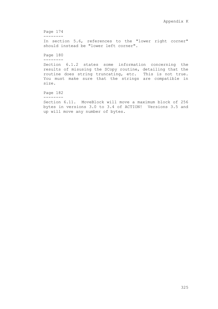Page 174 -------- In section 5.6, references to the "lower right corner" should instead be "lower left corner". Page 180 -------- Section 6.1.2 states some information concerning the results of misusing the SCopy routine, detailing that the routine does string truncating, etc. This is not true. You must make sure that the strings are compatible in size. Page 182 -------- Section 6.11. MoveBlock will move a maximum block of 256

bytes in versions 3.0 to 3.4 of ACTION! Versions 3.5 and up will move any number of bytes.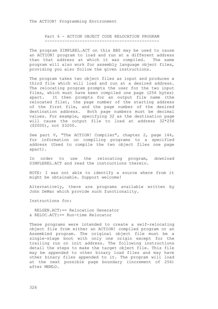Part 6 - ACTION OBJECT CODE RELOCATION PROGRAM ----------------------------------------------

The program SIMPLREL.ACT on this BBS may be used to cause an ACTION! program to load and run at a different address than that address at which it was compiled. The same program will also work for assembly language object files, providing you also follow the given instructions.

The program takes two object files as input and produces a third file which will load and run at a desired address. The relocating program prompts the user for the two input files, which must have been compiled one page (256 bytes) apart. It then prompts for an output file name (the relocated file), the page number of the starting address of the first file, and the page number of the desired destination address. Both page numbers must be decimal values. For example, specifying 32 as the destination page will cause the output file to load at address 32\*256 (\$2000), not \$3200.

See part V, "The ACTION! Compiler", chapter 2, page 144, for information on compiling programs to a specified address (Used to compile the two object files one page apart).

In order to use the relocating program, download SIMPLEREL.ACT and read the instructions therein.

NOTE: I was not able to identify a source where from it might be obtainable. Support welcome!

Alternatively, there are programs available written by John DeMar which provide such functionality.

Instructions for:

 RELGEN.ACT:== Relocation Generator & RELOC.ACT:== Run-time Relocator

These programs were intended to create a self-relocating object file from either an ACTION! compiled program or an Assembled program. The original object file must be a single-stage boot with only one origin except for the trailing run or init address. The following instructions detail the steps to make the target object file. This file may be appended to other binary load files and may have other binary files appended to it. The program will load at the next possible page boundary (increment of 256) after MEMLO.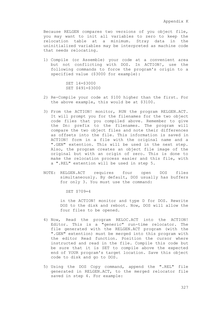Because RELGEN compares two versions of you object file, you may want to init all variables to zero to keep the relocation table at a minimum. Stray data in the uninitialized variables may be interpreted as machine code that needs relocating.

1) Compile (or Assemble) your code at a convenient area but not conflicting with DOS. In ACTION!, use the following commands to force the program's origin to a specified value (\$3000 for example):

> SET 14=\$3000 SET \$491=\$3000

- 2) Re-Compile your code at \$100 higher than the first. For the above example, this would be at \$3100.
- 3) From the ACTION! monitor, RUN the program RELGEN.ACT. It will prompt you for the filenames for the two object code files that you compiled above. Remember to give the Dn: prefix to the filenames. The program will compare the two object files and note their differences as offsets into the file. This information is saved in ACTION! form in a file with the original name and a ".GEN" extention. This will be used in the next step. Also, the program creates an object file image of the original but with an origin of zero. This is done to make the relocation process easier and this file, with a ".REL" extention will be used in step 5.
- NOTE: RELGEN.ACT requires four open DOS files simultaneously. By default, DOS usually has buffers for only 3. You must use the command:

SET \$709=4

in the ACTION! monitor and type D for DOS. Rewrite DOS to the disk and reboot. Now, DOS will allow the four files to be opened.

- 4) Now, Read the program RELOC.ACT into the ACTION! Editor. This is a "generic" run-time relocator. The file generated with the RELGEN.ACT program (with the ".GEN" extention) must be merged into this program with the editor Read function. Position the cursor where instructed and read in the file. Compile this code but be sure that it is SET to compile above the expected end of YOUR program's target location. Save this object code to disk and go to DOS.
- 5) Using the DOS Copy command, append the ".REL" file generated in RELGEN.ACT, to the merged relocator file saved in step 4. For example: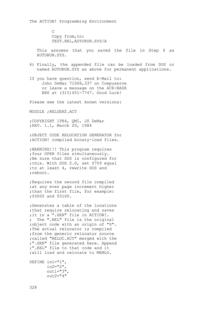**C** Copy from, to: TEST.REL,AUTORUN.SYS/A

This assumes that you saved the file in Step 4 as AUTORUN.SYS.

- 6) Finally, the appended file can be loaded from DOS or named AUTORUN.SYS as above for permanent applications.
- If you have question, send E-Mail to: John DeMar 71066,337 on Compuserve or leave a message on the ACE-BASE BBS at (315)451-7747. Good Luck!

Please see the latest known versions:

MODULE ;RELGEN2.ACT

;COPYRIGHT 1984, QMI, JS DeMar ;REV. 1.1, March 20, 1984

;OBJECT CODE RELOCATION GENERATOR for ;ACTION! compiled binary-load files.

;WARNING!!! This program requires ;four OPEN files simultaneously. ;Be sure that DOS is configured for ;this. With DOS 2.0, set \$709 equal ;to at least 4, rewrite DOS and ;reboot.

;Requires the second file compiled ; at any even page increment higher ;than the first file, for example: ;\$3000 and \$3100.

;Generates a table of the locations ;that require relocating and saves ;it in a ".GEN" file in ACTION!. ; The ".REL" file is the original ;object code with an origin of "0". ;The actual relocator is compiled ;from the generic relocator source ;called "RELOC.ACT" merged with the ;".GEN" file generated here. Append ;".REL" file to that code and it ;will load and relocate to MEMLO.

```
DEFINE in1="1",
       in2 = "2".
       out1="3".
        out2="4"
```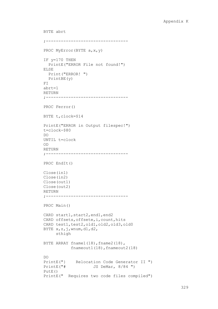```
BYTE abrt
;---------------------------------
PROC MyError(BYTE a, x, y)
IF y=170 THEN
  PrintE("ERROR File not found!")
ELSE
  Print("ERROR! ")
  PrintBE(y)
F<sub>T</sub>
abrt=1
RETURN
;---------------------------------
PROC Ferror()
BYTE t,clock=$14
PrintE("ERROR in Output filespec!")
t=clock-$80
DO
UNTIL t=clock
OD
RETURN
;---------------------------------
PROC EndIt()
Close(in1)
Close(in2)
Close(out1)
Close(out2)
RETURN
;---------------------------------
PROC Main()
CARD start1, start2, end1, end2
CARD offsets,offsete,i,count,hits
CARD test1, test2, old1, old2, old3, old0
BYTE x,z,j,wnum,d1,d2,
      sthigh
BYTE ARRAY fname1(18), fname2(18),
           fnameout1(18), fnameout2(18)
DO
PrintE("} Relocation Code Generator II")<br>PrintE("# JS DeMar, 8/84")
              JS DeMar, 8/84 ")
PutE()PrintE(" Requires two code files compiled")
```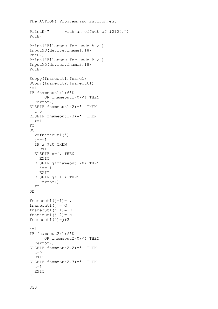```
The ACTION! Programming Environment
PrintE(" with an offset of $0100.")
PutE()
Print("Filespec for code A >") 
InputMD(device,fname1,18)
PutE()
Print("Filespec for code B >") 
InputMD(device,fname2,18)
PutE()
Scopy(fnameout1,fname1)
SCopy(fnameout2,fnameout1)
i=1IF fnameout1(1)#'D 
      OR fnameout1(0)<4 THEN
  Ferror()
ELSEIF fnameout1(2) =': THEN
  z=0ELSEIF fnameout1(3) = ': THEN
  z=1F<sub>T</sub>
DO 
  x=fnameout1(i)j == +1 IF x=$20 THEN
    EXIT
   ELSEIF x='. THEN
     EXIT
   ELSEIF j>fnameout1(0) THEN
   j == +1 EXIT
   ELSEIF j>11+z THEN
    Ferror()
   FI
OD
fnameout1(j-1)='.
fnameout1(j)='G
fnameout1(j+1)=Efnameout1(j+2)='N
fnameout1(0)=j+2j=1IF fnameout2(1)#'D 
      OR fnameout2(0)<4 THEN
   Ferror()
ELSEIF fnameout2(2) = ': THEN
 z=0 EXIT
ELSEIF fnameout2(3)=': THEN
 z=1EXTT
FI
```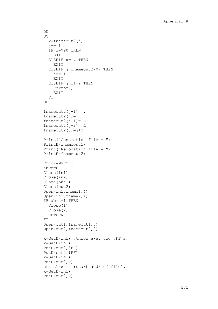```
OD
D<sub>O</sub>x=fnameout2(j)j == +1 IF x=$20 THEN
   EXTT
   ELSEIF x='. THEN
    EXIT
   ELSEIF j>fnameout2(0) THEN
    j = -1EXTT
   ELSEIF j>11+z THEN
    Ferror()
     EXIT
   FI
OD
fnameout2(j-1)='.
fnameout2(j)='R
fnameout2(j+1)='Efnameout2(j+2) = 'Lfnameout2(0)=i+2Print("Generation file = ")
PrintE(fnameout1)
Print("Relocation file = ")
PrintE(fnameout2)
Error=MyError
abrt=0
Close(in1)
Close(in2)
Close(out1)
Close(out2)
Open(in1,fname1,4)
Open(in2,fname2,4)
IF abrt=1 THEN 
   Close(1)
   Close(2)
  RETURN
FI
Open(out1,fnameout1,8)
Open(out2, fnameout2, 8)
x=GetD(in1) ;throw away two $FF's.
x=GetD(in1)
PutD(out2,$FF)
PutD(out2,$FF)
x=GetD(in1)
PutD(out2,x)
start1=x ; start addr of file1.
x=GetD(in1)
PutD(out2,x)
```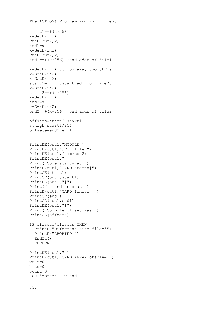```
The ACTION! Programming Environment
start1 == + (x * 256)x=GetD(in1)
PutD(out2,x)
end1=x
x=GetD(in1)
PutD(out2,x)
end1==+(x*256) ;end addr of file1.
x=GetD(in2) ;throw away two $FF's.
x=GetD(in2)
x=GetD(in2)<br>start2=x
           ; start addr of file2.
x=GetD(in2)
start2 == + (x * 256)x=GetD(in2)
end2=x
x=GetD(in2)
end2==+(x*256) ;end addr of file2.
offsets=start2-start1
sthigh=start1/256
offsete=end2-end1
PrintDE(out1,"MODULE")
PrintD(out1,";For file ")
PrintDE(out1,fnameout2)
PrintDE(out1,"")
Print("Code starts at ")
PrintD(out1,"CARD start=[")
PrintCE(start1)
PrintCD(out1,start1)
PrintDE(out1,"]")
Print(" and ends at ")
PrintD(out1,"CARD finish=[")
PrintCE(end1)
PrintCD(out1,end1)
PrintDE(out1,"]")
Print("Compile offset was ")
PrintCE(offsets)
IF offsete#offsets THEN
  PrintE("Diferrent size files!")
  PrintE("ABORTED!")
  EndIt()
  RETURN
FI
PrintDE(out1,"")
PrintD(out1,"CARD ARRAY otable=[")
wnum=0
hits=0
count=0
FOR i=start1 TO end1
```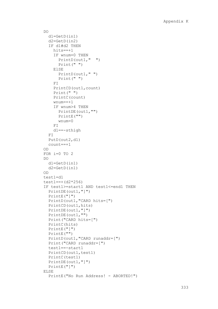```
D<sub>O</sub> d1=GetD(in1)
   d2=GetD(in2)
   IF d1#d2 THEN
     hits==+1
     IF wnum=0 THEN
      PrintD(out1," ")
       Print(" ")
     ElSE 
       PrintD(out1," ")
       Print(" ")
    F<sub>T</sub>
     PrintCD(out1,count)
     Print(" ")
     PrintC(count)
     wnum==+1
     IF wnum>4 THEN
      PrintDE(out1,"")
       PrintE("")
       wnum=0
    F<sub>T</sub>
     d1==-sthigh
   FI
   PutD(out2,d1)
   count==+1
OD
FOR i=0 TO 2
DO
  d1=GetD(in1)
  d2=GetD(in1)
OD
test1=d1
test1==+(d2*256)
IF test1>=start1 AND test1<=end1 THEN
   PrintDE(out1,"]")
   PrintE("]")
  PrintD(out1,"CARD hits=[")
  PrintCD(out1,hits)
   PrintDE(out1,"]")
   PrintDE(out1,"")
   Print("CARD hits=[")
   PrintC(hits)
   PrintE("]")
  PrintE("")
   PrintD(out1,"CARD runaddr=[")
   Print("CARD runaddr=[")
   test1==-start1
  PrintCD(out1, test1)
   PrintC(test1)
   PrintDE(out1,"]")
   PrintE("]")
ELSE
   PrintE("No Run Address! - ABORTED!")
```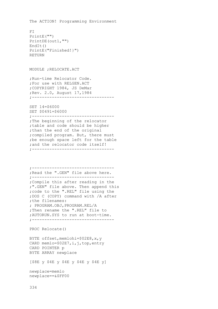The ACTION! Programming Environment F<sub>T</sub> PrintE("") PrintDE(out1,"") EndIt() PrintE("Finished!}") RETURN MODULE ;RELOCATE.ACT ;Run-time Relocator Code. ;For use with RELGEN.ACT ;COPYRIGHT 1984, JS DeMar ;Rev. 2.0, August 17,1984 ;--------------------------------- SET 14=\$6000 SET \$0491=\$6000 ;--------------------------------- ;The beginning of the relocator ;table and code should be higher ;than the end of the original ;compiled program. But, there must ;be enough space left for the table ;and the relocator code itself! ;--------------------------------- ;--------------------------------- ;Read the ".GEN" file above here. ;--------------------------------- ;Compile this after reading in the ;".GEN" file above. Then append this ;code to the ".REL" file using the ;DOS C (COPY) command with /A after ;the filenames: ; PROGRAM.OBJ,PROGRAM.REL/A ;Then rename the ".REL" file to ;AUTORUN.SYS to run at boot-time. ;--------------------------------- PROC Relocate() BYTE offset, memlohi=\$02E8, x, y CARD memlo=\$02E7, i, j, top, entry CARD POINTER p BYTE ARRAY newplace  $[$ \$8E y \$4E y \$4E y \$4E y \$4E y } newplace=memlo newplace==&\$FF00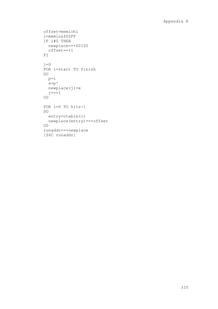```
offset=memlohi
i=memlo&$00FF
IF i#0 THEN
  newplace==+$0100
  offset==+1
FI
\dot{\eta}=0FOR i=start TO finish
DO
 p=1x=p^{\wedge} newplace(j)=x
 j = -1OD
FOR i=0 TO hits-1
DO
  entry=otable(i) 
  newplace(entry)==+offset
OD
runaddr==+newplace
[$6C runaddr]
```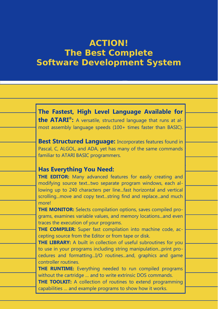## **ACTION! The Best Complete Software Development System**

**The Fastest, High Level Language Available for the ATARI® :** A versatile, structured language that runs at almost assembly language speeds (100+ times faster than BASIC).

**Best Structured Language: Incorporates features found in** Pascal, C, ALGOL, and ADA, yet has many of the same commands familiar to ATARI BASIC programmers.

## **Has Everything You Need:**

**THE EDITOR:** Many advanced features for easily creating and modifying source text...two separate program windows, each allowing up to 240 characters per line...fast horizontal and vertical scrolling...move and copy text...string find and replace...and much more!

**THE MONITOR:** Selects compilation options, saves compiled programs, examines variable values, and memory locations...and even traces the execution of your programs.

**THE COMPILER:** Super fast compilation into machine code, accepting source from the Editor or from tape or disk.

**THE LIBRARY:** A built in collection of useful subroutines for you to use in your programs including string manipulation...print procedures and formatting...I/O routines...and, graphics and game controller routines.

**THE RUNTIME:** Everything needed to run compiled programs without the cartridge … and to write extrinsic DOS commands.

**THE TOOLKIT:** A collection of routines to extend programming capabilities … and example programs to show how it works.